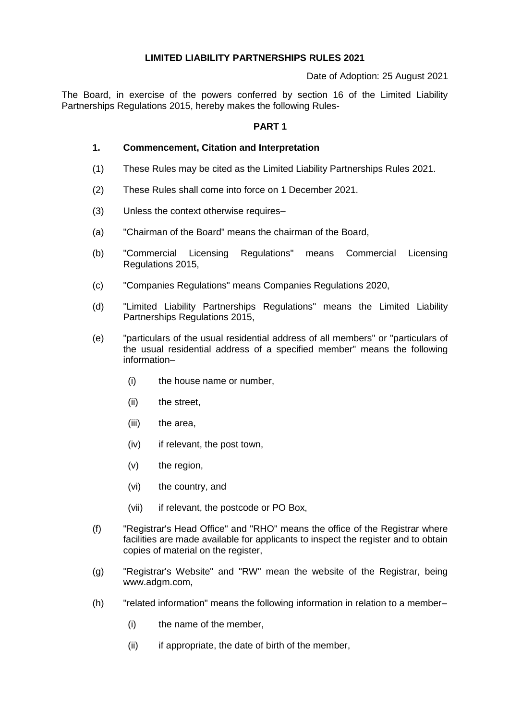## **LIMITED LIABILITY PARTNERSHIPS RULES 2021**

Date of Adoption: 25 August 2021

The Board, in exercise of the powers conferred by section 16 of the Limited Liability Partnerships Regulations 2015, hereby makes the following Rules-

## **PART 1**

### **1. Commencement, Citation and Interpretation**

- (1) These Rules may be cited as the Limited Liability Partnerships Rules 2021.
- (2) These Rules shall come into force on 1 December 2021.
- (3) Unless the context otherwise requires–
- (a) "Chairman of the Board" means the chairman of the Board,
- (b) "Commercial Licensing Regulations" means Commercial Licensing Regulations 2015,
- (c) "Companies Regulations" means Companies Regulations 2020,
- (d) "Limited Liability Partnerships Regulations" means the Limited Liability Partnerships Regulations 2015,
- (e) "particulars of the usual residential address of all members" or "particulars of the usual residential address of a specified member" means the following information–
	- (i) the house name or number,
	- (ii) the street,
	- (iii) the area,
	- (iv) if relevant, the post town,
	- (v) the region,
	- (vi) the country, and
	- (vii) if relevant, the postcode or PO Box,
- (f) "Registrar's Head Office" and "RHO" means the office of the Registrar where facilities are made available for applicants to inspect the register and to obtain copies of material on the register,
- (g) "Registrar's Website" and "RW" mean the website of the Registrar, being www.adgm.com,
- (h) "related information" means the following information in relation to a member–
	- (i) the name of the member,
	- (ii) if appropriate, the date of birth of the member,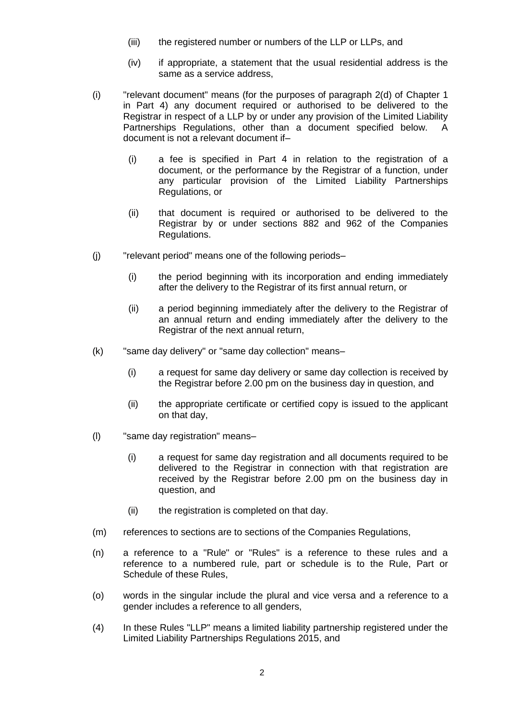- (iii) the registered number or numbers of the LLP or LLPs, and
- (iv) if appropriate, a statement that the usual residential address is the same as a service address,
- (i) "relevant document" means (for the purposes of paragraph 2(d) of Chapter 1 in Part 4) any document required or authorised to be delivered to the Registrar in respect of a LLP by or under any provision of the Limited Liability Partnerships Regulations, other than a document specified below. A document is not a relevant document if–
	- (i) a fee is specified in Part 4 in relation to the registration of a document, or the performance by the Registrar of a function, under any particular provision of the Limited Liability Partnerships Regulations, or
	- (ii) that document is required or authorised to be delivered to the Registrar by or under sections 882 and 962 of the Companies Regulations.
- (j) "relevant period" means one of the following periods–
	- (i) the period beginning with its incorporation and ending immediately after the delivery to the Registrar of its first annual return, or
	- (ii) a period beginning immediately after the delivery to the Registrar of an annual return and ending immediately after the delivery to the Registrar of the next annual return,
- (k) "same day delivery" or "same day collection" means–
	- (i) a request for same day delivery or same day collection is received by the Registrar before 2.00 pm on the business day in question, and
	- (ii) the appropriate certificate or certified copy is issued to the applicant on that day,
- (l) "same day registration" means–
	- (i) a request for same day registration and all documents required to be delivered to the Registrar in connection with that registration are received by the Registrar before 2.00 pm on the business day in question, and
	- (ii) the registration is completed on that day.
- (m) references to sections are to sections of the Companies Regulations,
- (n) a reference to a "Rule" or "Rules" is a reference to these rules and a reference to a numbered rule, part or schedule is to the Rule, Part or Schedule of these Rules,
- (o) words in the singular include the plural and vice versa and a reference to a gender includes a reference to all genders,
- (4) In these Rules "LLP" means a limited liability partnership registered under the Limited Liability Partnerships Regulations 2015, and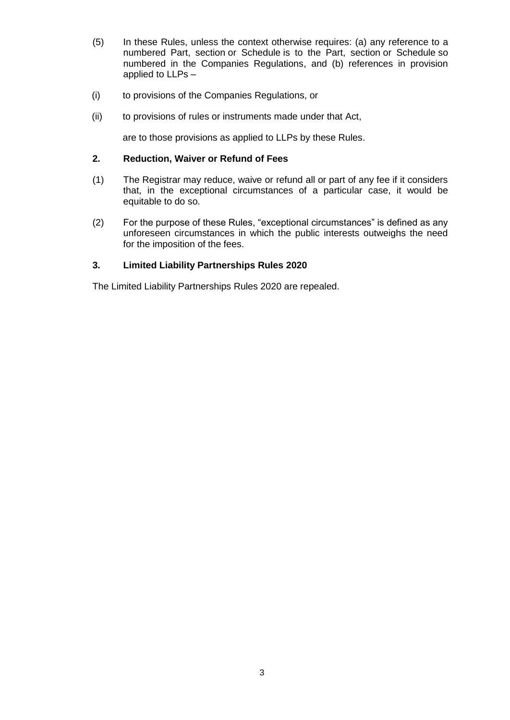- (5) In these Rules, unless the context otherwise requires: (a) any reference to a numbered Part, section or Schedule is to the Part, section or Schedule so numbered in the Companies Regulations, and (b) references in provision applied to LLPs –
- (i) to provisions of the Companies Regulations, or
- (ii) to provisions of rules or instruments made under that Act,

are to those provisions as applied to LLPs by these Rules.

### **2. Reduction, Waiver or Refund of Fees**

- (1) The Registrar may reduce, waive or refund all or part of any fee if it considers that, in the exceptional circumstances of a particular case, it would be equitable to do so.
- (2) For the purpose of these Rules, "exceptional circumstances" is defined as any unforeseen circumstances in which the public interests outweighs the need for the imposition of the fees.

## **3. Limited Liability Partnerships Rules 2020**

The Limited Liability Partnerships Rules 2020 are repealed.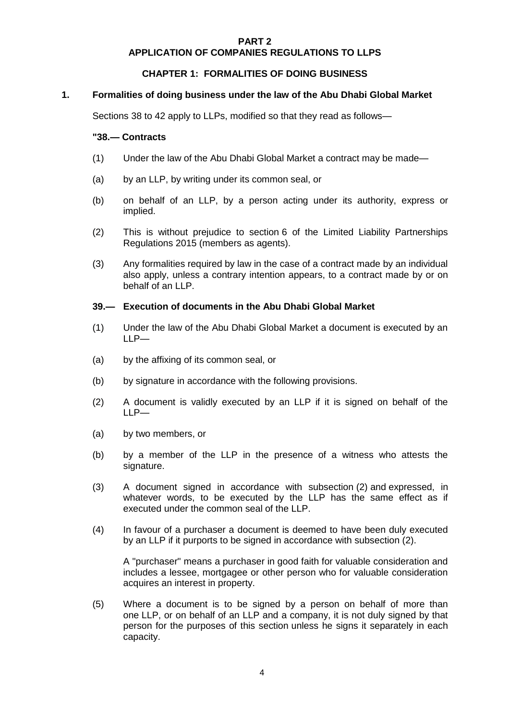### **PART 2 APPLICATION OF COMPANIES REGULATIONS TO LLPS**

## **CHAPTER 1: FORMALITIES OF DOING BUSINESS**

#### **1. Formalities of doing business under the law of the Abu Dhabi Global Market**

Sections 38 to 42 apply to LLPs, modified so that they read as follows—

### **"38.— Contracts**

- (1) Under the law of the Abu Dhabi Global Market a contract may be made—
- (a) by an LLP, by writing under its common seal, or
- (b) on behalf of an LLP, by a person acting under its authority, express or implied.
- (2) This is without prejudice to section 6 of the Limited Liability Partnerships Regulations 2015 (members as agents).
- (3) Any formalities required by law in the case of a contract made by an individual also apply, unless a contrary intention appears, to a contract made by or on behalf of an LLP.

### **39.— Execution of documents in the Abu Dhabi Global Market**

- (1) Under the law of the Abu Dhabi Global Market a document is executed by an LLP—
- (a) by the affixing of its common seal, or
- (b) by signature in accordance with the following provisions.
- (2) A document is validly executed by an LLP if it is signed on behalf of the LLP—
- (a) by two members, or
- (b) by a member of the LLP in the presence of a witness who attests the signature.
- (3) A document signed in accordance with subsection (2) and expressed, in whatever words, to be executed by the LLP has the same effect as if executed under the common seal of the LLP.
- (4) In favour of a purchaser a document is deemed to have been duly executed by an LLP if it purports to be signed in accordance with subsection (2).

A "purchaser" means a purchaser in good faith for valuable consideration and includes a lessee, mortgagee or other person who for valuable consideration acquires an interest in property.

(5) Where a document is to be signed by a person on behalf of more than one LLP, or on behalf of an LLP and a company, it is not duly signed by that person for the purposes of this section unless he signs it separately in each capacity.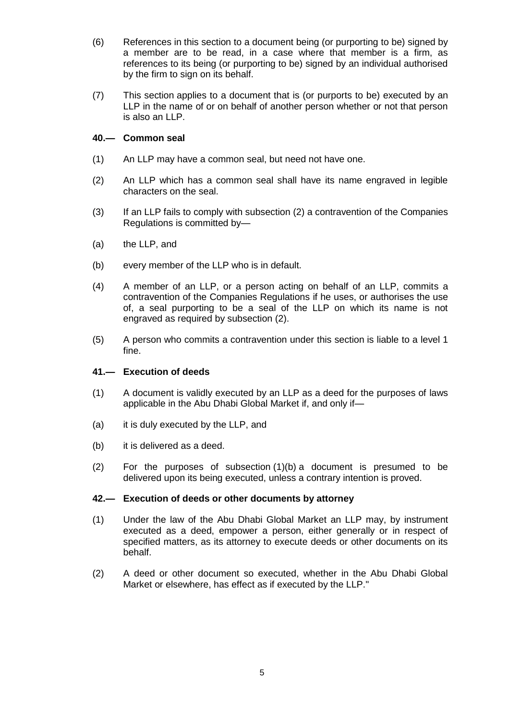- (6) References in this section to a document being (or purporting to be) signed by a member are to be read, in a case where that member is a firm, as references to its being (or purporting to be) signed by an individual authorised by the firm to sign on its behalf.
- (7) This section applies to a document that is (or purports to be) executed by an LLP in the name of or on behalf of another person whether or not that person is also an LLP.

## **40.— Common seal**

- (1) An LLP may have a common seal, but need not have one.
- (2) An LLP which has a common seal shall have its name engraved in legible characters on the seal.
- (3) If an LLP fails to comply with subsection (2) a contravention of the Companies Regulations is committed by—
- (a) the LLP, and
- (b) every member of the LLP who is in default.
- (4) A member of an LLP, or a person acting on behalf of an LLP, commits a contravention of the Companies Regulations if he uses, or authorises the use of, a seal purporting to be a seal of the LLP on which its name is not engraved as required by subsection (2).
- (5) A person who commits a contravention under this section is liable to a level 1 fine.

#### **41.— Execution of deeds**

- (1) A document is validly executed by an LLP as a deed for the purposes of laws applicable in the Abu Dhabi Global Market if, and only if—
- (a) it is duly executed by the LLP, and
- (b) it is delivered as a deed.
- (2) For the purposes of subsection (1)(b) a document is presumed to be delivered upon its being executed, unless a contrary intention is proved.

#### **42.— Execution of deeds or other documents by attorney**

- (1) Under the law of the Abu Dhabi Global Market an LLP may, by instrument executed as a deed, empower a person, either generally or in respect of specified matters, as its attorney to execute deeds or other documents on its behalf.
- (2) A deed or other document so executed, whether in the Abu Dhabi Global Market or elsewhere, has effect as if executed by the LLP."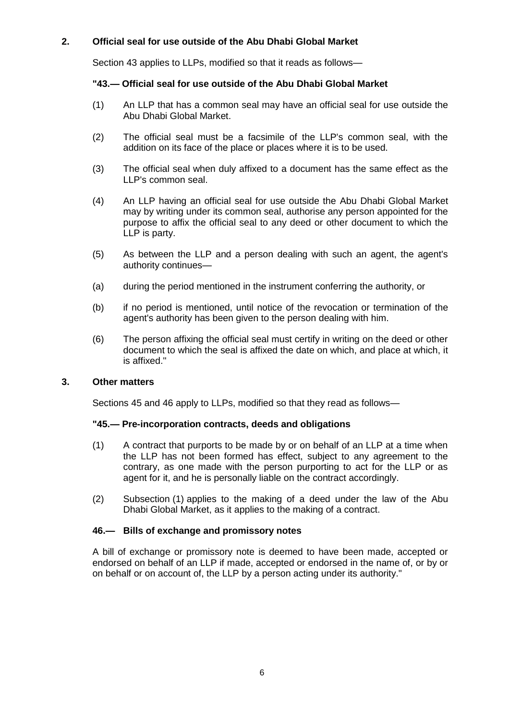# **2. Official seal for use outside of the Abu Dhabi Global Market**

Section 43 applies to LLPs, modified so that it reads as follows—

# **"43.— Official seal for use outside of the Abu Dhabi Global Market**

- (1) An LLP that has a common seal may have an official seal for use outside the Abu Dhabi Global Market.
- (2) The official seal must be a facsimile of the LLP's common seal, with the addition on its face of the place or places where it is to be used.
- (3) The official seal when duly affixed to a document has the same effect as the LLP's common seal.
- (4) An LLP having an official seal for use outside the Abu Dhabi Global Market may by writing under its common seal, authorise any person appointed for the purpose to affix the official seal to any deed or other document to which the LLP is party.
- (5) As between the LLP and a person dealing with such an agent, the agent's authority continues—
- (a) during the period mentioned in the instrument conferring the authority, or
- (b) if no period is mentioned, until notice of the revocation or termination of the agent's authority has been given to the person dealing with him.
- (6) The person affixing the official seal must certify in writing on the deed or other document to which the seal is affixed the date on which, and place at which, it is affixed."

## **3. Other matters**

Sections 45 and 46 apply to LLPs, modified so that they read as follows—

#### **"45.— Pre-incorporation contracts, deeds and obligations**

- (1) A contract that purports to be made by or on behalf of an LLP at a time when the LLP has not been formed has effect, subject to any agreement to the contrary, as one made with the person purporting to act for the LLP or as agent for it, and he is personally liable on the contract accordingly.
- (2) Subsection (1) applies to the making of a deed under the law of the Abu Dhabi Global Market, as it applies to the making of a contract.

## **46.— Bills of exchange and promissory notes**

A bill of exchange or promissory note is deemed to have been made, accepted or endorsed on behalf of an LLP if made, accepted or endorsed in the name of, or by or on behalf or on account of, the LLP by a person acting under its authority."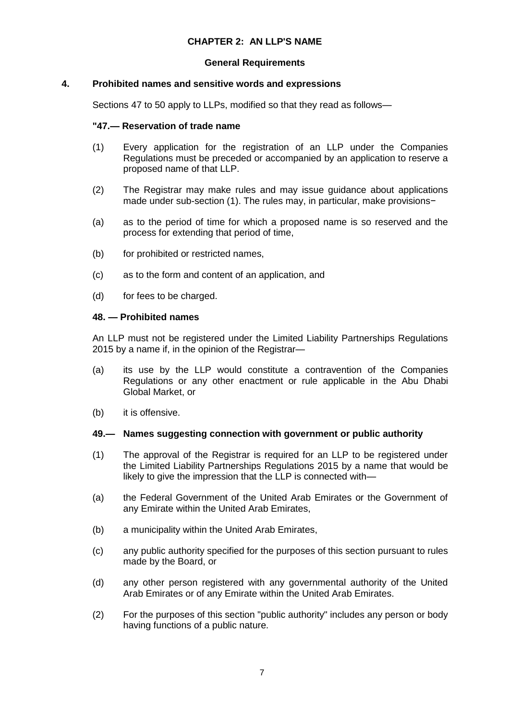# **CHAPTER 2: AN LLP'S NAME**

### **General Requirements**

### **4. Prohibited names and sensitive words and expressions**

Sections 47 to 50 apply to LLPs, modified so that they read as follows—

### **"47.— Reservation of trade name**

- (1) Every application for the registration of an LLP under the Companies Regulations must be preceded or accompanied by an application to reserve a proposed name of that LLP.
- (2) The Registrar may make rules and may issue guidance about applications made under sub-section (1). The rules may, in particular, make provisions−
- (a) as to the period of time for which a proposed name is so reserved and the process for extending that period of time,
- (b) for prohibited or restricted names,
- (c) as to the form and content of an application, and
- (d) for fees to be charged.

### **48. — Prohibited names**

An LLP must not be registered under the Limited Liability Partnerships Regulations 2015 by a name if, in the opinion of the Registrar—

- (a) its use by the LLP would constitute a contravention of the Companies Regulations or any other enactment or rule applicable in the Abu Dhabi Global Market, or
- (b) it is offensive.

## **49.— Names suggesting connection with government or public authority**

- (1) The approval of the Registrar is required for an LLP to be registered under the Limited Liability Partnerships Regulations 2015 by a name that would be likely to give the impression that the LLP is connected with—
- (a) the Federal Government of the United Arab Emirates or the Government of any Emirate within the United Arab Emirates,
- (b) a municipality within the United Arab Emirates,
- (c) any public authority specified for the purposes of this section pursuant to rules made by the Board, or
- (d) any other person registered with any governmental authority of the United Arab Emirates or of any Emirate within the United Arab Emirates.
- (2) For the purposes of this section "public authority" includes any person or body having functions of a public nature.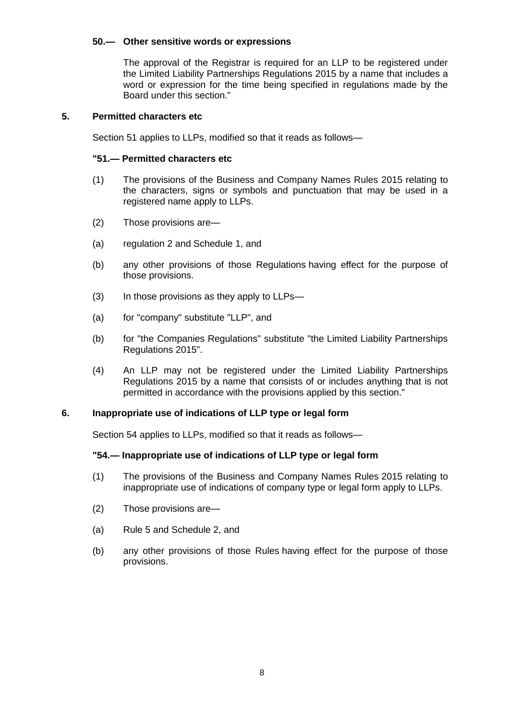## **50.— Other sensitive words or expressions**

The approval of the Registrar is required for an LLP to be registered under the Limited Liability Partnerships Regulations 2015 by a name that includes a word or expression for the time being specified in regulations made by the Board under this section."

#### **5. Permitted characters etc**

Section 51 applies to LLPs, modified so that it reads as follows—

#### **"51.— Permitted characters etc**

- (1) The provisions of the Business and Company Names Rules 2015 relating to the characters, signs or symbols and punctuation that may be used in a registered name apply to LLPs.
- (2) Those provisions are—
- (a) regulation 2 and Schedule 1, and
- (b) any other provisions of those Regulations having effect for the purpose of those provisions.
- (3) In those provisions as they apply to LLPs—
- (a) for "company" substitute "LLP", and
- (b) for "the Companies Regulations" substitute "the Limited Liability Partnerships Regulations 2015".
- (4) An LLP may not be registered under the Limited Liability Partnerships Regulations 2015 by a name that consists of or includes anything that is not permitted in accordance with the provisions applied by this section."

#### **6. Inappropriate use of indications of LLP type or legal form**

Section 54 applies to LLPs, modified so that it reads as follows—

#### **"54.— Inappropriate use of indications of LLP type or legal form**

- (1) The provisions of the Business and Company Names Rules 2015 relating to inappropriate use of indications of company type or legal form apply to LLPs.
- (2) Those provisions are—
- (a) Rule 5 and Schedule 2, and
- (b) any other provisions of those Rules having effect for the purpose of those provisions.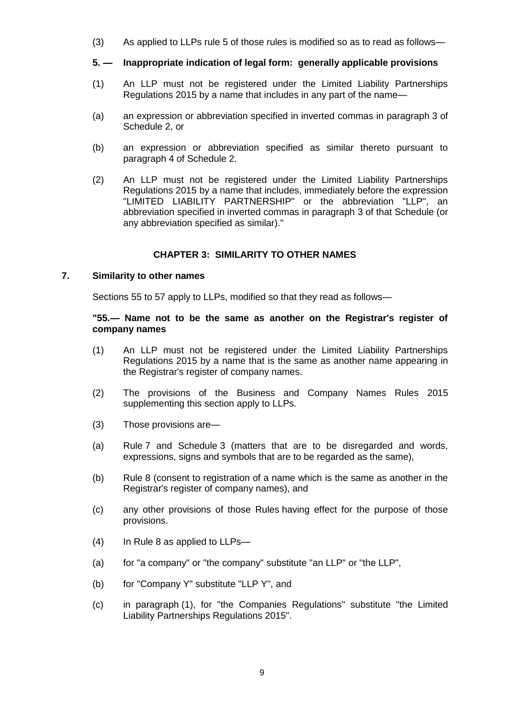(3) As applied to LLPs rule 5 of those rules is modified so as to read as follows—

### **5. — Inappropriate indication of legal form: generally applicable provisions**

- (1) An LLP must not be registered under the Limited Liability Partnerships Regulations 2015 by a name that includes in any part of the name—
- (a) an expression or abbreviation specified in inverted commas in paragraph 3 of Schedule 2, or
- (b) an expression or abbreviation specified as similar thereto pursuant to paragraph 4 of Schedule 2.
- (2) An LLP must not be registered under the Limited Liability Partnerships Regulations 2015 by a name that includes, immediately before the expression "LIMITED LIABILITY PARTNERSHIP" or the abbreviation "LLP", an abbreviation specified in inverted commas in paragraph 3 of that Schedule (or any abbreviation specified as similar)."

## **CHAPTER 3: SIMILARITY TO OTHER NAMES**

#### **7. Similarity to other names**

Sections 55 to 57 apply to LLPs, modified so that they read as follows—

#### **"55.— Name not to be the same as another on the Registrar's register of company names**

- (1) An LLP must not be registered under the Limited Liability Partnerships Regulations 2015 by a name that is the same as another name appearing in the Registrar's register of company names.
- (2) The provisions of the Business and Company Names Rules 2015 supplementing this section apply to LLPs.
- (3) Those provisions are—
- (a) Rule 7 and Schedule 3 (matters that are to be disregarded and words, expressions, signs and symbols that are to be regarded as the same),
- (b) Rule 8 (consent to registration of a name which is the same as another in the Registrar's register of company names), and
- (c) any other provisions of those Rules having effect for the purpose of those provisions.
- (4) In Rule 8 as applied to LLPs—
- (a) for "a company" or "the company" substitute "an LLP" or "the LLP",
- (b) for "Company Y" substitute "LLP Y", and
- (c) in paragraph (1), for "the Companies Regulations" substitute "the Limited Liability Partnerships Regulations 2015".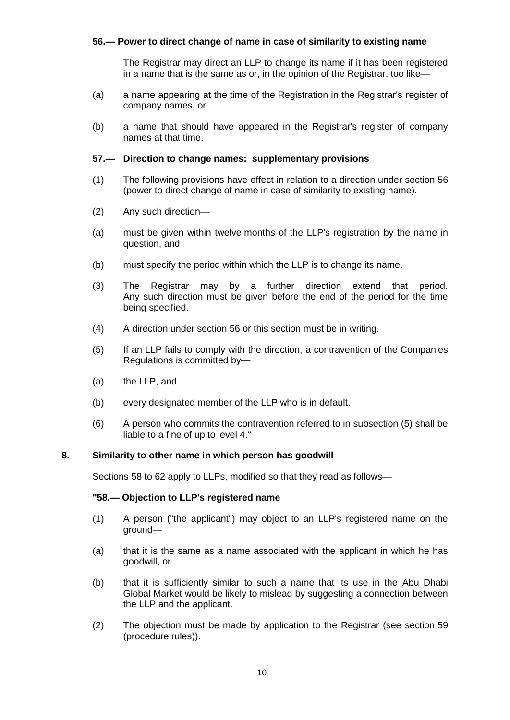## **56.— Power to direct change of name in case of similarity to existing name**

The Registrar may direct an LLP to change its name if it has been registered in a name that is the same as or, in the opinion of the Registrar, too like—

- (a) a name appearing at the time of the Registration in the Registrar's register of company names, or
- (b) a name that should have appeared in the Registrar's register of company names at that time.

#### **57.— Direction to change names: supplementary provisions**

- (1) The following provisions have effect in relation to a direction under section 56 (power to direct change of name in case of similarity to existing name).
- (2) Any such direction—
- (a) must be given within twelve months of the LLP's registration by the name in question, and
- (b) must specify the period within which the LLP is to change its name.
- (3) The Registrar may by a further direction extend that period. Any such direction must be given before the end of the period for the time being specified.
- (4) A direction under section 56 or this section must be in writing.
- (5) If an LLP fails to comply with the direction, a contravention of the Companies Regulations is committed by—
- (a) the LLP, and
- (b) every designated member of the LLP who is in default.
- (6) A person who commits the contravention referred to in subsection (5) shall be liable to a fine of up to level 4."

### **8. Similarity to other name in which person has goodwill**

Sections 58 to 62 apply to LLPs, modified so that they read as follows—

#### **"58.— Objection to LLP's registered name**

- (1) A person ("the applicant") may object to an LLP's registered name on the ground—
- (a) that it is the same as a name associated with the applicant in which he has goodwill, or
- (b) that it is sufficiently similar to such a name that its use in the Abu Dhabi Global Market would be likely to mislead by suggesting a connection between the LLP and the applicant.
- (2) The objection must be made by application to the Registrar (see section 59 (procedure rules)).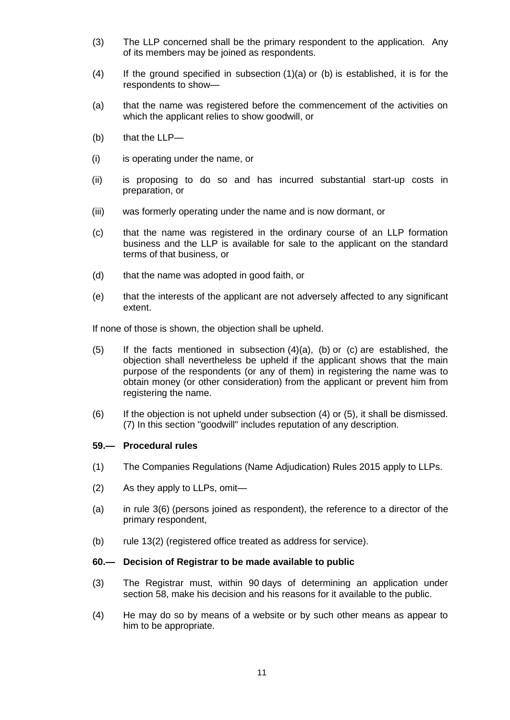- (3) The LLP concerned shall be the primary respondent to the application. Any of its members may be joined as respondents.
- $(4)$  If the ground specified in subsection  $(1)(a)$  or  $(b)$  is established, it is for the respondents to show—
- (a) that the name was registered before the commencement of the activities on which the applicant relies to show goodwill, or
- (b) that the LLP—
- (i) is operating under the name, or
- (ii) is proposing to do so and has incurred substantial start-up costs in preparation, or
- (iii) was formerly operating under the name and is now dormant, or
- (c) that the name was registered in the ordinary course of an LLP formation business and the LLP is available for sale to the applicant on the standard terms of that business, or
- (d) that the name was adopted in good faith, or
- (e) that the interests of the applicant are not adversely affected to any significant extent.

If none of those is shown, the objection shall be upheld.

- (5) If the facts mentioned in subsection  $(4)(a)$ ,  $(b)$  or  $(c)$  are established, the objection shall nevertheless be upheld if the applicant shows that the main purpose of the respondents (or any of them) in registering the name was to obtain money (or other consideration) from the applicant or prevent him from registering the name.
- (6) If the objection is not upheld under subsection (4) or (5), it shall be dismissed. (7) In this section "goodwill" includes reputation of any description.

## **59.— Procedural rules**

- (1) The Companies Regulations (Name Adjudication) Rules 2015 apply to LLPs.
- (2) As they apply to LLPs, omit—
- (a) in rule 3(6) (persons joined as respondent), the reference to a director of the primary respondent,
- (b) rule 13(2) (registered office treated as address for service).

#### **60.— Decision of Registrar to be made available to public**

- (3) The Registrar must, within 90 days of determining an application under section 58, make his decision and his reasons for it available to the public.
- (4) He may do so by means of a website or by such other means as appear to him to be appropriate.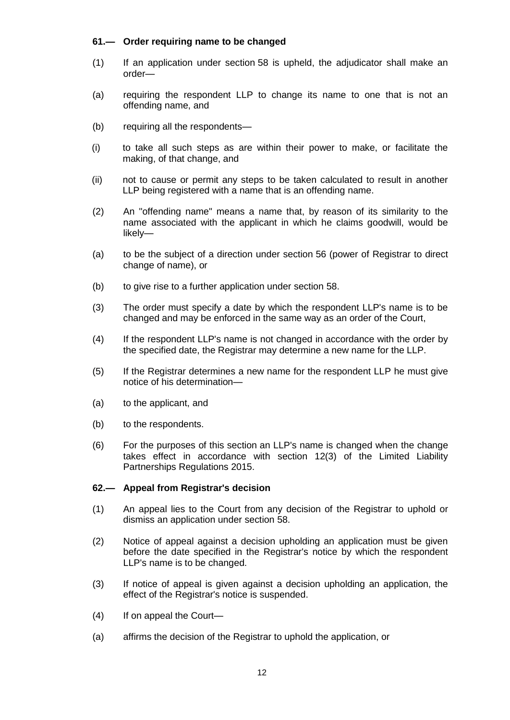# **61.— Order requiring name to be changed**

- (1) If an application under section 58 is upheld, the adjudicator shall make an order—
- (a) requiring the respondent LLP to change its name to one that is not an offending name, and
- (b) requiring all the respondents—
- (i) to take all such steps as are within their power to make, or facilitate the making, of that change, and
- (ii) not to cause or permit any steps to be taken calculated to result in another LLP being registered with a name that is an offending name.
- (2) An "offending name" means a name that, by reason of its similarity to the name associated with the applicant in which he claims goodwill, would be likely—
- (a) to be the subject of a direction under section 56 (power of Registrar to direct change of name), or
- (b) to give rise to a further application under section 58.
- (3) The order must specify a date by which the respondent LLP's name is to be changed and may be enforced in the same way as an order of the Court,
- (4) If the respondent LLP's name is not changed in accordance with the order by the specified date, the Registrar may determine a new name for the LLP.
- (5) If the Registrar determines a new name for the respondent LLP he must give notice of his determination—
- (a) to the applicant, and
- (b) to the respondents.
- (6) For the purposes of this section an LLP's name is changed when the change takes effect in accordance with section 12(3) of the Limited Liability Partnerships Regulations 2015.

## **62.— Appeal from Registrar's decision**

- (1) An appeal lies to the Court from any decision of the Registrar to uphold or dismiss an application under section 58.
- (2) Notice of appeal against a decision upholding an application must be given before the date specified in the Registrar's notice by which the respondent LLP's name is to be changed.
- (3) If notice of appeal is given against a decision upholding an application, the effect of the Registrar's notice is suspended.
- (4) If on appeal the Court—
- (a) affirms the decision of the Registrar to uphold the application, or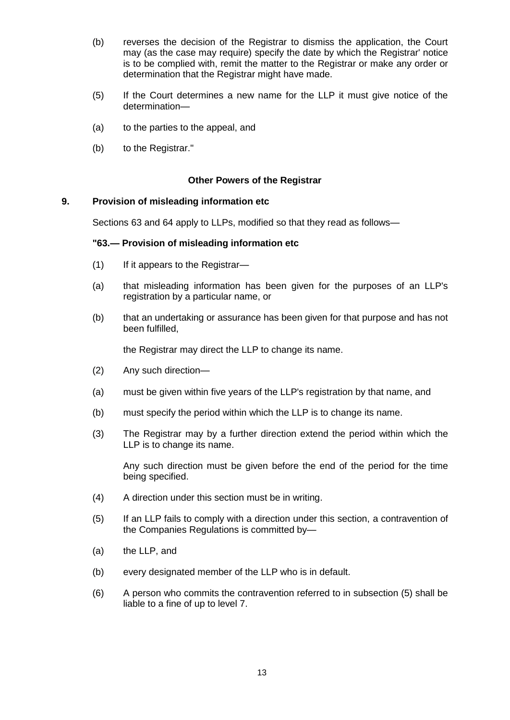- (b) reverses the decision of the Registrar to dismiss the application, the Court may (as the case may require) specify the date by which the Registrar' notice is to be complied with, remit the matter to the Registrar or make any order or determination that the Registrar might have made.
- (5) If the Court determines a new name for the LLP it must give notice of the determination—
- (a) to the parties to the appeal, and
- (b) to the Registrar."

### **Other Powers of the Registrar**

### **9. Provision of misleading information etc**

Sections 63 and 64 apply to LLPs, modified so that they read as follows—

#### **"63.— Provision of misleading information etc**

- (1) If it appears to the Registrar—
- (a) that misleading information has been given for the purposes of an LLP's registration by a particular name, or
- (b) that an undertaking or assurance has been given for that purpose and has not been fulfilled,

the Registrar may direct the LLP to change its name.

- (2) Any such direction—
- (a) must be given within five years of the LLP's registration by that name, and
- (b) must specify the period within which the LLP is to change its name.
- (3) The Registrar may by a further direction extend the period within which the LLP is to change its name.

Any such direction must be given before the end of the period for the time being specified.

- (4) A direction under this section must be in writing.
- (5) If an LLP fails to comply with a direction under this section, a contravention of the Companies Regulations is committed by—
- (a) the LLP, and
- (b) every designated member of the LLP who is in default.
- (6) A person who commits the contravention referred to in subsection (5) shall be liable to a fine of up to level 7.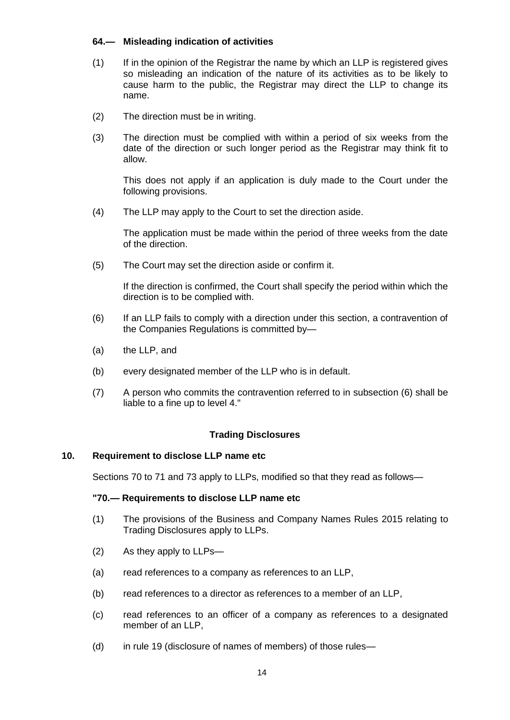# **64.— Misleading indication of activities**

- (1) If in the opinion of the Registrar the name by which an LLP is registered gives so misleading an indication of the nature of its activities as to be likely to cause harm to the public, the Registrar may direct the LLP to change its name.
- (2) The direction must be in writing.
- (3) The direction must be complied with within a period of six weeks from the date of the direction or such longer period as the Registrar may think fit to allow.

This does not apply if an application is duly made to the Court under the following provisions.

(4) The LLP may apply to the Court to set the direction aside.

The application must be made within the period of three weeks from the date of the direction.

(5) The Court may set the direction aside or confirm it.

If the direction is confirmed, the Court shall specify the period within which the direction is to be complied with.

- (6) If an LLP fails to comply with a direction under this section, a contravention of the Companies Regulations is committed by—
- (a) the LLP, and
- (b) every designated member of the LLP who is in default.
- (7) A person who commits the contravention referred to in subsection (6) shall be liable to a fine up to level 4."

## **Trading Disclosures**

## **10. Requirement to disclose LLP name etc**

Sections 70 to 71 and 73 apply to LLPs, modified so that they read as follows—

#### **"70.— Requirements to disclose LLP name etc**

- (1) The provisions of the Business and Company Names Rules 2015 relating to Trading Disclosures apply to LLPs.
- (2) As they apply to LLPs—
- (a) read references to a company as references to an LLP,
- (b) read references to a director as references to a member of an LLP,
- (c) read references to an officer of a company as references to a designated member of an LLP,
- (d) in rule 19 (disclosure of names of members) of those rules—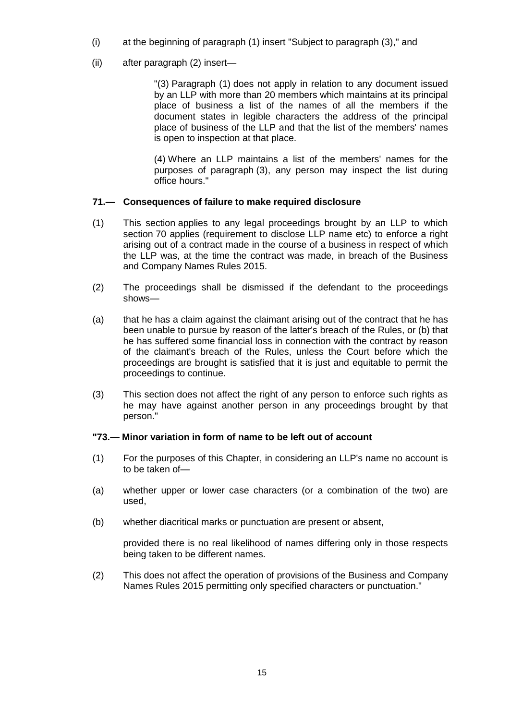- (i) at the beginning of paragraph (1) insert "Subject to paragraph (3)," and
- (ii) after paragraph (2) insert—

"(3) Paragraph (1) does not apply in relation to any document issued by an LLP with more than 20 members which maintains at its principal place of business a list of the names of all the members if the document states in legible characters the address of the principal place of business of the LLP and that the list of the members' names is open to inspection at that place.

(4) Where an LLP maintains a list of the members' names for the purposes of paragraph (3), any person may inspect the list during office hours."

# **71.— Consequences of failure to make required disclosure**

- (1) This section applies to any legal proceedings brought by an LLP to which section 70 applies (requirement to disclose LLP name etc) to enforce a right arising out of a contract made in the course of a business in respect of which the LLP was, at the time the contract was made, in breach of the Business and Company Names Rules 2015.
- (2) The proceedings shall be dismissed if the defendant to the proceedings shows—
- (a) that he has a claim against the claimant arising out of the contract that he has been unable to pursue by reason of the latter's breach of the Rules, or (b) that he has suffered some financial loss in connection with the contract by reason of the claimant's breach of the Rules, unless the Court before which the proceedings are brought is satisfied that it is just and equitable to permit the proceedings to continue.
- (3) This section does not affect the right of any person to enforce such rights as he may have against another person in any proceedings brought by that person."

## **"73.— Minor variation in form of name to be left out of account**

- (1) For the purposes of this Chapter, in considering an LLP's name no account is to be taken of—
- (a) whether upper or lower case characters (or a combination of the two) are used,
- (b) whether diacritical marks or punctuation are present or absent,

provided there is no real likelihood of names differing only in those respects being taken to be different names.

(2) This does not affect the operation of provisions of the Business and Company Names Rules 2015 permitting only specified characters or punctuation."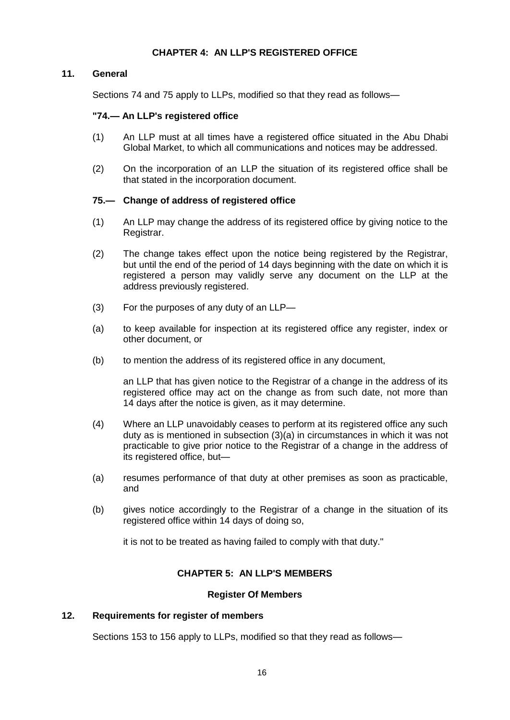# **CHAPTER 4: AN LLP'S REGISTERED OFFICE**

### **11. General**

Sections 74 and 75 apply to LLPs, modified so that they read as follows—

### **"74.— An LLP's registered office**

- (1) An LLP must at all times have a registered office situated in the Abu Dhabi Global Market, to which all communications and notices may be addressed.
- (2) On the incorporation of an LLP the situation of its registered office shall be that stated in the incorporation document.

### **75.— Change of address of registered office**

- (1) An LLP may change the address of its registered office by giving notice to the Registrar.
- (2) The change takes effect upon the notice being registered by the Registrar, but until the end of the period of 14 days beginning with the date on which it is registered a person may validly serve any document on the LLP at the address previously registered.
- (3) For the purposes of any duty of an LLP—
- (a) to keep available for inspection at its registered office any register, index or other document, or
- (b) to mention the address of its registered office in any document,

an LLP that has given notice to the Registrar of a change in the address of its registered office may act on the change as from such date, not more than 14 days after the notice is given, as it may determine.

- (4) Where an LLP unavoidably ceases to perform at its registered office any such duty as is mentioned in subsection (3)(a) in circumstances in which it was not practicable to give prior notice to the Registrar of a change in the address of its registered office, but—
- (a) resumes performance of that duty at other premises as soon as practicable, and
- (b) gives notice accordingly to the Registrar of a change in the situation of its registered office within 14 days of doing so,

it is not to be treated as having failed to comply with that duty."

## **CHAPTER 5: AN LLP'S MEMBERS**

#### **Register Of Members**

### **12. Requirements for register of members**

Sections 153 to 156 apply to LLPs, modified so that they read as follows—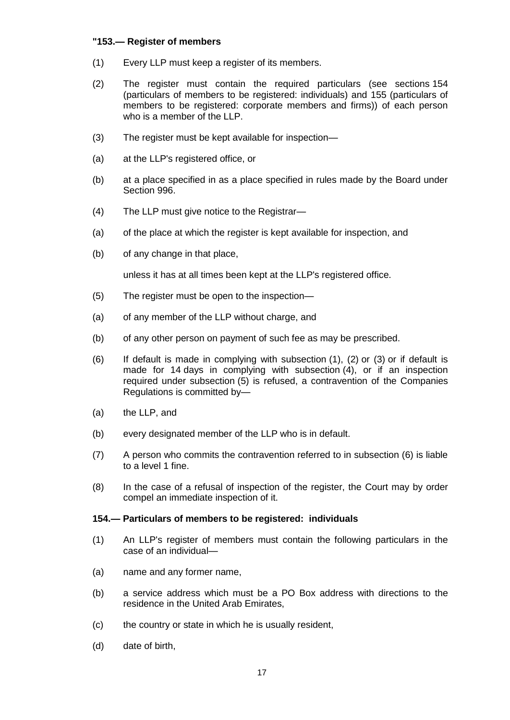### **"153.— Register of members**

- (1) Every LLP must keep a register of its members.
- (2) The register must contain the required particulars (see sections 154 (particulars of members to be registered: individuals) and 155 (particulars of members to be registered: corporate members and firms)) of each person who is a member of the LLP.
- (3) The register must be kept available for inspection—
- (a) at the LLP's registered office, or
- (b) at a place specified in as a place specified in rules made by the Board under Section 996.
- (4) The LLP must give notice to the Registrar—
- (a) of the place at which the register is kept available for inspection, and
- (b) of any change in that place,

unless it has at all times been kept at the LLP's registered office.

- (5) The register must be open to the inspection—
- (a) of any member of the LLP without charge, and
- (b) of any other person on payment of such fee as may be prescribed.
- (6) If default is made in complying with subsection (1), (2) or (3) or if default is made for 14 days in complying with subsection (4), or if an inspection required under subsection (5) is refused, a contravention of the Companies Regulations is committed by—
- (a) the LLP, and
- (b) every designated member of the LLP who is in default.
- (7) A person who commits the contravention referred to in subsection (6) is liable to a level 1 fine.
- (8) In the case of a refusal of inspection of the register, the Court may by order compel an immediate inspection of it.

#### **154.— Particulars of members to be registered: individuals**

- (1) An LLP's register of members must contain the following particulars in the case of an individual—
- (a) name and any former name,
- (b) a service address which must be a PO Box address with directions to the residence in the United Arab Emirates,
- (c) the country or state in which he is usually resident,
- (d) date of birth,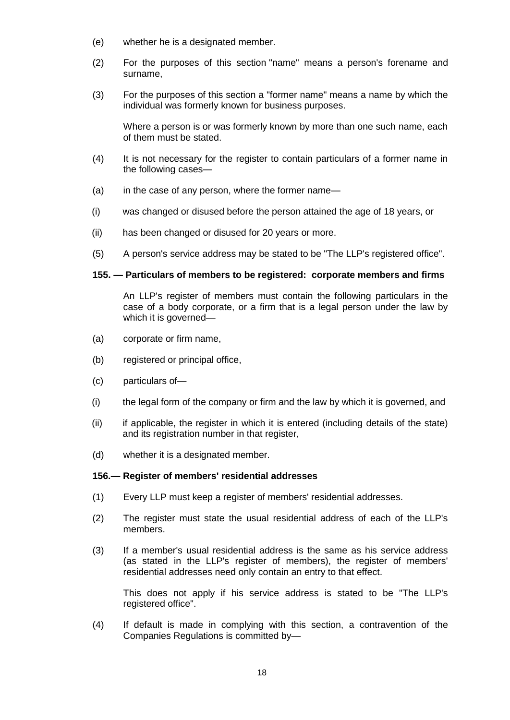- (e) whether he is a designated member.
- (2) For the purposes of this section "name" means a person's forename and surname,
- (3) For the purposes of this section a "former name" means a name by which the individual was formerly known for business purposes.

Where a person is or was formerly known by more than one such name, each of them must be stated.

- (4) It is not necessary for the register to contain particulars of a former name in the following cases—
- (a) in the case of any person, where the former name—
- (i) was changed or disused before the person attained the age of 18 years, or
- (ii) has been changed or disused for 20 years or more.
- (5) A person's service address may be stated to be "The LLP's registered office".

#### **155. — Particulars of members to be registered: corporate members and firms**

An LLP's register of members must contain the following particulars in the case of a body corporate, or a firm that is a legal person under the law by which it is governed—

- (a) corporate or firm name,
- (b) registered or principal office,
- (c) particulars of—
- (i) the legal form of the company or firm and the law by which it is governed, and
- (ii) if applicable, the register in which it is entered (including details of the state) and its registration number in that register,
- (d) whether it is a designated member.

#### **156.— Register of members' residential addresses**

- (1) Every LLP must keep a register of members' residential addresses.
- (2) The register must state the usual residential address of each of the LLP's members.
- (3) If a member's usual residential address is the same as his service address (as stated in the LLP's register of members), the register of members' residential addresses need only contain an entry to that effect.

This does not apply if his service address is stated to be "The LLP's registered office".

(4) If default is made in complying with this section, a contravention of the Companies Regulations is committed by—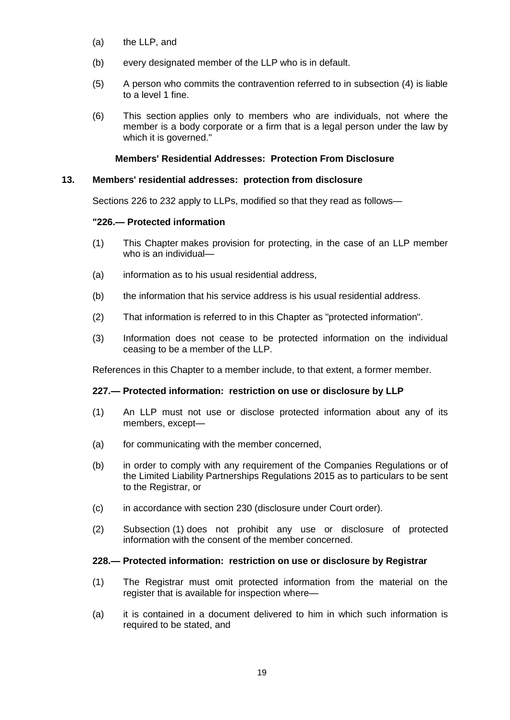- (a) the LLP, and
- (b) every designated member of the LLP who is in default.
- (5) A person who commits the contravention referred to in subsection (4) is liable to a level 1 fine.
- (6) This section applies only to members who are individuals, not where the member is a body corporate or a firm that is a legal person under the law by which it is governed."

### **Members' Residential Addresses: Protection From Disclosure**

### **13. Members' residential addresses: protection from disclosure**

Sections 226 to 232 apply to LLPs, modified so that they read as follows—

### **"226.— Protected information**

- (1) This Chapter makes provision for protecting, in the case of an LLP member who is an individual—
- (a) information as to his usual residential address,
- (b) the information that his service address is his usual residential address.
- (2) That information is referred to in this Chapter as "protected information".
- (3) Information does not cease to be protected information on the individual ceasing to be a member of the LLP.

References in this Chapter to a member include, to that extent, a former member.

## **227.— Protected information: restriction on use or disclosure by LLP**

- (1) An LLP must not use or disclose protected information about any of its members, except—
- (a) for communicating with the member concerned,
- (b) in order to comply with any requirement of the Companies Regulations or of the Limited Liability Partnerships Regulations 2015 as to particulars to be sent to the Registrar, or
- (c) in accordance with section 230 (disclosure under Court order).
- (2) Subsection (1) does not prohibit any use or disclosure of protected information with the consent of the member concerned.

#### **228.— Protected information: restriction on use or disclosure by Registrar**

- (1) The Registrar must omit protected information from the material on the register that is available for inspection where—
- (a) it is contained in a document delivered to him in which such information is required to be stated, and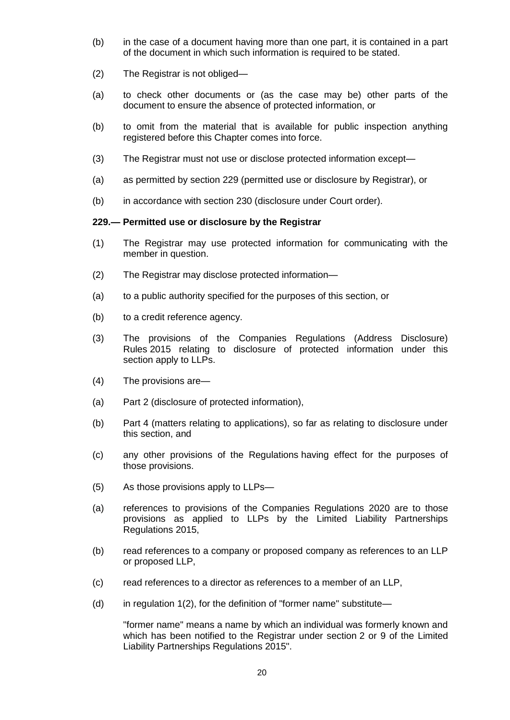- (b) in the case of a document having more than one part, it is contained in a part of the document in which such information is required to be stated.
- (2) The Registrar is not obliged—
- (a) to check other documents or (as the case may be) other parts of the document to ensure the absence of protected information, or
- (b) to omit from the material that is available for public inspection anything registered before this Chapter comes into force.
- (3) The Registrar must not use or disclose protected information except—
- (a) as permitted by section 229 (permitted use or disclosure by Registrar), or
- (b) in accordance with section 230 (disclosure under Court order).

### **229.— Permitted use or disclosure by the Registrar**

- (1) The Registrar may use protected information for communicating with the member in question.
- (2) The Registrar may disclose protected information—
- (a) to a public authority specified for the purposes of this section, or
- (b) to a credit reference agency.
- (3) The provisions of the Companies Regulations (Address Disclosure) Rules 2015 relating to disclosure of protected information under this section apply to LLPs.
- (4) The provisions are—
- (a) Part 2 (disclosure of protected information),
- (b) Part 4 (matters relating to applications), so far as relating to disclosure under this section, and
- (c) any other provisions of the Regulations having effect for the purposes of those provisions.
- (5) As those provisions apply to LLPs—
- (a) references to provisions of the Companies Regulations 2020 are to those provisions as applied to LLPs by the Limited Liability Partnerships Regulations 2015,
- (b) read references to a company or proposed company as references to an LLP or proposed LLP,
- (c) read references to a director as references to a member of an LLP,
- (d) in regulation  $1(2)$ , for the definition of "former name" substitute—

"former name" means a name by which an individual was formerly known and which has been notified to the Registrar under section 2 or 9 of the Limited Liability Partnerships Regulations 2015".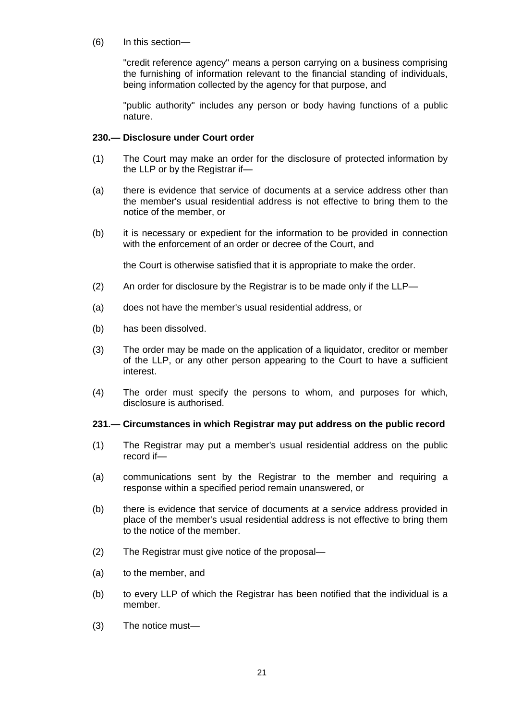(6) In this section—

"credit reference agency" means a person carrying on a business comprising the furnishing of information relevant to the financial standing of individuals, being information collected by the agency for that purpose, and

"public authority" includes any person or body having functions of a public nature.

### **230.— Disclosure under Court order**

- (1) The Court may make an order for the disclosure of protected information by the LLP or by the Registrar if—
- (a) there is evidence that service of documents at a service address other than the member's usual residential address is not effective to bring them to the notice of the member, or
- (b) it is necessary or expedient for the information to be provided in connection with the enforcement of an order or decree of the Court, and

the Court is otherwise satisfied that it is appropriate to make the order.

- (2) An order for disclosure by the Registrar is to be made only if the LLP—
- (a) does not have the member's usual residential address, or
- (b) has been dissolved.
- (3) The order may be made on the application of a liquidator, creditor or member of the LLP, or any other person appearing to the Court to have a sufficient interest.
- (4) The order must specify the persons to whom, and purposes for which, disclosure is authorised.

#### **231.— Circumstances in which Registrar may put address on the public record**

- (1) The Registrar may put a member's usual residential address on the public record if—
- (a) communications sent by the Registrar to the member and requiring a response within a specified period remain unanswered, or
- (b) there is evidence that service of documents at a service address provided in place of the member's usual residential address is not effective to bring them to the notice of the member.
- (2) The Registrar must give notice of the proposal—
- (a) to the member, and
- (b) to every LLP of which the Registrar has been notified that the individual is a member.
- (3) The notice must—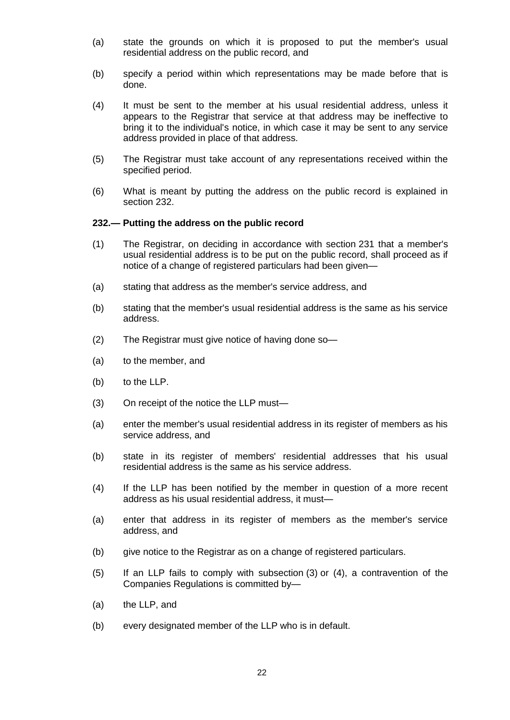- (a) state the grounds on which it is proposed to put the member's usual residential address on the public record, and
- (b) specify a period within which representations may be made before that is done.
- (4) It must be sent to the member at his usual residential address, unless it appears to the Registrar that service at that address may be ineffective to bring it to the individual's notice, in which case it may be sent to any service address provided in place of that address.
- (5) The Registrar must take account of any representations received within the specified period.
- (6) What is meant by putting the address on the public record is explained in section 232.

#### **232.— Putting the address on the public record**

- (1) The Registrar, on deciding in accordance with section 231 that a member's usual residential address is to be put on the public record, shall proceed as if notice of a change of registered particulars had been given—
- (a) stating that address as the member's service address, and
- (b) stating that the member's usual residential address is the same as his service address.
- (2) The Registrar must give notice of having done so—
- (a) to the member, and
- (b) to the LLP.
- (3) On receipt of the notice the LLP must—
- (a) enter the member's usual residential address in its register of members as his service address, and
- (b) state in its register of members' residential addresses that his usual residential address is the same as his service address.
- (4) If the LLP has been notified by the member in question of a more recent address as his usual residential address, it must—
- (a) enter that address in its register of members as the member's service address, and
- (b) give notice to the Registrar as on a change of registered particulars.
- (5) If an LLP fails to comply with subsection (3) or (4), a contravention of the Companies Regulations is committed by—
- (a) the LLP, and
- (b) every designated member of the LLP who is in default.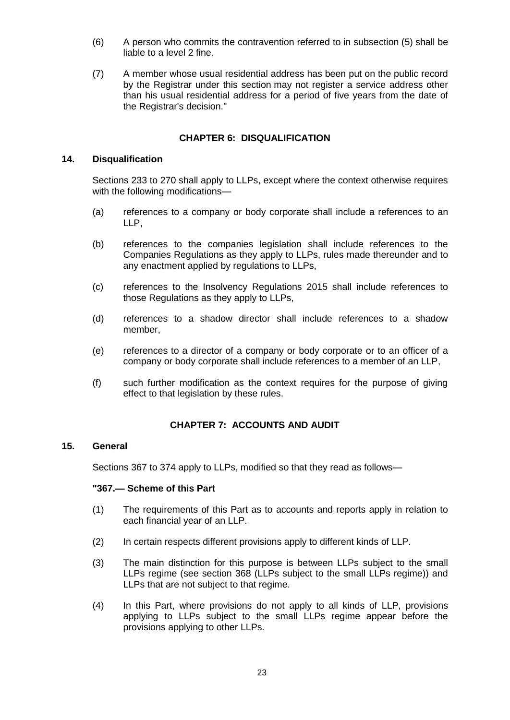- (6) A person who commits the contravention referred to in subsection (5) shall be liable to a level 2 fine.
- (7) A member whose usual residential address has been put on the public record by the Registrar under this section may not register a service address other than his usual residential address for a period of five years from the date of the Registrar's decision."

## **CHAPTER 6: DISQUALIFICATION**

#### **14. Disqualification**

Sections 233 to 270 shall apply to LLPs, except where the context otherwise requires with the following modifications—

- (a) references to a company or body corporate shall include a references to an LLP,
- (b) references to the companies legislation shall include references to the Companies Regulations as they apply to LLPs, rules made thereunder and to any enactment applied by regulations to LLPs,
- (c) references to the Insolvency Regulations 2015 shall include references to those Regulations as they apply to LLPs,
- (d) references to a shadow director shall include references to a shadow member,
- (e) references to a director of a company or body corporate or to an officer of a company or body corporate shall include references to a member of an LLP,
- (f) such further modification as the context requires for the purpose of giving effect to that legislation by these rules.

#### **CHAPTER 7: ACCOUNTS AND AUDIT**

#### **15. General**

Sections 367 to 374 apply to LLPs, modified so that they read as follows—

#### **"367.— Scheme of this Part**

- (1) The requirements of this Part as to accounts and reports apply in relation to each financial year of an LLP.
- (2) In certain respects different provisions apply to different kinds of LLP.
- (3) The main distinction for this purpose is between LLPs subject to the small LLPs regime (see section 368 (LLPs subject to the small LLPs regime)) and LLPs that are not subject to that regime.
- (4) In this Part, where provisions do not apply to all kinds of LLP, provisions applying to LLPs subject to the small LLPs regime appear before the provisions applying to other LLPs.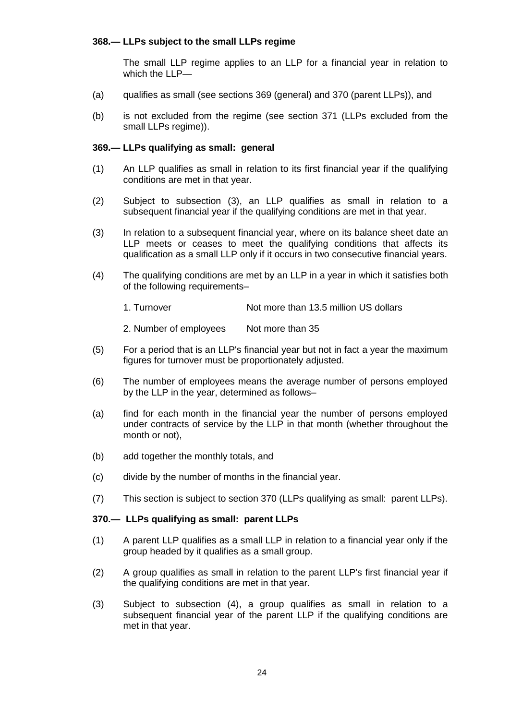# **368.— LLPs subject to the small LLPs regime**

The small LLP regime applies to an LLP for a financial year in relation to which the LLP—

- (a) qualifies as small (see sections 369 (general) and 370 (parent LLPs)), and
- (b) is not excluded from the regime (see section 371 (LLPs excluded from the small LLPs regime)).

### **369.— LLPs qualifying as small: general**

- (1) An LLP qualifies as small in relation to its first financial year if the qualifying conditions are met in that year.
- <span id="page-23-1"></span>(2) Subject to subsection (3), an LLP qualifies as small in relation to a subsequent financial year if the qualifying conditions are met in that year.
- <span id="page-23-0"></span>(3) In relation to a subsequent financial year, where on its balance sheet date an LLP meets or ceases to meet the qualifying conditions that affects its qualification as a small LLP only if it occurs in two consecutive financial years.
- (4) The qualifying conditions are met by an LLP in a year in which it satisfies both of the following requirements–
	- 1. Turnover Not more than 13.5 million US dollars

2. Number of employees Not more than 35

- (5) For a period that is an LLP's financial year but not in fact a year the maximum figures for turnover must be proportionately adjusted.
- <span id="page-23-2"></span>(6) The number of employees means the average number of persons employed by the LLP in the year, determined as follows–
- (a) find for each month in the financial year the number of persons employed under contracts of service by the LLP in that month (whether throughout the month or not),
- (b) add together the monthly totals, and
- (c) divide by the number of months in the financial year.
- (7) This section is subject to section 370 (LLPs qualifying as small: parent LLPs).

#### **370.— LLPs qualifying as small: parent LLPs**

- (1) A parent LLP qualifies as a small LLP in relation to a financial year only if the group headed by it qualifies as a small group.
- (2) A group qualifies as small in relation to the parent LLP's first financial year if the qualifying conditions are met in that year.
- (3) Subject to subsection (4), a group qualifies as small in relation to a subsequent financial year of the parent LLP if the qualifying conditions are met in that year.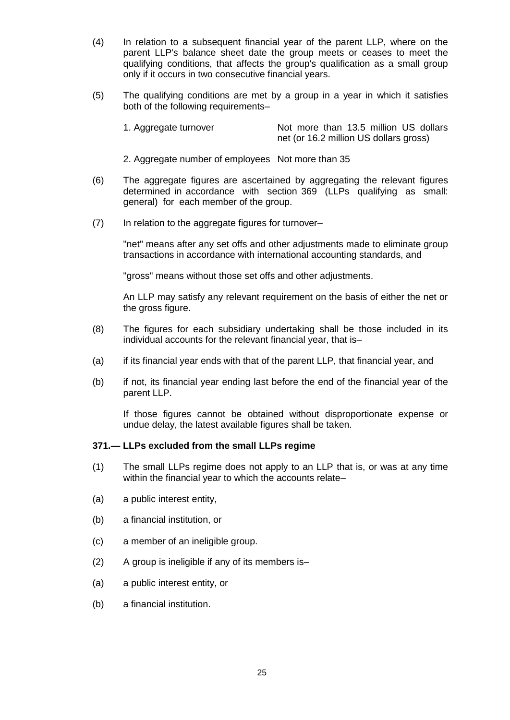- (4) In relation to a subsequent financial year of the parent LLP, where on the parent LLP's balance sheet date the group meets or ceases to meet the qualifying conditions, that affects the group's qualification as a small group only if it occurs in two consecutive financial years.
- (5) The qualifying conditions are met by a group in a year in which it satisfies both of the following requirements–

| 1. Aggregate turnover | Not more than 13.5 million US dollars  |
|-----------------------|----------------------------------------|
|                       | net (or 16.2 million US dollars gross) |

- 2. Aggregate number of employees Not more than 35
- (6) The aggregate figures are ascertained by aggregating the relevant figures determined in accordance with section 369 (LLPs qualifying as small: general) for each member of the group.
- (7) In relation to the aggregate figures for turnover–

"net" means after any set offs and other adjustments made to eliminate group transactions in accordance with international accounting standards, and

"gross" means without those set offs and other adjustments.

An LLP may satisfy any relevant requirement on the basis of either the net or the gross figure.

- (8) The figures for each subsidiary undertaking shall be those included in its individual accounts for the relevant financial year, that is–
- (a) if its financial year ends with that of the parent LLP, that financial year, and
- (b) if not, its financial year ending last before the end of the financial year of the parent LLP.

If those figures cannot be obtained without disproportionate expense or undue delay, the latest available figures shall be taken.

#### **371.— LLPs excluded from the small LLPs regime**

- (1) The small LLPs regime does not apply to an LLP that is, or was at any time within the financial year to which the accounts relate-
- (a) a public interest entity,
- (b) a financial institution, or
- (c) a member of an ineligible group.
- (2) A group is ineligible if any of its members is–
- (a) a public interest entity, or
- (b) a financial institution.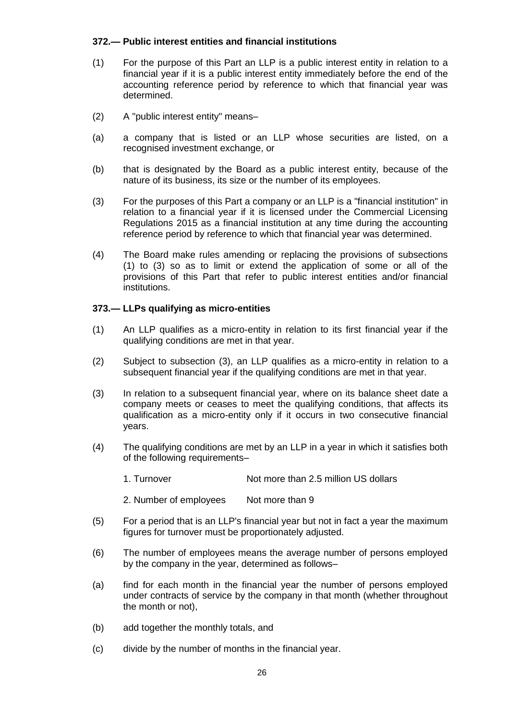## **372.— Public interest entities and financial institutions**

- <span id="page-25-0"></span>(1) For the purpose of this Part an LLP is a public interest entity in relation to a financial year if it is a public interest entity immediately before the end of the accounting reference period by reference to which that financial year was determined.
- (2) A "public interest entity" means–
- (a) a company that is listed or an LLP whose securities are listed, on a recognised investment exchange, or
- (b) that is designated by the Board as a public interest entity, because of the nature of its business, its size or the number of its employees.
- <span id="page-25-1"></span>(3) For the purposes of this Part a company or an LLP is a "financial institution" in relation to a financial year if it is licensed under the Commercial Licensing Regulations 2015 as a financial institution at any time during the accounting reference period by reference to which that financial year was determined.
- (4) The Board make rules amending or replacing the provisions of subsections [\(1\)](#page-25-0) to [\(3\)](#page-25-1) so as to limit or extend the application of some or all of the provisions of this Part that refer to public interest entities and/or financial institutions.

## **373.— LLPs qualifying as micro-entities**

- <span id="page-25-2"></span>(1) An LLP qualifies as a micro-entity in relation to its first financial year if the qualifying conditions are met in that year.
- (2) Subject to subsection [\(3\),](#page-23-0) an LLP qualifies as a micro-entity in relation to a subsequent financial year if the qualifying conditions are met in that year.
- (3) In relation to a subsequent financial year, where on its balance sheet date a company meets or ceases to meet the qualifying conditions, that affects its qualification as a micro-entity only if it occurs in two consecutive financial years.
- (4) The qualifying conditions are met by an LLP in a year in which it satisfies both of the following requirements–
	- 1. Turnover Not more than 2.5 million US dollars
	- 2. Number of employees Not more than 9
- (5) For a period that is an LLP's financial year but not in fact a year the maximum figures for turnover must be proportionately adjusted.
- (6) The number of employees means the average number of persons employed by the company in the year, determined as follows–
- (a) find for each month in the financial year the number of persons employed under contracts of service by the company in that month (whether throughout the month or not),
- (b) add together the monthly totals, and
- (c) divide by the number of months in the financial year.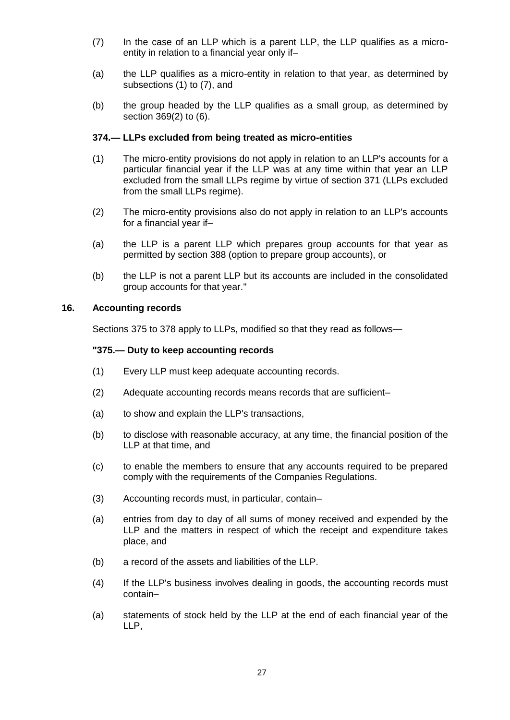- <span id="page-26-0"></span>(7) In the case of an LLP which is a parent LLP, the LLP qualifies as a microentity in relation to a financial year only if–
- (a) the LLP qualifies as a micro-entity in relation to that year, as determined by subsections [\(1\)](#page-25-2) to [\(7\),](#page-26-0) and
- (b) the group headed by the LLP qualifies as a small group, as determined by section 36[9\(2\)](#page-23-1) to [\(6\).](#page-23-2)

### **374.— LLPs excluded from being treated as micro-entities**

- (1) The micro-entity provisions do not apply in relation to an LLP's accounts for a particular financial year if the LLP was at any time within that year an LLP excluded from the small LLPs regime by virtue of section 371 (LLPs excluded from the small LLPs regime).
- (2) The micro-entity provisions also do not apply in relation to an LLP's accounts for a financial year if–
- (a) the LLP is a parent LLP which prepares group accounts for that year as permitted by section 388 (option to prepare group accounts), or
- (b) the LLP is not a parent LLP but its accounts are included in the consolidated group accounts for that year."

#### **16. Accounting records**

Sections 375 to 378 apply to LLPs, modified so that they read as follows—

#### **"375.— Duty to keep accounting records**

- (1) Every LLP must keep adequate accounting records.
- (2) Adequate accounting records means records that are sufficient–
- (a) to show and explain the LLP's transactions,
- (b) to disclose with reasonable accuracy, at any time, the financial position of the LLP at that time, and
- (c) to enable the members to ensure that any accounts required to be prepared comply with the requirements of the Companies Regulations.
- (3) Accounting records must, in particular, contain–
- (a) entries from day to day of all sums of money received and expended by the LLP and the matters in respect of which the receipt and expenditure takes place, and
- (b) a record of the assets and liabilities of the LLP.
- (4) If the LLP's business involves dealing in goods, the accounting records must contain–
- (a) statements of stock held by the LLP at the end of each financial year of the LLP,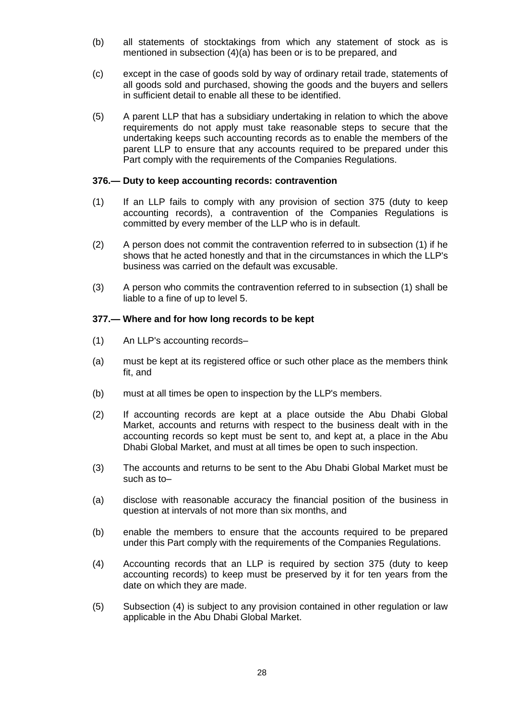- (b) all statements of stocktakings from which any statement of stock as is mentioned in subsection (4)(a) has been or is to be prepared, and
- (c) except in the case of goods sold by way of ordinary retail trade, statements of all goods sold and purchased, showing the goods and the buyers and sellers in sufficient detail to enable all these to be identified.
- (5) A parent LLP that has a subsidiary undertaking in relation to which the above requirements do not apply must take reasonable steps to secure that the undertaking keeps such accounting records as to enable the members of the parent LLP to ensure that any accounts required to be prepared under this Part comply with the requirements of the Companies Regulations.

#### **376.— Duty to keep accounting records: contravention**

- (1) If an LLP fails to comply with any provision of section 375 (duty to keep accounting records), a contravention of the Companies Regulations is committed by every member of the LLP who is in default.
- (2) A person does not commit the contravention referred to in subsection (1) if he shows that he acted honestly and that in the circumstances in which the LLP's business was carried on the default was excusable.
- (3) A person who commits the contravention referred to in subsection (1) shall be liable to a fine of up to level 5.

#### **377.— Where and for how long records to be kept**

- (1) An LLP's accounting records–
- (a) must be kept at its registered office or such other place as the members think fit, and
- (b) must at all times be open to inspection by the LLP's members.
- (2) If accounting records are kept at a place outside the Abu Dhabi Global Market, accounts and returns with respect to the business dealt with in the accounting records so kept must be sent to, and kept at, a place in the Abu Dhabi Global Market, and must at all times be open to such inspection.
- (3) The accounts and returns to be sent to the Abu Dhabi Global Market must be such as to–
- (a) disclose with reasonable accuracy the financial position of the business in question at intervals of not more than six months, and
- (b) enable the members to ensure that the accounts required to be prepared under this Part comply with the requirements of the Companies Regulations.
- (4) Accounting records that an LLP is required by section 375 (duty to keep accounting records) to keep must be preserved by it for ten years from the date on which they are made.
- (5) Subsection (4) is subject to any provision contained in other regulation or law applicable in the Abu Dhabi Global Market.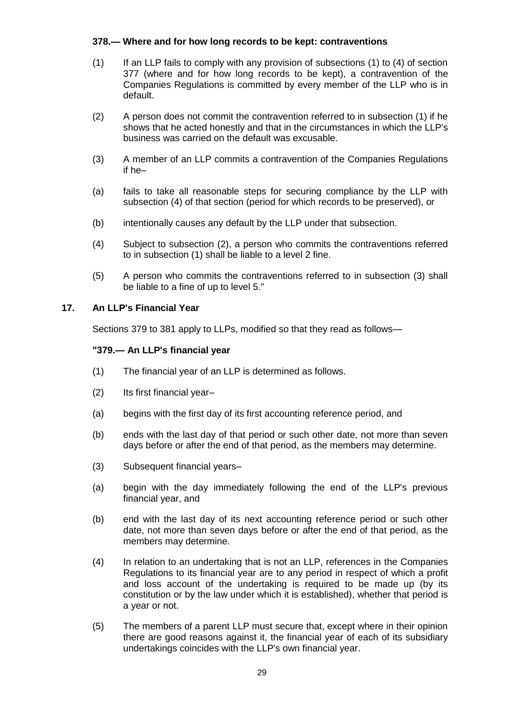# **378.— Where and for how long records to be kept: contraventions**

- (1) If an LLP fails to comply with any provision of subsections (1) to (4) of section 377 (where and for how long records to be kept), a contravention of the Companies Regulations is committed by every member of the LLP who is in default.
- (2) A person does not commit the contravention referred to in subsection (1) if he shows that he acted honestly and that in the circumstances in which the LLP's business was carried on the default was excusable.
- (3) A member of an LLP commits a contravention of the Companies Regulations if he–
- (a) fails to take all reasonable steps for securing compliance by the LLP with subsection (4) of that section (period for which records to be preserved), or
- (b) intentionally causes any default by the LLP under that subsection.
- (4) Subject to subsection (2), a person who commits the contraventions referred to in subsection (1) shall be liable to a level 2 fine.
- (5) A person who commits the contraventions referred to in subsection (3) shall be liable to a fine of up to level 5."

## **17. An LLP's Financial Year**

Sections 379 to 381 apply to LLPs, modified so that they read as follows—

## **"379.— An LLP's financial year**

- (1) The financial year of an LLP is determined as follows.
- (2) Its first financial year–
- (a) begins with the first day of its first accounting reference period, and
- (b) ends with the last day of that period or such other date, not more than seven days before or after the end of that period, as the members may determine.
- (3) Subsequent financial years–
- (a) begin with the day immediately following the end of the LLP's previous financial year, and
- (b) end with the last day of its next accounting reference period or such other date, not more than seven days before or after the end of that period, as the members may determine.
- (4) In relation to an undertaking that is not an LLP, references in the Companies Regulations to its financial year are to any period in respect of which a profit and loss account of the undertaking is required to be made up (by its constitution or by the law under which it is established), whether that period is a year or not.
- (5) The members of a parent LLP must secure that, except where in their opinion there are good reasons against it, the financial year of each of its subsidiary undertakings coincides with the LLP's own financial year.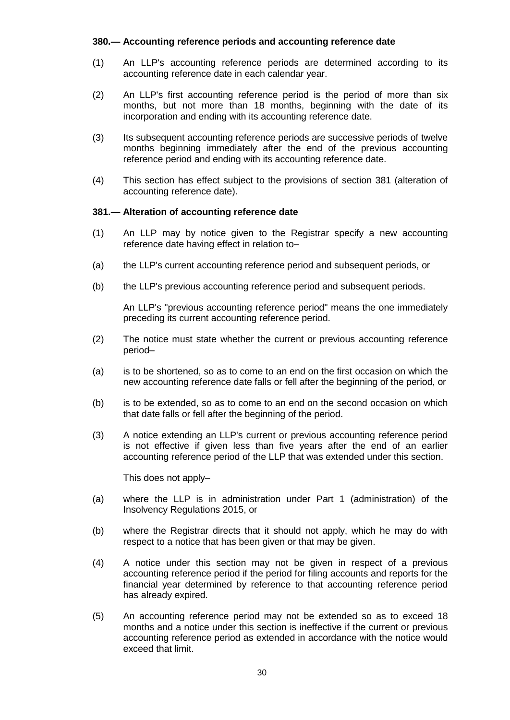### **380.— Accounting reference periods and accounting reference date**

- (1) An LLP's accounting reference periods are determined according to its accounting reference date in each calendar year.
- (2) An LLP's first accounting reference period is the period of more than six months, but not more than 18 months, beginning with the date of its incorporation and ending with its accounting reference date.
- (3) Its subsequent accounting reference periods are successive periods of twelve months beginning immediately after the end of the previous accounting reference period and ending with its accounting reference date.
- (4) This section has effect subject to the provisions of section 381 (alteration of accounting reference date).

#### **381.— Alteration of accounting reference date**

- (1) An LLP may by notice given to the Registrar specify a new accounting reference date having effect in relation to–
- (a) the LLP's current accounting reference period and subsequent periods, or
- (b) the LLP's previous accounting reference period and subsequent periods.

An LLP's "previous accounting reference period" means the one immediately preceding its current accounting reference period.

- (2) The notice must state whether the current or previous accounting reference period–
- (a) is to be shortened, so as to come to an end on the first occasion on which the new accounting reference date falls or fell after the beginning of the period, or
- (b) is to be extended, so as to come to an end on the second occasion on which that date falls or fell after the beginning of the period.
- (3) A notice extending an LLP's current or previous accounting reference period is not effective if given less than five years after the end of an earlier accounting reference period of the LLP that was extended under this section.

This does not apply–

- (a) where the LLP is in administration under Part 1 (administration) of the Insolvency Regulations 2015, or
- (b) where the Registrar directs that it should not apply, which he may do with respect to a notice that has been given or that may be given.
- (4) A notice under this section may not be given in respect of a previous accounting reference period if the period for filing accounts and reports for the financial year determined by reference to that accounting reference period has already expired.
- (5) An accounting reference period may not be extended so as to exceed 18 months and a notice under this section is ineffective if the current or previous accounting reference period as extended in accordance with the notice would exceed that limit.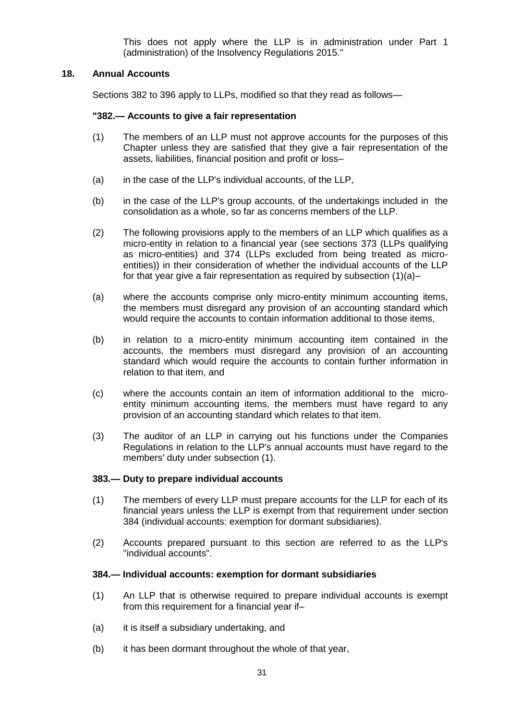This does not apply where the LLP is in administration under Part 1 (administration) of the Insolvency Regulations 2015."

### **18. Annual Accounts**

Sections 382 to 396 apply to LLPs, modified so that they read as follows—

#### **"382.— Accounts to give a fair representation**

- (1) The members of an LLP must not approve accounts for the purposes of this Chapter unless they are satisfied that they give a fair representation of the assets, liabilities, financial position and profit or loss–
- (a) in the case of the LLP's individual accounts, of the LLP,
- (b) in the case of the LLP's group accounts, of the undertakings included in the consolidation as a whole, so far as concerns members of the LLP.
- (2) The following provisions apply to the members of an LLP which qualifies as a micro-entity in relation to a financial year (see sections 373 (LLPs qualifying as micro-entities) and 374 (LLPs excluded from being treated as microentities)) in their consideration of whether the individual accounts of the LLP for that year give a fair representation as required by subsection (1)(a)–
- (a) where the accounts comprise only micro-entity minimum accounting items, the members must disregard any provision of an accounting standard which would require the accounts to contain information additional to those items,
- (b) in relation to a micro-entity minimum accounting item contained in the accounts, the members must disregard any provision of an accounting standard which would require the accounts to contain further information in relation to that item, and
- (c) where the accounts contain an item of information additional to the microentity minimum accounting items, the members must have regard to any provision of an accounting standard which relates to that item.
- (3) The auditor of an LLP in carrying out his functions under the Companies Regulations in relation to the LLP's annual accounts must have regard to the members' duty under subsection (1).

#### **383.— Duty to prepare individual accounts**

- (1) The members of every LLP must prepare accounts for the LLP for each of its financial years unless the LLP is exempt from that requirement under section 384 (individual accounts: exemption for dormant subsidiaries).
- (2) Accounts prepared pursuant to this section are referred to as the LLP's "individual accounts".

#### **384.— Individual accounts: exemption for dormant subsidiaries**

- (1) An LLP that is otherwise required to prepare individual accounts is exempt from this requirement for a financial year if–
- (a) it is itself a subsidiary undertaking, and
- (b) it has been dormant throughout the whole of that year,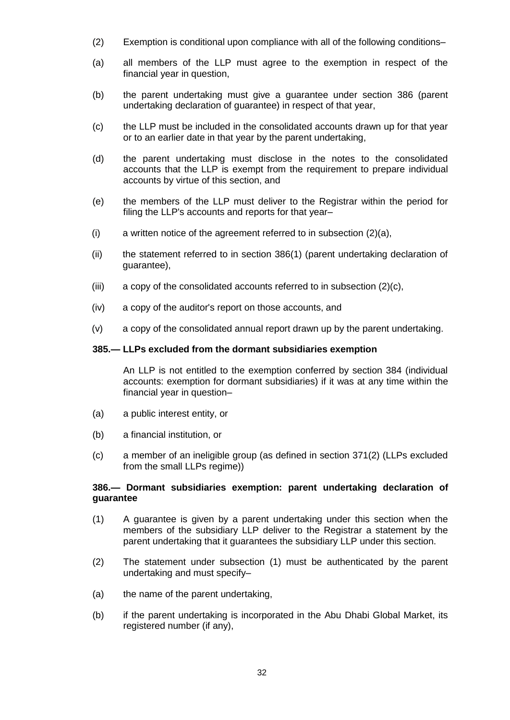- (2) Exemption is conditional upon compliance with all of the following conditions–
- (a) all members of the LLP must agree to the exemption in respect of the financial year in question,
- (b) the parent undertaking must give a guarantee under section 386 (parent undertaking declaration of guarantee) in respect of that year,
- (c) the LLP must be included in the consolidated accounts drawn up for that year or to an earlier date in that year by the parent undertaking,
- (d) the parent undertaking must disclose in the notes to the consolidated accounts that the LLP is exempt from the requirement to prepare individual accounts by virtue of this section, and
- (e) the members of the LLP must deliver to the Registrar within the period for filing the LLP's accounts and reports for that year-
- (i) a written notice of the agreement referred to in subsection (2)(a),
- (ii) the statement referred to in section 386(1) (parent undertaking declaration of guarantee),
- (iii) a copy of the consolidated accounts referred to in subsection (2)(c),
- (iv) a copy of the auditor's report on those accounts, and
- (v) a copy of the consolidated annual report drawn up by the parent undertaking.

#### **385.— LLPs excluded from the dormant subsidiaries exemption**

An LLP is not entitled to the exemption conferred by section 384 (individual accounts: exemption for dormant subsidiaries) if it was at any time within the financial year in question–

- (a) a public interest entity, or
- (b) a financial institution, or
- (c) a member of an ineligible group (as defined in section 371(2) (LLPs excluded from the small LLPs regime))

### **386.— Dormant subsidiaries exemption: parent undertaking declaration of guarantee**

- (1) A guarantee is given by a parent undertaking under this section when the members of the subsidiary LLP deliver to the Registrar a statement by the parent undertaking that it guarantees the subsidiary LLP under this section.
- (2) The statement under subsection (1) must be authenticated by the parent undertaking and must specify–
- (a) the name of the parent undertaking,
- (b) if the parent undertaking is incorporated in the Abu Dhabi Global Market, its registered number (if any),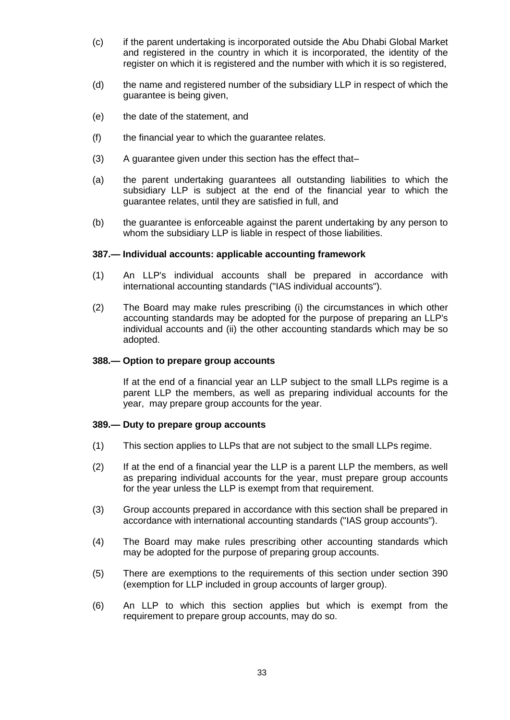- (c) if the parent undertaking is incorporated outside the Abu Dhabi Global Market and registered in the country in which it is incorporated, the identity of the register on which it is registered and the number with which it is so registered,
- (d) the name and registered number of the subsidiary LLP in respect of which the guarantee is being given,
- (e) the date of the statement, and
- (f) the financial year to which the guarantee relates.
- (3) A guarantee given under this section has the effect that–
- (a) the parent undertaking guarantees all outstanding liabilities to which the subsidiary LLP is subject at the end of the financial year to which the guarantee relates, until they are satisfied in full, and
- (b) the guarantee is enforceable against the parent undertaking by any person to whom the subsidiary LLP is liable in respect of those liabilities.

#### **387.— Individual accounts: applicable accounting framework**

- (1) An LLP's individual accounts shall be prepared in accordance with international accounting standards ("IAS individual accounts").
- (2) The Board may make rules prescribing (i) the circumstances in which other accounting standards may be adopted for the purpose of preparing an LLP's individual accounts and (ii) the other accounting standards which may be so adopted.

#### **388.— Option to prepare group accounts**

If at the end of a financial year an LLP subject to the small LLPs regime is a parent LLP the members, as well as preparing individual accounts for the year, may prepare group accounts for the year.

#### **389.— Duty to prepare group accounts**

- (1) This section applies to LLPs that are not subject to the small LLPs regime.
- (2) If at the end of a financial year the LLP is a parent LLP the members, as well as preparing individual accounts for the year, must prepare group accounts for the year unless the LLP is exempt from that requirement.
- (3) Group accounts prepared in accordance with this section shall be prepared in accordance with international accounting standards ("IAS group accounts").
- (4) The Board may make rules prescribing other accounting standards which may be adopted for the purpose of preparing group accounts.
- (5) There are exemptions to the requirements of this section under section 390 (exemption for LLP included in group accounts of larger group).
- (6) An LLP to which this section applies but which is exempt from the requirement to prepare group accounts, may do so.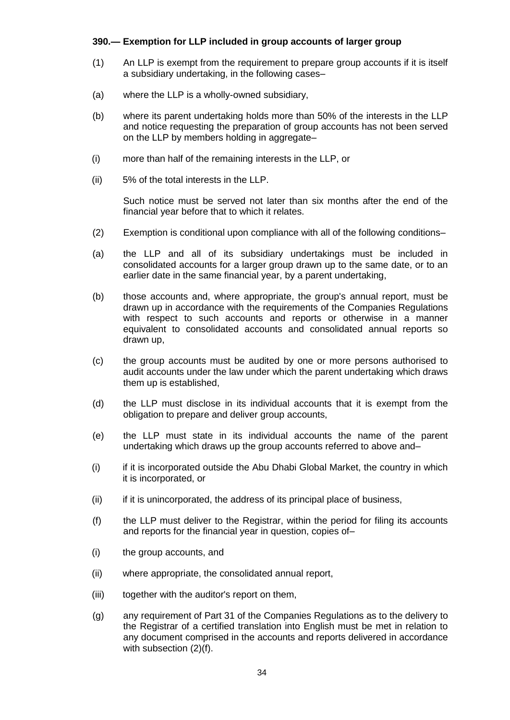## **390.— Exemption for LLP included in group accounts of larger group**

- (1) An LLP is exempt from the requirement to prepare group accounts if it is itself a subsidiary undertaking, in the following cases–
- (a) where the LLP is a wholly-owned subsidiary,
- (b) where its parent undertaking holds more than 50% of the interests in the LLP and notice requesting the preparation of group accounts has not been served on the LLP by members holding in aggregate–
- (i) more than half of the remaining interests in the LLP, or
- (ii) 5% of the total interests in the LLP.

Such notice must be served not later than six months after the end of the financial year before that to which it relates.

- (2) Exemption is conditional upon compliance with all of the following conditions–
- (a) the LLP and all of its subsidiary undertakings must be included in consolidated accounts for a larger group drawn up to the same date, or to an earlier date in the same financial year, by a parent undertaking,
- (b) those accounts and, where appropriate, the group's annual report, must be drawn up in accordance with the requirements of the Companies Regulations with respect to such accounts and reports or otherwise in a manner equivalent to consolidated accounts and consolidated annual reports so drawn up,
- (c) the group accounts must be audited by one or more persons authorised to audit accounts under the law under which the parent undertaking which draws them up is established,
- (d) the LLP must disclose in its individual accounts that it is exempt from the obligation to prepare and deliver group accounts,
- (e) the LLP must state in its individual accounts the name of the parent undertaking which draws up the group accounts referred to above and–
- (i) if it is incorporated outside the Abu Dhabi Global Market, the country in which it is incorporated, or
- (ii) if it is unincorporated, the address of its principal place of business,
- (f) the LLP must deliver to the Registrar, within the period for filing its accounts and reports for the financial year in question, copies of–
- (i) the group accounts, and
- (ii) where appropriate, the consolidated annual report,
- (iii) together with the auditor's report on them,
- (g) any requirement of Part 31 of the Companies Regulations as to the delivery to the Registrar of a certified translation into English must be met in relation to any document comprised in the accounts and reports delivered in accordance with subsection (2)(f).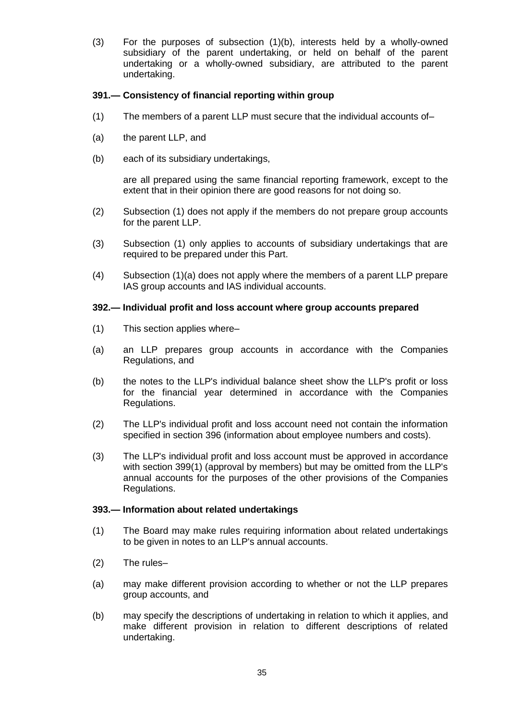(3) For the purposes of subsection (1)(b), interests held by a wholly-owned subsidiary of the parent undertaking, or held on behalf of the parent undertaking or a wholly-owned subsidiary, are attributed to the parent undertaking.

## **391.— Consistency of financial reporting within group**

- (1) The members of a parent LLP must secure that the individual accounts of–
- (a) the parent LLP, and
- (b) each of its subsidiary undertakings,

are all prepared using the same financial reporting framework, except to the extent that in their opinion there are good reasons for not doing so.

- (2) Subsection (1) does not apply if the members do not prepare group accounts for the parent LLP.
- (3) Subsection (1) only applies to accounts of subsidiary undertakings that are required to be prepared under this Part.
- (4) Subsection (1)(a) does not apply where the members of a parent LLP prepare IAS group accounts and IAS individual accounts.

#### **392.— Individual profit and loss account where group accounts prepared**

- (1) This section applies where–
- (a) an LLP prepares group accounts in accordance with the Companies Regulations, and
- (b) the notes to the LLP's individual balance sheet show the LLP's profit or loss for the financial year determined in accordance with the Companies Regulations.
- (2) The LLP's individual profit and loss account need not contain the information specified in section 396 (information about employee numbers and costs).
- (3) The LLP's individual profit and loss account must be approved in accordance with section 399(1) (approval by members) but may be omitted from the LLP's annual accounts for the purposes of the other provisions of the Companies Regulations.

### **393.— Information about related undertakings**

- (1) The Board may make rules requiring information about related undertakings to be given in notes to an LLP's annual accounts.
- (2) The rules–
- (a) may make different provision according to whether or not the LLP prepares group accounts, and
- (b) may specify the descriptions of undertaking in relation to which it applies, and make different provision in relation to different descriptions of related undertaking.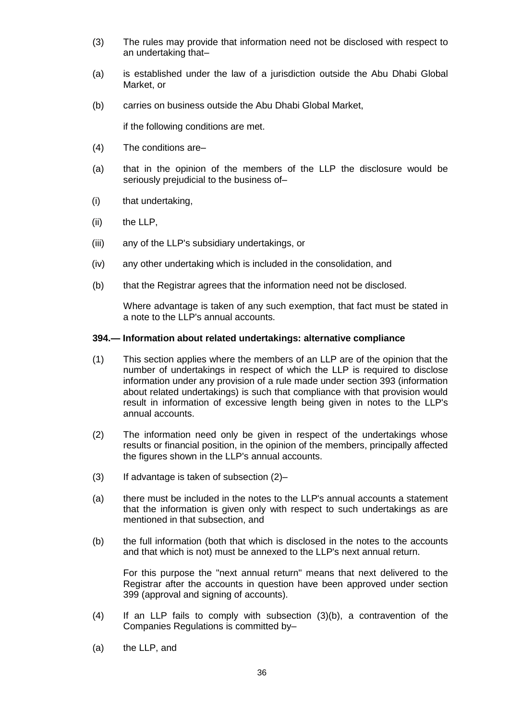- (3) The rules may provide that information need not be disclosed with respect to an undertaking that–
- (a) is established under the law of a jurisdiction outside the Abu Dhabi Global Market, or
- (b) carries on business outside the Abu Dhabi Global Market,

if the following conditions are met.

- (4) The conditions are–
- (a) that in the opinion of the members of the LLP the disclosure would be seriously prejudicial to the business of–
- (i) that undertaking,
- (ii) the LLP,
- (iii) any of the LLP's subsidiary undertakings, or
- (iv) any other undertaking which is included in the consolidation, and
- (b) that the Registrar agrees that the information need not be disclosed.

Where advantage is taken of any such exemption, that fact must be stated in a note to the LLP's annual accounts.

#### **394.— Information about related undertakings: alternative compliance**

- (1) This section applies where the members of an LLP are of the opinion that the number of undertakings in respect of which the LLP is required to disclose information under any provision of a rule made under section 393 (information about related undertakings) is such that compliance with that provision would result in information of excessive length being given in notes to the LLP's annual accounts.
- (2) The information need only be given in respect of the undertakings whose results or financial position, in the opinion of the members, principally affected the figures shown in the LLP's annual accounts.
- $(3)$  If advantage is taken of subsection  $(2)$ -
- (a) there must be included in the notes to the LLP's annual accounts a statement that the information is given only with respect to such undertakings as are mentioned in that subsection, and
- (b) the full information (both that which is disclosed in the notes to the accounts and that which is not) must be annexed to the LLP's next annual return.

For this purpose the "next annual return" means that next delivered to the Registrar after the accounts in question have been approved under section 399 (approval and signing of accounts).

- (4) If an LLP fails to comply with subsection (3)(b), a contravention of the Companies Regulations is committed by–
- (a) the LLP, and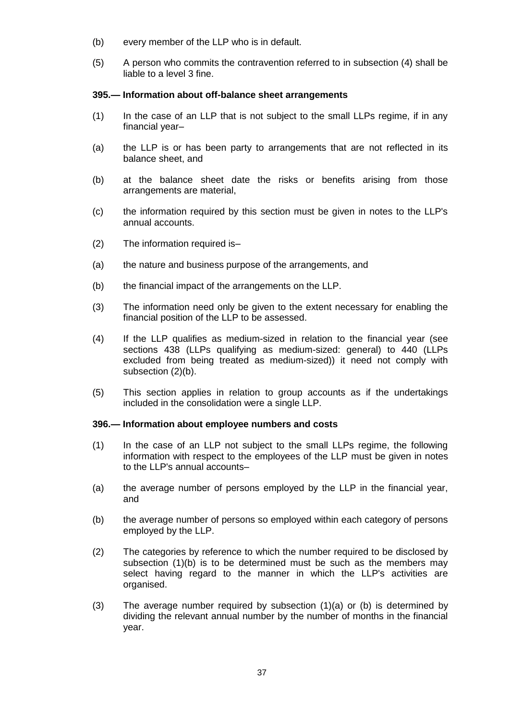- (b) every member of the LLP who is in default.
- (5) A person who commits the contravention referred to in subsection (4) shall be liable to a level 3 fine.

### **395.— Information about off-balance sheet arrangements**

- (1) In the case of an LLP that is not subject to the small LLPs regime, if in any financial year–
- (a) the LLP is or has been party to arrangements that are not reflected in its balance sheet, and
- (b) at the balance sheet date the risks or benefits arising from those arrangements are material,
- (c) the information required by this section must be given in notes to the LLP's annual accounts.
- (2) The information required is–
- (a) the nature and business purpose of the arrangements, and
- (b) the financial impact of the arrangements on the LLP.
- (3) The information need only be given to the extent necessary for enabling the financial position of the LLP to be assessed.
- (4) If the LLP qualifies as medium-sized in relation to the financial year (see sections 438 (LLPs qualifying as medium-sized: general) to 440 (LLPs excluded from being treated as medium-sized)) it need not comply with subsection (2)(b).
- (5) This section applies in relation to group accounts as if the undertakings included in the consolidation were a single LLP.

#### **396.— Information about employee numbers and costs**

- (1) In the case of an LLP not subject to the small LLPs regime, the following information with respect to the employees of the LLP must be given in notes to the LLP's annual accounts–
- (a) the average number of persons employed by the LLP in the financial year, and
- (b) the average number of persons so employed within each category of persons employed by the LLP.
- (2) The categories by reference to which the number required to be disclosed by subsection (1)(b) is to be determined must be such as the members may select having regard to the manner in which the LLP's activities are organised.
- (3) The average number required by subsection (1)(a) or (b) is determined by dividing the relevant annual number by the number of months in the financial year.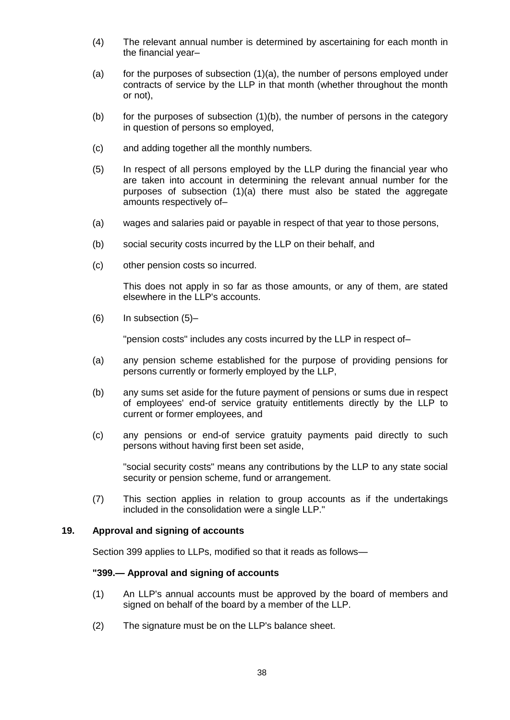- (4) The relevant annual number is determined by ascertaining for each month in the financial year–
- (a) for the purposes of subsection (1)(a), the number of persons employed under contracts of service by the LLP in that month (whether throughout the month or not),
- (b) for the purposes of subsection (1)(b), the number of persons in the category in question of persons so employed,
- (c) and adding together all the monthly numbers.
- (5) In respect of all persons employed by the LLP during the financial year who are taken into account in determining the relevant annual number for the purposes of subsection (1)(a) there must also be stated the aggregate amounts respectively of–
- (a) wages and salaries paid or payable in respect of that year to those persons,
- (b) social security costs incurred by the LLP on their behalf, and
- (c) other pension costs so incurred.

This does not apply in so far as those amounts, or any of them, are stated elsewhere in the LLP's accounts.

(6) In subsection (5)–

"pension costs" includes any costs incurred by the LLP in respect of–

- (a) any pension scheme established for the purpose of providing pensions for persons currently or formerly employed by the LLP,
- (b) any sums set aside for the future payment of pensions or sums due in respect of employees' end-of service gratuity entitlements directly by the LLP to current or former employees, and
- (c) any pensions or end-of service gratuity payments paid directly to such persons without having first been set aside,

"social security costs" means any contributions by the LLP to any state social security or pension scheme, fund or arrangement.

(7) This section applies in relation to group accounts as if the undertakings included in the consolidation were a single LLP."

## **19. Approval and signing of accounts**

Section 399 applies to LLPs, modified so that it reads as follows—

#### **"399.— Approval and signing of accounts**

- (1) An LLP's annual accounts must be approved by the board of members and signed on behalf of the board by a member of the LLP.
- (2) The signature must be on the LLP's balance sheet.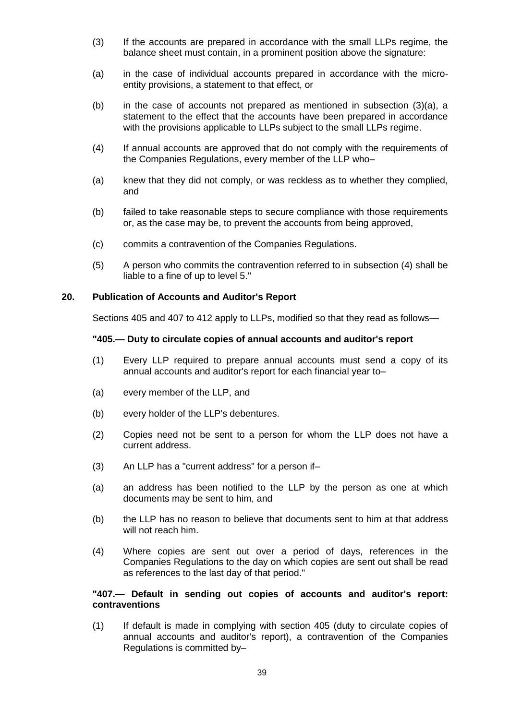- (3) If the accounts are prepared in accordance with the small LLPs regime, the balance sheet must contain, in a prominent position above the signature:
- (a) in the case of individual accounts prepared in accordance with the microentity provisions, a statement to that effect, or
- (b) in the case of accounts not prepared as mentioned in subsection (3)(a), a statement to the effect that the accounts have been prepared in accordance with the provisions applicable to LLPs subject to the small LLPs regime.
- (4) If annual accounts are approved that do not comply with the requirements of the Companies Regulations, every member of the LLP who–
- (a) knew that they did not comply, or was reckless as to whether they complied, and
- (b) failed to take reasonable steps to secure compliance with those requirements or, as the case may be, to prevent the accounts from being approved,
- (c) commits a contravention of the Companies Regulations.
- (5) A person who commits the contravention referred to in subsection (4) shall be liable to a fine of up to level 5."

## **20. Publication of Accounts and Auditor's Report**

Sections 405 and 407 to 412 apply to LLPs, modified so that they read as follows—

#### **"405.— Duty to circulate copies of annual accounts and auditor's report**

- (1) Every LLP required to prepare annual accounts must send a copy of its annual accounts and auditor's report for each financial year to–
- (a) every member of the LLP, and
- (b) every holder of the LLP's debentures.
- (2) Copies need not be sent to a person for whom the LLP does not have a current address.
- (3) An LLP has a "current address" for a person if–
- (a) an address has been notified to the LLP by the person as one at which documents may be sent to him, and
- (b) the LLP has no reason to believe that documents sent to him at that address will not reach him.
- (4) Where copies are sent out over a period of days, references in the Companies Regulations to the day on which copies are sent out shall be read as references to the last day of that period."

## **"407.— Default in sending out copies of accounts and auditor's report: contraventions**

(1) If default is made in complying with section 405 (duty to circulate copies of annual accounts and auditor's report), a contravention of the Companies Regulations is committed by–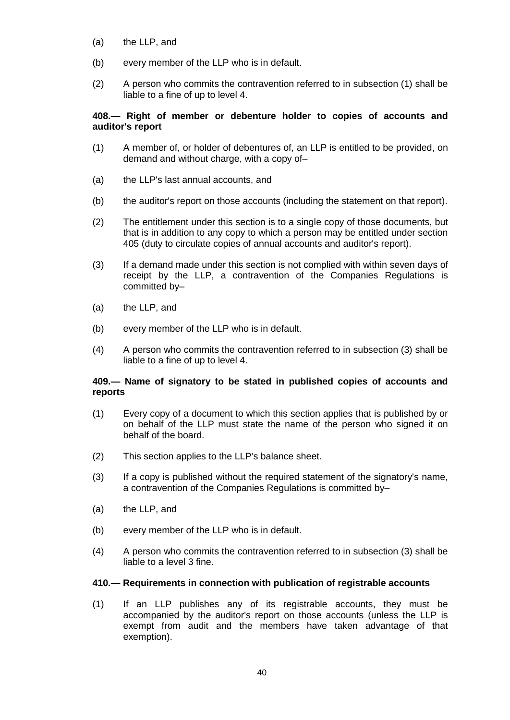- (a) the LLP, and
- (b) every member of the LLP who is in default.
- (2) A person who commits the contravention referred to in subsection (1) shall be liable to a fine of up to level 4.

## **408.— Right of member or debenture holder to copies of accounts and auditor's report**

- (1) A member of, or holder of debentures of, an LLP is entitled to be provided, on demand and without charge, with a copy of–
- (a) the LLP's last annual accounts, and
- (b) the auditor's report on those accounts (including the statement on that report).
- (2) The entitlement under this section is to a single copy of those documents, but that is in addition to any copy to which a person may be entitled under section 405 (duty to circulate copies of annual accounts and auditor's report).
- (3) If a demand made under this section is not complied with within seven days of receipt by the LLP, a contravention of the Companies Regulations is committed by–
- (a) the LLP, and
- (b) every member of the LLP who is in default.
- (4) A person who commits the contravention referred to in subsection (3) shall be liable to a fine of up to level 4.

## **409.— Name of signatory to be stated in published copies of accounts and reports**

- (1) Every copy of a document to which this section applies that is published by or on behalf of the LLP must state the name of the person who signed it on behalf of the board.
- (2) This section applies to the LLP's balance sheet.
- (3) If a copy is published without the required statement of the signatory's name, a contravention of the Companies Regulations is committed by–
- (a) the LLP, and
- (b) every member of the LLP who is in default.
- (4) A person who commits the contravention referred to in subsection (3) shall be liable to a level 3 fine.

#### **410.— Requirements in connection with publication of registrable accounts**

(1) If an LLP publishes any of its registrable accounts, they must be accompanied by the auditor's report on those accounts (unless the LLP is exempt from audit and the members have taken advantage of that exemption).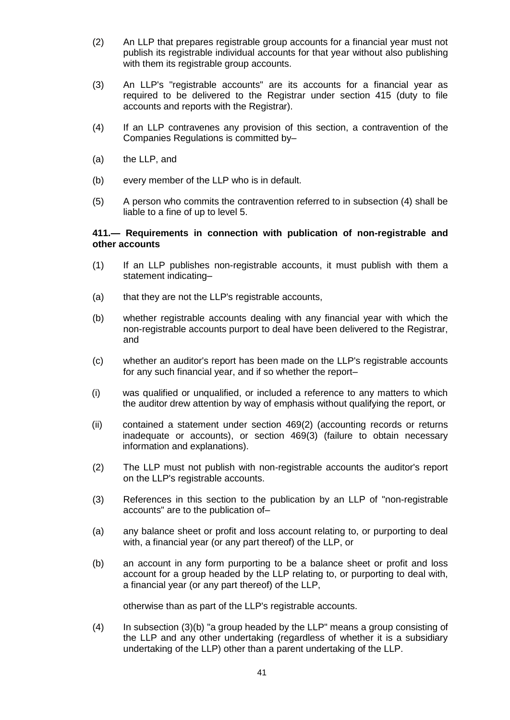- (2) An LLP that prepares registrable group accounts for a financial year must not publish its registrable individual accounts for that year without also publishing with them its registrable group accounts.
- (3) An LLP's "registrable accounts" are its accounts for a financial year as required to be delivered to the Registrar under section 415 (duty to file accounts and reports with the Registrar).
- (4) If an LLP contravenes any provision of this section, a contravention of the Companies Regulations is committed by–
- (a) the LLP, and
- (b) every member of the LLP who is in default.
- (5) A person who commits the contravention referred to in subsection (4) shall be liable to a fine of up to level 5.

### **411.— Requirements in connection with publication of non-registrable and other accounts**

- (1) If an LLP publishes non-registrable accounts, it must publish with them a statement indicating–
- (a) that they are not the LLP's registrable accounts,
- (b) whether registrable accounts dealing with any financial year with which the non-registrable accounts purport to deal have been delivered to the Registrar, and
- (c) whether an auditor's report has been made on the LLP's registrable accounts for any such financial year, and if so whether the report–
- (i) was qualified or unqualified, or included a reference to any matters to which the auditor drew attention by way of emphasis without qualifying the report, or
- (ii) contained a statement under section 469(2) (accounting records or returns inadequate or accounts), or section 469(3) (failure to obtain necessary information and explanations).
- (2) The LLP must not publish with non-registrable accounts the auditor's report on the LLP's registrable accounts.
- (3) References in this section to the publication by an LLP of "non-registrable accounts" are to the publication of–
- (a) any balance sheet or profit and loss account relating to, or purporting to deal with, a financial year (or any part thereof) of the LLP, or
- (b) an account in any form purporting to be a balance sheet or profit and loss account for a group headed by the LLP relating to, or purporting to deal with, a financial year (or any part thereof) of the LLP,

otherwise than as part of the LLP's registrable accounts.

(4) In subsection (3)(b) "a group headed by the LLP" means a group consisting of the LLP and any other undertaking (regardless of whether it is a subsidiary undertaking of the LLP) other than a parent undertaking of the LLP.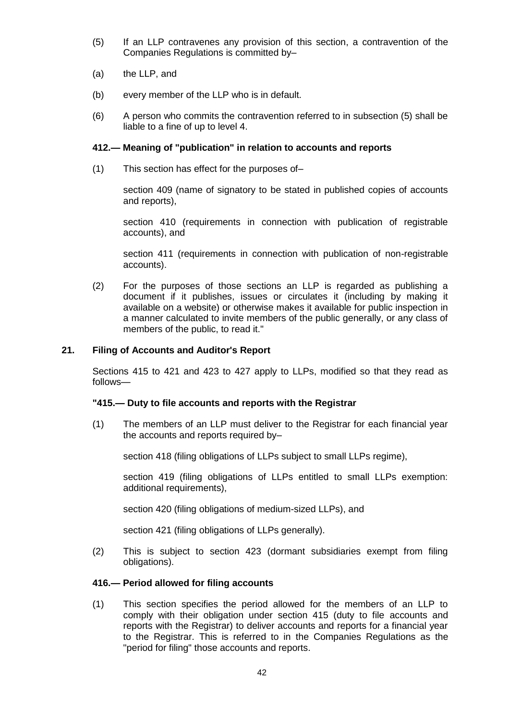- (5) If an LLP contravenes any provision of this section, a contravention of the Companies Regulations is committed by–
- (a) the LLP, and
- (b) every member of the LLP who is in default.
- (6) A person who commits the contravention referred to in subsection (5) shall be liable to a fine of up to level 4.

## **412.— Meaning of "publication" in relation to accounts and reports**

(1) This section has effect for the purposes of–

section 409 (name of signatory to be stated in published copies of accounts and reports),

section 410 (requirements in connection with publication of registrable accounts), and

section 411 (requirements in connection with publication of non-registrable accounts).

(2) For the purposes of those sections an LLP is regarded as publishing a document if it publishes, issues or circulates it (including by making it available on a website) or otherwise makes it available for public inspection in a manner calculated to invite members of the public generally, or any class of members of the public, to read it."

## **21. Filing of Accounts and Auditor's Report**

Sections 415 to 421 and 423 to 427 apply to LLPs, modified so that they read as follows—

#### **"415.— Duty to file accounts and reports with the Registrar**

(1) The members of an LLP must deliver to the Registrar for each financial year the accounts and reports required by–

section 418 (filing obligations of LLPs subject to small LLPs regime),

section 419 (filing obligations of LLPs entitled to small LLPs exemption: additional requirements),

section 420 (filing obligations of medium-sized LLPs), and

section 421 (filing obligations of LLPs generally).

(2) This is subject to section 423 (dormant subsidiaries exempt from filing obligations).

## **416.— Period allowed for filing accounts**

(1) This section specifies the period allowed for the members of an LLP to comply with their obligation under section 415 (duty to file accounts and reports with the Registrar) to deliver accounts and reports for a financial year to the Registrar. This is referred to in the Companies Regulations as the "period for filing" those accounts and reports.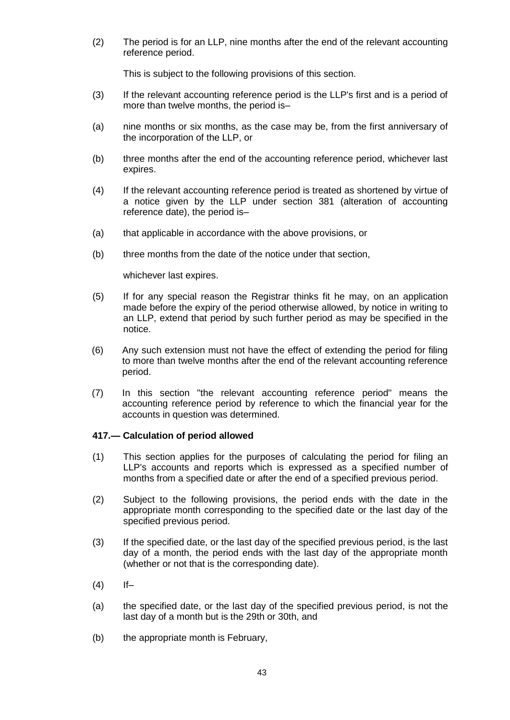(2) The period is for an LLP, nine months after the end of the relevant accounting reference period.

This is subject to the following provisions of this section.

- (3) If the relevant accounting reference period is the LLP's first and is a period of more than twelve months, the period is–
- (a) nine months or six months, as the case may be, from the first anniversary of the incorporation of the LLP, or
- (b) three months after the end of the accounting reference period, whichever last expires.
- (4) If the relevant accounting reference period is treated as shortened by virtue of a notice given by the LLP under section 381 (alteration of accounting reference date), the period is–
- (a) that applicable in accordance with the above provisions, or
- (b) three months from the date of the notice under that section,

whichever last expires.

- (5) If for any special reason the Registrar thinks fit he may, on an application made before the expiry of the period otherwise allowed, by notice in writing to an LLP, extend that period by such further period as may be specified in the notice.
- (6) Any such extension must not have the effect of extending the period for filing to more than twelve months after the end of the relevant accounting reference period.
- (7) In this section "the relevant accounting reference period" means the accounting reference period by reference to which the financial year for the accounts in question was determined.

## **417.— Calculation of period allowed**

- (1) This section applies for the purposes of calculating the period for filing an LLP's accounts and reports which is expressed as a specified number of months from a specified date or after the end of a specified previous period.
- (2) Subject to the following provisions, the period ends with the date in the appropriate month corresponding to the specified date or the last day of the specified previous period.
- (3) If the specified date, or the last day of the specified previous period, is the last day of a month, the period ends with the last day of the appropriate month (whether or not that is the corresponding date).
- $(4)$  If-
- (a) the specified date, or the last day of the specified previous period, is not the last day of a month but is the 29th or 30th, and
- (b) the appropriate month is February,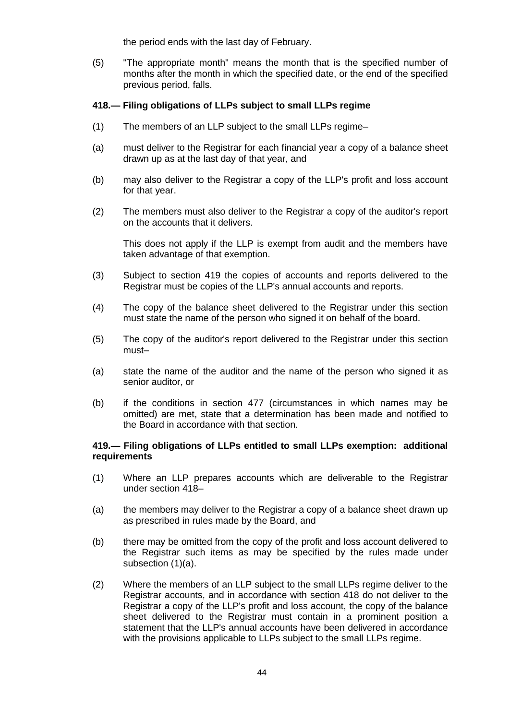the period ends with the last day of February.

(5) "The appropriate month" means the month that is the specified number of months after the month in which the specified date, or the end of the specified previous period, falls.

## **418.— Filing obligations of LLPs subject to small LLPs regime**

- (1) The members of an LLP subject to the small LLPs regime–
- (a) must deliver to the Registrar for each financial year a copy of a balance sheet drawn up as at the last day of that year, and
- (b) may also deliver to the Registrar a copy of the LLP's profit and loss account for that year.
- (2) The members must also deliver to the Registrar a copy of the auditor's report on the accounts that it delivers.

This does not apply if the LLP is exempt from audit and the members have taken advantage of that exemption.

- (3) Subject to section 419 the copies of accounts and reports delivered to the Registrar must be copies of the LLP's annual accounts and reports.
- (4) The copy of the balance sheet delivered to the Registrar under this section must state the name of the person who signed it on behalf of the board.
- (5) The copy of the auditor's report delivered to the Registrar under this section must–
- (a) state the name of the auditor and the name of the person who signed it as senior auditor, or
- (b) if the conditions in section 477 (circumstances in which names may be omitted) are met, state that a determination has been made and notified to the Board in accordance with that section.

## **419.— Filing obligations of LLPs entitled to small LLPs exemption: additional requirements**

- (1) Where an LLP prepares accounts which are deliverable to the Registrar under section 418–
- (a) the members may deliver to the Registrar a copy of a balance sheet drawn up as prescribed in rules made by the Board, and
- (b) there may be omitted from the copy of the profit and loss account delivered to the Registrar such items as may be specified by the rules made under subsection (1)(a).
- (2) Where the members of an LLP subject to the small LLPs regime deliver to the Registrar accounts, and in accordance with section 418 do not deliver to the Registrar a copy of the LLP's profit and loss account, the copy of the balance sheet delivered to the Registrar must contain in a prominent position a statement that the LLP's annual accounts have been delivered in accordance with the provisions applicable to LLPs subject to the small LLPs regime.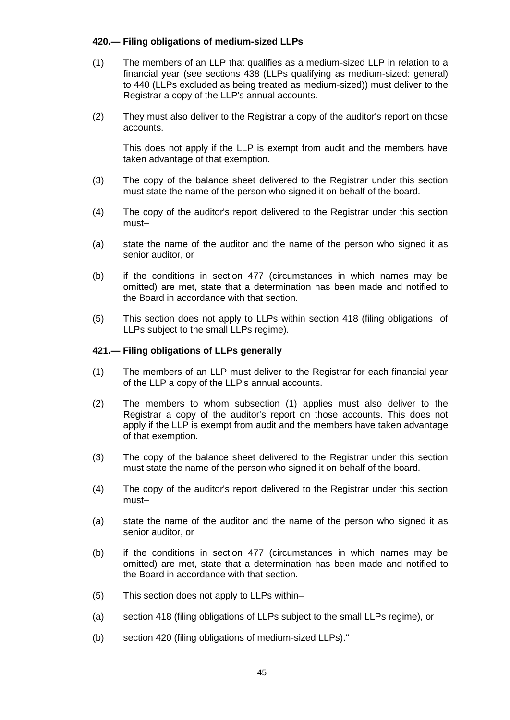## **420.— Filing obligations of medium-sized LLPs**

- (1) The members of an LLP that qualifies as a medium-sized LLP in relation to a financial year (see sections 438 (LLPs qualifying as medium-sized: general) to 440 (LLPs excluded as being treated as medium-sized)) must deliver to the Registrar a copy of the LLP's annual accounts.
- (2) They must also deliver to the Registrar a copy of the auditor's report on those accounts.

This does not apply if the LLP is exempt from audit and the members have taken advantage of that exemption.

- (3) The copy of the balance sheet delivered to the Registrar under this section must state the name of the person who signed it on behalf of the board.
- (4) The copy of the auditor's report delivered to the Registrar under this section must–
- (a) state the name of the auditor and the name of the person who signed it as senior auditor, or
- (b) if the conditions in section 477 (circumstances in which names may be omitted) are met, state that a determination has been made and notified to the Board in accordance with that section.
- (5) This section does not apply to LLPs within section 418 (filing obligations of LLPs subject to the small LLPs regime).

## **421.— Filing obligations of LLPs generally**

- (1) The members of an LLP must deliver to the Registrar for each financial year of the LLP a copy of the LLP's annual accounts.
- (2) The members to whom subsection (1) applies must also deliver to the Registrar a copy of the auditor's report on those accounts. This does not apply if the LLP is exempt from audit and the members have taken advantage of that exemption.
- (3) The copy of the balance sheet delivered to the Registrar under this section must state the name of the person who signed it on behalf of the board.
- (4) The copy of the auditor's report delivered to the Registrar under this section must–
- (a) state the name of the auditor and the name of the person who signed it as senior auditor, or
- (b) if the conditions in section 477 (circumstances in which names may be omitted) are met, state that a determination has been made and notified to the Board in accordance with that section.
- (5) This section does not apply to LLPs within–
- (a) section 418 (filing obligations of LLPs subject to the small LLPs regime), or
- (b) section 420 (filing obligations of medium-sized LLPs)."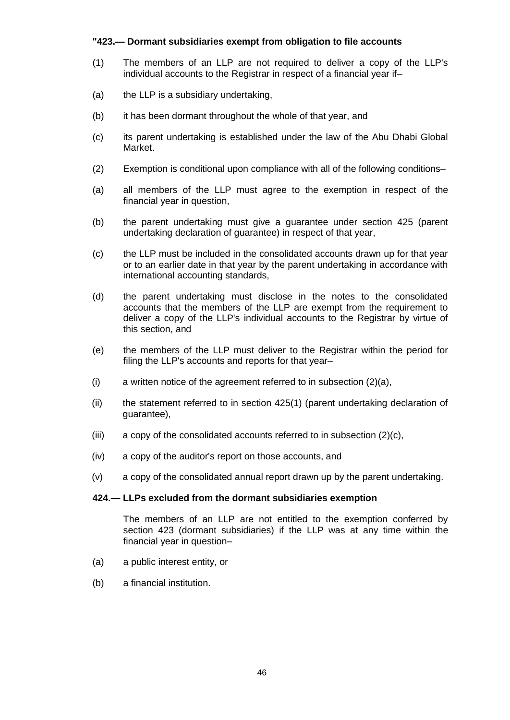## **"423.— Dormant subsidiaries exempt from obligation to file accounts**

- (1) The members of an LLP are not required to deliver a copy of the LLP's individual accounts to the Registrar in respect of a financial year if–
- (a) the LLP is a subsidiary undertaking,
- (b) it has been dormant throughout the whole of that year, and
- (c) its parent undertaking is established under the law of the Abu Dhabi Global Market.
- (2) Exemption is conditional upon compliance with all of the following conditions–
- (a) all members of the LLP must agree to the exemption in respect of the financial year in question,
- (b) the parent undertaking must give a guarantee under section 425 (parent undertaking declaration of guarantee) in respect of that year,
- (c) the LLP must be included in the consolidated accounts drawn up for that year or to an earlier date in that year by the parent undertaking in accordance with international accounting standards,
- (d) the parent undertaking must disclose in the notes to the consolidated accounts that the members of the LLP are exempt from the requirement to deliver a copy of the LLP's individual accounts to the Registrar by virtue of this section, and
- (e) the members of the LLP must deliver to the Registrar within the period for filing the LLP's accounts and reports for that year–
- (i) a written notice of the agreement referred to in subsection (2)(a),
- (ii) the statement referred to in section 425(1) (parent undertaking declaration of guarantee),
- (iii) a copy of the consolidated accounts referred to in subsection (2)(c),
- (iv) a copy of the auditor's report on those accounts, and
- (v) a copy of the consolidated annual report drawn up by the parent undertaking.

#### **424.— LLPs excluded from the dormant subsidiaries exemption**

The members of an LLP are not entitled to the exemption conferred by section 423 (dormant subsidiaries) if the LLP was at any time within the financial year in question–

- (a) a public interest entity, or
- (b) a financial institution.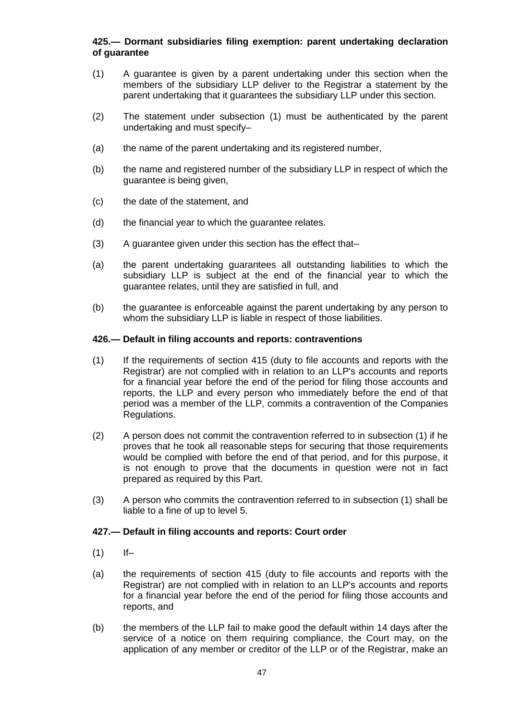## **425.— Dormant subsidiaries filing exemption: parent undertaking declaration of guarantee**

- (1) A guarantee is given by a parent undertaking under this section when the members of the subsidiary LLP deliver to the Registrar a statement by the parent undertaking that it guarantees the subsidiary LLP under this section.
- (2) The statement under subsection (1) must be authenticated by the parent undertaking and must specify–
- (a) the name of the parent undertaking and its registered number,
- (b) the name and registered number of the subsidiary LLP in respect of which the guarantee is being given,
- (c) the date of the statement, and
- (d) the financial year to which the guarantee relates.
- (3) A guarantee given under this section has the effect that–
- (a) the parent undertaking guarantees all outstanding liabilities to which the subsidiary LLP is subject at the end of the financial year to which the guarantee relates, until they are satisfied in full, and
- (b) the guarantee is enforceable against the parent undertaking by any person to whom the subsidiary LLP is liable in respect of those liabilities.

#### **426.— Default in filing accounts and reports: contraventions**

- (1) If the requirements of section 415 (duty to file accounts and reports with the Registrar) are not complied with in relation to an LLP's accounts and reports for a financial year before the end of the period for filing those accounts and reports, the LLP and every person who immediately before the end of that period was a member of the LLP, commits a contravention of the Companies Regulations.
- (2) A person does not commit the contravention referred to in subsection (1) if he proves that he took all reasonable steps for securing that those requirements would be complied with before the end of that period, and for this purpose, it is not enough to prove that the documents in question were not in fact prepared as required by this Part.
- (3) A person who commits the contravention referred to in subsection (1) shall be liable to a fine of up to level 5.

#### **427.— Default in filing accounts and reports: Court order**

- $(1)$  If-
- (a) the requirements of section 415 (duty to file accounts and reports with the Registrar) are not complied with in relation to an LLP's accounts and reports for a financial year before the end of the period for filing those accounts and reports, and
- (b) the members of the LLP fail to make good the default within 14 days after the service of a notice on them requiring compliance, the Court may, on the application of any member or creditor of the LLP or of the Registrar, make an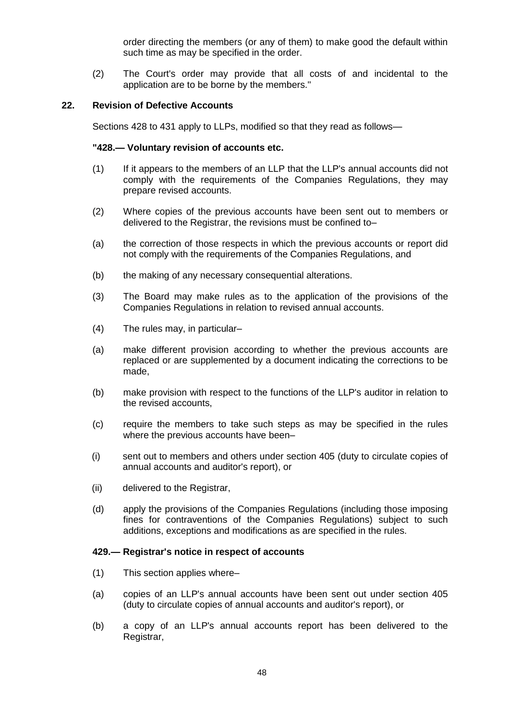order directing the members (or any of them) to make good the default within such time as may be specified in the order.

(2) The Court's order may provide that all costs of and incidental to the application are to be borne by the members."

#### **22. Revision of Defective Accounts**

Sections 428 to 431 apply to LLPs, modified so that they read as follows—

### **"428.— Voluntary revision of accounts etc.**

- (1) If it appears to the members of an LLP that the LLP's annual accounts did not comply with the requirements of the Companies Regulations, they may prepare revised accounts.
- (2) Where copies of the previous accounts have been sent out to members or delivered to the Registrar, the revisions must be confined to–
- (a) the correction of those respects in which the previous accounts or report did not comply with the requirements of the Companies Regulations, and
- (b) the making of any necessary consequential alterations.
- (3) The Board may make rules as to the application of the provisions of the Companies Regulations in relation to revised annual accounts.
- (4) The rules may, in particular–
- (a) make different provision according to whether the previous accounts are replaced or are supplemented by a document indicating the corrections to be made,
- (b) make provision with respect to the functions of the LLP's auditor in relation to the revised accounts,
- (c) require the members to take such steps as may be specified in the rules where the previous accounts have been–
- (i) sent out to members and others under section 405 (duty to circulate copies of annual accounts and auditor's report), or
- (ii) delivered to the Registrar,
- (d) apply the provisions of the Companies Regulations (including those imposing fines for contraventions of the Companies Regulations) subject to such additions, exceptions and modifications as are specified in the rules.

#### **429.— Registrar's notice in respect of accounts**

- (1) This section applies where–
- (a) copies of an LLP's annual accounts have been sent out under section 405 (duty to circulate copies of annual accounts and auditor's report), or
- (b) a copy of an LLP's annual accounts report has been delivered to the Registrar,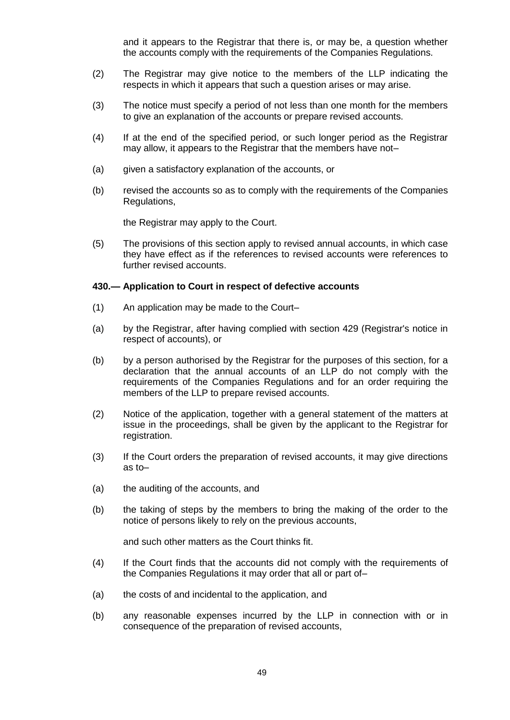and it appears to the Registrar that there is, or may be, a question whether the accounts comply with the requirements of the Companies Regulations.

- (2) The Registrar may give notice to the members of the LLP indicating the respects in which it appears that such a question arises or may arise.
- (3) The notice must specify a period of not less than one month for the members to give an explanation of the accounts or prepare revised accounts.
- (4) If at the end of the specified period, or such longer period as the Registrar may allow, it appears to the Registrar that the members have not–
- (a) given a satisfactory explanation of the accounts, or
- (b) revised the accounts so as to comply with the requirements of the Companies Regulations,

the Registrar may apply to the Court.

(5) The provisions of this section apply to revised annual accounts, in which case they have effect as if the references to revised accounts were references to further revised accounts.

## **430.— Application to Court in respect of defective accounts**

- (1) An application may be made to the Court–
- (a) by the Registrar, after having complied with section 429 (Registrar's notice in respect of accounts), or
- (b) by a person authorised by the Registrar for the purposes of this section, for a declaration that the annual accounts of an LLP do not comply with the requirements of the Companies Regulations and for an order requiring the members of the LLP to prepare revised accounts.
- (2) Notice of the application, together with a general statement of the matters at issue in the proceedings, shall be given by the applicant to the Registrar for registration.
- (3) If the Court orders the preparation of revised accounts, it may give directions as to–
- (a) the auditing of the accounts, and
- (b) the taking of steps by the members to bring the making of the order to the notice of persons likely to rely on the previous accounts,

and such other matters as the Court thinks fit.

- (4) If the Court finds that the accounts did not comply with the requirements of the Companies Regulations it may order that all or part of–
- (a) the costs of and incidental to the application, and
- (b) any reasonable expenses incurred by the LLP in connection with or in consequence of the preparation of revised accounts,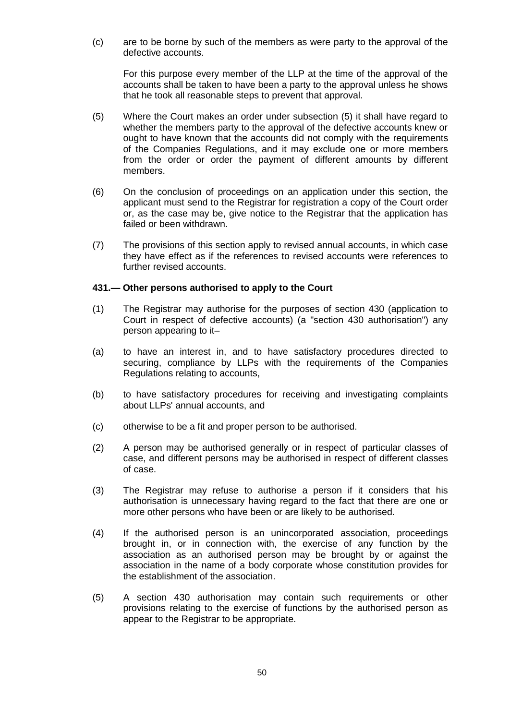(c) are to be borne by such of the members as were party to the approval of the defective accounts.

For this purpose every member of the LLP at the time of the approval of the accounts shall be taken to have been a party to the approval unless he shows that he took all reasonable steps to prevent that approval.

- (5) Where the Court makes an order under subsection (5) it shall have regard to whether the members party to the approval of the defective accounts knew or ought to have known that the accounts did not comply with the requirements of the Companies Regulations, and it may exclude one or more members from the order or order the payment of different amounts by different members.
- (6) On the conclusion of proceedings on an application under this section, the applicant must send to the Registrar for registration a copy of the Court order or, as the case may be, give notice to the Registrar that the application has failed or been withdrawn.
- (7) The provisions of this section apply to revised annual accounts, in which case they have effect as if the references to revised accounts were references to further revised accounts.

#### **431.— Other persons authorised to apply to the Court**

- (1) The Registrar may authorise for the purposes of section 430 (application to Court in respect of defective accounts) (a "section 430 authorisation") any person appearing to it–
- (a) to have an interest in, and to have satisfactory procedures directed to securing, compliance by LLPs with the requirements of the Companies Regulations relating to accounts,
- (b) to have satisfactory procedures for receiving and investigating complaints about LLPs' annual accounts, and
- (c) otherwise to be a fit and proper person to be authorised.
- (2) A person may be authorised generally or in respect of particular classes of case, and different persons may be authorised in respect of different classes of case.
- (3) The Registrar may refuse to authorise a person if it considers that his authorisation is unnecessary having regard to the fact that there are one or more other persons who have been or are likely to be authorised.
- (4) If the authorised person is an unincorporated association, proceedings brought in, or in connection with, the exercise of any function by the association as an authorised person may be brought by or against the association in the name of a body corporate whose constitution provides for the establishment of the association.
- (5) A section 430 authorisation may contain such requirements or other provisions relating to the exercise of functions by the authorised person as appear to the Registrar to be appropriate.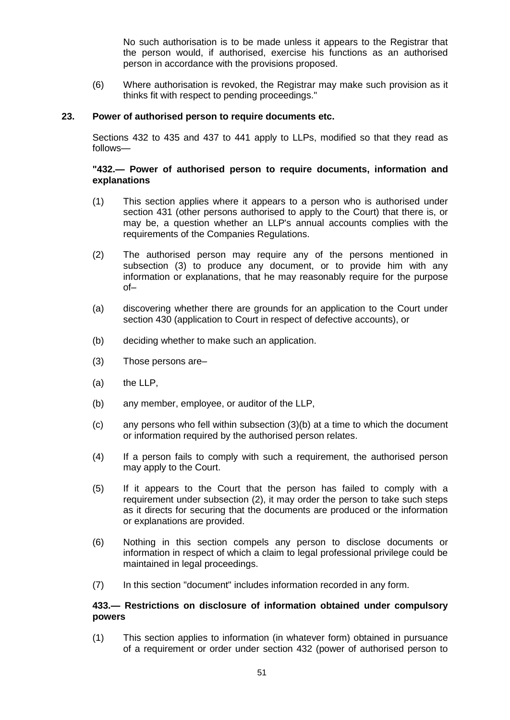No such authorisation is to be made unless it appears to the Registrar that the person would, if authorised, exercise his functions as an authorised person in accordance with the provisions proposed.

(6) Where authorisation is revoked, the Registrar may make such provision as it thinks fit with respect to pending proceedings."

## **23. Power of authorised person to require documents etc.**

Sections 432 to 435 and 437 to 441 apply to LLPs, modified so that they read as follows—

## **"432.— Power of authorised person to require documents, information and explanations**

- (1) This section applies where it appears to a person who is authorised under section 431 (other persons authorised to apply to the Court) that there is, or may be, a question whether an LLP's annual accounts complies with the requirements of the Companies Regulations.
- (2) The authorised person may require any of the persons mentioned in subsection (3) to produce any document, or to provide him with any information or explanations, that he may reasonably require for the purpose of–
- (a) discovering whether there are grounds for an application to the Court under section 430 (application to Court in respect of defective accounts), or
- (b) deciding whether to make such an application.
- (3) Those persons are–
- (a) the LLP,
- (b) any member, employee, or auditor of the LLP,
- (c) any persons who fell within subsection (3)(b) at a time to which the document or information required by the authorised person relates.
- (4) If a person fails to comply with such a requirement, the authorised person may apply to the Court.
- (5) If it appears to the Court that the person has failed to comply with a requirement under subsection (2), it may order the person to take such steps as it directs for securing that the documents are produced or the information or explanations are provided.
- (6) Nothing in this section compels any person to disclose documents or information in respect of which a claim to legal professional privilege could be maintained in legal proceedings.
- (7) In this section "document" includes information recorded in any form.

## **433.— Restrictions on disclosure of information obtained under compulsory powers**

(1) This section applies to information (in whatever form) obtained in pursuance of a requirement or order under section 432 (power of authorised person to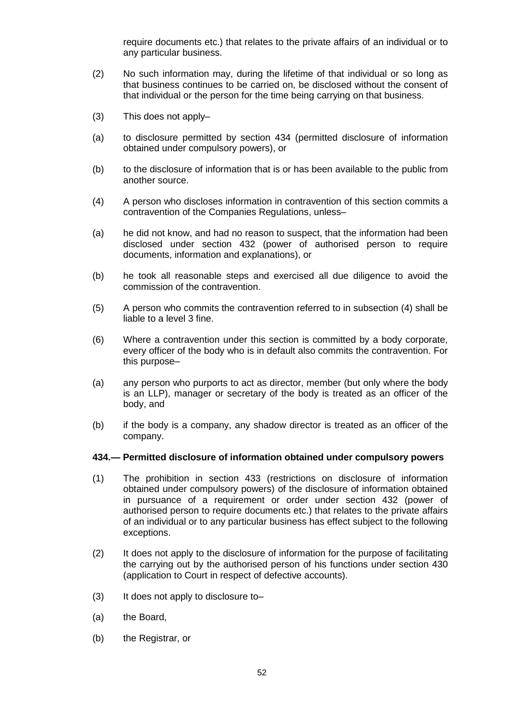require documents etc.) that relates to the private affairs of an individual or to any particular business.

- (2) No such information may, during the lifetime of that individual or so long as that business continues to be carried on, be disclosed without the consent of that individual or the person for the time being carrying on that business.
- (3) This does not apply–
- (a) to disclosure permitted by section 434 (permitted disclosure of information obtained under compulsory powers), or
- (b) to the disclosure of information that is or has been available to the public from another source.
- (4) A person who discloses information in contravention of this section commits a contravention of the Companies Regulations, unless–
- (a) he did not know, and had no reason to suspect, that the information had been disclosed under section 432 (power of authorised person to require documents, information and explanations), or
- (b) he took all reasonable steps and exercised all due diligence to avoid the commission of the contravention.
- (5) A person who commits the contravention referred to in subsection (4) shall be liable to a level 3 fine.
- (6) Where a contravention under this section is committed by a body corporate, every officer of the body who is in default also commits the contravention. For this purpose–
- (a) any person who purports to act as director, member (but only where the body is an LLP), manager or secretary of the body is treated as an officer of the body, and
- (b) if the body is a company, any shadow director is treated as an officer of the company.

#### **434.— Permitted disclosure of information obtained under compulsory powers**

- (1) The prohibition in section 433 (restrictions on disclosure of information obtained under compulsory powers) of the disclosure of information obtained in pursuance of a requirement or order under section 432 (power of authorised person to require documents etc.) that relates to the private affairs of an individual or to any particular business has effect subject to the following exceptions.
- (2) It does not apply to the disclosure of information for the purpose of facilitating the carrying out by the authorised person of his functions under section 430 (application to Court in respect of defective accounts).
- (3) It does not apply to disclosure to–
- (a) the Board,
- (b) the Registrar, or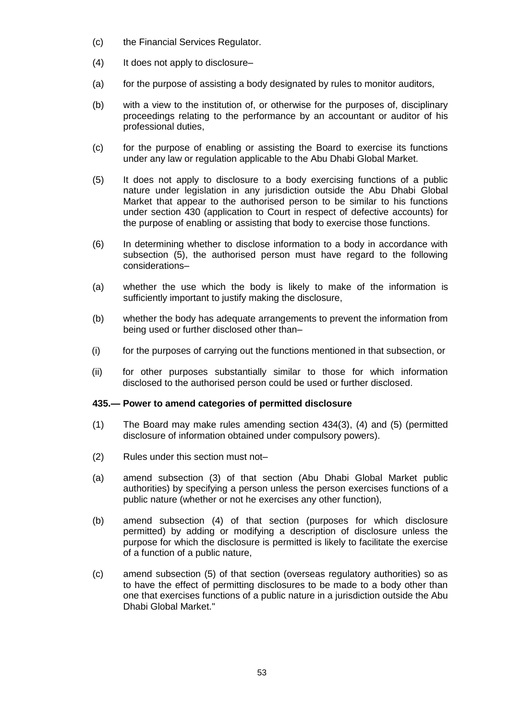- (c) the Financial Services Regulator.
- (4) It does not apply to disclosure–
- (a) for the purpose of assisting a body designated by rules to monitor auditors,
- (b) with a view to the institution of, or otherwise for the purposes of, disciplinary proceedings relating to the performance by an accountant or auditor of his professional duties,
- (c) for the purpose of enabling or assisting the Board to exercise its functions under any law or regulation applicable to the Abu Dhabi Global Market.
- (5) It does not apply to disclosure to a body exercising functions of a public nature under legislation in any jurisdiction outside the Abu Dhabi Global Market that appear to the authorised person to be similar to his functions under section 430 (application to Court in respect of defective accounts) for the purpose of enabling or assisting that body to exercise those functions.
- (6) In determining whether to disclose information to a body in accordance with subsection (5), the authorised person must have regard to the following considerations–
- (a) whether the use which the body is likely to make of the information is sufficiently important to justify making the disclosure,
- (b) whether the body has adequate arrangements to prevent the information from being used or further disclosed other than–
- (i) for the purposes of carrying out the functions mentioned in that subsection, or
- (ii) for other purposes substantially similar to those for which information disclosed to the authorised person could be used or further disclosed.

#### **435.— Power to amend categories of permitted disclosure**

- (1) The Board may make rules amending section 434(3), (4) and (5) (permitted disclosure of information obtained under compulsory powers).
- (2) Rules under this section must not–
- (a) amend subsection (3) of that section (Abu Dhabi Global Market public authorities) by specifying a person unless the person exercises functions of a public nature (whether or not he exercises any other function),
- (b) amend subsection (4) of that section (purposes for which disclosure permitted) by adding or modifying a description of disclosure unless the purpose for which the disclosure is permitted is likely to facilitate the exercise of a function of a public nature,
- (c) amend subsection (5) of that section (overseas regulatory authorities) so as to have the effect of permitting disclosures to be made to a body other than one that exercises functions of a public nature in a jurisdiction outside the Abu Dhabi Global Market."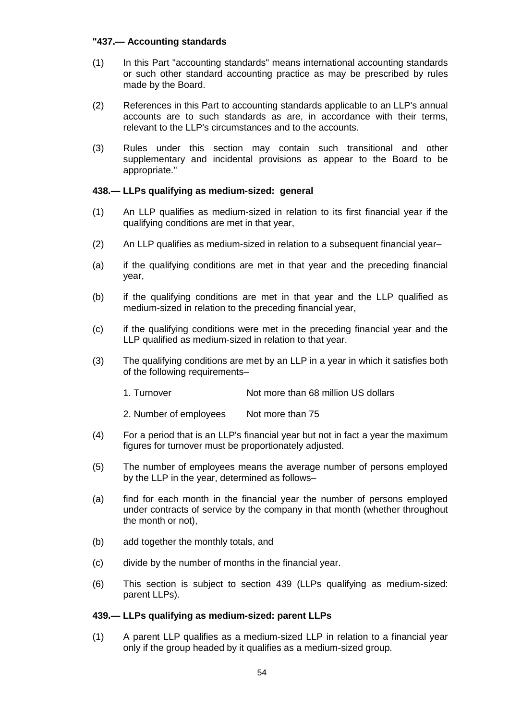## **"437.— Accounting standards**

- (1) In this Part "accounting standards" means international accounting standards or such other standard accounting practice as may be prescribed by rules made by the Board.
- (2) References in this Part to accounting standards applicable to an LLP's annual accounts are to such standards as are, in accordance with their terms, relevant to the LLP's circumstances and to the accounts.
- (3) Rules under this section may contain such transitional and other supplementary and incidental provisions as appear to the Board to be appropriate."

## **438.— LLPs qualifying as medium-sized: general**

- (1) An LLP qualifies as medium-sized in relation to its first financial year if the qualifying conditions are met in that year,
- (2) An LLP qualifies as medium-sized in relation to a subsequent financial year–
- (a) if the qualifying conditions are met in that year and the preceding financial year,
- (b) if the qualifying conditions are met in that year and the LLP qualified as medium-sized in relation to the preceding financial year,
- (c) if the qualifying conditions were met in the preceding financial year and the LLP qualified as medium-sized in relation to that year.
- (3) The qualifying conditions are met by an LLP in a year in which it satisfies both of the following requirements–
	- 1. Turnover Not more than 68 million US dollars
	- 2. Number of employees Not more than 75
- (4) For a period that is an LLP's financial year but not in fact a year the maximum figures for turnover must be proportionately adjusted.
- (5) The number of employees means the average number of persons employed by the LLP in the year, determined as follows–
- (a) find for each month in the financial year the number of persons employed under contracts of service by the company in that month (whether throughout the month or not),
- (b) add together the monthly totals, and
- (c) divide by the number of months in the financial year.
- (6) This section is subject to section 439 (LLPs qualifying as medium-sized: parent LLPs).

#### **439.— LLPs qualifying as medium-sized: parent LLPs**

(1) A parent LLP qualifies as a medium-sized LLP in relation to a financial year only if the group headed by it qualifies as a medium-sized group.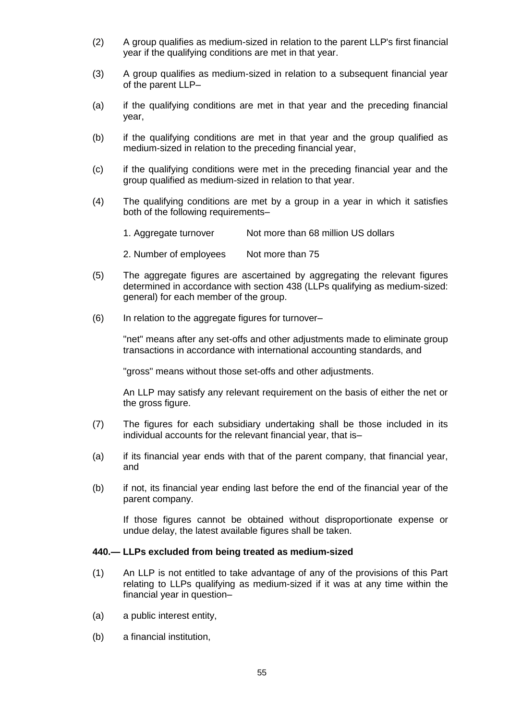- (2) A group qualifies as medium-sized in relation to the parent LLP's first financial year if the qualifying conditions are met in that year.
- (3) A group qualifies as medium-sized in relation to a subsequent financial year of the parent LLP–
- (a) if the qualifying conditions are met in that year and the preceding financial year,
- (b) if the qualifying conditions are met in that year and the group qualified as medium-sized in relation to the preceding financial year,
- (c) if the qualifying conditions were met in the preceding financial year and the group qualified as medium-sized in relation to that year.
- (4) The qualifying conditions are met by a group in a year in which it satisfies both of the following requirements–
	- 1. Aggregate turnover Not more than 68 million US dollars
	- 2. Number of employees Not more than 75
- (5) The aggregate figures are ascertained by aggregating the relevant figures determined in accordance with section 438 (LLPs qualifying as medium-sized: general) for each member of the group.
- (6) In relation to the aggregate figures for turnover–

"net" means after any set-offs and other adjustments made to eliminate group transactions in accordance with international accounting standards, and

"gross" means without those set-offs and other adjustments.

An LLP may satisfy any relevant requirement on the basis of either the net or the gross figure.

- (7) The figures for each subsidiary undertaking shall be those included in its individual accounts for the relevant financial year, that is–
- (a) if its financial year ends with that of the parent company, that financial year, and
- (b) if not, its financial year ending last before the end of the financial year of the parent company.

If those figures cannot be obtained without disproportionate expense or undue delay, the latest available figures shall be taken.

#### **440.— LLPs excluded from being treated as medium-sized**

- (1) An LLP is not entitled to take advantage of any of the provisions of this Part relating to LLPs qualifying as medium-sized if it was at any time within the financial year in question–
- (a) a public interest entity,
- (b) a financial institution,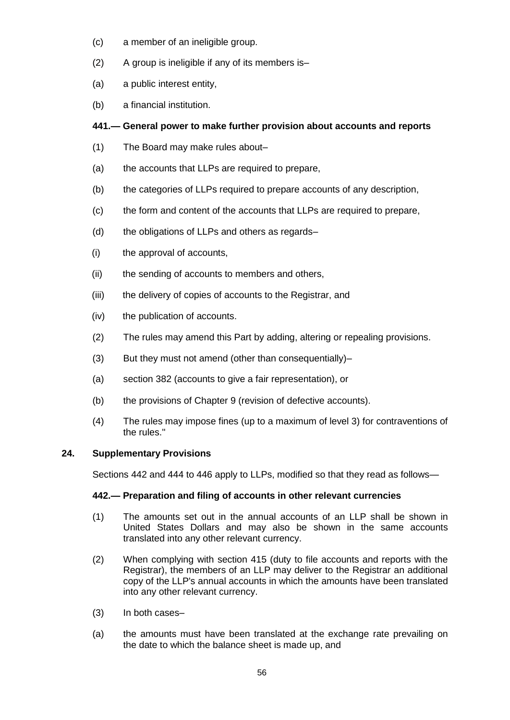- (c) a member of an ineligible group.
- (2) A group is ineligible if any of its members is–
- (a) a public interest entity,
- (b) a financial institution.

# **441.— General power to make further provision about accounts and reports**

- (1) The Board may make rules about–
- (a) the accounts that LLPs are required to prepare,
- (b) the categories of LLPs required to prepare accounts of any description,
- (c) the form and content of the accounts that LLPs are required to prepare,
- (d) the obligations of LLPs and others as regards–
- (i) the approval of accounts,
- (ii) the sending of accounts to members and others,
- (iii) the delivery of copies of accounts to the Registrar, and
- (iv) the publication of accounts.
- (2) The rules may amend this Part by adding, altering or repealing provisions.
- (3) But they must not amend (other than consequentially)–
- (a) section 382 (accounts to give a fair representation), or
- (b) the provisions of Chapter 9 (revision of defective accounts).
- (4) The rules may impose fines (up to a maximum of level 3) for contraventions of the rules."

## **24. Supplementary Provisions**

Sections 442 and 444 to 446 apply to LLPs, modified so that they read as follows—

## **442.— Preparation and filing of accounts in other relevant currencies**

- (1) The amounts set out in the annual accounts of an LLP shall be shown in United States Dollars and may also be shown in the same accounts translated into any other relevant currency.
- (2) When complying with section 415 (duty to file accounts and reports with the Registrar), the members of an LLP may deliver to the Registrar an additional copy of the LLP's annual accounts in which the amounts have been translated into any other relevant currency.
- (3) In both cases–
- (a) the amounts must have been translated at the exchange rate prevailing on the date to which the balance sheet is made up, and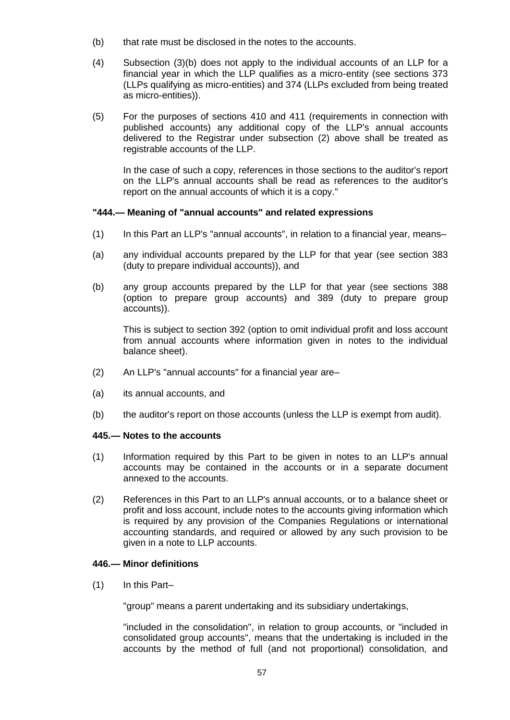- (b) that rate must be disclosed in the notes to the accounts.
- (4) Subsection (3)(b) does not apply to the individual accounts of an LLP for a financial year in which the LLP qualifies as a micro-entity (see sections 373 (LLPs qualifying as micro-entities) and 374 (LLPs excluded from being treated as micro-entities)).
- (5) For the purposes of sections 410 and 411 (requirements in connection with published accounts) any additional copy of the LLP's annual accounts delivered to the Registrar under subsection (2) above shall be treated as registrable accounts of the LLP.

In the case of such a copy, references in those sections to the auditor's report on the LLP's annual accounts shall be read as references to the auditor's report on the annual accounts of which it is a copy."

## **"444.— Meaning of "annual accounts" and related expressions**

- (1) In this Part an LLP's "annual accounts", in relation to a financial year, means–
- (a) any individual accounts prepared by the LLP for that year (see section 383 (duty to prepare individual accounts)), and
- (b) any group accounts prepared by the LLP for that year (see sections 388 (option to prepare group accounts) and 389 (duty to prepare group accounts)).

This is subject to section 392 (option to omit individual profit and loss account from annual accounts where information given in notes to the individual balance sheet).

- (2) An LLP's "annual accounts" for a financial year are–
- (a) its annual accounts, and
- (b) the auditor's report on those accounts (unless the LLP is exempt from audit).

#### **445.— Notes to the accounts**

- (1) Information required by this Part to be given in notes to an LLP's annual accounts may be contained in the accounts or in a separate document annexed to the accounts.
- (2) References in this Part to an LLP's annual accounts, or to a balance sheet or profit and loss account, include notes to the accounts giving information which is required by any provision of the Companies Regulations or international accounting standards, and required or allowed by any such provision to be given in a note to LLP accounts.

## **446.— Minor definitions**

(1) In this Part–

"group" means a parent undertaking and its subsidiary undertakings,

"included in the consolidation", in relation to group accounts, or "included in consolidated group accounts", means that the undertaking is included in the accounts by the method of full (and not proportional) consolidation, and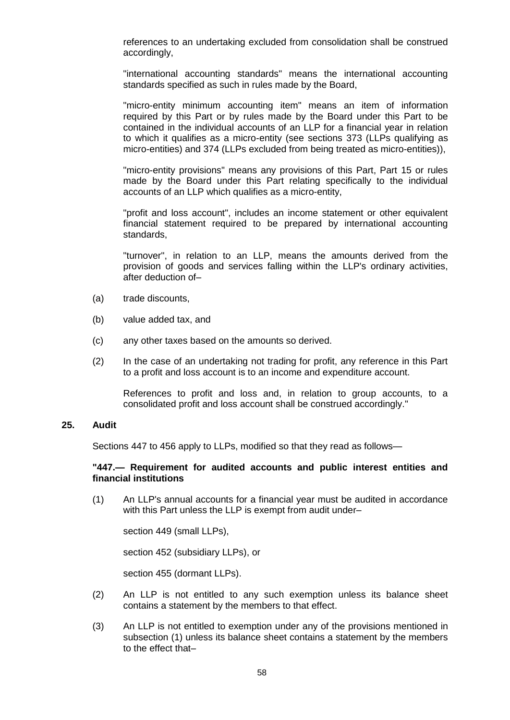references to an undertaking excluded from consolidation shall be construed accordingly,

"international accounting standards" means the international accounting standards specified as such in rules made by the Board,

"micro-entity minimum accounting item" means an item of information required by this Part or by rules made by the Board under this Part to be contained in the individual accounts of an LLP for a financial year in relation to which it qualifies as a micro-entity (see sections 373 (LLPs qualifying as micro-entities) and 374 (LLPs excluded from being treated as micro-entities)),

"micro-entity provisions" means any provisions of this Part, Part 15 or rules made by the Board under this Part relating specifically to the individual accounts of an LLP which qualifies as a micro-entity,

"profit and loss account", includes an income statement or other equivalent financial statement required to be prepared by international accounting standards,

"turnover", in relation to an LLP, means the amounts derived from the provision of goods and services falling within the LLP's ordinary activities, after deduction of–

- (a) trade discounts,
- (b) value added tax, and
- (c) any other taxes based on the amounts so derived.
- (2) In the case of an undertaking not trading for profit, any reference in this Part to a profit and loss account is to an income and expenditure account.

References to profit and loss and, in relation to group accounts, to a consolidated profit and loss account shall be construed accordingly."

#### **25. Audit**

Sections 447 to 456 apply to LLPs, modified so that they read as follows—

#### **"447.— Requirement for audited accounts and public interest entities and financial institutions**

(1) An LLP's annual accounts for a financial year must be audited in accordance with this Part unless the LLP is exempt from audit under–

section 449 (small LLPs),

section 452 (subsidiary LLPs), or

section 455 (dormant LLPs).

- (2) An LLP is not entitled to any such exemption unless its balance sheet contains a statement by the members to that effect.
- (3) An LLP is not entitled to exemption under any of the provisions mentioned in subsection (1) unless its balance sheet contains a statement by the members to the effect that–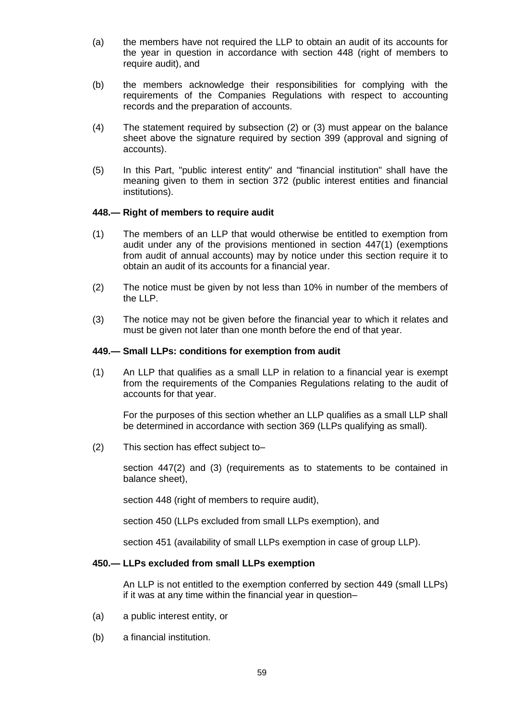- (a) the members have not required the LLP to obtain an audit of its accounts for the year in question in accordance with section 448 (right of members to require audit), and
- (b) the members acknowledge their responsibilities for complying with the requirements of the Companies Regulations with respect to accounting records and the preparation of accounts.
- (4) The statement required by subsection (2) or (3) must appear on the balance sheet above the signature required by section 399 (approval and signing of accounts).
- (5) In this Part, "public interest entity" and "financial institution" shall have the meaning given to them in section 372 (public interest entities and financial institutions).

## **448.— Right of members to require audit**

- (1) The members of an LLP that would otherwise be entitled to exemption from audit under any of the provisions mentioned in section 447(1) (exemptions from audit of annual accounts) may by notice under this section require it to obtain an audit of its accounts for a financial year.
- (2) The notice must be given by not less than 10% in number of the members of the LLP.
- (3) The notice may not be given before the financial year to which it relates and must be given not later than one month before the end of that year.

### **449.— Small LLPs: conditions for exemption from audit**

(1) An LLP that qualifies as a small LLP in relation to a financial year is exempt from the requirements of the Companies Regulations relating to the audit of accounts for that year.

For the purposes of this section whether an LLP qualifies as a small LLP shall be determined in accordance with section 369 (LLPs qualifying as small).

(2) This section has effect subject to–

section 447(2) and (3) (requirements as to statements to be contained in balance sheet),

section 448 (right of members to require audit),

section 450 (LLPs excluded from small LLPs exemption), and

section 451 (availability of small LLPs exemption in case of group LLP).

### **450.— LLPs excluded from small LLPs exemption**

An LLP is not entitled to the exemption conferred by section 449 (small LLPs) if it was at any time within the financial year in question–

- (a) a public interest entity, or
- (b) a financial institution.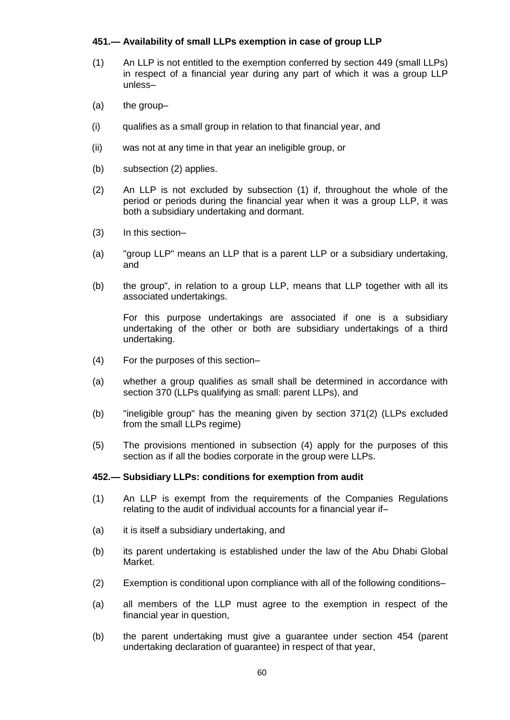## **451.— Availability of small LLPs exemption in case of group LLP**

- (1) An LLP is not entitled to the exemption conferred by section 449 (small LLPs) in respect of a financial year during any part of which it was a group LLP unless–
- (a) the group–
- (i) qualifies as a small group in relation to that financial year, and
- (ii) was not at any time in that year an ineligible group, or
- (b) subsection (2) applies.
- (2) An LLP is not excluded by subsection (1) if, throughout the whole of the period or periods during the financial year when it was a group LLP, it was both a subsidiary undertaking and dormant.
- (3) In this section–
- (a) "group LLP" means an LLP that is a parent LLP or a subsidiary undertaking, and
- (b) the group", in relation to a group LLP, means that LLP together with all its associated undertakings.

For this purpose undertakings are associated if one is a subsidiary undertaking of the other or both are subsidiary undertakings of a third undertaking.

- (4) For the purposes of this section–
- (a) whether a group qualifies as small shall be determined in accordance with section 370 (LLPs qualifying as small: parent LLPs), and
- (b) "ineligible group" has the meaning given by section 371(2) (LLPs excluded from the small LLPs regime)
- (5) The provisions mentioned in subsection (4) apply for the purposes of this section as if all the bodies corporate in the group were LLPs.

#### **452.— Subsidiary LLPs: conditions for exemption from audit**

- (1) An LLP is exempt from the requirements of the Companies Regulations relating to the audit of individual accounts for a financial year if–
- (a) it is itself a subsidiary undertaking, and
- (b) its parent undertaking is established under the law of the Abu Dhabi Global Market.
- (2) Exemption is conditional upon compliance with all of the following conditions–
- (a) all members of the LLP must agree to the exemption in respect of the financial year in question,
- (b) the parent undertaking must give a guarantee under section 454 (parent undertaking declaration of guarantee) in respect of that year,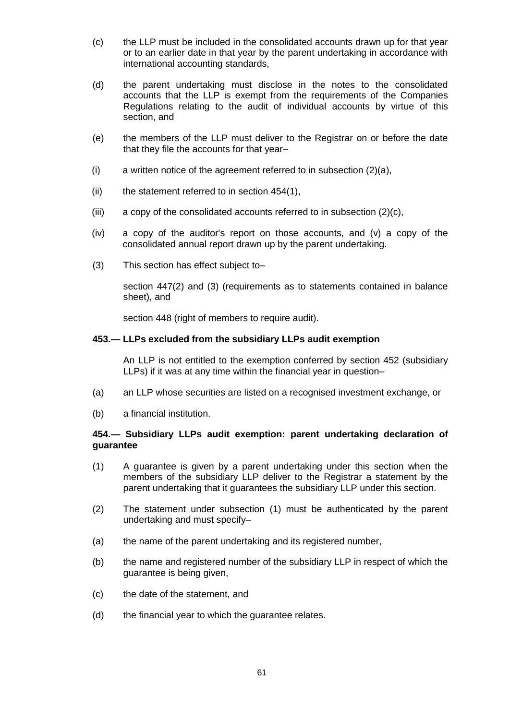- (c) the LLP must be included in the consolidated accounts drawn up for that year or to an earlier date in that year by the parent undertaking in accordance with international accounting standards,
- (d) the parent undertaking must disclose in the notes to the consolidated accounts that the LLP is exempt from the requirements of the Companies Regulations relating to the audit of individual accounts by virtue of this section, and
- (e) the members of the LLP must deliver to the Registrar on or before the date that they file the accounts for that year–
- (i) a written notice of the agreement referred to in subsection (2)(a),
- (ii) the statement referred to in section 454(1),
- (iii) a copy of the consolidated accounts referred to in subsection (2)(c),
- (iv) a copy of the auditor's report on those accounts, and (v) a copy of the consolidated annual report drawn up by the parent undertaking.
- (3) This section has effect subject to–

section 447(2) and (3) (requirements as to statements contained in balance sheet), and

section 448 (right of members to require audit).

## **453.— LLPs excluded from the subsidiary LLPs audit exemption**

An LLP is not entitled to the exemption conferred by section 452 (subsidiary LLPs) if it was at any time within the financial year in question–

- (a) an LLP whose securities are listed on a recognised investment exchange, or
- (b) a financial institution.

## **454.— Subsidiary LLPs audit exemption: parent undertaking declaration of guarantee**

- (1) A guarantee is given by a parent undertaking under this section when the members of the subsidiary LLP deliver to the Registrar a statement by the parent undertaking that it guarantees the subsidiary LLP under this section.
- (2) The statement under subsection (1) must be authenticated by the parent undertaking and must specify–
- (a) the name of the parent undertaking and its registered number,
- (b) the name and registered number of the subsidiary LLP in respect of which the guarantee is being given,
- (c) the date of the statement, and
- (d) the financial year to which the guarantee relates.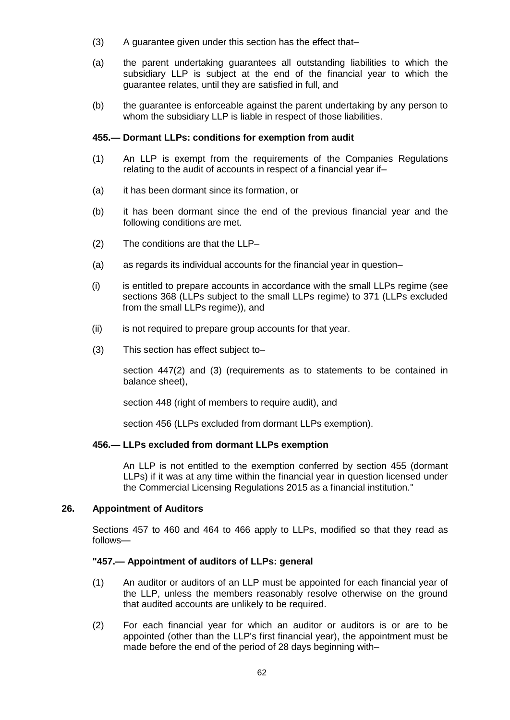- (3) A guarantee given under this section has the effect that–
- (a) the parent undertaking guarantees all outstanding liabilities to which the subsidiary LLP is subject at the end of the financial year to which the guarantee relates, until they are satisfied in full, and
- (b) the guarantee is enforceable against the parent undertaking by any person to whom the subsidiary LLP is liable in respect of those liabilities.

### **455.— Dormant LLPs: conditions for exemption from audit**

- (1) An LLP is exempt from the requirements of the Companies Regulations relating to the audit of accounts in respect of a financial year if–
- (a) it has been dormant since its formation, or
- (b) it has been dormant since the end of the previous financial year and the following conditions are met.
- (2) The conditions are that the LLP–
- (a) as regards its individual accounts for the financial year in question–
- (i) is entitled to prepare accounts in accordance with the small LLPs regime (see sections 368 (LLPs subject to the small LLPs regime) to 371 (LLPs excluded from the small LLPs regime)), and
- (ii) is not required to prepare group accounts for that year.
- (3) This section has effect subject to–

section 447(2) and (3) (requirements as to statements to be contained in balance sheet),

section 448 (right of members to require audit), and

section 456 (LLPs excluded from dormant LLPs exemption).

## **456.— LLPs excluded from dormant LLPs exemption**

An LLP is not entitled to the exemption conferred by section 455 (dormant LLPs) if it was at any time within the financial year in question licensed under the Commercial Licensing Regulations 2015 as a financial institution."

#### **26. Appointment of Auditors**

Sections 457 to 460 and 464 to 466 apply to LLPs, modified so that they read as follows—

#### **"457.— Appointment of auditors of LLPs: general**

- (1) An auditor or auditors of an LLP must be appointed for each financial year of the LLP, unless the members reasonably resolve otherwise on the ground that audited accounts are unlikely to be required.
- (2) For each financial year for which an auditor or auditors is or are to be appointed (other than the LLP's first financial year), the appointment must be made before the end of the period of 28 days beginning with–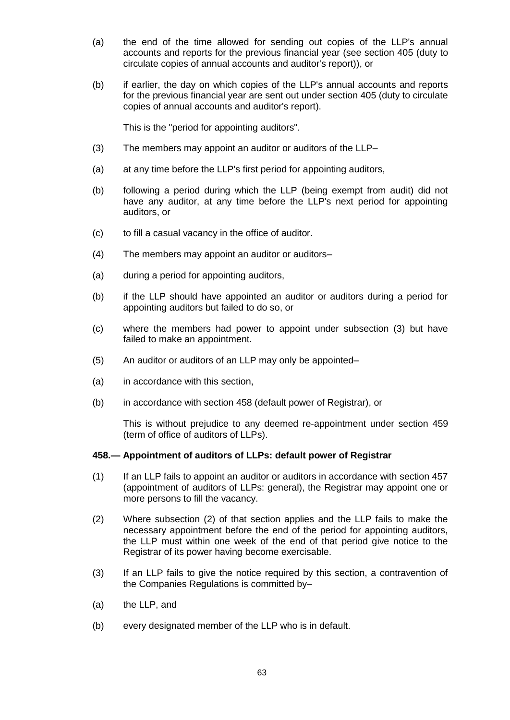- (a) the end of the time allowed for sending out copies of the LLP's annual accounts and reports for the previous financial year (see section 405 (duty to circulate copies of annual accounts and auditor's report)), or
- (b) if earlier, the day on which copies of the LLP's annual accounts and reports for the previous financial year are sent out under section 405 (duty to circulate copies of annual accounts and auditor's report).

This is the "period for appointing auditors".

- (3) The members may appoint an auditor or auditors of the LLP–
- (a) at any time before the LLP's first period for appointing auditors,
- (b) following a period during which the LLP (being exempt from audit) did not have any auditor, at any time before the LLP's next period for appointing auditors, or
- (c) to fill a casual vacancy in the office of auditor.
- (4) The members may appoint an auditor or auditors–
- (a) during a period for appointing auditors,
- (b) if the LLP should have appointed an auditor or auditors during a period for appointing auditors but failed to do so, or
- (c) where the members had power to appoint under subsection (3) but have failed to make an appointment.
- (5) An auditor or auditors of an LLP may only be appointed–
- (a) in accordance with this section,
- (b) in accordance with section 458 (default power of Registrar), or

This is without prejudice to any deemed re-appointment under section 459 (term of office of auditors of LLPs).

### **458.— Appointment of auditors of LLPs: default power of Registrar**

- (1) If an LLP fails to appoint an auditor or auditors in accordance with section 457 (appointment of auditors of LLPs: general), the Registrar may appoint one or more persons to fill the vacancy.
- (2) Where subsection (2) of that section applies and the LLP fails to make the necessary appointment before the end of the period for appointing auditors, the LLP must within one week of the end of that period give notice to the Registrar of its power having become exercisable.
- (3) If an LLP fails to give the notice required by this section, a contravention of the Companies Regulations is committed by–
- (a) the LLP, and
- (b) every designated member of the LLP who is in default.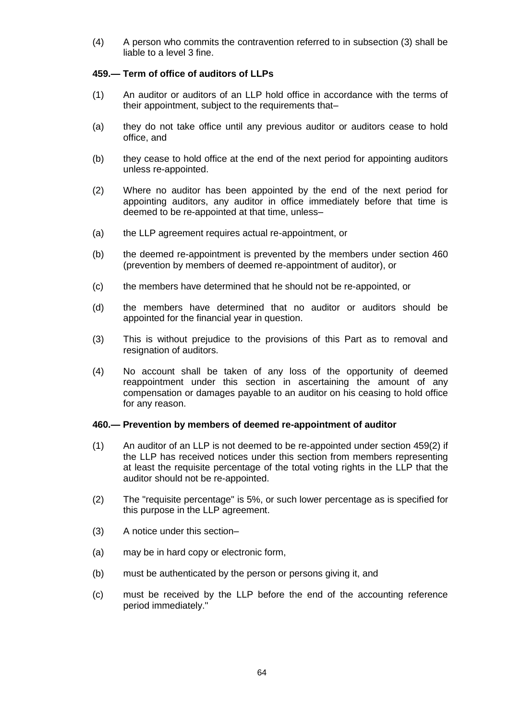(4) A person who commits the contravention referred to in subsection (3) shall be liable to a level 3 fine.

## **459.— Term of office of auditors of LLPs**

- (1) An auditor or auditors of an LLP hold office in accordance with the terms of their appointment, subject to the requirements that–
- (a) they do not take office until any previous auditor or auditors cease to hold office, and
- (b) they cease to hold office at the end of the next period for appointing auditors unless re-appointed.
- (2) Where no auditor has been appointed by the end of the next period for appointing auditors, any auditor in office immediately before that time is deemed to be re-appointed at that time, unless–
- (a) the LLP agreement requires actual re-appointment, or
- (b) the deemed re-appointment is prevented by the members under section 460 (prevention by members of deemed re-appointment of auditor), or
- (c) the members have determined that he should not be re-appointed, or
- (d) the members have determined that no auditor or auditors should be appointed for the financial year in question.
- (3) This is without prejudice to the provisions of this Part as to removal and resignation of auditors.
- (4) No account shall be taken of any loss of the opportunity of deemed reappointment under this section in ascertaining the amount of any compensation or damages payable to an auditor on his ceasing to hold office for any reason.

#### **460.— Prevention by members of deemed re-appointment of auditor**

- (1) An auditor of an LLP is not deemed to be re-appointed under section 459(2) if the LLP has received notices under this section from members representing at least the requisite percentage of the total voting rights in the LLP that the auditor should not be re-appointed.
- (2) The "requisite percentage" is 5%, or such lower percentage as is specified for this purpose in the LLP agreement.
- (3) A notice under this section–
- (a) may be in hard copy or electronic form,
- (b) must be authenticated by the person or persons giving it, and
- (c) must be received by the LLP before the end of the accounting reference period immediately."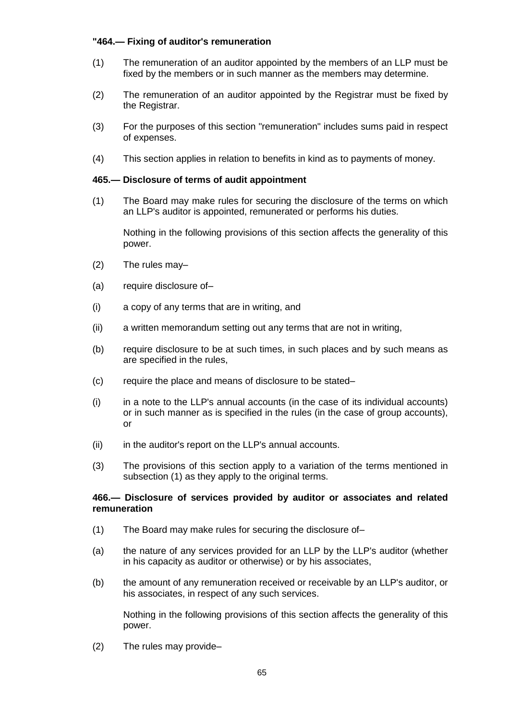## **"464.— Fixing of auditor's remuneration**

- (1) The remuneration of an auditor appointed by the members of an LLP must be fixed by the members or in such manner as the members may determine.
- (2) The remuneration of an auditor appointed by the Registrar must be fixed by the Registrar.
- (3) For the purposes of this section "remuneration" includes sums paid in respect of expenses.
- (4) This section applies in relation to benefits in kind as to payments of money.

## **465.— Disclosure of terms of audit appointment**

(1) The Board may make rules for securing the disclosure of the terms on which an LLP's auditor is appointed, remunerated or performs his duties.

Nothing in the following provisions of this section affects the generality of this power.

- (2) The rules may–
- (a) require disclosure of–
- (i) a copy of any terms that are in writing, and
- (ii) a written memorandum setting out any terms that are not in writing,
- (b) require disclosure to be at such times, in such places and by such means as are specified in the rules,
- (c) require the place and means of disclosure to be stated–
- $(i)$  in a note to the LLP's annual accounts (in the case of its individual accounts) or in such manner as is specified in the rules (in the case of group accounts), or
- (ii) in the auditor's report on the LLP's annual accounts.
- (3) The provisions of this section apply to a variation of the terms mentioned in subsection (1) as they apply to the original terms.

## **466.— Disclosure of services provided by auditor or associates and related remuneration**

- (1) The Board may make rules for securing the disclosure of–
- (a) the nature of any services provided for an LLP by the LLP's auditor (whether in his capacity as auditor or otherwise) or by his associates,
- (b) the amount of any remuneration received or receivable by an LLP's auditor, or his associates, in respect of any such services.

Nothing in the following provisions of this section affects the generality of this power.

(2) The rules may provide–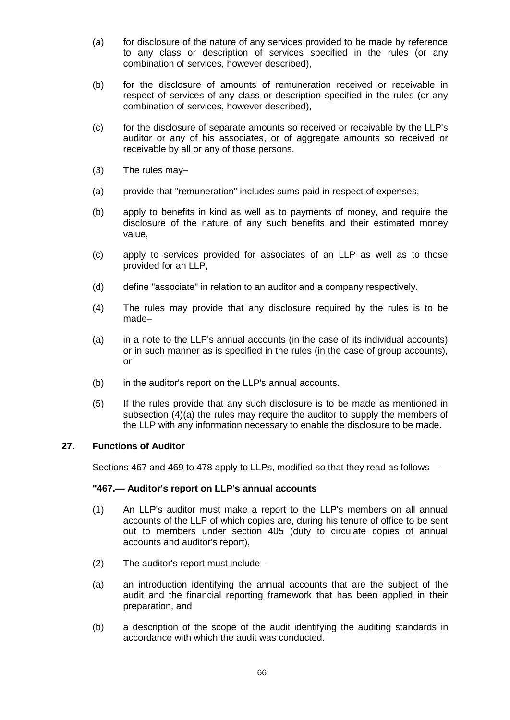- (a) for disclosure of the nature of any services provided to be made by reference to any class or description of services specified in the rules (or any combination of services, however described),
- (b) for the disclosure of amounts of remuneration received or receivable in respect of services of any class or description specified in the rules (or any combination of services, however described),
- (c) for the disclosure of separate amounts so received or receivable by the LLP's auditor or any of his associates, or of aggregate amounts so received or receivable by all or any of those persons.
- (3) The rules may–
- (a) provide that "remuneration" includes sums paid in respect of expenses,
- (b) apply to benefits in kind as well as to payments of money, and require the disclosure of the nature of any such benefits and their estimated money value,
- (c) apply to services provided for associates of an LLP as well as to those provided for an LLP,
- (d) define "associate" in relation to an auditor and a company respectively.
- (4) The rules may provide that any disclosure required by the rules is to be made–
- (a) in a note to the LLP's annual accounts (in the case of its individual accounts) or in such manner as is specified in the rules (in the case of group accounts), or
- (b) in the auditor's report on the LLP's annual accounts.
- (5) If the rules provide that any such disclosure is to be made as mentioned in subsection (4)(a) the rules may require the auditor to supply the members of the LLP with any information necessary to enable the disclosure to be made.

## **27. Functions of Auditor**

Sections 467 and 469 to 478 apply to LLPs, modified so that they read as follows—

#### **"467.— Auditor's report on LLP's annual accounts**

- (1) An LLP's auditor must make a report to the LLP's members on all annual accounts of the LLP of which copies are, during his tenure of office to be sent out to members under section 405 (duty to circulate copies of annual accounts and auditor's report),
- (2) The auditor's report must include–
- (a) an introduction identifying the annual accounts that are the subject of the audit and the financial reporting framework that has been applied in their preparation, and
- (b) a description of the scope of the audit identifying the auditing standards in accordance with which the audit was conducted.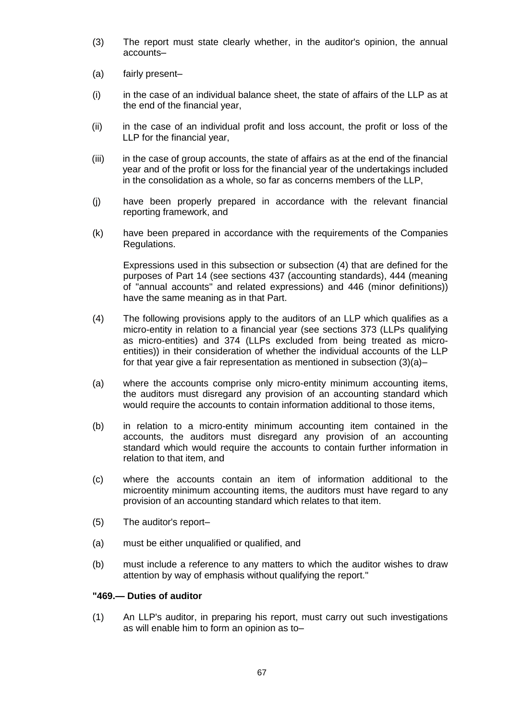- (3) The report must state clearly whether, in the auditor's opinion, the annual accounts–
- (a) fairly present–
- (i) in the case of an individual balance sheet, the state of affairs of the LLP as at the end of the financial year,
- (ii) in the case of an individual profit and loss account, the profit or loss of the LLP for the financial year,
- (iii) in the case of group accounts, the state of affairs as at the end of the financial year and of the profit or loss for the financial year of the undertakings included in the consolidation as a whole, so far as concerns members of the LLP,
- (j) have been properly prepared in accordance with the relevant financial reporting framework, and
- (k) have been prepared in accordance with the requirements of the Companies Regulations.

Expressions used in this subsection or subsection (4) that are defined for the purposes of Part 14 (see sections 437 (accounting standards), 444 (meaning of "annual accounts" and related expressions) and 446 (minor definitions)) have the same meaning as in that Part.

- (4) The following provisions apply to the auditors of an LLP which qualifies as a micro-entity in relation to a financial year (see sections 373 (LLPs qualifying as micro-entities) and 374 (LLPs excluded from being treated as microentities)) in their consideration of whether the individual accounts of the LLP for that year give a fair representation as mentioned in subsection (3)(a)–
- (a) where the accounts comprise only micro-entity minimum accounting items, the auditors must disregard any provision of an accounting standard which would require the accounts to contain information additional to those items,
- (b) in relation to a micro-entity minimum accounting item contained in the accounts, the auditors must disregard any provision of an accounting standard which would require the accounts to contain further information in relation to that item, and
- (c) where the accounts contain an item of information additional to the microentity minimum accounting items, the auditors must have regard to any provision of an accounting standard which relates to that item.
- (5) The auditor's report–
- (a) must be either unqualified or qualified, and
- (b) must include a reference to any matters to which the auditor wishes to draw attention by way of emphasis without qualifying the report."

### **"469.— Duties of auditor**

(1) An LLP's auditor, in preparing his report, must carry out such investigations as will enable him to form an opinion as to–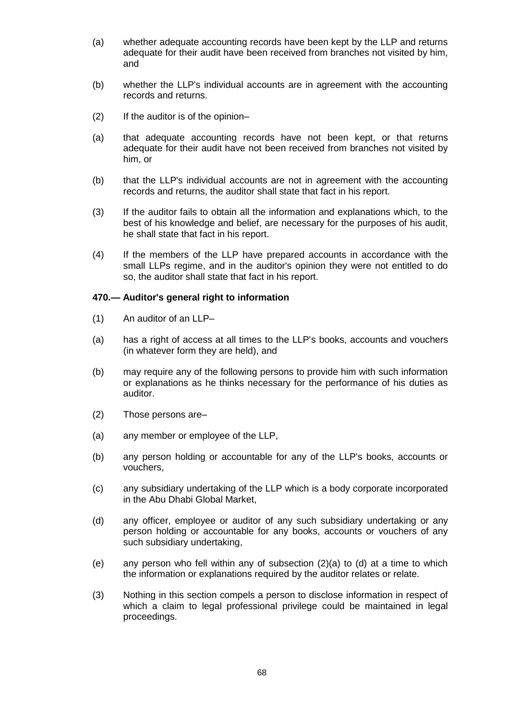- (a) whether adequate accounting records have been kept by the LLP and returns adequate for their audit have been received from branches not visited by him, and
- (b) whether the LLP's individual accounts are in agreement with the accounting records and returns.
- (2) If the auditor is of the opinion–
- (a) that adequate accounting records have not been kept, or that returns adequate for their audit have not been received from branches not visited by him, or
- (b) that the LLP's individual accounts are not in agreement with the accounting records and returns, the auditor shall state that fact in his report.
- (3) If the auditor fails to obtain all the information and explanations which, to the best of his knowledge and belief, are necessary for the purposes of his audit, he shall state that fact in his report.
- (4) If the members of the LLP have prepared accounts in accordance with the small LLPs regime, and in the auditor's opinion they were not entitled to do so, the auditor shall state that fact in his report.

## **470.— Auditor's general right to information**

- (1) An auditor of an LLP–
- (a) has a right of access at all times to the LLP's books, accounts and vouchers (in whatever form they are held), and
- (b) may require any of the following persons to provide him with such information or explanations as he thinks necessary for the performance of his duties as auditor.
- (2) Those persons are–
- (a) any member or employee of the LLP,
- (b) any person holding or accountable for any of the LLP's books, accounts or vouchers,
- (c) any subsidiary undertaking of the LLP which is a body corporate incorporated in the Abu Dhabi Global Market,
- (d) any officer, employee or auditor of any such subsidiary undertaking or any person holding or accountable for any books, accounts or vouchers of any such subsidiary undertaking,
- (e) any person who fell within any of subsection (2)(a) to (d) at a time to which the information or explanations required by the auditor relates or relate.
- (3) Nothing in this section compels a person to disclose information in respect of which a claim to legal professional privilege could be maintained in legal proceedings.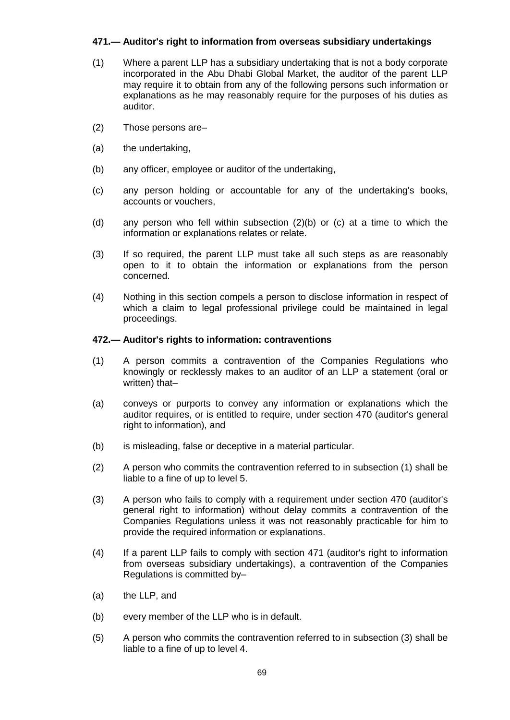## **471.— Auditor's right to information from overseas subsidiary undertakings**

- (1) Where a parent LLP has a subsidiary undertaking that is not a body corporate incorporated in the Abu Dhabi Global Market, the auditor of the parent LLP may require it to obtain from any of the following persons such information or explanations as he may reasonably require for the purposes of his duties as auditor.
- (2) Those persons are–
- (a) the undertaking,
- (b) any officer, employee or auditor of the undertaking,
- (c) any person holding or accountable for any of the undertaking's books, accounts or vouchers,
- (d) any person who fell within subsection (2)(b) or (c) at a time to which the information or explanations relates or relate.
- (3) If so required, the parent LLP must take all such steps as are reasonably open to it to obtain the information or explanations from the person concerned.
- (4) Nothing in this section compels a person to disclose information in respect of which a claim to legal professional privilege could be maintained in legal proceedings.

## **472.— Auditor's rights to information: contraventions**

- (1) A person commits a contravention of the Companies Regulations who knowingly or recklessly makes to an auditor of an LLP a statement (oral or written) that–
- (a) conveys or purports to convey any information or explanations which the auditor requires, or is entitled to require, under section 470 (auditor's general right to information), and
- (b) is misleading, false or deceptive in a material particular.
- (2) A person who commits the contravention referred to in subsection (1) shall be liable to a fine of up to level 5.
- (3) A person who fails to comply with a requirement under section 470 (auditor's general right to information) without delay commits a contravention of the Companies Regulations unless it was not reasonably practicable for him to provide the required information or explanations.
- (4) If a parent LLP fails to comply with section 471 (auditor's right to information from overseas subsidiary undertakings), a contravention of the Companies Regulations is committed by–
- (a) the LLP, and
- (b) every member of the LLP who is in default.
- (5) A person who commits the contravention referred to in subsection (3) shall be liable to a fine of up to level 4.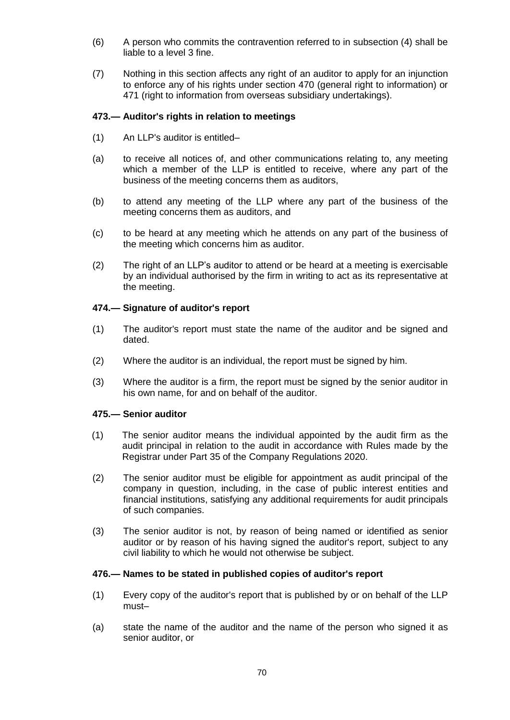- (6) A person who commits the contravention referred to in subsection (4) shall be liable to a level 3 fine.
- (7) Nothing in this section affects any right of an auditor to apply for an injunction to enforce any of his rights under section 470 (general right to information) or 471 (right to information from overseas subsidiary undertakings).

## **473.— Auditor's rights in relation to meetings**

- (1) An LLP's auditor is entitled–
- (a) to receive all notices of, and other communications relating to, any meeting which a member of the LLP is entitled to receive, where any part of the business of the meeting concerns them as auditors,
- (b) to attend any meeting of the LLP where any part of the business of the meeting concerns them as auditors, and
- (c) to be heard at any meeting which he attends on any part of the business of the meeting which concerns him as auditor.
- (2) The right of an LLP's auditor to attend or be heard at a meeting is exercisable by an individual authorised by the firm in writing to act as its representative at the meeting.

## **474.— Signature of auditor's report**

- (1) The auditor's report must state the name of the auditor and be signed and dated.
- (2) Where the auditor is an individual, the report must be signed by him.
- (3) Where the auditor is a firm, the report must be signed by the senior auditor in his own name, for and on behalf of the auditor.

## **475.— Senior auditor**

- (1) The senior auditor means the individual appointed by the audit firm as the audit principal in relation to the audit in accordance with Rules made by the Registrar under Part 35 of the Company Regulations 2020.
- (2) The senior auditor must be eligible for appointment as audit principal of the company in question, including, in the case of public interest entities and financial institutions, satisfying any additional requirements for audit principals of such companies.
- (3) The senior auditor is not, by reason of being named or identified as senior auditor or by reason of his having signed the auditor's report, subject to any civil liability to which he would not otherwise be subject.

#### **476.— Names to be stated in published copies of auditor's report**

- (1) Every copy of the auditor's report that is published by or on behalf of the LLP must–
- (a) state the name of the auditor and the name of the person who signed it as senior auditor, or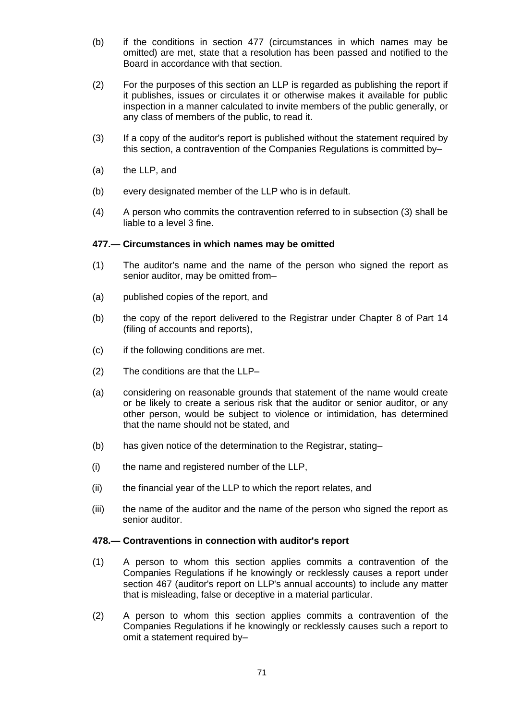- (b) if the conditions in section 477 (circumstances in which names may be omitted) are met, state that a resolution has been passed and notified to the Board in accordance with that section.
- (2) For the purposes of this section an LLP is regarded as publishing the report if it publishes, issues or circulates it or otherwise makes it available for public inspection in a manner calculated to invite members of the public generally, or any class of members of the public, to read it.
- (3) If a copy of the auditor's report is published without the statement required by this section, a contravention of the Companies Regulations is committed by–
- (a) the LLP, and
- (b) every designated member of the LLP who is in default.
- (4) A person who commits the contravention referred to in subsection (3) shall be liable to a level 3 fine.

## **477.— Circumstances in which names may be omitted**

- (1) The auditor's name and the name of the person who signed the report as senior auditor, may be omitted from–
- (a) published copies of the report, and
- (b) the copy of the report delivered to the Registrar under Chapter 8 of Part 14 (filing of accounts and reports),
- (c) if the following conditions are met.
- (2) The conditions are that the LLP–
- (a) considering on reasonable grounds that statement of the name would create or be likely to create a serious risk that the auditor or senior auditor, or any other person, would be subject to violence or intimidation, has determined that the name should not be stated, and
- (b) has given notice of the determination to the Registrar, stating–
- (i) the name and registered number of the LLP,
- (ii) the financial year of the LLP to which the report relates, and
- (iii) the name of the auditor and the name of the person who signed the report as senior auditor.

#### **478.— Contraventions in connection with auditor's report**

- (1) A person to whom this section applies commits a contravention of the Companies Regulations if he knowingly or recklessly causes a report under section 467 (auditor's report on LLP's annual accounts) to include any matter that is misleading, false or deceptive in a material particular.
- (2) A person to whom this section applies commits a contravention of the Companies Regulations if he knowingly or recklessly causes such a report to omit a statement required by–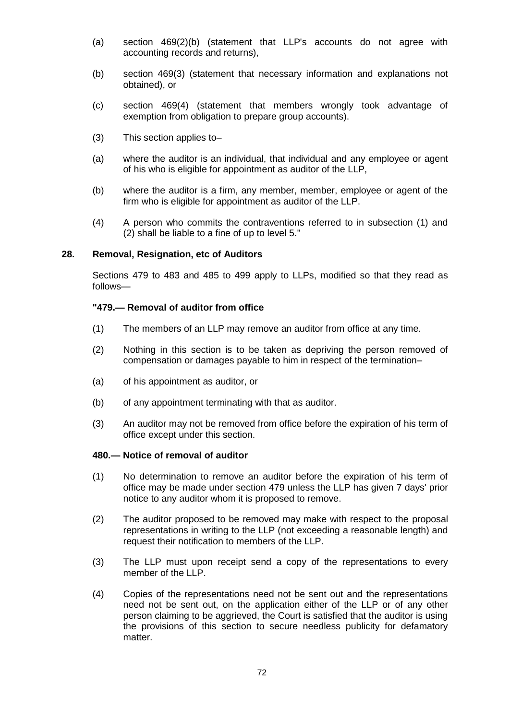- (a) section 469(2)(b) (statement that LLP's accounts do not agree with accounting records and returns),
- (b) section 469(3) (statement that necessary information and explanations not obtained), or
- (c) section 469(4) (statement that members wrongly took advantage of exemption from obligation to prepare group accounts).
- (3) This section applies to–
- (a) where the auditor is an individual, that individual and any employee or agent of his who is eligible for appointment as auditor of the LLP,
- (b) where the auditor is a firm, any member, member, employee or agent of the firm who is eligible for appointment as auditor of the LLP.
- (4) A person who commits the contraventions referred to in subsection (1) and (2) shall be liable to a fine of up to level 5."

#### **28. Removal, Resignation, etc of Auditors**

Sections 479 to 483 and 485 to 499 apply to LLPs, modified so that they read as follows—

## **"479.— Removal of auditor from office**

- (1) The members of an LLP may remove an auditor from office at any time.
- (2) Nothing in this section is to be taken as depriving the person removed of compensation or damages payable to him in respect of the termination–
- (a) of his appointment as auditor, or
- (b) of any appointment terminating with that as auditor.
- (3) An auditor may not be removed from office before the expiration of his term of office except under this section.

### **480.— Notice of removal of auditor**

- (1) No determination to remove an auditor before the expiration of his term of office may be made under section 479 unless the LLP has given 7 days' prior notice to any auditor whom it is proposed to remove.
- (2) The auditor proposed to be removed may make with respect to the proposal representations in writing to the LLP (not exceeding a reasonable length) and request their notification to members of the LLP.
- (3) The LLP must upon receipt send a copy of the representations to every member of the LLP.
- (4) Copies of the representations need not be sent out and the representations need not be sent out, on the application either of the LLP or of any other person claiming to be aggrieved, the Court is satisfied that the auditor is using the provisions of this section to secure needless publicity for defamatory matter.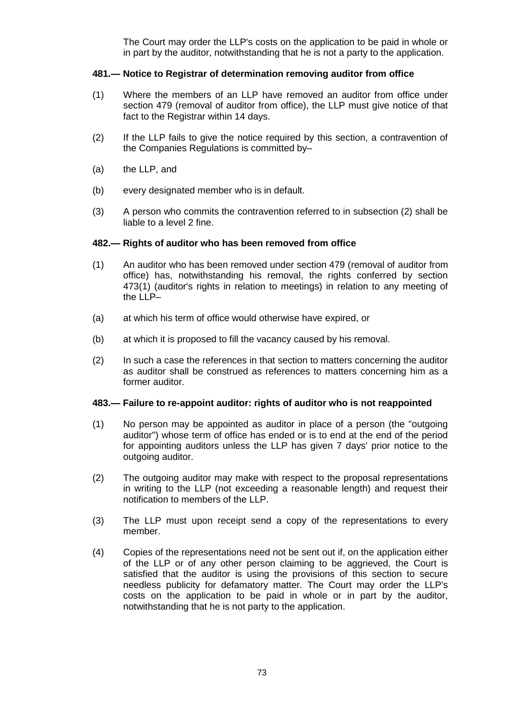The Court may order the LLP's costs on the application to be paid in whole or in part by the auditor, notwithstanding that he is not a party to the application.

# **481.— Notice to Registrar of determination removing auditor from office**

- (1) Where the members of an LLP have removed an auditor from office under section 479 (removal of auditor from office), the LLP must give notice of that fact to the Registrar within 14 days.
- (2) If the LLP fails to give the notice required by this section, a contravention of the Companies Regulations is committed by–
- (a) the LLP, and
- (b) every designated member who is in default.
- (3) A person who commits the contravention referred to in subsection (2) shall be liable to a level 2 fine.

### **482.— Rights of auditor who has been removed from office**

- (1) An auditor who has been removed under section 479 (removal of auditor from office) has, notwithstanding his removal, the rights conferred by section 473(1) (auditor's rights in relation to meetings) in relation to any meeting of the LLP–
- (a) at which his term of office would otherwise have expired, or
- (b) at which it is proposed to fill the vacancy caused by his removal.
- (2) In such a case the references in that section to matters concerning the auditor as auditor shall be construed as references to matters concerning him as a former auditor.

### **483.— Failure to re-appoint auditor: rights of auditor who is not reappointed**

- (1) No person may be appointed as auditor in place of a person (the "outgoing auditor") whose term of office has ended or is to end at the end of the period for appointing auditors unless the LLP has given 7 days' prior notice to the outgoing auditor.
- (2) The outgoing auditor may make with respect to the proposal representations in writing to the LLP (not exceeding a reasonable length) and request their notification to members of the LLP.
- (3) The LLP must upon receipt send a copy of the representations to every member.
- (4) Copies of the representations need not be sent out if, on the application either of the LLP or of any other person claiming to be aggrieved, the Court is satisfied that the auditor is using the provisions of this section to secure needless publicity for defamatory matter. The Court may order the LLP's costs on the application to be paid in whole or in part by the auditor, notwithstanding that he is not party to the application.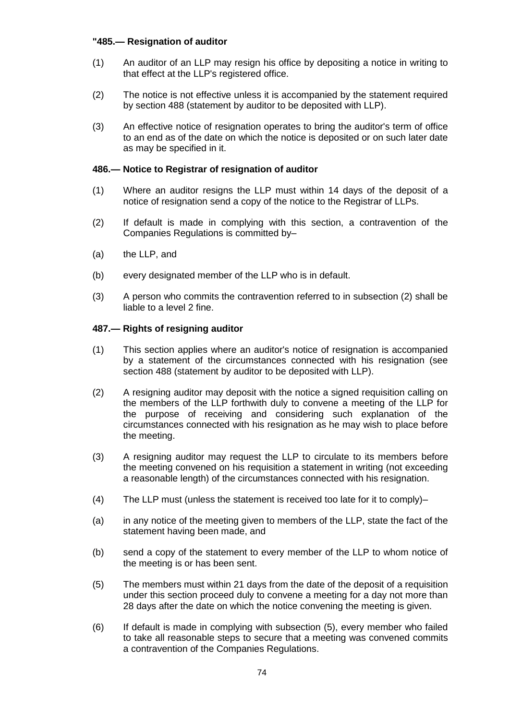# **"485.— Resignation of auditor**

- (1) An auditor of an LLP may resign his office by depositing a notice in writing to that effect at the LLP's registered office.
- (2) The notice is not effective unless it is accompanied by the statement required by section 488 (statement by auditor to be deposited with LLP).
- (3) An effective notice of resignation operates to bring the auditor's term of office to an end as of the date on which the notice is deposited or on such later date as may be specified in it.

# **486.— Notice to Registrar of resignation of auditor**

- (1) Where an auditor resigns the LLP must within 14 days of the deposit of a notice of resignation send a copy of the notice to the Registrar of LLPs.
- (2) If default is made in complying with this section, a contravention of the Companies Regulations is committed by–
- (a) the LLP, and
- (b) every designated member of the LLP who is in default.
- (3) A person who commits the contravention referred to in subsection (2) shall be liable to a level 2 fine.

# **487.— Rights of resigning auditor**

- (1) This section applies where an auditor's notice of resignation is accompanied by a statement of the circumstances connected with his resignation (see section 488 (statement by auditor to be deposited with LLP).
- (2) A resigning auditor may deposit with the notice a signed requisition calling on the members of the LLP forthwith duly to convene a meeting of the LLP for the purpose of receiving and considering such explanation of the circumstances connected with his resignation as he may wish to place before the meeting.
- (3) A resigning auditor may request the LLP to circulate to its members before the meeting convened on his requisition a statement in writing (not exceeding a reasonable length) of the circumstances connected with his resignation.
- (4) The LLP must (unless the statement is received too late for it to comply)–
- (a) in any notice of the meeting given to members of the LLP, state the fact of the statement having been made, and
- (b) send a copy of the statement to every member of the LLP to whom notice of the meeting is or has been sent.
- (5) The members must within 21 days from the date of the deposit of a requisition under this section proceed duly to convene a meeting for a day not more than 28 days after the date on which the notice convening the meeting is given.
- (6) If default is made in complying with subsection (5), every member who failed to take all reasonable steps to secure that a meeting was convened commits a contravention of the Companies Regulations.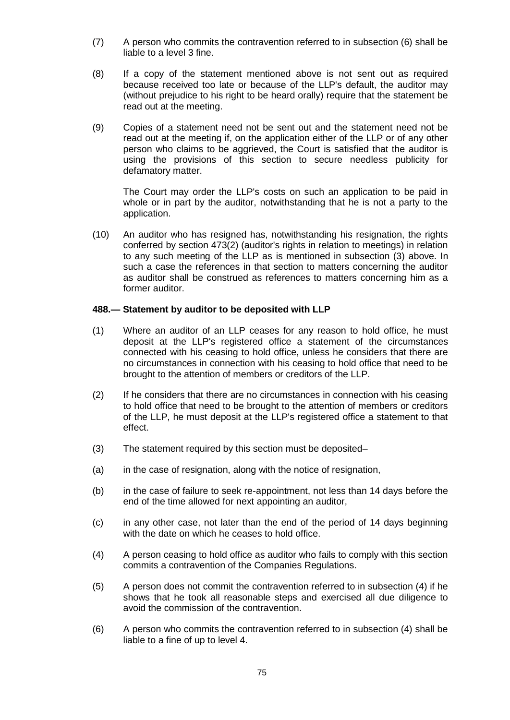- (7) A person who commits the contravention referred to in subsection (6) shall be liable to a level 3 fine.
- (8) If a copy of the statement mentioned above is not sent out as required because received too late or because of the LLP's default, the auditor may (without prejudice to his right to be heard orally) require that the statement be read out at the meeting.
- (9) Copies of a statement need not be sent out and the statement need not be read out at the meeting if, on the application either of the LLP or of any other person who claims to be aggrieved, the Court is satisfied that the auditor is using the provisions of this section to secure needless publicity for defamatory matter.

The Court may order the LLP's costs on such an application to be paid in whole or in part by the auditor, notwithstanding that he is not a party to the application.

(10) An auditor who has resigned has, notwithstanding his resignation, the rights conferred by section 473(2) (auditor's rights in relation to meetings) in relation to any such meeting of the LLP as is mentioned in subsection (3) above. In such a case the references in that section to matters concerning the auditor as auditor shall be construed as references to matters concerning him as a former auditor.

# **488.— Statement by auditor to be deposited with LLP**

- (1) Where an auditor of an LLP ceases for any reason to hold office, he must deposit at the LLP's registered office a statement of the circumstances connected with his ceasing to hold office, unless he considers that there are no circumstances in connection with his ceasing to hold office that need to be brought to the attention of members or creditors of the LLP.
- (2) If he considers that there are no circumstances in connection with his ceasing to hold office that need to be brought to the attention of members or creditors of the LLP, he must deposit at the LLP's registered office a statement to that effect.
- (3) The statement required by this section must be deposited–
- (a) in the case of resignation, along with the notice of resignation,
- (b) in the case of failure to seek re-appointment, not less than 14 days before the end of the time allowed for next appointing an auditor,
- (c) in any other case, not later than the end of the period of 14 days beginning with the date on which he ceases to hold office.
- (4) A person ceasing to hold office as auditor who fails to comply with this section commits a contravention of the Companies Regulations.
- (5) A person does not commit the contravention referred to in subsection (4) if he shows that he took all reasonable steps and exercised all due diligence to avoid the commission of the contravention.
- (6) A person who commits the contravention referred to in subsection (4) shall be liable to a fine of up to level 4.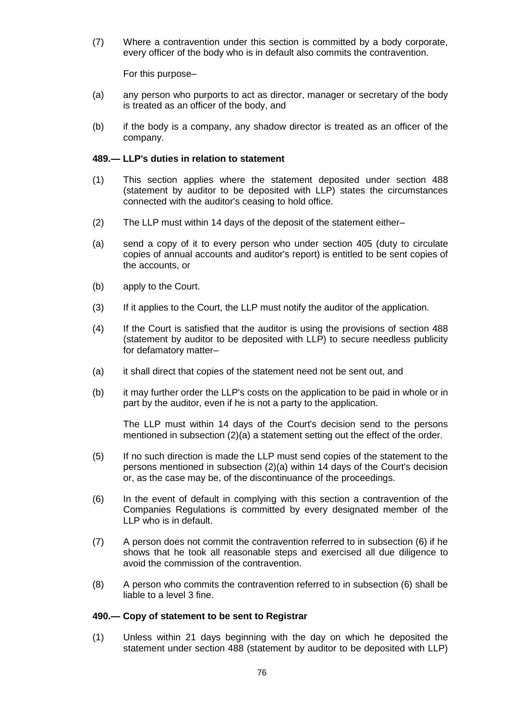(7) Where a contravention under this section is committed by a body corporate, every officer of the body who is in default also commits the contravention.

For this purpose–

- (a) any person who purports to act as director, manager or secretary of the body is treated as an officer of the body, and
- (b) if the body is a company, any shadow director is treated as an officer of the company.

### **489.— LLP's duties in relation to statement**

- (1) This section applies where the statement deposited under section 488 (statement by auditor to be deposited with LLP) states the circumstances connected with the auditor's ceasing to hold office.
- (2) The LLP must within 14 days of the deposit of the statement either–
- (a) send a copy of it to every person who under section 405 (duty to circulate copies of annual accounts and auditor's report) is entitled to be sent copies of the accounts, or
- (b) apply to the Court.
- (3) If it applies to the Court, the LLP must notify the auditor of the application.
- (4) If the Court is satisfied that the auditor is using the provisions of section 488 (statement by auditor to be deposited with LLP) to secure needless publicity for defamatory matter–
- (a) it shall direct that copies of the statement need not be sent out, and
- (b) it may further order the LLP's costs on the application to be paid in whole or in part by the auditor, even if he is not a party to the application.

The LLP must within 14 days of the Court's decision send to the persons mentioned in subsection (2)(a) a statement setting out the effect of the order.

- (5) If no such direction is made the LLP must send copies of the statement to the persons mentioned in subsection (2)(a) within 14 days of the Court's decision or, as the case may be, of the discontinuance of the proceedings.
- (6) In the event of default in complying with this section a contravention of the Companies Regulations is committed by every designated member of the LLP who is in default.
- (7) A person does not commit the contravention referred to in subsection (6) if he shows that he took all reasonable steps and exercised all due diligence to avoid the commission of the contravention.
- (8) A person who commits the contravention referred to in subsection (6) shall be liable to a level 3 fine.

### **490.— Copy of statement to be sent to Registrar**

(1) Unless within 21 days beginning with the day on which he deposited the statement under section 488 (statement by auditor to be deposited with LLP)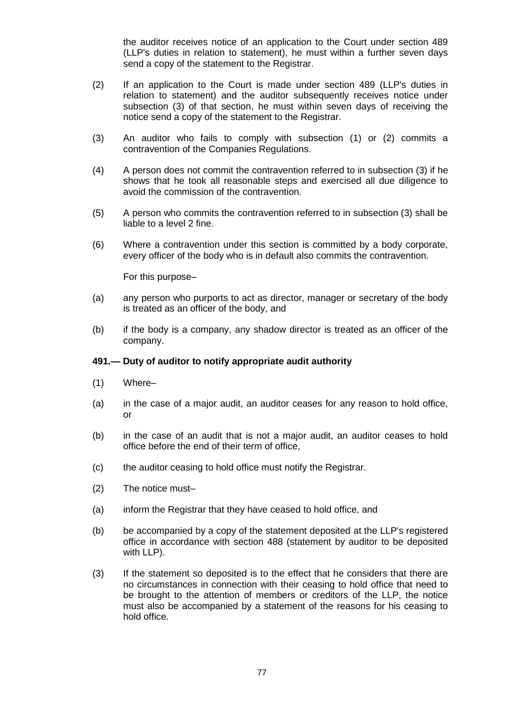the auditor receives notice of an application to the Court under section 489 (LLP's duties in relation to statement), he must within a further seven days send a copy of the statement to the Registrar.

- (2) If an application to the Court is made under section 489 (LLP's duties in relation to statement) and the auditor subsequently receives notice under subsection (3) of that section, he must within seven days of receiving the notice send a copy of the statement to the Registrar.
- (3) An auditor who fails to comply with subsection (1) or (2) commits a contravention of the Companies Regulations.
- (4) A person does not commit the contravention referred to in subsection (3) if he shows that he took all reasonable steps and exercised all due diligence to avoid the commission of the contravention.
- (5) A person who commits the contravention referred to in subsection (3) shall be liable to a level 2 fine.
- (6) Where a contravention under this section is committed by a body corporate, every officer of the body who is in default also commits the contravention.

For this purpose–

- (a) any person who purports to act as director, manager or secretary of the body is treated as an officer of the body, and
- (b) if the body is a company, any shadow director is treated as an officer of the company.

# **491.— Duty of auditor to notify appropriate audit authority**

- (1) Where–
- (a) in the case of a major audit, an auditor ceases for any reason to hold office, or
- (b) in the case of an audit that is not a major audit, an auditor ceases to hold office before the end of their term of office,
- (c) the auditor ceasing to hold office must notify the Registrar.
- (2) The notice must–
- (a) inform the Registrar that they have ceased to hold office, and
- (b) be accompanied by a copy of the statement deposited at the LLP's registered office in accordance with section 488 (statement by auditor to be deposited with LLP).
- (3) If the statement so deposited is to the effect that he considers that there are no circumstances in connection with their ceasing to hold office that need to be brought to the attention of members or creditors of the LLP, the notice must also be accompanied by a statement of the reasons for his ceasing to hold office.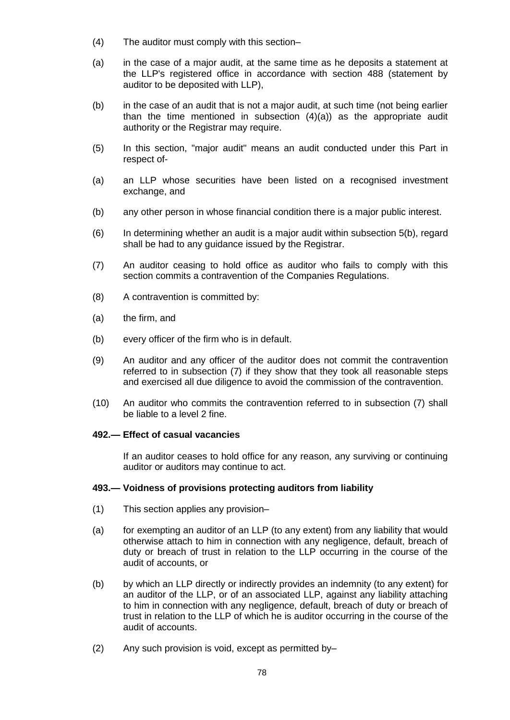- (4) The auditor must comply with this section–
- (a) in the case of a major audit, at the same time as he deposits a statement at the LLP's registered office in accordance with section 488 (statement by auditor to be deposited with LLP),
- (b) in the case of an audit that is not a major audit, at such time (not being earlier than the time mentioned in subsection (4)(a)) as the appropriate audit authority or the Registrar may require.
- (5) In this section, "major audit" means an audit conducted under this Part in respect of-
- (a) an LLP whose securities have been listed on a recognised investment exchange, and
- (b) any other person in whose financial condition there is a major public interest.
- (6) In determining whether an audit is a major audit within subsection 5(b), regard shall be had to any guidance issued by the Registrar.
- (7) An auditor ceasing to hold office as auditor who fails to comply with this section commits a contravention of the Companies Regulations.
- (8) A contravention is committed by:
- (a) the firm, and
- (b) every officer of the firm who is in default.
- (9) An auditor and any officer of the auditor does not commit the contravention referred to in subsection (7) if they show that they took all reasonable steps and exercised all due diligence to avoid the commission of the contravention.
- (10) An auditor who commits the contravention referred to in subsection (7) shall be liable to a level 2 fine.

# **492.— Effect of casual vacancies**

If an auditor ceases to hold office for any reason, any surviving or continuing auditor or auditors may continue to act.

### **493.— Voidness of provisions protecting auditors from liability**

- (1) This section applies any provision–
- (a) for exempting an auditor of an LLP (to any extent) from any liability that would otherwise attach to him in connection with any negligence, default, breach of duty or breach of trust in relation to the LLP occurring in the course of the audit of accounts, or
- (b) by which an LLP directly or indirectly provides an indemnity (to any extent) for an auditor of the LLP, or of an associated LLP, against any liability attaching to him in connection with any negligence, default, breach of duty or breach of trust in relation to the LLP of which he is auditor occurring in the course of the audit of accounts.
- (2) Any such provision is void, except as permitted by–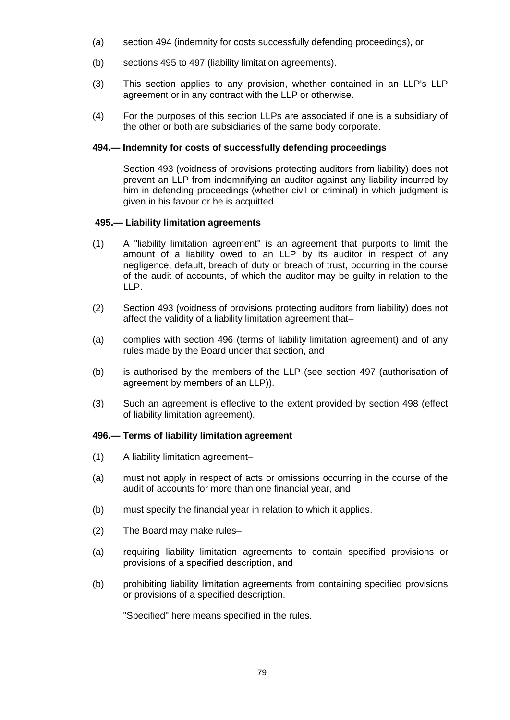- (a) section 494 (indemnity for costs successfully defending proceedings), or
- (b) sections 495 to 497 (liability limitation agreements).
- (3) This section applies to any provision, whether contained in an LLP's LLP agreement or in any contract with the LLP or otherwise.
- (4) For the purposes of this section LLPs are associated if one is a subsidiary of the other or both are subsidiaries of the same body corporate.

# **494.— Indemnity for costs of successfully defending proceedings**

Section 493 (voidness of provisions protecting auditors from liability) does not prevent an LLP from indemnifying an auditor against any liability incurred by him in defending proceedings (whether civil or criminal) in which judgment is given in his favour or he is acquitted.

# **495.— Liability limitation agreements**

- (1) A "liability limitation agreement" is an agreement that purports to limit the amount of a liability owed to an LLP by its auditor in respect of any negligence, default, breach of duty or breach of trust, occurring in the course of the audit of accounts, of which the auditor may be guilty in relation to the LLP.
- (2) Section 493 (voidness of provisions protecting auditors from liability) does not affect the validity of a liability limitation agreement that–
- (a) complies with section 496 (terms of liability limitation agreement) and of any rules made by the Board under that section, and
- (b) is authorised by the members of the LLP (see section 497 (authorisation of agreement by members of an LLP)).
- (3) Such an agreement is effective to the extent provided by section 498 (effect of liability limitation agreement).

# **496.— Terms of liability limitation agreement**

- (1) A liability limitation agreement–
- (a) must not apply in respect of acts or omissions occurring in the course of the audit of accounts for more than one financial year, and
- (b) must specify the financial year in relation to which it applies.
- (2) The Board may make rules–
- (a) requiring liability limitation agreements to contain specified provisions or provisions of a specified description, and
- (b) prohibiting liability limitation agreements from containing specified provisions or provisions of a specified description.

"Specified" here means specified in the rules.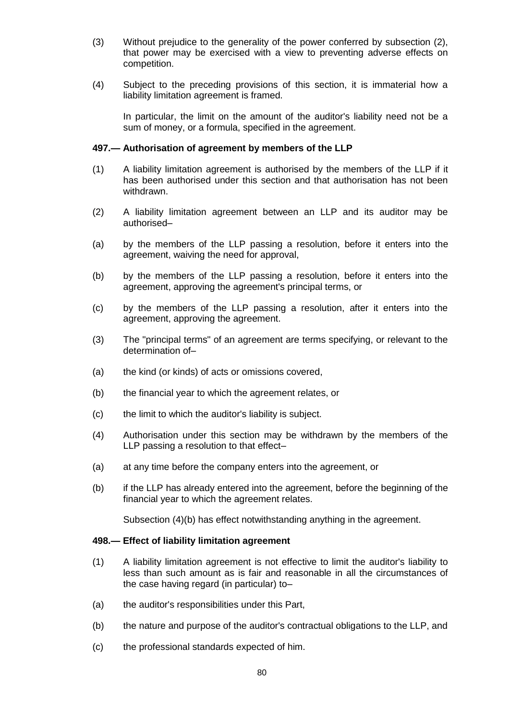- (3) Without prejudice to the generality of the power conferred by subsection (2), that power may be exercised with a view to preventing adverse effects on competition.
- (4) Subject to the preceding provisions of this section, it is immaterial how a liability limitation agreement is framed.

In particular, the limit on the amount of the auditor's liability need not be a sum of money, or a formula, specified in the agreement.

# **497.— Authorisation of agreement by members of the LLP**

- (1) A liability limitation agreement is authorised by the members of the LLP if it has been authorised under this section and that authorisation has not been withdrawn.
- (2) A liability limitation agreement between an LLP and its auditor may be authorised–
- (a) by the members of the LLP passing a resolution, before it enters into the agreement, waiving the need for approval,
- (b) by the members of the LLP passing a resolution, before it enters into the agreement, approving the agreement's principal terms, or
- (c) by the members of the LLP passing a resolution, after it enters into the agreement, approving the agreement.
- (3) The "principal terms" of an agreement are terms specifying, or relevant to the determination of–
- (a) the kind (or kinds) of acts or omissions covered,
- (b) the financial year to which the agreement relates, or
- (c) the limit to which the auditor's liability is subject.
- (4) Authorisation under this section may be withdrawn by the members of the LLP passing a resolution to that effect–
- (a) at any time before the company enters into the agreement, or
- (b) if the LLP has already entered into the agreement, before the beginning of the financial year to which the agreement relates.

Subsection (4)(b) has effect notwithstanding anything in the agreement.

### **498.— Effect of liability limitation agreement**

- (1) A liability limitation agreement is not effective to limit the auditor's liability to less than such amount as is fair and reasonable in all the circumstances of the case having regard (in particular) to–
- (a) the auditor's responsibilities under this Part,
- (b) the nature and purpose of the auditor's contractual obligations to the LLP, and
- (c) the professional standards expected of him.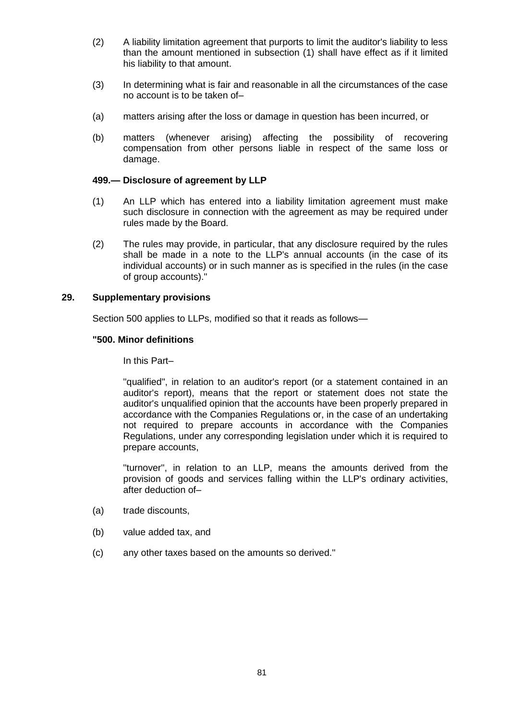- (2) A liability limitation agreement that purports to limit the auditor's liability to less than the amount mentioned in subsection (1) shall have effect as if it limited his liability to that amount.
- (3) In determining what is fair and reasonable in all the circumstances of the case no account is to be taken of–
- (a) matters arising after the loss or damage in question has been incurred, or
- (b) matters (whenever arising) affecting the possibility of recovering compensation from other persons liable in respect of the same loss or damage.

# **499.— Disclosure of agreement by LLP**

- (1) An LLP which has entered into a liability limitation agreement must make such disclosure in connection with the agreement as may be required under rules made by the Board.
- (2) The rules may provide, in particular, that any disclosure required by the rules shall be made in a note to the LLP's annual accounts (in the case of its individual accounts) or in such manner as is specified in the rules (in the case of group accounts)."

# **29. Supplementary provisions**

Section 500 applies to LLPs, modified so that it reads as follows—

# **"500. Minor definitions**

In this Part–

"qualified", in relation to an auditor's report (or a statement contained in an auditor's report), means that the report or statement does not state the auditor's unqualified opinion that the accounts have been properly prepared in accordance with the Companies Regulations or, in the case of an undertaking not required to prepare accounts in accordance with the Companies Regulations, under any corresponding legislation under which it is required to prepare accounts,

"turnover", in relation to an LLP, means the amounts derived from the provision of goods and services falling within the LLP's ordinary activities, after deduction of–

- (a) trade discounts,
- (b) value added tax, and
- (c) any other taxes based on the amounts so derived."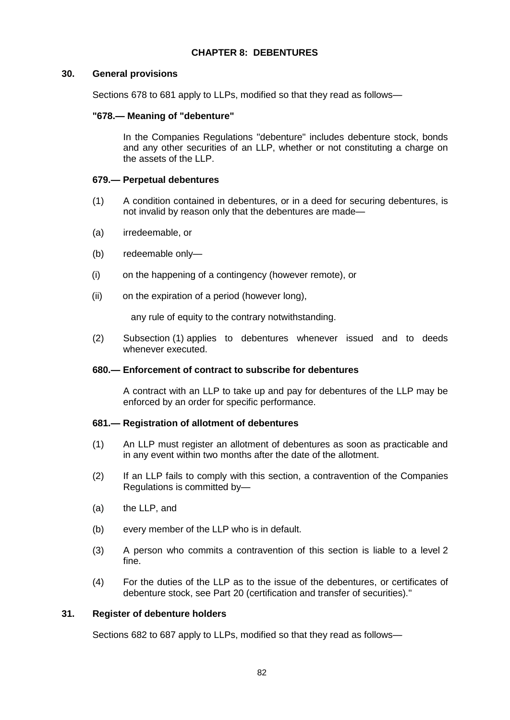# **CHAPTER 8: DEBENTURES**

### **30. General provisions**

Sections 678 to 681 apply to LLPs, modified so that they read as follows—

### **"678.— Meaning of "debenture"**

In the Companies Regulations "debenture" includes debenture stock, bonds and any other securities of an LLP, whether or not constituting a charge on the assets of the LLP.

# **679.— Perpetual debentures**

- (1) A condition contained in debentures, or in a deed for securing debentures, is not invalid by reason only that the debentures are made—
- (a) irredeemable, or
- (b) redeemable only—
- (i) on the happening of a contingency (however remote), or
- (ii) on the expiration of a period (however long),

any rule of equity to the contrary notwithstanding.

(2) Subsection (1) applies to debentures whenever issued and to deeds whenever executed.

### **680.— Enforcement of contract to subscribe for debentures**

A contract with an LLP to take up and pay for debentures of the LLP may be enforced by an order for specific performance.

### **681.— Registration of allotment of debentures**

- (1) An LLP must register an allotment of debentures as soon as practicable and in any event within two months after the date of the allotment.
- (2) If an LLP fails to comply with this section, a contravention of the Companies Regulations is committed by—
- (a) the LLP, and
- (b) every member of the LLP who is in default.
- (3) A person who commits a contravention of this section is liable to a level 2 fine.
- (4) For the duties of the LLP as to the issue of the debentures, or certificates of debenture stock, see Part 20 (certification and transfer of securities)."

# **31. Register of debenture holders**

Sections 682 to 687 apply to LLPs, modified so that they read as follows—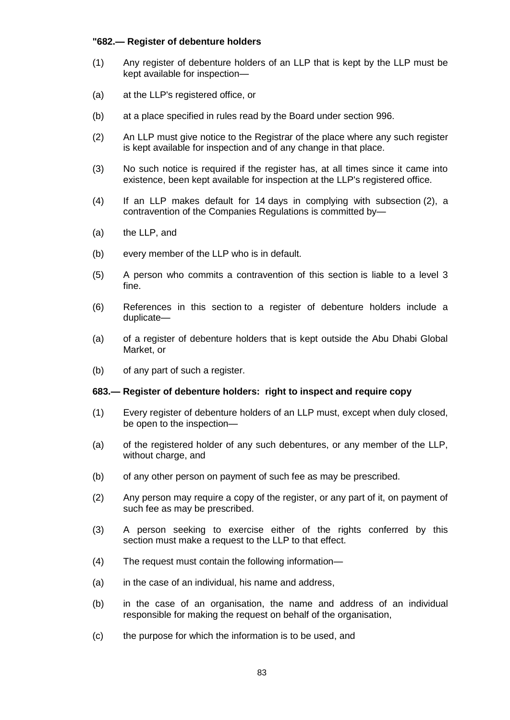# **"682.— Register of debenture holders**

- (1) Any register of debenture holders of an LLP that is kept by the LLP must be kept available for inspection—
- (a) at the LLP's registered office, or
- (b) at a place specified in rules read by the Board under section 996.
- (2) An LLP must give notice to the Registrar of the place where any such register is kept available for inspection and of any change in that place.
- (3) No such notice is required if the register has, at all times since it came into existence, been kept available for inspection at the LLP's registered office.
- (4) If an LLP makes default for 14 days in complying with subsection (2), a contravention of the Companies Regulations is committed by—
- (a) the LLP, and
- (b) every member of the LLP who is in default.
- (5) A person who commits a contravention of this section is liable to a level 3 fine.
- (6) References in this section to a register of debenture holders include a duplicate—
- (a) of a register of debenture holders that is kept outside the Abu Dhabi Global Market, or
- (b) of any part of such a register.

### **683.— Register of debenture holders: right to inspect and require copy**

- (1) Every register of debenture holders of an LLP must, except when duly closed, be open to the inspection—
- (a) of the registered holder of any such debentures, or any member of the LLP, without charge, and
- (b) of any other person on payment of such fee as may be prescribed.
- (2) Any person may require a copy of the register, or any part of it, on payment of such fee as may be prescribed.
- (3) A person seeking to exercise either of the rights conferred by this section must make a request to the LLP to that effect.
- (4) The request must contain the following information—
- (a) in the case of an individual, his name and address,
- (b) in the case of an organisation, the name and address of an individual responsible for making the request on behalf of the organisation,
- (c) the purpose for which the information is to be used, and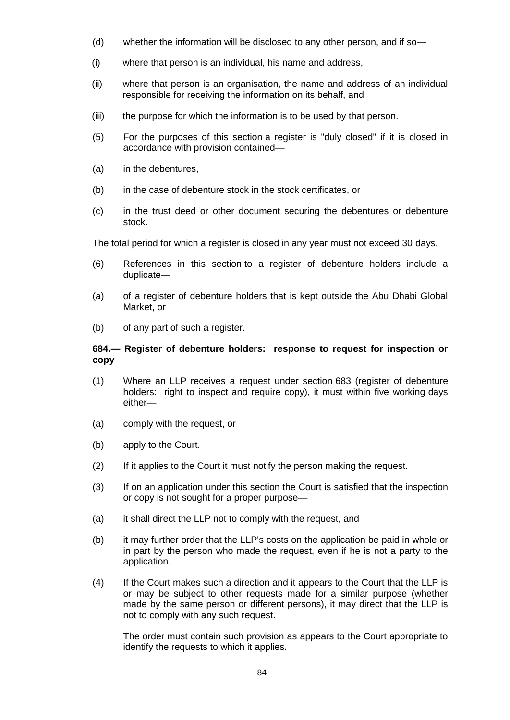- (d) whether the information will be disclosed to any other person, and if so—
- (i) where that person is an individual, his name and address,
- (ii) where that person is an organisation, the name and address of an individual responsible for receiving the information on its behalf, and
- (iii) the purpose for which the information is to be used by that person.
- (5) For the purposes of this section a register is "duly closed" if it is closed in accordance with provision contained—
- (a) in the debentures,
- (b) in the case of debenture stock in the stock certificates, or
- (c) in the trust deed or other document securing the debentures or debenture stock.

The total period for which a register is closed in any year must not exceed 30 days.

- (6) References in this section to a register of debenture holders include a duplicate—
- (a) of a register of debenture holders that is kept outside the Abu Dhabi Global Market, or
- (b) of any part of such a register.

# **684.— Register of debenture holders: response to request for inspection or copy**

- (1) Where an LLP receives a request under section 683 (register of debenture holders: right to inspect and require copy), it must within five working days either—
- (a) comply with the request, or
- (b) apply to the Court.
- (2) If it applies to the Court it must notify the person making the request.
- (3) If on an application under this section the Court is satisfied that the inspection or copy is not sought for a proper purpose—
- (a) it shall direct the LLP not to comply with the request, and
- (b) it may further order that the LLP's costs on the application be paid in whole or in part by the person who made the request, even if he is not a party to the application.
- (4) If the Court makes such a direction and it appears to the Court that the LLP is or may be subject to other requests made for a similar purpose (whether made by the same person or different persons), it may direct that the LLP is not to comply with any such request.

The order must contain such provision as appears to the Court appropriate to identify the requests to which it applies.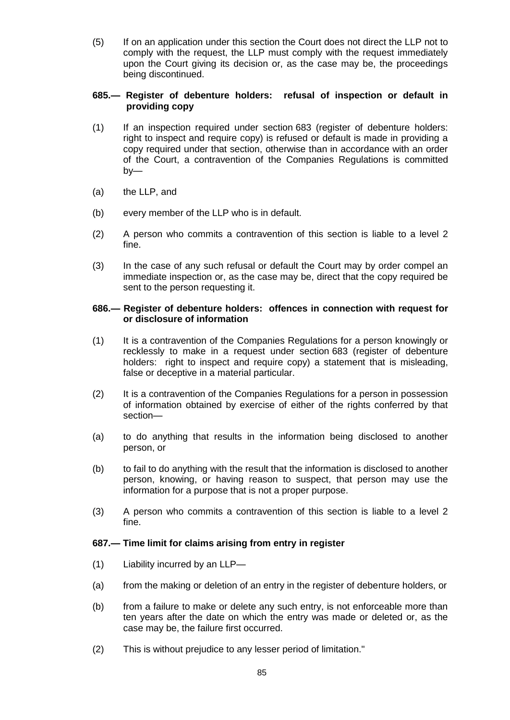(5) If on an application under this section the Court does not direct the LLP not to comply with the request, the LLP must comply with the request immediately upon the Court giving its decision or, as the case may be, the proceedings being discontinued.

# **685.— Register of debenture holders: refusal of inspection or default in providing copy**

- (1) If an inspection required under section 683 (register of debenture holders: right to inspect and require copy) is refused or default is made in providing a copy required under that section, otherwise than in accordance with an order of the Court, a contravention of the Companies Regulations is committed by—
- (a) the LLP, and
- (b) every member of the LLP who is in default.
- (2) A person who commits a contravention of this section is liable to a level 2 fine.
- (3) In the case of any such refusal or default the Court may by order compel an immediate inspection or, as the case may be, direct that the copy required be sent to the person requesting it.

# **686.— Register of debenture holders: offences in connection with request for or disclosure of information**

- (1) It is a contravention of the Companies Regulations for a person knowingly or recklessly to make in a request under section 683 (register of debenture holders: right to inspect and require copy) a statement that is misleading, false or deceptive in a material particular.
- (2) It is a contravention of the Companies Regulations for a person in possession of information obtained by exercise of either of the rights conferred by that section—
- (a) to do anything that results in the information being disclosed to another person, or
- (b) to fail to do anything with the result that the information is disclosed to another person, knowing, or having reason to suspect, that person may use the information for a purpose that is not a proper purpose.
- (3) A person who commits a contravention of this section is liable to a level 2 fine.

# **687.— Time limit for claims arising from entry in register**

- (1) Liability incurred by an LLP—
- (a) from the making or deletion of an entry in the register of debenture holders, or
- (b) from a failure to make or delete any such entry, is not enforceable more than ten years after the date on which the entry was made or deleted or, as the case may be, the failure first occurred.
- (2) This is without prejudice to any lesser period of limitation."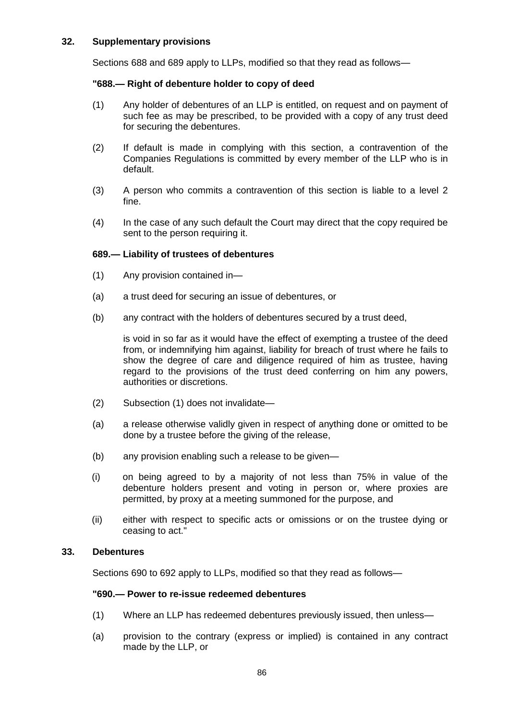# **32. Supplementary provisions**

Sections 688 and 689 apply to LLPs, modified so that they read as follows—

# **"688.— Right of debenture holder to copy of deed**

- (1) Any holder of debentures of an LLP is entitled, on request and on payment of such fee as may be prescribed, to be provided with a copy of any trust deed for securing the debentures.
- (2) If default is made in complying with this section, a contravention of the Companies Regulations is committed by every member of the LLP who is in default.
- (3) A person who commits a contravention of this section is liable to a level 2 fine.
- (4) In the case of any such default the Court may direct that the copy required be sent to the person requiring it.

# **689.— Liability of trustees of debentures**

- (1) Any provision contained in—
- (a) a trust deed for securing an issue of debentures, or
- (b) any contract with the holders of debentures secured by a trust deed,

is void in so far as it would have the effect of exempting a trustee of the deed from, or indemnifying him against, liability for breach of trust where he fails to show the degree of care and diligence required of him as trustee, having regard to the provisions of the trust deed conferring on him any powers, authorities or discretions.

- (2) Subsection (1) does not invalidate—
- (a) a release otherwise validly given in respect of anything done or omitted to be done by a trustee before the giving of the release,
- (b) any provision enabling such a release to be given—
- (i) on being agreed to by a majority of not less than 75% in value of the debenture holders present and voting in person or, where proxies are permitted, by proxy at a meeting summoned for the purpose, and
- (ii) either with respect to specific acts or omissions or on the trustee dying or ceasing to act."

### **33. Debentures**

Sections 690 to 692 apply to LLPs, modified so that they read as follows—

### **"690.— Power to re-issue redeemed debentures**

- (1) Where an LLP has redeemed debentures previously issued, then unless—
- (a) provision to the contrary (express or implied) is contained in any contract made by the LLP, or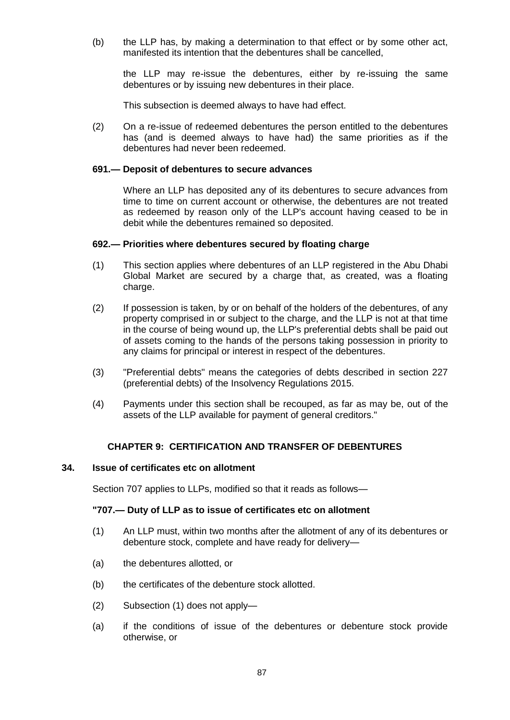(b) the LLP has, by making a determination to that effect or by some other act, manifested its intention that the debentures shall be cancelled,

the LLP may re-issue the debentures, either by re-issuing the same debentures or by issuing new debentures in their place.

This subsection is deemed always to have had effect.

(2) On a re-issue of redeemed debentures the person entitled to the debentures has (and is deemed always to have had) the same priorities as if the debentures had never been redeemed.

#### **691.— Deposit of debentures to secure advances**

Where an LLP has deposited any of its debentures to secure advances from time to time on current account or otherwise, the debentures are not treated as redeemed by reason only of the LLP's account having ceased to be in debit while the debentures remained so deposited.

#### **692.— Priorities where debentures secured by floating charge**

- (1) This section applies where debentures of an LLP registered in the Abu Dhabi Global Market are secured by a charge that, as created, was a floating charge.
- (2) If possession is taken, by or on behalf of the holders of the debentures, of any property comprised in or subject to the charge, and the LLP is not at that time in the course of being wound up, the LLP's preferential debts shall be paid out of assets coming to the hands of the persons taking possession in priority to any claims for principal or interest in respect of the debentures.
- (3) "Preferential debts" means the categories of debts described in section 227 (preferential debts) of the Insolvency Regulations 2015.
- (4) Payments under this section shall be recouped, as far as may be, out of the assets of the LLP available for payment of general creditors."

# **CHAPTER 9: CERTIFICATION AND TRANSFER OF DEBENTURES**

#### **34. Issue of certificates etc on allotment**

Section 707 applies to LLPs, modified so that it reads as follows—

# **"707.— Duty of LLP as to issue of certificates etc on allotment**

- (1) An LLP must, within two months after the allotment of any of its debentures or debenture stock, complete and have ready for delivery—
- (a) the debentures allotted, or
- (b) the certificates of the debenture stock allotted.
- (2) Subsection (1) does not apply—
- (a) if the conditions of issue of the debentures or debenture stock provide otherwise, or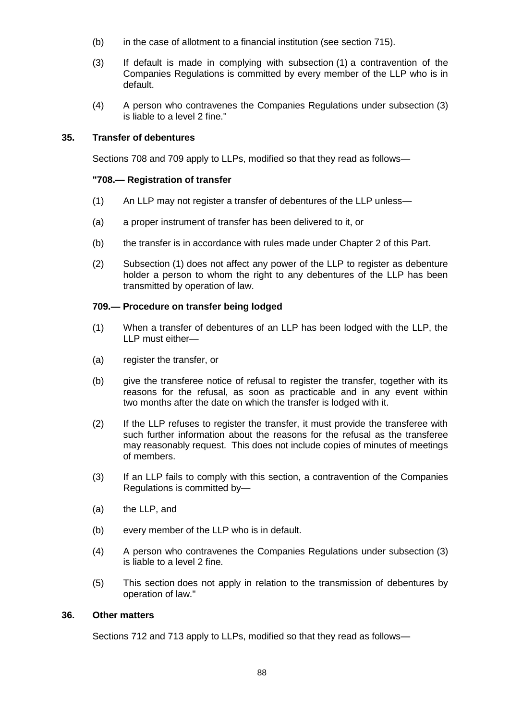- (b) in the case of allotment to a financial institution (see section 715).
- (3) If default is made in complying with subsection (1) a contravention of the Companies Regulations is committed by every member of the LLP who is in default.
- (4) A person who contravenes the Companies Regulations under subsection (3) is liable to a level 2 fine."

# **35. Transfer of debentures**

Sections 708 and 709 apply to LLPs, modified so that they read as follows—

# **"708.— Registration of transfer**

- (1) An LLP may not register a transfer of debentures of the LLP unless—
- (a) a proper instrument of transfer has been delivered to it, or
- (b) the transfer is in accordance with rules made under Chapter 2 of this Part.
- (2) Subsection (1) does not affect any power of the LLP to register as debenture holder a person to whom the right to any debentures of the LLP has been transmitted by operation of law.

# **709.— Procedure on transfer being lodged**

- (1) When a transfer of debentures of an LLP has been lodged with the LLP, the LLP must either—
- (a) register the transfer, or
- (b) give the transferee notice of refusal to register the transfer, together with its reasons for the refusal, as soon as practicable and in any event within two months after the date on which the transfer is lodged with it.
- (2) If the LLP refuses to register the transfer, it must provide the transferee with such further information about the reasons for the refusal as the transferee may reasonably request. This does not include copies of minutes of meetings of members.
- (3) If an LLP fails to comply with this section, a contravention of the Companies Regulations is committed by—
- (a) the LLP, and
- (b) every member of the LLP who is in default.
- (4) A person who contravenes the Companies Regulations under subsection (3) is liable to a level 2 fine.
- (5) This section does not apply in relation to the transmission of debentures by operation of law."

### **36. Other matters**

Sections 712 and 713 apply to LLPs, modified so that they read as follows—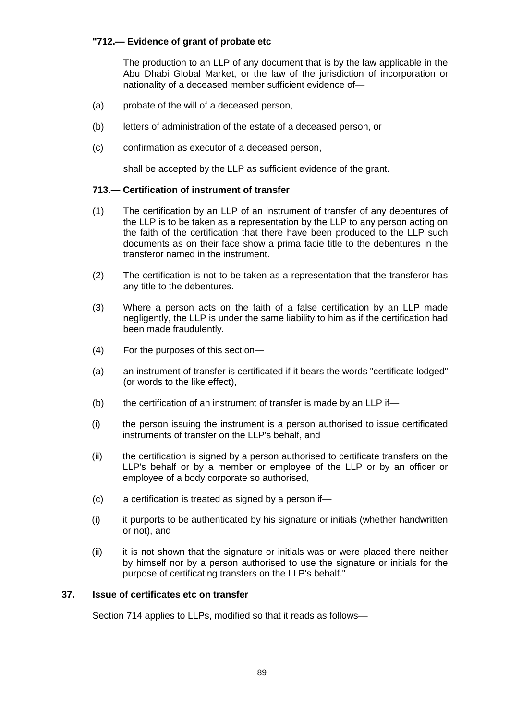# **"712.— Evidence of grant of probate etc**

The production to an LLP of any document that is by the law applicable in the Abu Dhabi Global Market, or the law of the jurisdiction of incorporation or nationality of a deceased member sufficient evidence of—

- (a) probate of the will of a deceased person,
- (b) letters of administration of the estate of a deceased person, or
- (c) confirmation as executor of a deceased person,

shall be accepted by the LLP as sufficient evidence of the grant.

# **713.— Certification of instrument of transfer**

- (1) The certification by an LLP of an instrument of transfer of any debentures of the LLP is to be taken as a representation by the LLP to any person acting on the faith of the certification that there have been produced to the LLP such documents as on their face show a prima facie title to the debentures in the transferor named in the instrument.
- (2) The certification is not to be taken as a representation that the transferor has any title to the debentures.
- (3) Where a person acts on the faith of a false certification by an LLP made negligently, the LLP is under the same liability to him as if the certification had been made fraudulently.
- (4) For the purposes of this section—
- (a) an instrument of transfer is certificated if it bears the words "certificate lodged" (or words to the like effect),
- $(b)$  the certification of an instrument of transfer is made by an LLP if—
- (i) the person issuing the instrument is a person authorised to issue certificated instruments of transfer on the LLP's behalf, and
- (ii) the certification is signed by a person authorised to certificate transfers on the LLP's behalf or by a member or employee of the LLP or by an officer or employee of a body corporate so authorised,
- (c) a certification is treated as signed by a person if—
- $(i)$  it purports to be authenticated by his signature or initials (whether handwritten or not), and
- (ii) it is not shown that the signature or initials was or were placed there neither by himself nor by a person authorised to use the signature or initials for the purpose of certificating transfers on the LLP's behalf."

# **37. Issue of certificates etc on transfer**

Section 714 applies to LLPs, modified so that it reads as follows—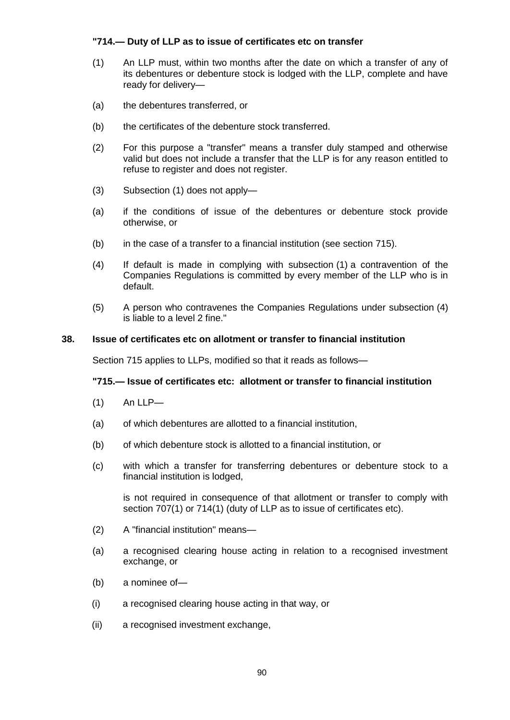# **"714.— Duty of LLP as to issue of certificates etc on transfer**

- (1) An LLP must, within two months after the date on which a transfer of any of its debentures or debenture stock is lodged with the LLP, complete and have ready for delivery—
- (a) the debentures transferred, or
- (b) the certificates of the debenture stock transferred.
- (2) For this purpose a "transfer" means a transfer duly stamped and otherwise valid but does not include a transfer that the LLP is for any reason entitled to refuse to register and does not register.
- (3) Subsection (1) does not apply—
- (a) if the conditions of issue of the debentures or debenture stock provide otherwise, or
- (b) in the case of a transfer to a financial institution (see section 715).
- (4) If default is made in complying with subsection (1) a contravention of the Companies Regulations is committed by every member of the LLP who is in default.
- (5) A person who contravenes the Companies Regulations under subsection (4) is liable to a level 2 fine."

### **38. Issue of certificates etc on allotment or transfer to financial institution**

Section 715 applies to LLPs, modified so that it reads as follows—

### **"715.— Issue of certificates etc: allotment or transfer to financial institution**

- (1) An LLP—
- (a) of which debentures are allotted to a financial institution,
- (b) of which debenture stock is allotted to a financial institution, or
- (c) with which a transfer for transferring debentures or debenture stock to a financial institution is lodged,

is not required in consequence of that allotment or transfer to comply with section 707(1) or 714(1) (duty of LLP as to issue of certificates etc).

- (2) A "financial institution" means—
- (a) a recognised clearing house acting in relation to a recognised investment exchange, or
- (b) a nominee of—
- (i) a recognised clearing house acting in that way, or
- (ii) a recognised investment exchange,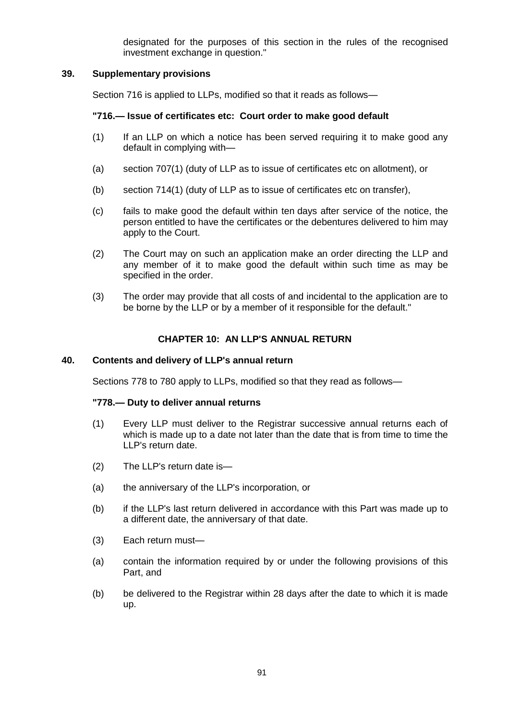designated for the purposes of this section in the rules of the recognised investment exchange in question."

# **39. Supplementary provisions**

Section 716 is applied to LLPs, modified so that it reads as follows—

# **"716.— Issue of certificates etc: Court order to make good default**

- (1) If an LLP on which a notice has been served requiring it to make good any default in complying with—
- (a) section 707(1) (duty of LLP as to issue of certificates etc on allotment), or
- (b) section 714(1) (duty of LLP as to issue of certificates etc on transfer),
- (c) fails to make good the default within ten days after service of the notice, the person entitled to have the certificates or the debentures delivered to him may apply to the Court.
- (2) The Court may on such an application make an order directing the LLP and any member of it to make good the default within such time as may be specified in the order.
- (3) The order may provide that all costs of and incidental to the application are to be borne by the LLP or by a member of it responsible for the default."

# **CHAPTER 10: AN LLP'S ANNUAL RETURN**

# **40. Contents and delivery of LLP's annual return**

Sections 778 to 780 apply to LLPs, modified so that they read as follows—

### **"778.— Duty to deliver annual returns**

- (1) Every LLP must deliver to the Registrar successive annual returns each of which is made up to a date not later than the date that is from time to time the LLP's return date.
- (2) The LLP's return date is—
- (a) the anniversary of the LLP's incorporation, or
- (b) if the LLP's last return delivered in accordance with this Part was made up to a different date, the anniversary of that date.
- (3) Each return must—
- (a) contain the information required by or under the following provisions of this Part, and
- (b) be delivered to the Registrar within 28 days after the date to which it is made up.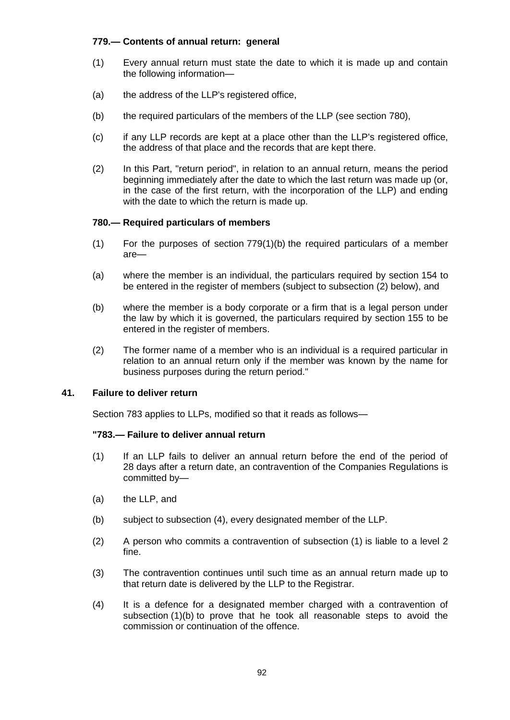# **779.— Contents of annual return: general**

- (1) Every annual return must state the date to which it is made up and contain the following information—
- (a) the address of the LLP's registered office,
- (b) the required particulars of the members of the LLP (see section 780),
- (c) if any LLP records are kept at a place other than the LLP's registered office, the address of that place and the records that are kept there.
- (2) In this Part, "return period", in relation to an annual return, means the period beginning immediately after the date to which the last return was made up (or, in the case of the first return, with the incorporation of the LLP) and ending with the date to which the return is made up.

# **780.— Required particulars of members**

- (1) For the purposes of section 779(1)(b) the required particulars of a member are—
- (a) where the member is an individual, the particulars required by section 154 to be entered in the register of members (subject to subsection (2) below), and
- (b) where the member is a body corporate or a firm that is a legal person under the law by which it is governed, the particulars required by section 155 to be entered in the register of members.
- (2) The former name of a member who is an individual is a required particular in relation to an annual return only if the member was known by the name for business purposes during the return period."

# **41. Failure to deliver return**

Section 783 applies to LLPs, modified so that it reads as follows—

# **"783.— Failure to deliver annual return**

- (1) If an LLP fails to deliver an annual return before the end of the period of 28 days after a return date, an contravention of the Companies Regulations is committed by—
- (a) the LLP, and
- (b) subject to subsection (4), every designated member of the LLP.
- (2) A person who commits a contravention of subsection (1) is liable to a level 2 fine.
- (3) The contravention continues until such time as an annual return made up to that return date is delivered by the LLP to the Registrar.
- (4) It is a defence for a designated member charged with a contravention of subsection (1)(b) to prove that he took all reasonable steps to avoid the commission or continuation of the offence.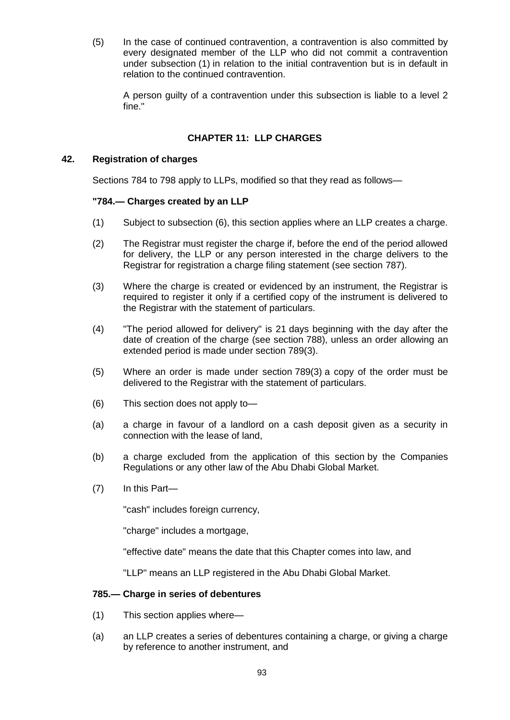(5) In the case of continued contravention, a contravention is also committed by every designated member of the LLP who did not commit a contravention under subsection (1) in relation to the initial contravention but is in default in relation to the continued contravention.

A person guilty of a contravention under this subsection is liable to a level 2 fine."

# **CHAPTER 11: LLP CHARGES**

# **42. Registration of charges**

Sections 784 to 798 apply to LLPs, modified so that they read as follows—

# **"784.— Charges created by an LLP**

- (1) Subject to subsection (6), this section applies where an LLP creates a charge.
- (2) The Registrar must register the charge if, before the end of the period allowed for delivery, the LLP or any person interested in the charge delivers to the Registrar for registration a charge filing statement (see section 787).
- (3) Where the charge is created or evidenced by an instrument, the Registrar is required to register it only if a certified copy of the instrument is delivered to the Registrar with the statement of particulars.
- (4) "The period allowed for delivery" is 21 days beginning with the day after the date of creation of the charge (see section 788), unless an order allowing an extended period is made under section 789(3).
- (5) Where an order is made under section 789(3) a copy of the order must be delivered to the Registrar with the statement of particulars.
- (6) This section does not apply to—
- (a) a charge in favour of a landlord on a cash deposit given as a security in connection with the lease of land,
- (b) a charge excluded from the application of this section by the Companies Regulations or any other law of the Abu Dhabi Global Market.
- (7) In this Part—

"cash" includes foreign currency,

"charge" includes a mortgage,

"effective date" means the date that this Chapter comes into law, and

"LLP" means an LLP registered in the Abu Dhabi Global Market.

# **785.— Charge in series of debentures**

- (1) This section applies where—
- (a) an LLP creates a series of debentures containing a charge, or giving a charge by reference to another instrument, and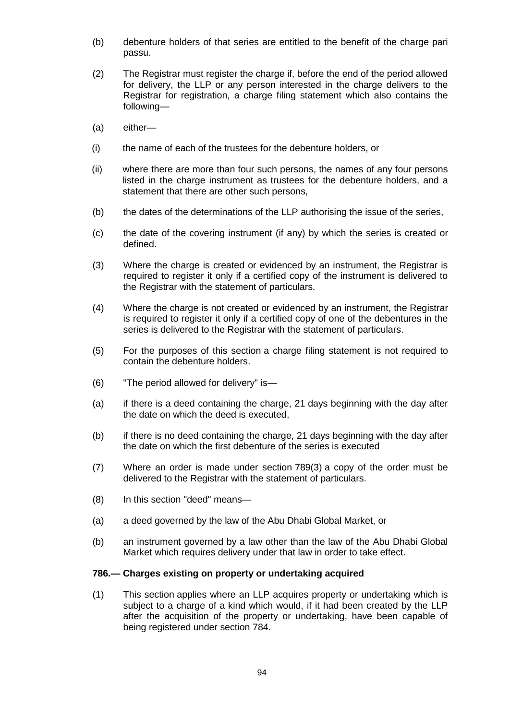- (b) debenture holders of that series are entitled to the benefit of the charge pari passu.
- (2) The Registrar must register the charge if, before the end of the period allowed for delivery, the LLP or any person interested in the charge delivers to the Registrar for registration, a charge filing statement which also contains the following—
- (a) either—
- (i) the name of each of the trustees for the debenture holders, or
- (ii) where there are more than four such persons, the names of any four persons listed in the charge instrument as trustees for the debenture holders, and a statement that there are other such persons,
- (b) the dates of the determinations of the LLP authorising the issue of the series,
- (c) the date of the covering instrument (if any) by which the series is created or defined.
- (3) Where the charge is created or evidenced by an instrument, the Registrar is required to register it only if a certified copy of the instrument is delivered to the Registrar with the statement of particulars.
- (4) Where the charge is not created or evidenced by an instrument, the Registrar is required to register it only if a certified copy of one of the debentures in the series is delivered to the Registrar with the statement of particulars.
- (5) For the purposes of this section a charge filing statement is not required to contain the debenture holders.
- (6) "The period allowed for delivery" is—
- (a) if there is a deed containing the charge, 21 days beginning with the day after the date on which the deed is executed,
- (b) if there is no deed containing the charge, 21 days beginning with the day after the date on which the first debenture of the series is executed
- (7) Where an order is made under section 789(3) a copy of the order must be delivered to the Registrar with the statement of particulars.
- (8) In this section "deed" means—
- (a) a deed governed by the law of the Abu Dhabi Global Market, or
- (b) an instrument governed by a law other than the law of the Abu Dhabi Global Market which requires delivery under that law in order to take effect.

#### **786.— Charges existing on property or undertaking acquired**

(1) This section applies where an LLP acquires property or undertaking which is subject to a charge of a kind which would, if it had been created by the LLP after the acquisition of the property or undertaking, have been capable of being registered under section 784.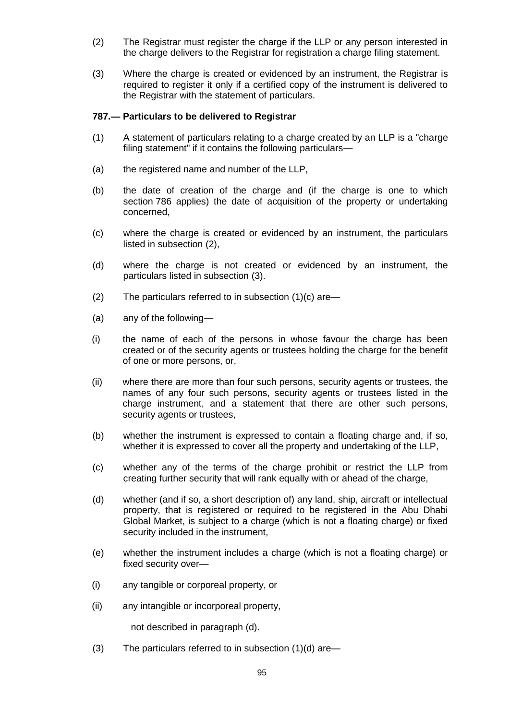- (2) The Registrar must register the charge if the LLP or any person interested in the charge delivers to the Registrar for registration a charge filing statement.
- (3) Where the charge is created or evidenced by an instrument, the Registrar is required to register it only if a certified copy of the instrument is delivered to the Registrar with the statement of particulars.

### **787.— Particulars to be delivered to Registrar**

- (1) A statement of particulars relating to a charge created by an LLP is a "charge filing statement" if it contains the following particulars—
- (a) the registered name and number of the LLP,
- (b) the date of creation of the charge and (if the charge is one to which section 786 applies) the date of acquisition of the property or undertaking concerned,
- (c) where the charge is created or evidenced by an instrument, the particulars listed in subsection (2),
- (d) where the charge is not created or evidenced by an instrument, the particulars listed in subsection (3).
- (2) The particulars referred to in subsection (1)(c) are—
- (a) any of the following—
- (i) the name of each of the persons in whose favour the charge has been created or of the security agents or trustees holding the charge for the benefit of one or more persons, or,
- (ii) where there are more than four such persons, security agents or trustees, the names of any four such persons, security agents or trustees listed in the charge instrument, and a statement that there are other such persons, security agents or trustees,
- (b) whether the instrument is expressed to contain a floating charge and, if so, whether it is expressed to cover all the property and undertaking of the LLP,
- (c) whether any of the terms of the charge prohibit or restrict the LLP from creating further security that will rank equally with or ahead of the charge,
- (d) whether (and if so, a short description of) any land, ship, aircraft or intellectual property, that is registered or required to be registered in the Abu Dhabi Global Market, is subject to a charge (which is not a floating charge) or fixed security included in the instrument,
- (e) whether the instrument includes a charge (which is not a floating charge) or fixed security over—
- (i) any tangible or corporeal property, or
- (ii) any intangible or incorporeal property,

not described in paragraph (d).

(3) The particulars referred to in subsection  $(1)(d)$  are—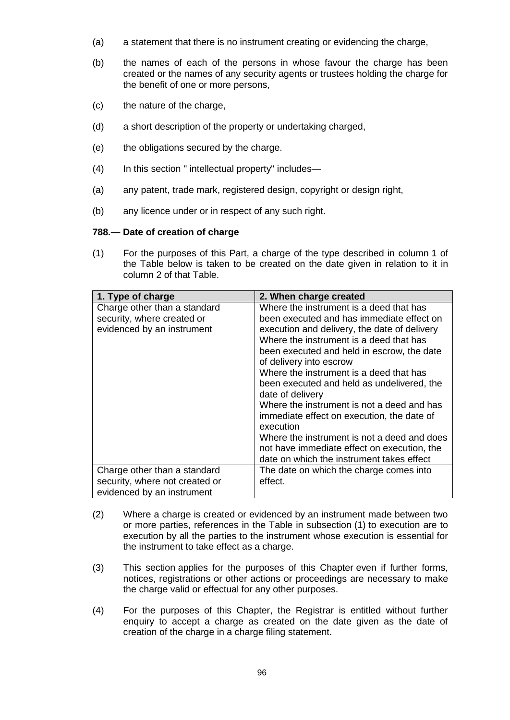- (a) a statement that there is no instrument creating or evidencing the charge,
- (b) the names of each of the persons in whose favour the charge has been created or the names of any security agents or trustees holding the charge for the benefit of one or more persons,
- (c) the nature of the charge,
- (d) a short description of the property or undertaking charged,
- (e) the obligations secured by the charge.
- (4) In this section " intellectual property" includes—
- (a) any patent, trade mark, registered design, copyright or design right,
- (b) any licence under or in respect of any such right.

### **788.— Date of creation of charge**

(1) For the purposes of this Part, a charge of the type described in column 1 of the Table below is taken to be created on the date given in relation to it in column 2 of that Table.

| 1. Type of charge                                                                            | 2. When charge created                                                                                                                                                                                                                                                                                                                                                                                                                                                                                                                                                                                                    |
|----------------------------------------------------------------------------------------------|---------------------------------------------------------------------------------------------------------------------------------------------------------------------------------------------------------------------------------------------------------------------------------------------------------------------------------------------------------------------------------------------------------------------------------------------------------------------------------------------------------------------------------------------------------------------------------------------------------------------------|
| Charge other than a standard<br>security, where created or<br>evidenced by an instrument     | Where the instrument is a deed that has<br>been executed and has immediate effect on<br>execution and delivery, the date of delivery<br>Where the instrument is a deed that has<br>been executed and held in escrow, the date<br>of delivery into escrow<br>Where the instrument is a deed that has<br>been executed and held as undelivered, the<br>date of delivery<br>Where the instrument is not a deed and has<br>immediate effect on execution, the date of<br>execution<br>Where the instrument is not a deed and does<br>not have immediate effect on execution, the<br>date on which the instrument takes effect |
| Charge other than a standard<br>security, where not created or<br>evidenced by an instrument | The date on which the charge comes into<br>effect.                                                                                                                                                                                                                                                                                                                                                                                                                                                                                                                                                                        |

- (2) Where a charge is created or evidenced by an instrument made between two or more parties, references in the Table in subsection (1) to execution are to execution by all the parties to the instrument whose execution is essential for the instrument to take effect as a charge.
- (3) This section applies for the purposes of this Chapter even if further forms, notices, registrations or other actions or proceedings are necessary to make the charge valid or effectual for any other purposes.
- (4) For the purposes of this Chapter, the Registrar is entitled without further enquiry to accept a charge as created on the date given as the date of creation of the charge in a charge filing statement.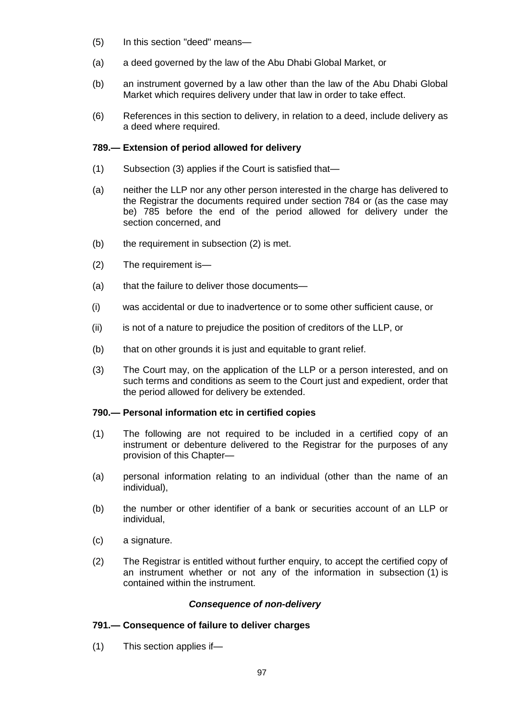- (5) In this section "deed" means—
- (a) a deed governed by the law of the Abu Dhabi Global Market, or
- (b) an instrument governed by a law other than the law of the Abu Dhabi Global Market which requires delivery under that law in order to take effect.
- (6) References in this section to delivery, in relation to a deed, include delivery as a deed where required.

# **789.— Extension of period allowed for delivery**

- (1) Subsection (3) applies if the Court is satisfied that—
- (a) neither the LLP nor any other person interested in the charge has delivered to the Registrar the documents required under section 784 or (as the case may be) 785 before the end of the period allowed for delivery under the section concerned, and
- (b) the requirement in subsection (2) is met.
- (2) The requirement is—
- (a) that the failure to deliver those documents—
- (i) was accidental or due to inadvertence or to some other sufficient cause, or
- (ii) is not of a nature to prejudice the position of creditors of the LLP, or
- (b) that on other grounds it is just and equitable to grant relief.
- (3) The Court may, on the application of the LLP or a person interested, and on such terms and conditions as seem to the Court just and expedient, order that the period allowed for delivery be extended.

# **790.— Personal information etc in certified copies**

- (1) The following are not required to be included in a certified copy of an instrument or debenture delivered to the Registrar for the purposes of any provision of this Chapter—
- (a) personal information relating to an individual (other than the name of an individual),
- (b) the number or other identifier of a bank or securities account of an LLP or individual,
- (c) a signature.
- (2) The Registrar is entitled without further enquiry, to accept the certified copy of an instrument whether or not any of the information in subsection (1) is contained within the instrument.

### *Consequence of non-delivery*

# **791.— Consequence of failure to deliver charges**

(1) This section applies if—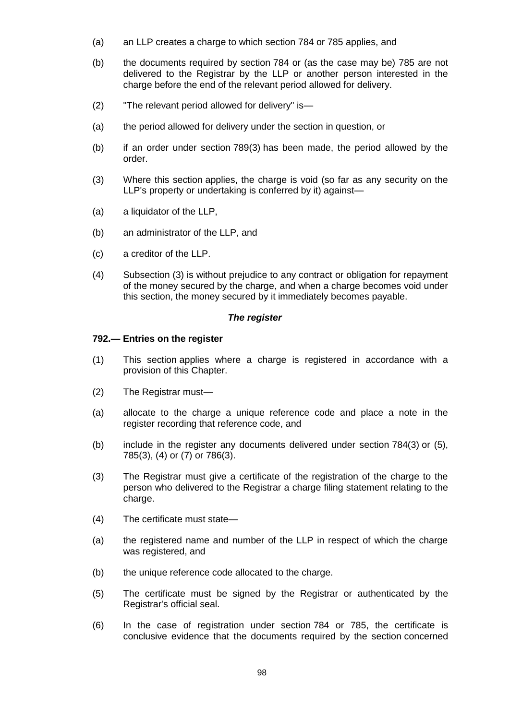- (a) an LLP creates a charge to which section 784 or 785 applies, and
- (b) the documents required by section 784 or (as the case may be) 785 are not delivered to the Registrar by the LLP or another person interested in the charge before the end of the relevant period allowed for delivery.
- (2) "The relevant period allowed for delivery" is—
- (a) the period allowed for delivery under the section in question, or
- (b) if an order under section 789(3) has been made, the period allowed by the order.
- (3) Where this section applies, the charge is void (so far as any security on the LLP's property or undertaking is conferred by it) against—
- (a) a liquidator of the LLP,
- (b) an administrator of the LLP, and
- (c) a creditor of the LLP.
- (4) Subsection (3) is without prejudice to any contract or obligation for repayment of the money secured by the charge, and when a charge becomes void under this section, the money secured by it immediately becomes payable.

# *The register*

### **792.— Entries on the register**

- (1) This section applies where a charge is registered in accordance with a provision of this Chapter.
- (2) The Registrar must—
- (a) allocate to the charge a unique reference code and place a note in the register recording that reference code, and
- (b) include in the register any documents delivered under section 784(3) or (5), 785(3), (4) or (7) or 786(3).
- (3) The Registrar must give a certificate of the registration of the charge to the person who delivered to the Registrar a charge filing statement relating to the charge.
- (4) The certificate must state—
- (a) the registered name and number of the LLP in respect of which the charge was registered, and
- (b) the unique reference code allocated to the charge.
- (5) The certificate must be signed by the Registrar or authenticated by the Registrar's official seal.
- (6) In the case of registration under section 784 or 785, the certificate is conclusive evidence that the documents required by the section concerned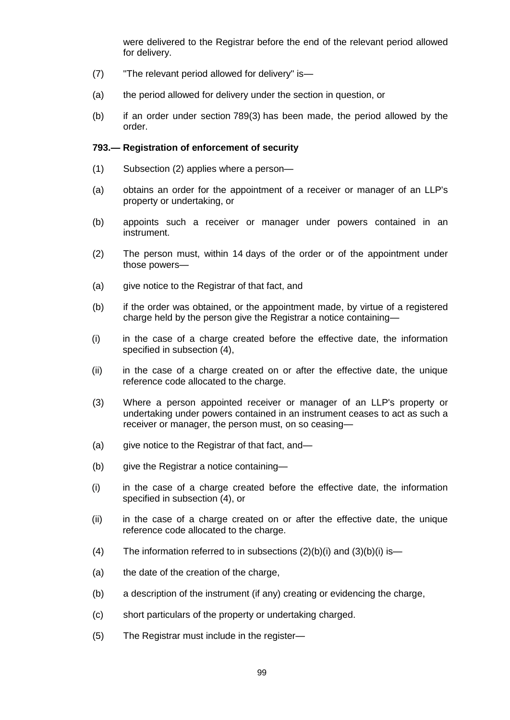were delivered to the Registrar before the end of the relevant period allowed for delivery.

- (7) "The relevant period allowed for delivery" is—
- (a) the period allowed for delivery under the section in question, or
- (b) if an order under section 789(3) has been made, the period allowed by the order.

# **793.— Registration of enforcement of security**

- (1) Subsection (2) applies where a person—
- (a) obtains an order for the appointment of a receiver or manager of an LLP's property or undertaking, or
- (b) appoints such a receiver or manager under powers contained in an instrument.
- (2) The person must, within 14 days of the order or of the appointment under those powers—
- (a) give notice to the Registrar of that fact, and
- (b) if the order was obtained, or the appointment made, by virtue of a registered charge held by the person give the Registrar a notice containing—
- (i) in the case of a charge created before the effective date, the information specified in subsection (4),
- (ii) in the case of a charge created on or after the effective date, the unique reference code allocated to the charge.
- (3) Where a person appointed receiver or manager of an LLP's property or undertaking under powers contained in an instrument ceases to act as such a receiver or manager, the person must, on so ceasing—
- (a) give notice to the Registrar of that fact, and—
- (b) give the Registrar a notice containing—
- (i) in the case of a charge created before the effective date, the information specified in subsection (4), or
- (ii) in the case of a charge created on or after the effective date, the unique reference code allocated to the charge.
- (4) The information referred to in subsections  $(2)(b)(i)$  and  $(3)(b)(i)$  is —
- (a) the date of the creation of the charge,
- (b) a description of the instrument (if any) creating or evidencing the charge,
- (c) short particulars of the property or undertaking charged.
- (5) The Registrar must include in the register—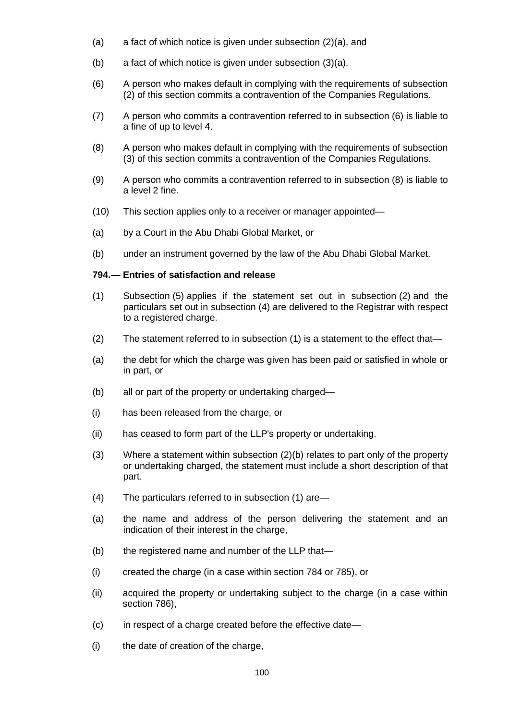- (a) a fact of which notice is given under subsection (2)(a), and
- (b) a fact of which notice is given under subsection (3)(a).
- (6) A person who makes default in complying with the requirements of subsection (2) of this section commits a contravention of the Companies Regulations.
- (7) A person who commits a contravention referred to in subsection (6) is liable to a fine of up to level 4.
- (8) A person who makes default in complying with the requirements of subsection (3) of this section commits a contravention of the Companies Regulations.
- (9) A person who commits a contravention referred to in subsection (8) is liable to a level 2 fine.
- (10) This section applies only to a receiver or manager appointed—
- (a) by a Court in the Abu Dhabi Global Market, or
- (b) under an instrument governed by the law of the Abu Dhabi Global Market.

### **794.— Entries of satisfaction and release**

- (1) Subsection (5) applies if the statement set out in subsection (2) and the particulars set out in subsection (4) are delivered to the Registrar with respect to a registered charge.
- (2) The statement referred to in subsection (1) is a statement to the effect that—
- (a) the debt for which the charge was given has been paid or satisfied in whole or in part, or
- (b) all or part of the property or undertaking charged—
- (i) has been released from the charge, or
- (ii) has ceased to form part of the LLP's property or undertaking.
- (3) Where a statement within subsection (2)(b) relates to part only of the property or undertaking charged, the statement must include a short description of that part.
- (4) The particulars referred to in subsection (1) are—
- (a) the name and address of the person delivering the statement and an indication of their interest in the charge,
- (b) the registered name and number of the LLP that—
- (i) created the charge (in a case within section 784 or 785), or
- (ii) acquired the property or undertaking subject to the charge (in a case within section 786),
- (c) in respect of a charge created before the effective date—
- (i) the date of creation of the charge,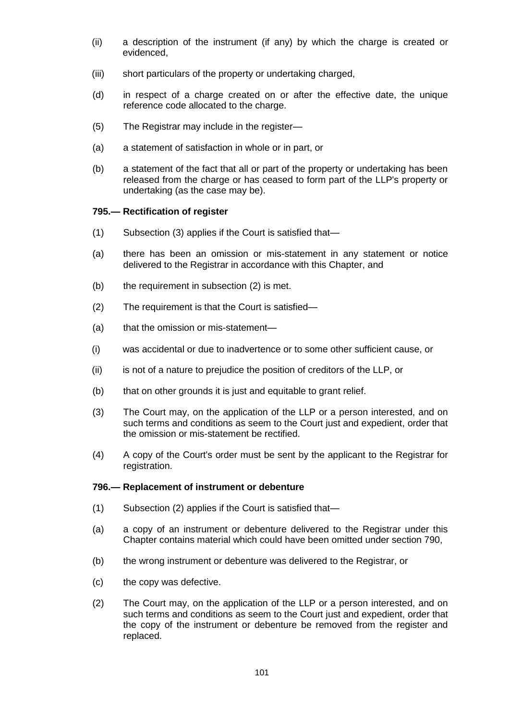- (ii) a description of the instrument (if any) by which the charge is created or evidenced,
- (iii) short particulars of the property or undertaking charged,
- (d) in respect of a charge created on or after the effective date, the unique reference code allocated to the charge.
- (5) The Registrar may include in the register—
- (a) a statement of satisfaction in whole or in part, or
- (b) a statement of the fact that all or part of the property or undertaking has been released from the charge or has ceased to form part of the LLP's property or undertaking (as the case may be).

### **795.— Rectification of register**

- (1) Subsection (3) applies if the Court is satisfied that—
- (a) there has been an omission or mis-statement in any statement or notice delivered to the Registrar in accordance with this Chapter, and
- (b) the requirement in subsection (2) is met.
- (2) The requirement is that the Court is satisfied—
- (a) that the omission or mis-statement—
- (i) was accidental or due to inadvertence or to some other sufficient cause, or
- (ii) is not of a nature to prejudice the position of creditors of the LLP, or
- (b) that on other grounds it is just and equitable to grant relief.
- (3) The Court may, on the application of the LLP or a person interested, and on such terms and conditions as seem to the Court just and expedient, order that the omission or mis-statement be rectified.
- (4) A copy of the Court's order must be sent by the applicant to the Registrar for registration.

### **796.— Replacement of instrument or debenture**

- (1) Subsection (2) applies if the Court is satisfied that—
- (a) a copy of an instrument or debenture delivered to the Registrar under this Chapter contains material which could have been omitted under section 790,
- (b) the wrong instrument or debenture was delivered to the Registrar, or
- (c) the copy was defective.
- (2) The Court may, on the application of the LLP or a person interested, and on such terms and conditions as seem to the Court just and expedient, order that the copy of the instrument or debenture be removed from the register and replaced.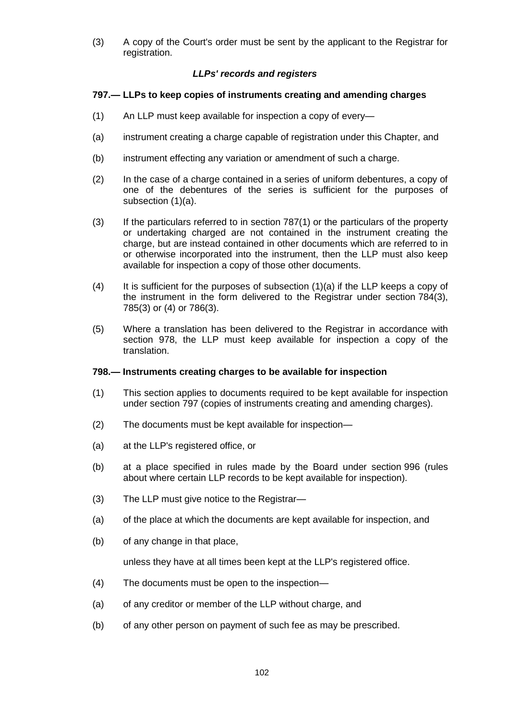(3) A copy of the Court's order must be sent by the applicant to the Registrar for registration.

# *LLPs' records and registers*

# **797.— LLPs to keep copies of instruments creating and amending charges**

- (1) An LLP must keep available for inspection a copy of every—
- (a) instrument creating a charge capable of registration under this Chapter, and
- (b) instrument effecting any variation or amendment of such a charge.
- (2) In the case of a charge contained in a series of uniform debentures, a copy of one of the debentures of the series is sufficient for the purposes of subsection (1)(a).
- (3) If the particulars referred to in section 787(1) or the particulars of the property or undertaking charged are not contained in the instrument creating the charge, but are instead contained in other documents which are referred to in or otherwise incorporated into the instrument, then the LLP must also keep available for inspection a copy of those other documents.
- $(4)$  It is sufficient for the purposes of subsection  $(1)(a)$  if the LLP keeps a copy of the instrument in the form delivered to the Registrar under section 784(3), 785(3) or (4) or 786(3).
- (5) Where a translation has been delivered to the Registrar in accordance with section 978, the LLP must keep available for inspection a copy of the translation.

# **798.— Instruments creating charges to be available for inspection**

- (1) This section applies to documents required to be kept available for inspection under section 797 (copies of instruments creating and amending charges).
- (2) The documents must be kept available for inspection—
- (a) at the LLP's registered office, or
- (b) at a place specified in rules made by the Board under section 996 (rules about where certain LLP records to be kept available for inspection).
- (3) The LLP must give notice to the Registrar—
- (a) of the place at which the documents are kept available for inspection, and
- (b) of any change in that place,

unless they have at all times been kept at the LLP's registered office.

- (4) The documents must be open to the inspection—
- (a) of any creditor or member of the LLP without charge, and
- (b) of any other person on payment of such fee as may be prescribed.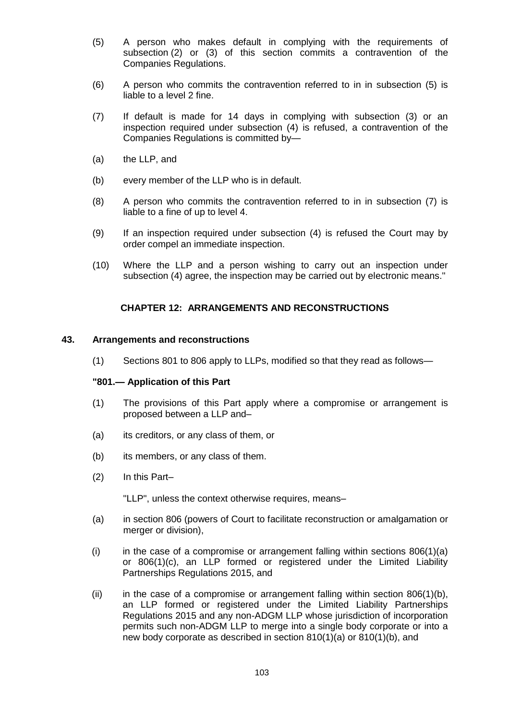- (5) A person who makes default in complying with the requirements of subsection (2) or (3) of this section commits a contravention of the Companies Regulations.
- (6) A person who commits the contravention referred to in in subsection (5) is liable to a level 2 fine.
- (7) If default is made for 14 days in complying with subsection (3) or an inspection required under subsection (4) is refused, a contravention of the Companies Regulations is committed by—
- (a) the LLP, and
- (b) every member of the LLP who is in default.
- (8) A person who commits the contravention referred to in in subsection (7) is liable to a fine of up to level 4.
- (9) If an inspection required under subsection (4) is refused the Court may by order compel an immediate inspection.
- (10) Where the LLP and a person wishing to carry out an inspection under subsection (4) agree, the inspection may be carried out by electronic means."

# **CHAPTER 12: ARRANGEMENTS AND RECONSTRUCTIONS**

# **43. Arrangements and reconstructions**

(1) Sections 801 to 806 apply to LLPs, modified so that they read as follows—

### **"801.— Application of this Part**

- (1) The provisions of this Part apply where a compromise or arrangement is proposed between a LLP and–
- (a) its creditors, or any class of them, or
- (b) its members, or any class of them.
- (2) In this Part–

"LLP", unless the context otherwise requires, means–

- (a) in section 806 (powers of Court to facilitate reconstruction or amalgamation or merger or division),
- (i) in the case of a compromise or arrangement falling within sections  $806(1)(a)$ or 806(1)(c), an LLP formed or registered under the Limited Liability Partnerships Regulations 2015, and
- (ii) in the case of a compromise or arrangement falling within section  $806(1)(b)$ , an LLP formed or registered under the Limited Liability Partnerships Regulations 2015 and any non-ADGM LLP whose jurisdiction of incorporation permits such non-ADGM LLP to merge into a single body corporate or into a new body corporate as described in section 810(1)(a) or 810(1)(b), and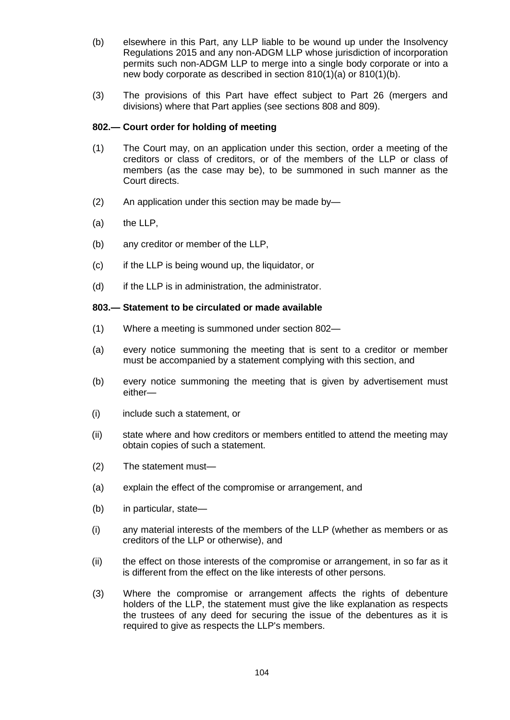- (b) elsewhere in this Part, any LLP liable to be wound up under the Insolvency Regulations 2015 and any non-ADGM LLP whose jurisdiction of incorporation permits such non-ADGM LLP to merge into a single body corporate or into a new body corporate as described in section 810(1)(a) or 810(1)(b).
- (3) The provisions of this Part have effect subject to Part 26 (mergers and divisions) where that Part applies (see sections 808 and 809).

# **802.— Court order for holding of meeting**

- (1) The Court may, on an application under this section, order a meeting of the creditors or class of creditors, or of the members of the LLP or class of members (as the case may be), to be summoned in such manner as the Court directs.
- (2) An application under this section may be made by—
- (a) the LLP,
- (b) any creditor or member of the LLP,
- (c) if the LLP is being wound up, the liquidator, or
- (d) if the LLP is in administration, the administrator.

### **803.— Statement to be circulated or made available**

- (1) Where a meeting is summoned under section 802—
- (a) every notice summoning the meeting that is sent to a creditor or member must be accompanied by a statement complying with this section, and
- (b) every notice summoning the meeting that is given by advertisement must either—
- (i) include such a statement, or
- (ii) state where and how creditors or members entitled to attend the meeting may obtain copies of such a statement.
- (2) The statement must—
- (a) explain the effect of the compromise or arrangement, and
- (b) in particular, state—
- (i) any material interests of the members of the LLP (whether as members or as creditors of the LLP or otherwise), and
- (ii) the effect on those interests of the compromise or arrangement, in so far as it is different from the effect on the like interests of other persons.
- (3) Where the compromise or arrangement affects the rights of debenture holders of the LLP, the statement must give the like explanation as respects the trustees of any deed for securing the issue of the debentures as it is required to give as respects the LLP's members.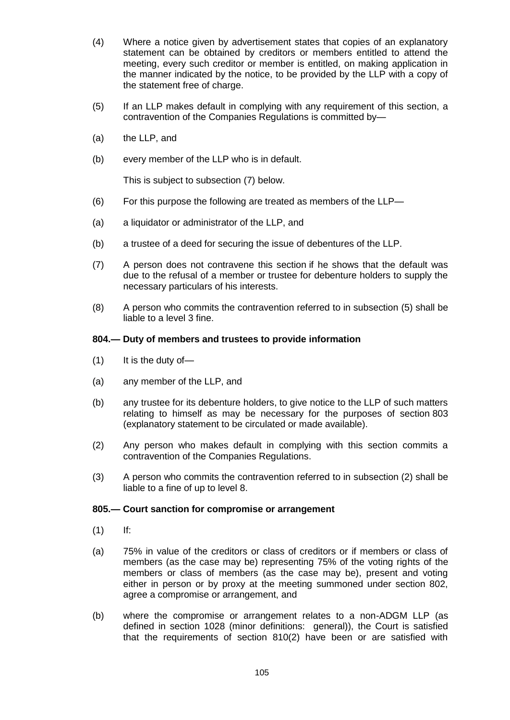- (4) Where a notice given by advertisement states that copies of an explanatory statement can be obtained by creditors or members entitled to attend the meeting, every such creditor or member is entitled, on making application in the manner indicated by the notice, to be provided by the LLP with a copy of the statement free of charge.
- (5) If an LLP makes default in complying with any requirement of this section, a contravention of the Companies Regulations is committed by—
- (a) the LLP, and
- (b) every member of the LLP who is in default.

This is subject to subsection (7) below.

- (6) For this purpose the following are treated as members of the LLP—
- (a) a liquidator or administrator of the LLP, and
- (b) a trustee of a deed for securing the issue of debentures of the LLP.
- (7) A person does not contravene this section if he shows that the default was due to the refusal of a member or trustee for debenture holders to supply the necessary particulars of his interests.
- (8) A person who commits the contravention referred to in subsection (5) shall be liable to a level 3 fine.

### **804.— Duty of members and trustees to provide information**

- $(1)$  It is the duty of —
- (a) any member of the LLP, and
- (b) any trustee for its debenture holders, to give notice to the LLP of such matters relating to himself as may be necessary for the purposes of section 803 (explanatory statement to be circulated or made available).
- (2) Any person who makes default in complying with this section commits a contravention of the Companies Regulations.
- (3) A person who commits the contravention referred to in subsection (2) shall be liable to a fine of up to level 8.

### **805.— Court sanction for compromise or arrangement**

- (1) If:
- (a) 75% in value of the creditors or class of creditors or if members or class of members (as the case may be) representing 75% of the voting rights of the members or class of members (as the case may be), present and voting either in person or by proxy at the meeting summoned under section 802, agree a compromise or arrangement, and
- (b) where the compromise or arrangement relates to a non-ADGM LLP (as defined in section 1028 (minor definitions: general)), the Court is satisfied that the requirements of section 810(2) have been or are satisfied with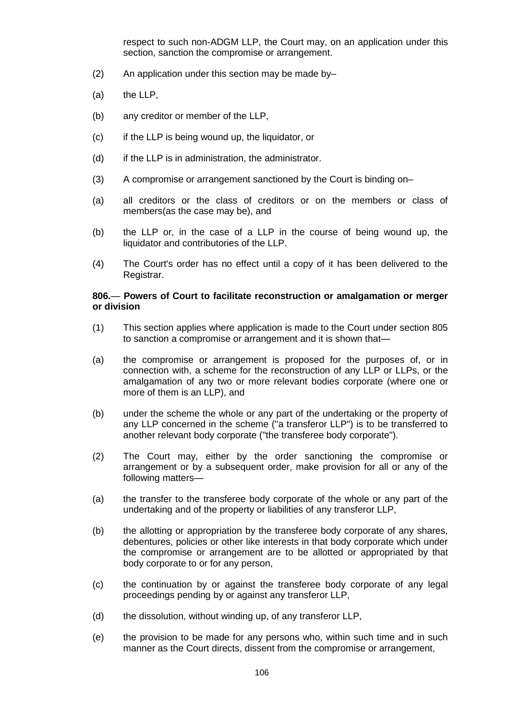respect to such non-ADGM LLP, the Court may, on an application under this section, sanction the compromise or arrangement.

- (2) An application under this section may be made by–
- (a) the LLP,
- (b) any creditor or member of the LLP,
- (c) if the LLP is being wound up, the liquidator, or
- (d) if the LLP is in administration, the administrator.
- (3) A compromise or arrangement sanctioned by the Court is binding on–
- (a) all creditors or the class of creditors or on the members or class of members(as the case may be), and
- (b) the LLP or, in the case of a LLP in the course of being wound up, the liquidator and contributories of the LLP.
- (4) The Court's order has no effect until a copy of it has been delivered to the Registrar.

### **806.**— **Powers of Court to facilitate reconstruction or amalgamation or merger or division**

- (1) This section applies where application is made to the Court under section 805 to sanction a compromise or arrangement and it is shown that—
- (a) the compromise or arrangement is proposed for the purposes of, or in connection with, a scheme for the reconstruction of any LLP or LLPs, or the amalgamation of any two or more relevant bodies corporate (where one or more of them is an LLP), and
- (b) under the scheme the whole or any part of the undertaking or the property of any LLP concerned in the scheme ("a transferor LLP") is to be transferred to another relevant body corporate ("the transferee body corporate").
- (2) The Court may, either by the order sanctioning the compromise or arrangement or by a subsequent order, make provision for all or any of the following matters—
- (a) the transfer to the transferee body corporate of the whole or any part of the undertaking and of the property or liabilities of any transferor LLP,
- (b) the allotting or appropriation by the transferee body corporate of any shares, debentures, policies or other like interests in that body corporate which under the compromise or arrangement are to be allotted or appropriated by that body corporate to or for any person,
- (c) the continuation by or against the transferee body corporate of any legal proceedings pending by or against any transferor LLP,
- (d) the dissolution, without winding up, of any transferor LLP,
- (e) the provision to be made for any persons who, within such time and in such manner as the Court directs, dissent from the compromise or arrangement,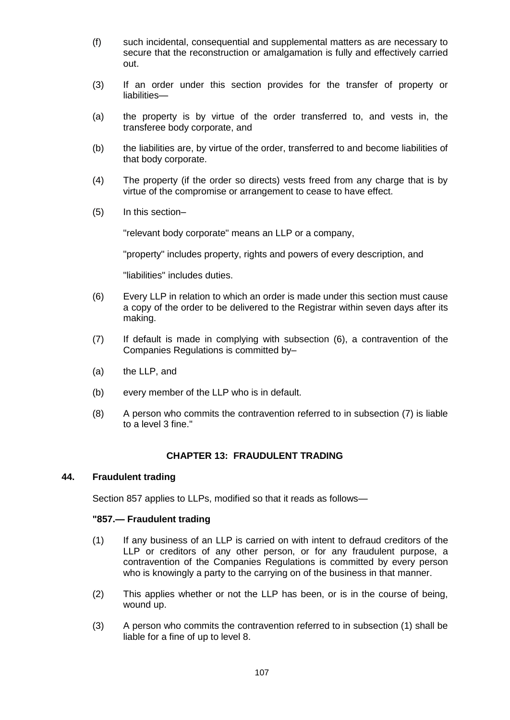- (f) such incidental, consequential and supplemental matters as are necessary to secure that the reconstruction or amalgamation is fully and effectively carried out.
- (3) If an order under this section provides for the transfer of property or liabilities—
- (a) the property is by virtue of the order transferred to, and vests in, the transferee body corporate, and
- (b) the liabilities are, by virtue of the order, transferred to and become liabilities of that body corporate.
- (4) The property (if the order so directs) vests freed from any charge that is by virtue of the compromise or arrangement to cease to have effect.
- (5) In this section–

"relevant body corporate" means an LLP or a company,

"property" includes property, rights and powers of every description, and

"liabilities" includes duties.

- (6) Every LLP in relation to which an order is made under this section must cause a copy of the order to be delivered to the Registrar within seven days after its making.
- (7) If default is made in complying with subsection (6), a contravention of the Companies Regulations is committed by–
- (a) the LLP, and
- (b) every member of the LLP who is in default.
- (8) A person who commits the contravention referred to in subsection (7) is liable to a level 3 fine."

# **CHAPTER 13: FRAUDULENT TRADING**

# **44. Fraudulent trading**

Section 857 applies to LLPs, modified so that it reads as follows—

# **"857.— Fraudulent trading**

- (1) If any business of an LLP is carried on with intent to defraud creditors of the LLP or creditors of any other person, or for any fraudulent purpose, a contravention of the Companies Regulations is committed by every person who is knowingly a party to the carrying on of the business in that manner.
- (2) This applies whether or not the LLP has been, or is in the course of being, wound up.
- (3) A person who commits the contravention referred to in subsection (1) shall be liable for a fine of up to level 8.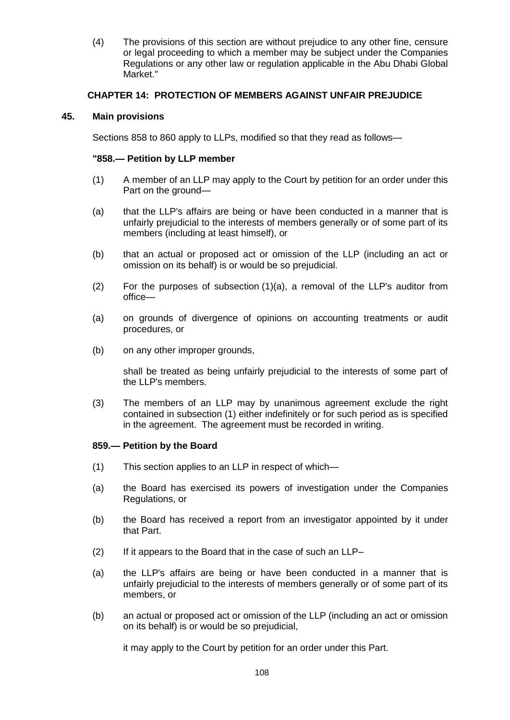(4) The provisions of this section are without prejudice to any other fine, censure or legal proceeding to which a member may be subject under the Companies Regulations or any other law or regulation applicable in the Abu Dhabi Global Market."

# **CHAPTER 14: PROTECTION OF MEMBERS AGAINST UNFAIR PREJUDICE**

# **45. Main provisions**

Sections 858 to 860 apply to LLPs, modified so that they read as follows—

### **"858.— Petition by LLP member**

- (1) A member of an LLP may apply to the Court by petition for an order under this Part on the ground—
- (a) that the LLP's affairs are being or have been conducted in a manner that is unfairly prejudicial to the interests of members generally or of some part of its members (including at least himself), or
- (b) that an actual or proposed act or omission of the LLP (including an act or omission on its behalf) is or would be so prejudicial.
- (2) For the purposes of subsection (1)(a), a removal of the LLP's auditor from office—
- (a) on grounds of divergence of opinions on accounting treatments or audit procedures, or
- (b) on any other improper grounds,

shall be treated as being unfairly prejudicial to the interests of some part of the LLP's members.

(3) The members of an LLP may by unanimous agreement exclude the right contained in subsection (1) either indefinitely or for such period as is specified in the agreement. The agreement must be recorded in writing.

### **859.— Petition by the Board**

- (1) This section applies to an LLP in respect of which—
- (a) the Board has exercised its powers of investigation under the Companies Regulations, or
- (b) the Board has received a report from an investigator appointed by it under that Part.
- (2) If it appears to the Board that in the case of such an LLP–
- (a) the LLP's affairs are being or have been conducted in a manner that is unfairly prejudicial to the interests of members generally or of some part of its members, or
- (b) an actual or proposed act or omission of the LLP (including an act or omission on its behalf) is or would be so prejudicial,

it may apply to the Court by petition for an order under this Part.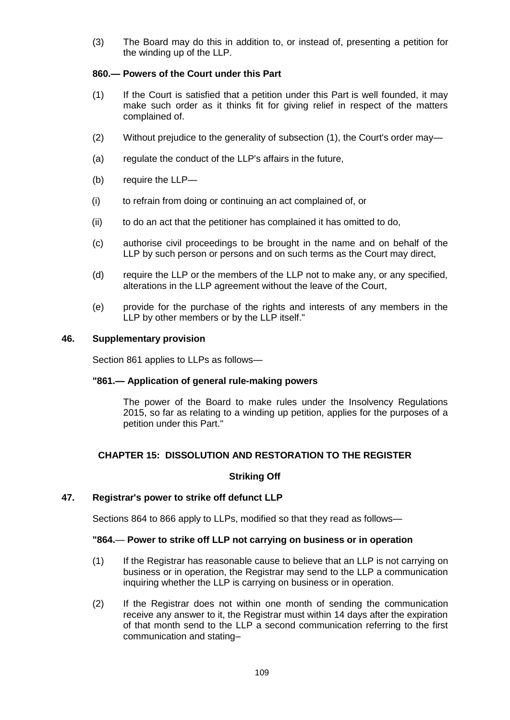(3) The Board may do this in addition to, or instead of, presenting a petition for the winding up of the LLP.

# **860.— Powers of the Court under this Part**

- (1) If the Court is satisfied that a petition under this Part is well founded, it may make such order as it thinks fit for giving relief in respect of the matters complained of.
- (2) Without prejudice to the generality of subsection (1), the Court's order may—
- (a) regulate the conduct of the LLP's affairs in the future,
- (b) require the LLP—
- (i) to refrain from doing or continuing an act complained of, or
- (ii) to do an act that the petitioner has complained it has omitted to do,
- (c) authorise civil proceedings to be brought in the name and on behalf of the LLP by such person or persons and on such terms as the Court may direct,
- (d) require the LLP or the members of the LLP not to make any, or any specified, alterations in the LLP agreement without the leave of the Court,
- (e) provide for the purchase of the rights and interests of any members in the LLP by other members or by the LLP itself."

# **46. Supplementary provision**

Section 861 applies to LLPs as follows—

# **"861.— Application of general rule-making powers**

The power of the Board to make rules under the Insolvency Regulations 2015, so far as relating to a winding up petition, applies for the purposes of a petition under this Part."

# **CHAPTER 15: DISSOLUTION AND RESTORATION TO THE REGISTER**

# **Striking Off**

# **47. Registrar's power to strike off defunct LLP**

Sections 864 to 866 apply to LLPs, modified so that they read as follows—

### **"864.**— **Power to strike off LLP not carrying on business or in operation**

- (1) If the Registrar has reasonable cause to believe that an LLP is not carrying on business or in operation, the Registrar may send to the LLP a communication inquiring whether the LLP is carrying on business or in operation.
- (2) If the Registrar does not within one month of sending the communication receive any answer to it, the Registrar must within 14 days after the expiration of that month send to the LLP a second communication referring to the first communication and stating–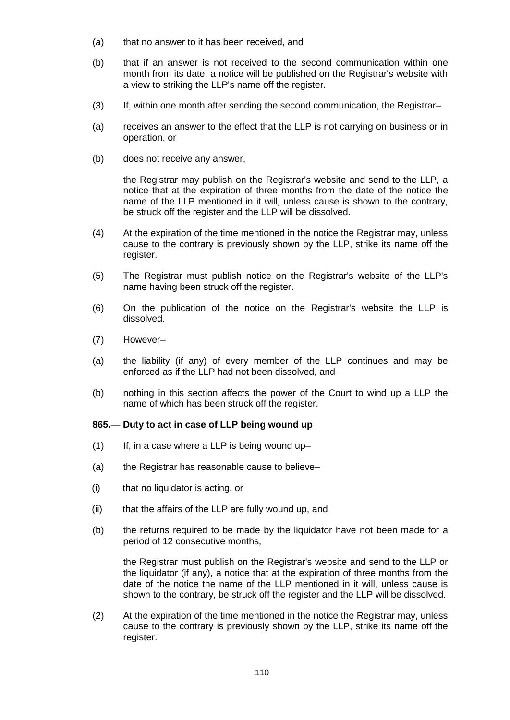- (a) that no answer to it has been received, and
- (b) that if an answer is not received to the second communication within one month from its date, a notice will be published on the Registrar's website with a view to striking the LLP's name off the register.
- (3) If, within one month after sending the second communication, the Registrar–
- (a) receives an answer to the effect that the LLP is not carrying on business or in operation, or
- (b) does not receive any answer,

the Registrar may publish on the Registrar's website and send to the LLP, a notice that at the expiration of three months from the date of the notice the name of the LLP mentioned in it will, unless cause is shown to the contrary, be struck off the register and the LLP will be dissolved.

- (4) At the expiration of the time mentioned in the notice the Registrar may, unless cause to the contrary is previously shown by the LLP, strike its name off the register.
- (5) The Registrar must publish notice on the Registrar's website of the LLP's name having been struck off the register.
- (6) On the publication of the notice on the Registrar's website the LLP is dissolved.
- (7) However–
- (a) the liability (if any) of every member of the LLP continues and may be enforced as if the LLP had not been dissolved, and
- (b) nothing in this section affects the power of the Court to wind up a LLP the name of which has been struck off the register.

### **865.**— **Duty to act in case of LLP being wound up**

- $(1)$  If, in a case where a LLP is being wound up-
- (a) the Registrar has reasonable cause to believe–
- (i) that no liquidator is acting, or
- (ii) that the affairs of the LLP are fully wound up, and
- (b) the returns required to be made by the liquidator have not been made for a period of 12 consecutive months,

the Registrar must publish on the Registrar's website and send to the LLP or the liquidator (if any), a notice that at the expiration of three months from the date of the notice the name of the LLP mentioned in it will, unless cause is shown to the contrary, be struck off the register and the LLP will be dissolved.

(2) At the expiration of the time mentioned in the notice the Registrar may, unless cause to the contrary is previously shown by the LLP, strike its name off the register.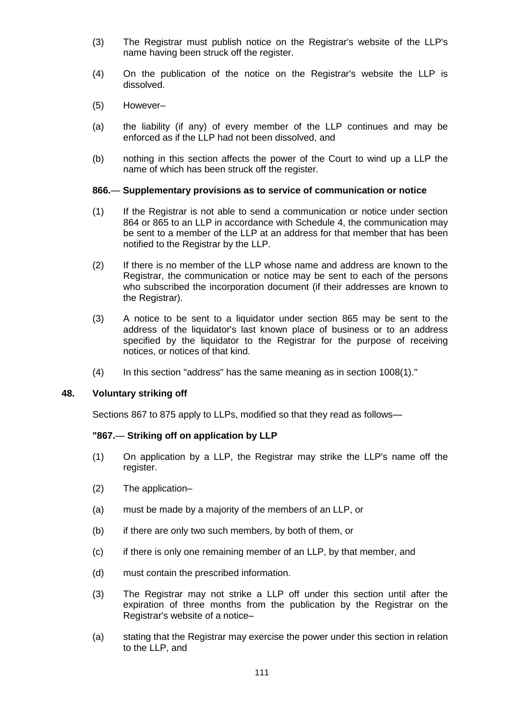- (3) The Registrar must publish notice on the Registrar's website of the LLP's name having been struck off the register.
- (4) On the publication of the notice on the Registrar's website the LLP is dissolved.
- (5) However–
- (a) the liability (if any) of every member of the LLP continues and may be enforced as if the LLP had not been dissolved, and
- (b) nothing in this section affects the power of the Court to wind up a LLP the name of which has been struck off the register.

#### **866.**— **Supplementary provisions as to service of communication or notice**

- (1) If the Registrar is not able to send a communication or notice under section 864 or 865 to an LLP in accordance with Schedule 4, the communication may be sent to a member of the LLP at an address for that member that has been notified to the Registrar by the LLP.
- (2) If there is no member of the LLP whose name and address are known to the Registrar, the communication or notice may be sent to each of the persons who subscribed the incorporation document (if their addresses are known to the Registrar).
- (3) A notice to be sent to a liquidator under section 865 may be sent to the address of the liquidator's last known place of business or to an address specified by the liquidator to the Registrar for the purpose of receiving notices, or notices of that kind.
- (4) In this section "address" has the same meaning as in section 1008(1)."

#### **48. Voluntary striking off**

Sections 867 to 875 apply to LLPs, modified so that they read as follows—

## **"867.**— **Striking off on application by LLP**

- (1) On application by a LLP, the Registrar may strike the LLP's name off the register.
- (2) The application–
- (a) must be made by a majority of the members of an LLP, or
- (b) if there are only two such members, by both of them, or
- (c) if there is only one remaining member of an LLP, by that member, and
- (d) must contain the prescribed information.
- (3) The Registrar may not strike a LLP off under this section until after the expiration of three months from the publication by the Registrar on the Registrar's website of a notice–
- (a) stating that the Registrar may exercise the power under this section in relation to the LLP, and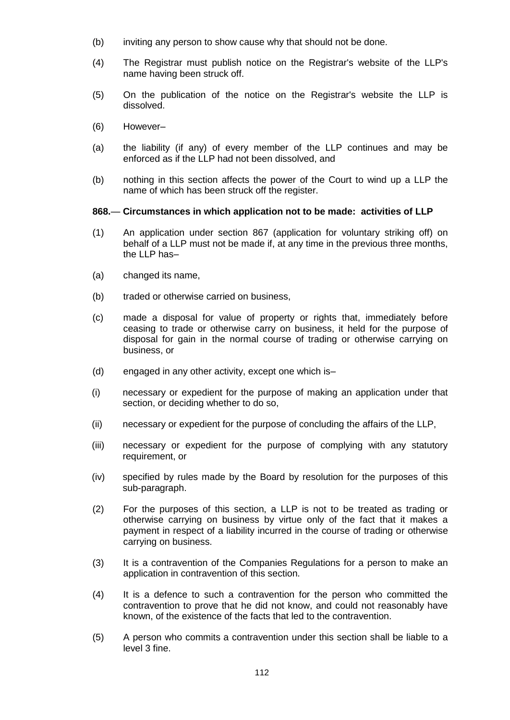- (b) inviting any person to show cause why that should not be done.
- (4) The Registrar must publish notice on the Registrar's website of the LLP's name having been struck off.
- (5) On the publication of the notice on the Registrar's website the LLP is dissolved.
- (6) However–
- (a) the liability (if any) of every member of the LLP continues and may be enforced as if the LLP had not been dissolved, and
- (b) nothing in this section affects the power of the Court to wind up a LLP the name of which has been struck off the register.

#### **868.**— **Circumstances in which application not to be made: activities of LLP**

- (1) An application under section 867 (application for voluntary striking off) on behalf of a LLP must not be made if, at any time in the previous three months, the LLP has–
- (a) changed its name,
- (b) traded or otherwise carried on business,
- (c) made a disposal for value of property or rights that, immediately before ceasing to trade or otherwise carry on business, it held for the purpose of disposal for gain in the normal course of trading or otherwise carrying on business, or
- (d) engaged in any other activity, except one which is–
- (i) necessary or expedient for the purpose of making an application under that section, or deciding whether to do so,
- (ii) necessary or expedient for the purpose of concluding the affairs of the LLP,
- (iii) necessary or expedient for the purpose of complying with any statutory requirement, or
- (iv) specified by rules made by the Board by resolution for the purposes of this sub-paragraph.
- (2) For the purposes of this section, a LLP is not to be treated as trading or otherwise carrying on business by virtue only of the fact that it makes a payment in respect of a liability incurred in the course of trading or otherwise carrying on business.
- (3) It is a contravention of the Companies Regulations for a person to make an application in contravention of this section.
- (4) It is a defence to such a contravention for the person who committed the contravention to prove that he did not know, and could not reasonably have known, of the existence of the facts that led to the contravention.
- (5) A person who commits a contravention under this section shall be liable to a level 3 fine.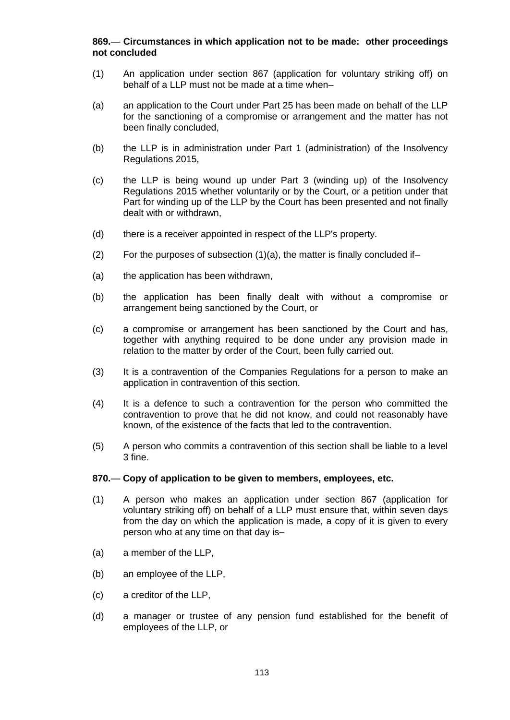# **869.**— **Circumstances in which application not to be made: other proceedings not concluded**

- (1) An application under section 867 (application for voluntary striking off) on behalf of a LLP must not be made at a time when–
- (a) an application to the Court under Part 25 has been made on behalf of the LLP for the sanctioning of a compromise or arrangement and the matter has not been finally concluded,
- (b) the LLP is in administration under Part 1 (administration) of the Insolvency Regulations 2015,
- (c) the LLP is being wound up under Part 3 (winding up) of the Insolvency Regulations 2015 whether voluntarily or by the Court, or a petition under that Part for winding up of the LLP by the Court has been presented and not finally dealt with or withdrawn,
- (d) there is a receiver appointed in respect of the LLP's property.
- (2) For the purposes of subsection  $(1)(a)$ , the matter is finally concluded if-
- (a) the application has been withdrawn,
- (b) the application has been finally dealt with without a compromise or arrangement being sanctioned by the Court, or
- (c) a compromise or arrangement has been sanctioned by the Court and has, together with anything required to be done under any provision made in relation to the matter by order of the Court, been fully carried out.
- (3) It is a contravention of the Companies Regulations for a person to make an application in contravention of this section.
- (4) It is a defence to such a contravention for the person who committed the contravention to prove that he did not know, and could not reasonably have known, of the existence of the facts that led to the contravention.
- (5) A person who commits a contravention of this section shall be liable to a level 3 fine.

#### **870.**— **Copy of application to be given to members, employees, etc.**

- (1) A person who makes an application under section 867 (application for voluntary striking off) on behalf of a LLP must ensure that, within seven days from the day on which the application is made, a copy of it is given to every person who at any time on that day is–
- (a) a member of the LLP,
- (b) an employee of the LLP,
- (c) a creditor of the LLP,
- (d) a manager or trustee of any pension fund established for the benefit of employees of the LLP, or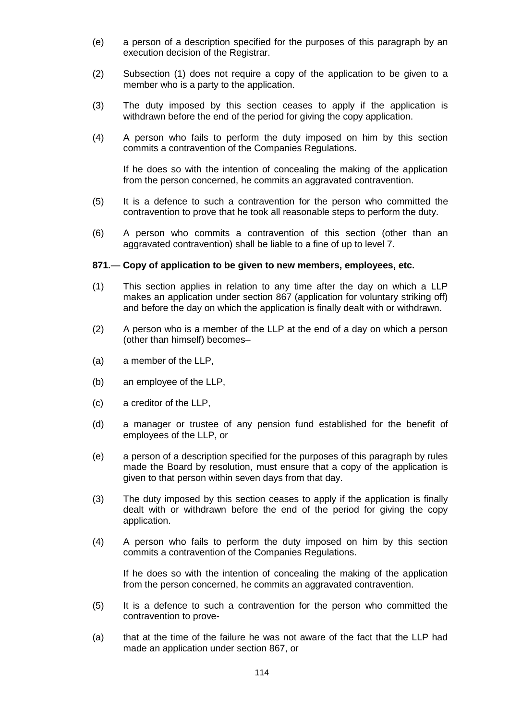- (e) a person of a description specified for the purposes of this paragraph by an execution decision of the Registrar.
- (2) Subsection (1) does not require a copy of the application to be given to a member who is a party to the application.
- (3) The duty imposed by this section ceases to apply if the application is withdrawn before the end of the period for giving the copy application.
- (4) A person who fails to perform the duty imposed on him by this section commits a contravention of the Companies Regulations.

If he does so with the intention of concealing the making of the application from the person concerned, he commits an aggravated contravention.

- (5) It is a defence to such a contravention for the person who committed the contravention to prove that he took all reasonable steps to perform the duty.
- (6) A person who commits a contravention of this section (other than an aggravated contravention) shall be liable to a fine of up to level 7.

#### **871.**— **Copy of application to be given to new members, employees, etc.**

- (1) This section applies in relation to any time after the day on which a LLP makes an application under section 867 (application for voluntary striking off) and before the day on which the application is finally dealt with or withdrawn.
- (2) A person who is a member of the LLP at the end of a day on which a person (other than himself) becomes–
- (a) a member of the LLP,
- (b) an employee of the LLP,
- (c) a creditor of the LLP,
- (d) a manager or trustee of any pension fund established for the benefit of employees of the LLP, or
- (e) a person of a description specified for the purposes of this paragraph by rules made the Board by resolution, must ensure that a copy of the application is given to that person within seven days from that day.
- (3) The duty imposed by this section ceases to apply if the application is finally dealt with or withdrawn before the end of the period for giving the copy application.
- (4) A person who fails to perform the duty imposed on him by this section commits a contravention of the Companies Regulations.

If he does so with the intention of concealing the making of the application from the person concerned, he commits an aggravated contravention.

- (5) It is a defence to such a contravention for the person who committed the contravention to prove-
- (a) that at the time of the failure he was not aware of the fact that the LLP had made an application under section 867, or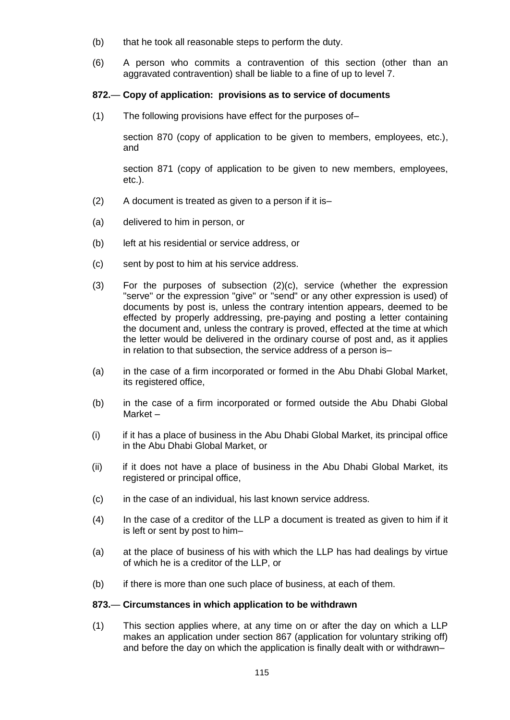- (b) that he took all reasonable steps to perform the duty.
- (6) A person who commits a contravention of this section (other than an aggravated contravention) shall be liable to a fine of up to level 7.

# **872.**— **Copy of application: provisions as to service of documents**

(1) The following provisions have effect for the purposes of–

section 870 (copy of application to be given to members, employees, etc.), and

section 871 (copy of application to be given to new members, employees, etc.).

- (2) A document is treated as given to a person if it is–
- (a) delivered to him in person, or
- (b) left at his residential or service address, or
- (c) sent by post to him at his service address.
- (3) For the purposes of subsection (2)(c), service (whether the expression "serve" or the expression "give" or "send" or any other expression is used) of documents by post is, unless the contrary intention appears, deemed to be effected by properly addressing, pre-paying and posting a letter containing the document and, unless the contrary is proved, effected at the time at which the letter would be delivered in the ordinary course of post and, as it applies in relation to that subsection, the service address of a person is–
- (a) in the case of a firm incorporated or formed in the Abu Dhabi Global Market, its registered office,
- (b) in the case of a firm incorporated or formed outside the Abu Dhabi Global Market –
- (i) if it has a place of business in the Abu Dhabi Global Market, its principal office in the Abu Dhabi Global Market, or
- (ii) if it does not have a place of business in the Abu Dhabi Global Market, its registered or principal office,
- (c) in the case of an individual, his last known service address.
- (4) In the case of a creditor of the LLP a document is treated as given to him if it is left or sent by post to him–
- (a) at the place of business of his with which the LLP has had dealings by virtue of which he is a creditor of the LLP, or
- (b) if there is more than one such place of business, at each of them.

### **873.**— **Circumstances in which application to be withdrawn**

(1) This section applies where, at any time on or after the day on which a LLP makes an application under section 867 (application for voluntary striking off) and before the day on which the application is finally dealt with or withdrawn–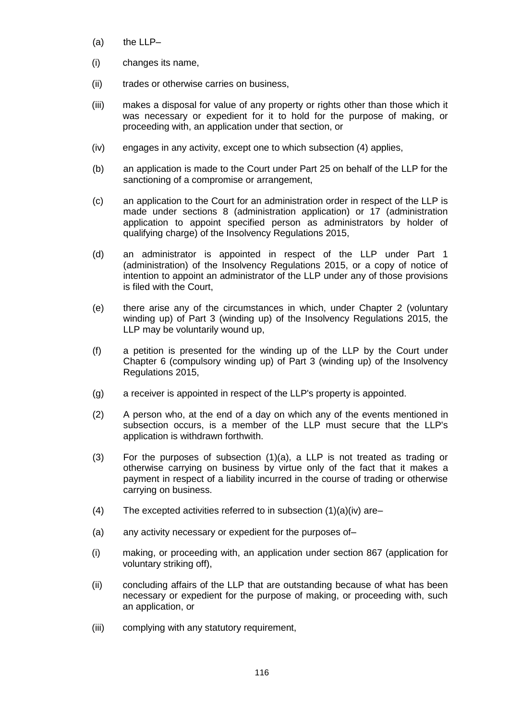- (a) the LLP–
- (i) changes its name,
- (ii) trades or otherwise carries on business,
- (iii) makes a disposal for value of any property or rights other than those which it was necessary or expedient for it to hold for the purpose of making, or proceeding with, an application under that section, or
- (iv) engages in any activity, except one to which subsection (4) applies,
- (b) an application is made to the Court under Part 25 on behalf of the LLP for the sanctioning of a compromise or arrangement,
- (c) an application to the Court for an administration order in respect of the LLP is made under sections 8 (administration application) or 17 (administration application to appoint specified person as administrators by holder of qualifying charge) of the Insolvency Regulations 2015,
- (d) an administrator is appointed in respect of the LLP under Part 1 (administration) of the Insolvency Regulations 2015, or a copy of notice of intention to appoint an administrator of the LLP under any of those provisions is filed with the Court,
- (e) there arise any of the circumstances in which, under Chapter 2 (voluntary winding up) of Part 3 (winding up) of the Insolvency Regulations 2015, the LLP may be voluntarily wound up,
- (f) a petition is presented for the winding up of the LLP by the Court under Chapter 6 (compulsory winding up) of Part 3 (winding up) of the Insolvency Regulations 2015,
- (g) a receiver is appointed in respect of the LLP's property is appointed.
- (2) A person who, at the end of a day on which any of the events mentioned in subsection occurs, is a member of the LLP must secure that the LLP's application is withdrawn forthwith.
- (3) For the purposes of subsection (1)(a), a LLP is not treated as trading or otherwise carrying on business by virtue only of the fact that it makes a payment in respect of a liability incurred in the course of trading or otherwise carrying on business.
- (4) The excepted activities referred to in subsection  $(1)(a)(iv)$  are–
- (a) any activity necessary or expedient for the purposes of–
- (i) making, or proceeding with, an application under section 867 (application for voluntary striking off),
- (ii) concluding affairs of the LLP that are outstanding because of what has been necessary or expedient for the purpose of making, or proceeding with, such an application, or
- (iii) complying with any statutory requirement,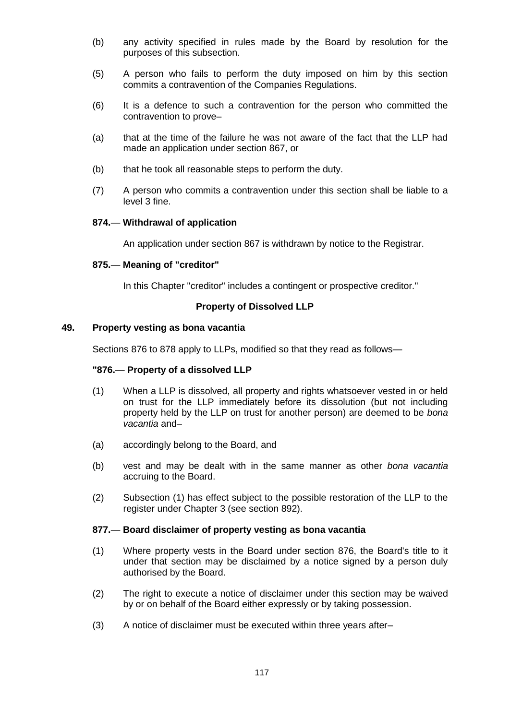- (b) any activity specified in rules made by the Board by resolution for the purposes of this subsection.
- (5) A person who fails to perform the duty imposed on him by this section commits a contravention of the Companies Regulations.
- (6) It is a defence to such a contravention for the person who committed the contravention to prove–
- (a) that at the time of the failure he was not aware of the fact that the LLP had made an application under section 867, or
- (b) that he took all reasonable steps to perform the duty.
- (7) A person who commits a contravention under this section shall be liable to a level 3 fine.

#### **874.**— **Withdrawal of application**

An application under section 867 is withdrawn by notice to the Registrar.

#### **875.**— **Meaning of "creditor"**

In this Chapter "creditor" includes a contingent or prospective creditor."

#### **Property of Dissolved LLP**

#### **49. Property vesting as bona vacantia**

Sections 876 to 878 apply to LLPs, modified so that they read as follows—

#### **"876.**— **Property of a dissolved LLP**

- (1) When a LLP is dissolved, all property and rights whatsoever vested in or held on trust for the LLP immediately before its dissolution (but not including property held by the LLP on trust for another person) are deemed to be *bona vacantia* and–
- (a) accordingly belong to the Board, and
- (b) vest and may be dealt with in the same manner as other *bona vacantia* accruing to the Board.
- (2) Subsection (1) has effect subject to the possible restoration of the LLP to the register under Chapter 3 (see section 892).

#### **877.**— **Board disclaimer of property vesting as bona vacantia**

- (1) Where property vests in the Board under section 876, the Board's title to it under that section may be disclaimed by a notice signed by a person duly authorised by the Board.
- (2) The right to execute a notice of disclaimer under this section may be waived by or on behalf of the Board either expressly or by taking possession.
- (3) A notice of disclaimer must be executed within three years after–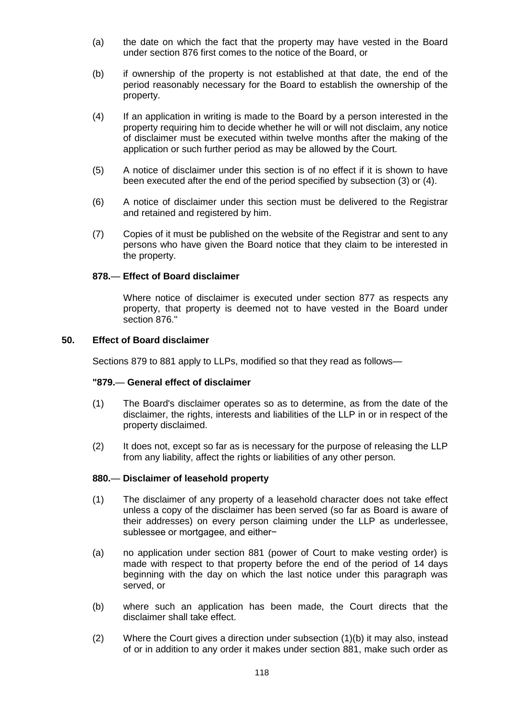- (a) the date on which the fact that the property may have vested in the Board under section 876 first comes to the notice of the Board, or
- (b) if ownership of the property is not established at that date, the end of the period reasonably necessary for the Board to establish the ownership of the property.
- (4) If an application in writing is made to the Board by a person interested in the property requiring him to decide whether he will or will not disclaim, any notice of disclaimer must be executed within twelve months after the making of the application or such further period as may be allowed by the Court.
- (5) A notice of disclaimer under this section is of no effect if it is shown to have been executed after the end of the period specified by subsection (3) or (4).
- (6) A notice of disclaimer under this section must be delivered to the Registrar and retained and registered by him.
- (7) Copies of it must be published on the website of the Registrar and sent to any persons who have given the Board notice that they claim to be interested in the property.

## **878.**— **Effect of Board disclaimer**

Where notice of disclaimer is executed under section 877 as respects any property, that property is deemed not to have vested in the Board under section 876."

### **50. Effect of Board disclaimer**

Sections 879 to 881 apply to LLPs, modified so that they read as follows—

### **"879.**— **General effect of disclaimer**

- (1) The Board's disclaimer operates so as to determine, as from the date of the disclaimer, the rights, interests and liabilities of the LLP in or in respect of the property disclaimed.
- (2) It does not, except so far as is necessary for the purpose of releasing the LLP from any liability, affect the rights or liabilities of any other person.

## **880.**— **Disclaimer of leasehold property**

- (1) The disclaimer of any property of a leasehold character does not take effect unless a copy of the disclaimer has been served (so far as Board is aware of their addresses) on every person claiming under the LLP as underlessee, sublessee or mortgagee, and either−
- (a) no application under section 881 (power of Court to make vesting order) is made with respect to that property before the end of the period of 14 days beginning with the day on which the last notice under this paragraph was served, or
- (b) where such an application has been made, the Court directs that the disclaimer shall take effect.
- (2) Where the Court gives a direction under subsection (1)(b) it may also, instead of or in addition to any order it makes under section 881, make such order as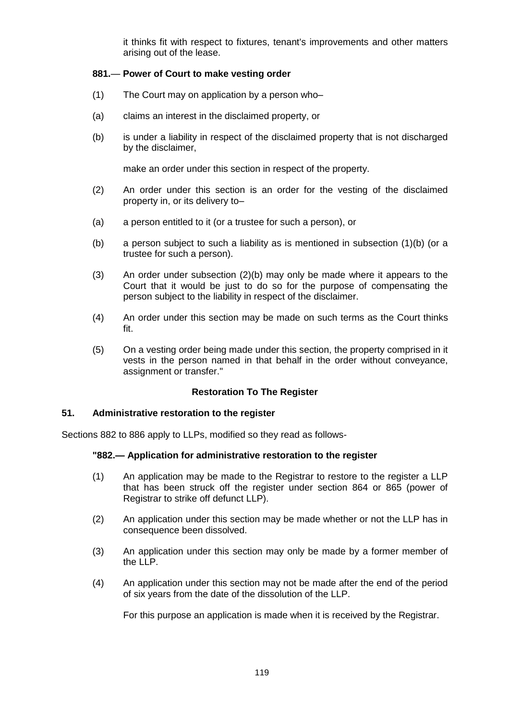it thinks fit with respect to fixtures, tenant's improvements and other matters arising out of the lease.

# **881.**— **Power of Court to make vesting order**

- (1) The Court may on application by a person who–
- (a) claims an interest in the disclaimed property, or
- (b) is under a liability in respect of the disclaimed property that is not discharged by the disclaimer,

make an order under this section in respect of the property.

- (2) An order under this section is an order for the vesting of the disclaimed property in, or its delivery to–
- (a) a person entitled to it (or a trustee for such a person), or
- (b) a person subject to such a liability as is mentioned in subsection (1)(b) (or a trustee for such a person).
- (3) An order under subsection (2)(b) may only be made where it appears to the Court that it would be just to do so for the purpose of compensating the person subject to the liability in respect of the disclaimer.
- (4) An order under this section may be made on such terms as the Court thinks fit.
- (5) On a vesting order being made under this section, the property comprised in it vests in the person named in that behalf in the order without conveyance, assignment or transfer."

# **Restoration To The Register**

### **51. Administrative restoration to the register**

Sections 882 to 886 apply to LLPs, modified so they read as follows-

### **"882.— Application for administrative restoration to the register**

- (1) An application may be made to the Registrar to restore to the register a LLP that has been struck off the register under section 864 or 865 (power of Registrar to strike off defunct LLP).
- (2) An application under this section may be made whether or not the LLP has in consequence been dissolved.
- (3) An application under this section may only be made by a former member of the LLP.
- (4) An application under this section may not be made after the end of the period of six years from the date of the dissolution of the LLP.

For this purpose an application is made when it is received by the Registrar.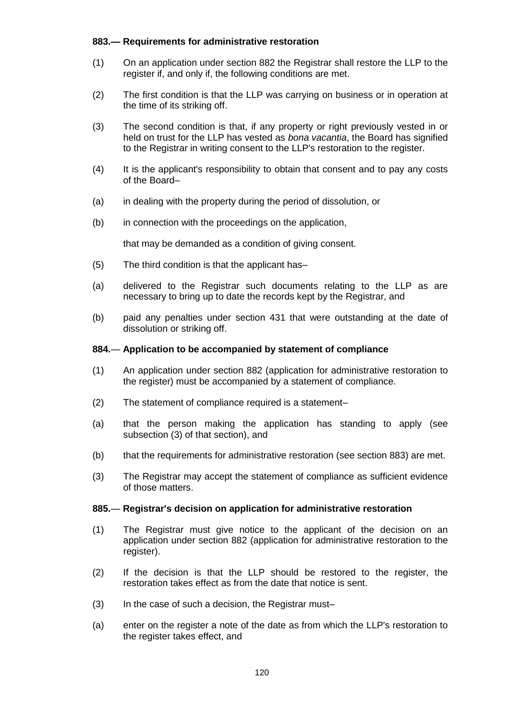# **883.— Requirements for administrative restoration**

- (1) On an application under section 882 the Registrar shall restore the LLP to the register if, and only if, the following conditions are met.
- (2) The first condition is that the LLP was carrying on business or in operation at the time of its striking off.
- (3) The second condition is that, if any property or right previously vested in or held on trust for the LLP has vested as *bona vacantia*, the Board has signified to the Registrar in writing consent to the LLP's restoration to the register.
- (4) It is the applicant's responsibility to obtain that consent and to pay any costs of the Board–
- (a) in dealing with the property during the period of dissolution, or
- (b) in connection with the proceedings on the application,

that may be demanded as a condition of giving consent.

- (5) The third condition is that the applicant has–
- (a) delivered to the Registrar such documents relating to the LLP as are necessary to bring up to date the records kept by the Registrar, and
- (b) paid any penalties under section 431 that were outstanding at the date of dissolution or striking off.

# **884.**— **Application to be accompanied by statement of compliance**

- (1) An application under section 882 (application for administrative restoration to the register) must be accompanied by a statement of compliance.
- (2) The statement of compliance required is a statement–
- (a) that the person making the application has standing to apply (see subsection (3) of that section), and
- (b) that the requirements for administrative restoration (see section 883) are met.
- (3) The Registrar may accept the statement of compliance as sufficient evidence of those matters.

### **885.**— **Registrar's decision on application for administrative restoration**

- (1) The Registrar must give notice to the applicant of the decision on an application under section 882 (application for administrative restoration to the register).
- (2) If the decision is that the LLP should be restored to the register, the restoration takes effect as from the date that notice is sent.
- (3) In the case of such a decision, the Registrar must–
- (a) enter on the register a note of the date as from which the LLP's restoration to the register takes effect, and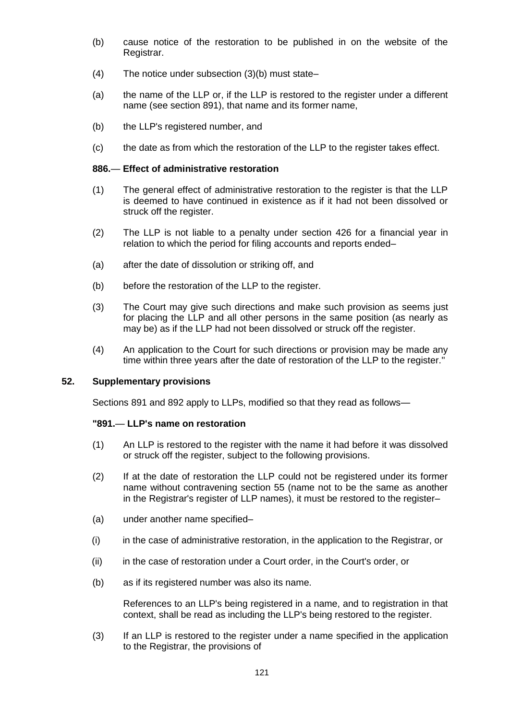- (b) cause notice of the restoration to be published in on the website of the Registrar.
- (4) The notice under subsection (3)(b) must state–
- (a) the name of the LLP or, if the LLP is restored to the register under a different name (see section 891), that name and its former name,
- (b) the LLP's registered number, and
- (c) the date as from which the restoration of the LLP to the register takes effect.

#### **886.**— **Effect of administrative restoration**

- (1) The general effect of administrative restoration to the register is that the LLP is deemed to have continued in existence as if it had not been dissolved or struck off the register.
- (2) The LLP is not liable to a penalty under section 426 for a financial year in relation to which the period for filing accounts and reports ended–
- (a) after the date of dissolution or striking off, and
- (b) before the restoration of the LLP to the register.
- (3) The Court may give such directions and make such provision as seems just for placing the LLP and all other persons in the same position (as nearly as may be) as if the LLP had not been dissolved or struck off the register.
- (4) An application to the Court for such directions or provision may be made any time within three years after the date of restoration of the LLP to the register."

# **52. Supplementary provisions**

Sections 891 and 892 apply to LLPs, modified so that they read as follows—

#### **"891.**— **LLP's name on restoration**

- (1) An LLP is restored to the register with the name it had before it was dissolved or struck off the register, subject to the following provisions.
- (2) If at the date of restoration the LLP could not be registered under its former name without contravening section 55 (name not to be the same as another in the Registrar's register of LLP names), it must be restored to the register–
- (a) under another name specified–
- (i) in the case of administrative restoration, in the application to the Registrar, or
- (ii) in the case of restoration under a Court order, in the Court's order, or
- (b) as if its registered number was also its name.

References to an LLP's being registered in a name, and to registration in that context, shall be read as including the LLP's being restored to the register.

(3) If an LLP is restored to the register under a name specified in the application to the Registrar, the provisions of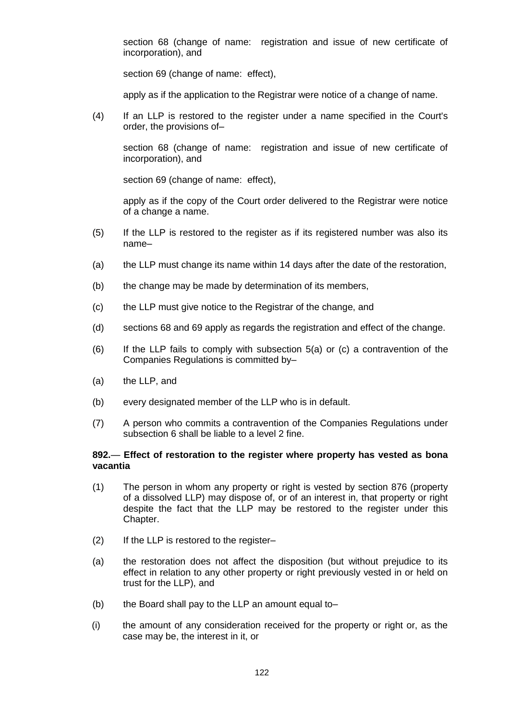section 68 (change of name: registration and issue of new certificate of incorporation), and

section 69 (change of name: effect),

apply as if the application to the Registrar were notice of a change of name.

(4) If an LLP is restored to the register under a name specified in the Court's order, the provisions of–

section 68 (change of name: registration and issue of new certificate of incorporation), and

section 69 (change of name: effect).

apply as if the copy of the Court order delivered to the Registrar were notice of a change a name.

- (5) If the LLP is restored to the register as if its registered number was also its name–
- (a) the LLP must change its name within 14 days after the date of the restoration,
- (b) the change may be made by determination of its members,
- (c) the LLP must give notice to the Registrar of the change, and
- (d) sections 68 and 69 apply as regards the registration and effect of the change.
- (6) If the LLP fails to comply with subsection 5(a) or (c) a contravention of the Companies Regulations is committed by–
- (a) the LLP, and
- (b) every designated member of the LLP who is in default.
- (7) A person who commits a contravention of the Companies Regulations under subsection 6 shall be liable to a level 2 fine.

### **892.**— **Effect of restoration to the register where property has vested as bona vacantia**

- (1) The person in whom any property or right is vested by section 876 (property of a dissolved LLP) may dispose of, or of an interest in, that property or right despite the fact that the LLP may be restored to the register under this Chapter.
- (2) If the LLP is restored to the register–
- (a) the restoration does not affect the disposition (but without prejudice to its effect in relation to any other property or right previously vested in or held on trust for the LLP), and
- (b) the Board shall pay to the LLP an amount equal to–
- (i) the amount of any consideration received for the property or right or, as the case may be, the interest in it, or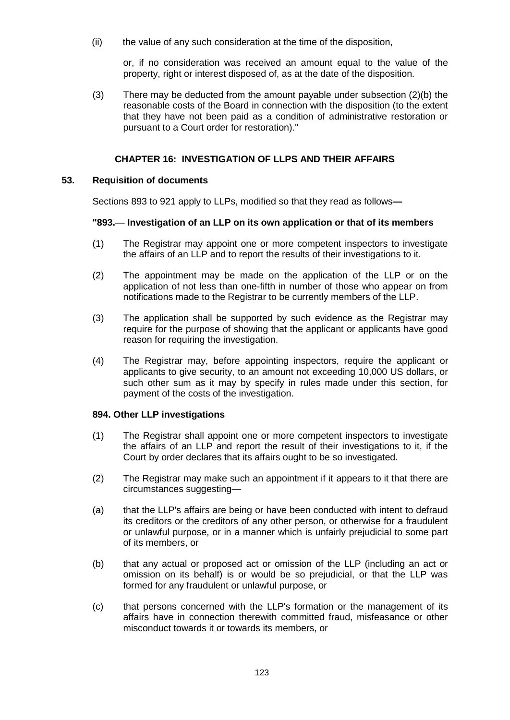(ii) the value of any such consideration at the time of the disposition,

or, if no consideration was received an amount equal to the value of the property, right or interest disposed of, as at the date of the disposition.

(3) There may be deducted from the amount payable under subsection  $(2)(b)$  the reasonable costs of the Board in connection with the disposition (to the extent that they have not been paid as a condition of administrative restoration or pursuant to a Court order for restoration)."

# **CHAPTER 16: INVESTIGATION OF LLPS AND THEIR AFFAIRS**

## **53. Requisition of documents**

Sections 893 to 921 apply to LLPs, modified so that they read as follows**—**

# **"893.**— **Investigation of an LLP on its own application or that of its members**

- (1) The Registrar may appoint one or more competent inspectors to investigate the affairs of an LLP and to report the results of their investigations to it.
- (2) The appointment may be made on the application of the LLP or on the application of not less than one-fifth in number of those who appear on from notifications made to the Registrar to be currently members of the LLP.
- (3) The application shall be supported by such evidence as the Registrar may require for the purpose of showing that the applicant or applicants have good reason for requiring the investigation.
- (4) The Registrar may, before appointing inspectors, require the applicant or applicants to give security, to an amount not exceeding 10,000 US dollars, or such other sum as it may by specify in rules made under this section, for payment of the costs of the investigation.

### **894. Other LLP investigations**

- (1) The Registrar shall appoint one or more competent inspectors to investigate the affairs of an LLP and report the result of their investigations to it, if the Court by order declares that its affairs ought to be so investigated.
- (2) The Registrar may make such an appointment if it appears to it that there are circumstances suggesting—
- (a) that the LLP's affairs are being or have been conducted with intent to defraud its creditors or the creditors of any other person, or otherwise for a fraudulent or unlawful purpose, or in a manner which is unfairly prejudicial to some part of its members, or
- (b) that any actual or proposed act or omission of the LLP (including an act or omission on its behalf) is or would be so prejudicial, or that the LLP was formed for any fraudulent or unlawful purpose, or
- (c) that persons concerned with the LLP's formation or the management of its affairs have in connection therewith committed fraud, misfeasance or other misconduct towards it or towards its members, or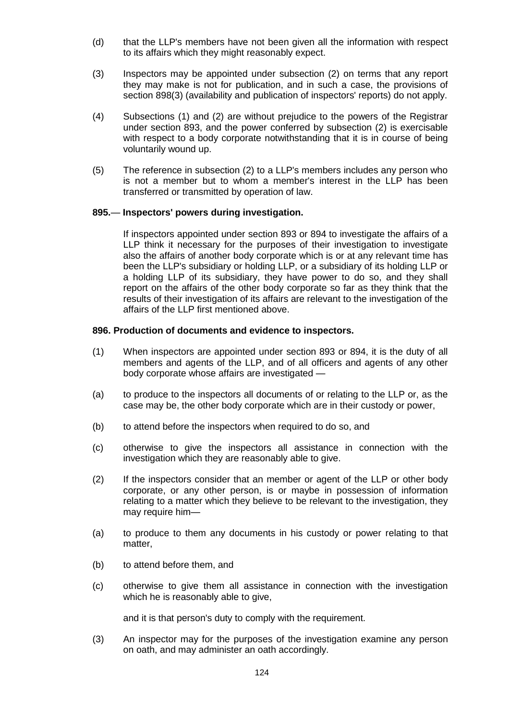- (d) that the LLP's members have not been given all the information with respect to its affairs which they might reasonably expect.
- (3) Inspectors may be appointed under subsection (2) on terms that any report they may make is not for publication, and in such a case, the provisions of section 898(3) (availability and publication of inspectors' reports) do not apply.
- (4) Subsections (1) and (2) are without prejudice to the powers of the Registrar under section 893, and the power conferred by subsection (2) is exercisable with respect to a body corporate notwithstanding that it is in course of being voluntarily wound up.
- (5) The reference in subsection (2) to a LLP's members includes any person who is not a member but to whom a member's interest in the LLP has been transferred or transmitted by operation of law.

### **895.**— **Inspectors' powers during investigation.**

If inspectors appointed under section 893 or 894 to investigate the affairs of a LLP think it necessary for the purposes of their investigation to investigate also the affairs of another body corporate which is or at any relevant time has been the LLP's subsidiary or holding LLP, or a subsidiary of its holding LLP or a holding LLP of its subsidiary, they have power to do so, and they shall report on the affairs of the other body corporate so far as they think that the results of their investigation of its affairs are relevant to the investigation of the affairs of the LLP first mentioned above.

### **896. Production of documents and evidence to inspectors.**

- (1) When inspectors are appointed under section 893 or 894, it is the duty of all members and agents of the LLP, and of all officers and agents of any other body corporate whose affairs are investigated —
- (a) to produce to the inspectors all documents of or relating to the LLP or, as the case may be, the other body corporate which are in their custody or power,
- (b) to attend before the inspectors when required to do so, and
- (c) otherwise to give the inspectors all assistance in connection with the investigation which they are reasonably able to give.
- (2) If the inspectors consider that an member or agent of the LLP or other body corporate, or any other person, is or maybe in possession of information relating to a matter which they believe to be relevant to the investigation, they may require him—
- (a) to produce to them any documents in his custody or power relating to that matter,
- (b) to attend before them, and
- (c) otherwise to give them all assistance in connection with the investigation which he is reasonably able to give,

and it is that person's duty to comply with the requirement.

(3) An inspector may for the purposes of the investigation examine any person on oath, and may administer an oath accordingly.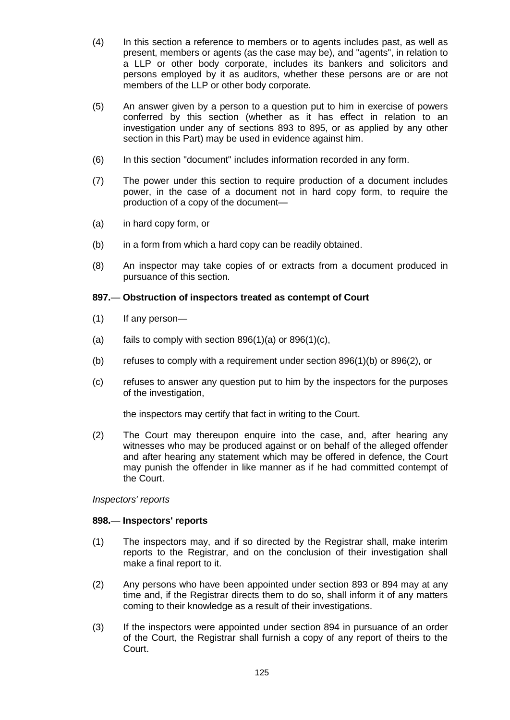- (4) In this section a reference to members or to agents includes past, as well as present, members or agents (as the case may be), and "agents", in relation to a LLP or other body corporate, includes its bankers and solicitors and persons employed by it as auditors, whether these persons are or are not members of the LLP or other body corporate.
- (5) An answer given by a person to a question put to him in exercise of powers conferred by this section (whether as it has effect in relation to an investigation under any of sections 893 to 895, or as applied by any other section in this Part) may be used in evidence against him.
- (6) In this section "document" includes information recorded in any form.
- (7) The power under this section to require production of a document includes power, in the case of a document not in hard copy form, to require the production of a copy of the document—
- (a) in hard copy form, or
- (b) in a form from which a hard copy can be readily obtained.
- (8) An inspector may take copies of or extracts from a document produced in pursuance of this section.

# **897.**— **Obstruction of inspectors treated as contempt of Court**

- (1) If any person—
- (a) fails to comply with section  $896(1)(a)$  or  $896(1)(c)$ ,
- (b) refuses to comply with a requirement under section 896(1)(b) or 896(2), or
- (c) refuses to answer any question put to him by the inspectors for the purposes of the investigation,

the inspectors may certify that fact in writing to the Court.

(2) The Court may thereupon enquire into the case, and, after hearing any witnesses who may be produced against or on behalf of the alleged offender and after hearing any statement which may be offered in defence, the Court may punish the offender in like manner as if he had committed contempt of the Court.

*Inspectors' reports*

### **898.**— **Inspectors' reports**

- (1) The inspectors may, and if so directed by the Registrar shall, make interim reports to the Registrar, and on the conclusion of their investigation shall make a final report to it.
- (2) Any persons who have been appointed under section 893 or 894 may at any time and, if the Registrar directs them to do so, shall inform it of any matters coming to their knowledge as a result of their investigations.
- (3) If the inspectors were appointed under section 894 in pursuance of an order of the Court, the Registrar shall furnish a copy of any report of theirs to the Court.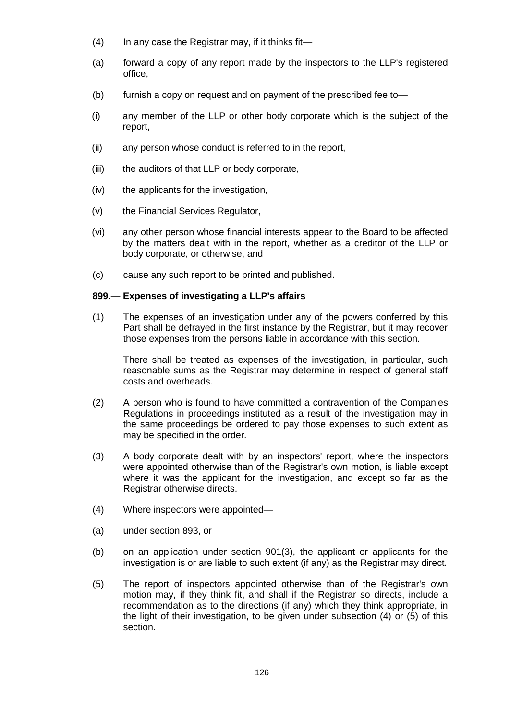- (4) In any case the Registrar may, if it thinks fit—
- (a) forward a copy of any report made by the inspectors to the LLP's registered office,
- (b) furnish a copy on request and on payment of the prescribed fee to—
- (i) any member of the LLP or other body corporate which is the subject of the report,
- (ii) any person whose conduct is referred to in the report,
- (iii) the auditors of that LLP or body corporate,
- (iv) the applicants for the investigation,
- (v) the Financial Services Regulator,
- (vi) any other person whose financial interests appear to the Board to be affected by the matters dealt with in the report, whether as a creditor of the LLP or body corporate, or otherwise, and
- (c) cause any such report to be printed and published.

### **899.**— **Expenses of investigating a LLP's affairs**

(1) The expenses of an investigation under any of the powers conferred by this Part shall be defrayed in the first instance by the Registrar, but it may recover those expenses from the persons liable in accordance with this section.

There shall be treated as expenses of the investigation, in particular, such reasonable sums as the Registrar may determine in respect of general staff costs and overheads.

- (2) A person who is found to have committed a contravention of the Companies Regulations in proceedings instituted as a result of the investigation may in the same proceedings be ordered to pay those expenses to such extent as may be specified in the order.
- (3) A body corporate dealt with by an inspectors' report, where the inspectors were appointed otherwise than of the Registrar's own motion, is liable except where it was the applicant for the investigation, and except so far as the Registrar otherwise directs.
- (4) Where inspectors were appointed—
- (a) under section 893, or
- (b) on an application under section 901(3), the applicant or applicants for the investigation is or are liable to such extent (if any) as the Registrar may direct.
- (5) The report of inspectors appointed otherwise than of the Registrar's own motion may, if they think fit, and shall if the Registrar so directs, include a recommendation as to the directions (if any) which they think appropriate, in the light of their investigation, to be given under subsection (4) or (5) of this section.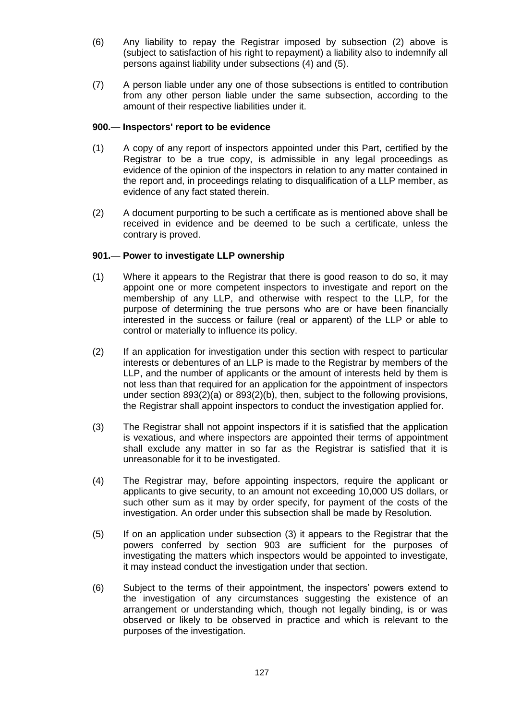- (6) Any liability to repay the Registrar imposed by subsection (2) above is (subject to satisfaction of his right to repayment) a liability also to indemnify all persons against liability under subsections (4) and (5).
- (7) A person liable under any one of those subsections is entitled to contribution from any other person liable under the same subsection, according to the amount of their respective liabilities under it.

# **900.**— **Inspectors' report to be evidence**

- (1) A copy of any report of inspectors appointed under this Part, certified by the Registrar to be a true copy, is admissible in any legal proceedings as evidence of the opinion of the inspectors in relation to any matter contained in the report and, in proceedings relating to disqualification of a LLP member, as evidence of any fact stated therein.
- (2) A document purporting to be such a certificate as is mentioned above shall be received in evidence and be deemed to be such a certificate, unless the contrary is proved.

# **901.**— **Power to investigate LLP ownership**

- (1) Where it appears to the Registrar that there is good reason to do so, it may appoint one or more competent inspectors to investigate and report on the membership of any LLP, and otherwise with respect to the LLP, for the purpose of determining the true persons who are or have been financially interested in the success or failure (real or apparent) of the LLP or able to control or materially to influence its policy.
- (2) If an application for investigation under this section with respect to particular interests or debentures of an LLP is made to the Registrar by members of the LLP, and the number of applicants or the amount of interests held by them is not less than that required for an application for the appointment of inspectors under section 893(2)(a) or 893(2)(b), then, subject to the following provisions, the Registrar shall appoint inspectors to conduct the investigation applied for.
- (3) The Registrar shall not appoint inspectors if it is satisfied that the application is vexatious, and where inspectors are appointed their terms of appointment shall exclude any matter in so far as the Registrar is satisfied that it is unreasonable for it to be investigated.
- (4) The Registrar may, before appointing inspectors, require the applicant or applicants to give security, to an amount not exceeding 10,000 US dollars, or such other sum as it may by order specify, for payment of the costs of the investigation. An order under this subsection shall be made by Resolution.
- (5) If on an application under subsection (3) it appears to the Registrar that the powers conferred by section 903 are sufficient for the purposes of investigating the matters which inspectors would be appointed to investigate, it may instead conduct the investigation under that section.
- (6) Subject to the terms of their appointment, the inspectors' powers extend to the investigation of any circumstances suggesting the existence of an arrangement or understanding which, though not legally binding, is or was observed or likely to be observed in practice and which is relevant to the purposes of the investigation.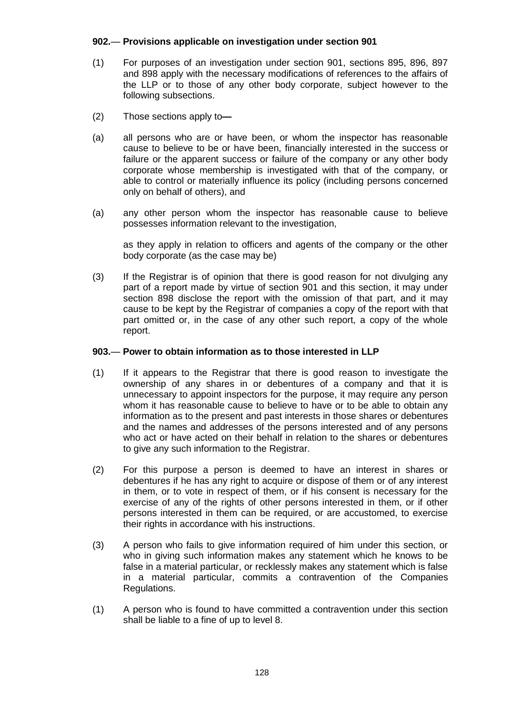# **902.**— **Provisions applicable on investigation under section 901**

- (1) For purposes of an investigation under section 901, sections 895, 896, 897 and 898 apply with the necessary modifications of references to the affairs of the LLP or to those of any other body corporate, subject however to the following subsections.
- (2) Those sections apply to**—**
- (a) all persons who are or have been, or whom the inspector has reasonable cause to believe to be or have been, financially interested in the success or failure or the apparent success or failure of the company or any other body corporate whose membership is investigated with that of the company, or able to control or materially influence its policy (including persons concerned only on behalf of others), and
- (a) any other person whom the inspector has reasonable cause to believe possesses information relevant to the investigation,

as they apply in relation to officers and agents of the company or the other body corporate (as the case may be)

(3) If the Registrar is of opinion that there is good reason for not divulging any part of a report made by virtue of section 901 and this section, it may under section 898 disclose the report with the omission of that part, and it may cause to be kept by the Registrar of companies a copy of the report with that part omitted or, in the case of any other such report, a copy of the whole report.

# **903.**— **Power to obtain information as to those interested in LLP**

- (1) If it appears to the Registrar that there is good reason to investigate the ownership of any shares in or debentures of a company and that it is unnecessary to appoint inspectors for the purpose, it may require any person whom it has reasonable cause to believe to have or to be able to obtain any information as to the present and past interests in those shares or debentures and the names and addresses of the persons interested and of any persons who act or have acted on their behalf in relation to the shares or debentures to give any such information to the Registrar.
- (2) For this purpose a person is deemed to have an interest in shares or debentures if he has any right to acquire or dispose of them or of any interest in them, or to vote in respect of them, or if his consent is necessary for the exercise of any of the rights of other persons interested in them, or if other persons interested in them can be required, or are accustomed, to exercise their rights in accordance with his instructions.
- (3) A person who fails to give information required of him under this section, or who in giving such information makes any statement which he knows to be false in a material particular, or recklessly makes any statement which is false in a material particular, commits a contravention of the Companies Regulations.
- (1) A person who is found to have committed a contravention under this section shall be liable to a fine of up to level 8.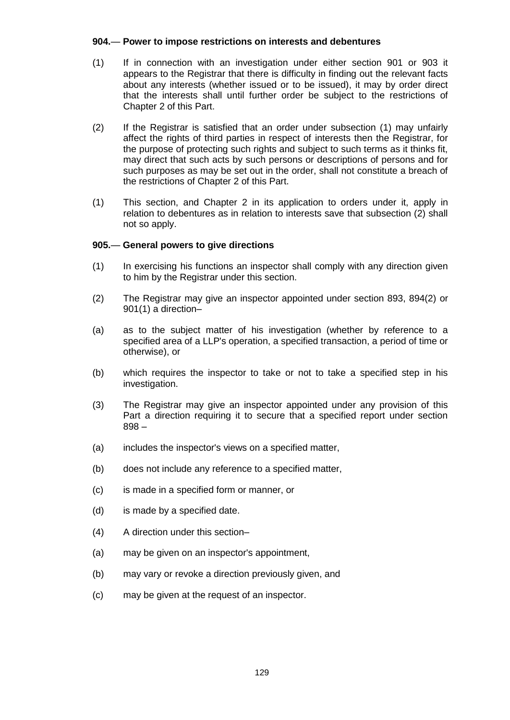# **904.**— **Power to impose restrictions on interests and debentures**

- (1) If in connection with an investigation under either section 901 or 903 it appears to the Registrar that there is difficulty in finding out the relevant facts about any interests (whether issued or to be issued), it may by order direct that the interests shall until further order be subject to the restrictions of Chapter 2 of this Part.
- (2) If the Registrar is satisfied that an order under subsection (1) may unfairly affect the rights of third parties in respect of interests then the Registrar, for the purpose of protecting such rights and subject to such terms as it thinks fit, may direct that such acts by such persons or descriptions of persons and for such purposes as may be set out in the order, shall not constitute a breach of the restrictions of Chapter 2 of this Part.
- (1) This section, and Chapter 2 in its application to orders under it, apply in relation to debentures as in relation to interests save that subsection (2) shall not so apply.

# **905.**— **General powers to give directions**

- (1) In exercising his functions an inspector shall comply with any direction given to him by the Registrar under this section.
- (2) The Registrar may give an inspector appointed under section 893, 894(2) or 901(1) a direction–
- (a) as to the subject matter of his investigation (whether by reference to a specified area of a LLP's operation, a specified transaction, a period of time or otherwise), or
- (b) which requires the inspector to take or not to take a specified step in his investigation.
- (3) The Registrar may give an inspector appointed under any provision of this Part a direction requiring it to secure that a specified report under section 898 –
- (a) includes the inspector's views on a specified matter,
- (b) does not include any reference to a specified matter,
- (c) is made in a specified form or manner, or
- (d) is made by a specified date.
- (4) A direction under this section–
- (a) may be given on an inspector's appointment,
- (b) may vary or revoke a direction previously given, and
- (c) may be given at the request of an inspector.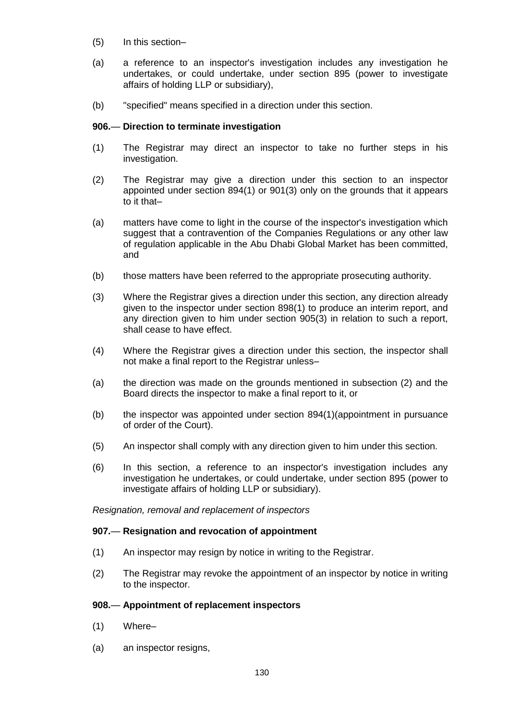- (5) In this section–
- (a) a reference to an inspector's investigation includes any investigation he undertakes, or could undertake, under section 895 (power to investigate affairs of holding LLP or subsidiary),
- (b) "specified" means specified in a direction under this section.

# **906.**— **Direction to terminate investigation**

- (1) The Registrar may direct an inspector to take no further steps in his investigation.
- (2) The Registrar may give a direction under this section to an inspector appointed under section 894(1) or 901(3) only on the grounds that it appears to it that–
- (a) matters have come to light in the course of the inspector's investigation which suggest that a contravention of the Companies Regulations or any other law of regulation applicable in the Abu Dhabi Global Market has been committed, and
- (b) those matters have been referred to the appropriate prosecuting authority.
- (3) Where the Registrar gives a direction under this section, any direction already given to the inspector under section 898(1) to produce an interim report, and any direction given to him under section 905(3) in relation to such a report, shall cease to have effect.
- (4) Where the Registrar gives a direction under this section, the inspector shall not make a final report to the Registrar unless–
- (a) the direction was made on the grounds mentioned in subsection (2) and the Board directs the inspector to make a final report to it, or
- (b) the inspector was appointed under section 894(1)(appointment in pursuance of order of the Court).
- (5) An inspector shall comply with any direction given to him under this section.
- (6) In this section, a reference to an inspector's investigation includes any investigation he undertakes, or could undertake, under section 895 (power to investigate affairs of holding LLP or subsidiary).

*Resignation, removal and replacement of inspectors*

### **907.**— **Resignation and revocation of appointment**

- (1) An inspector may resign by notice in writing to the Registrar.
- (2) The Registrar may revoke the appointment of an inspector by notice in writing to the inspector.

### **908.**— **Appointment of replacement inspectors**

- (1) Where–
- (a) an inspector resigns,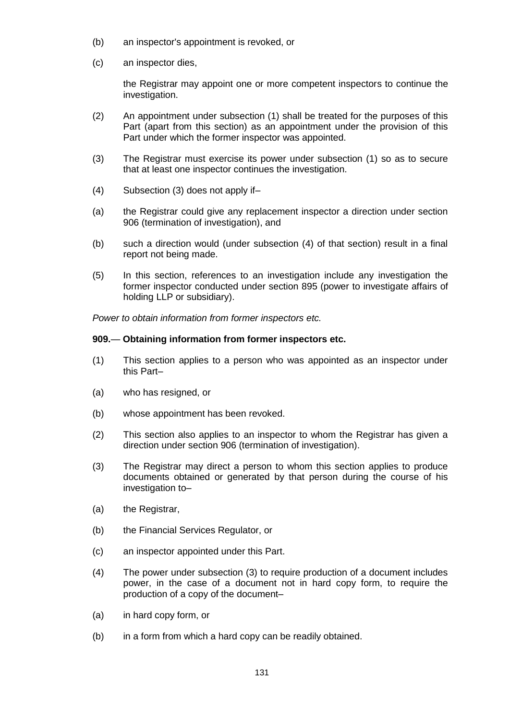- (b) an inspector's appointment is revoked, or
- (c) an inspector dies,

the Registrar may appoint one or more competent inspectors to continue the investigation.

- (2) An appointment under subsection (1) shall be treated for the purposes of this Part (apart from this section) as an appointment under the provision of this Part under which the former inspector was appointed.
- (3) The Registrar must exercise its power under subsection (1) so as to secure that at least one inspector continues the investigation.
- (4) Subsection (3) does not apply if–
- (a) the Registrar could give any replacement inspector a direction under section 906 (termination of investigation), and
- (b) such a direction would (under subsection (4) of that section) result in a final report not being made.
- (5) In this section, references to an investigation include any investigation the former inspector conducted under section 895 (power to investigate affairs of holding LLP or subsidiary).

*Power to obtain information from former inspectors etc.*

# **909.**— **Obtaining information from former inspectors etc.**

- (1) This section applies to a person who was appointed as an inspector under this Part–
- (a) who has resigned, or
- (b) whose appointment has been revoked.
- (2) This section also applies to an inspector to whom the Registrar has given a direction under section 906 (termination of investigation).
- (3) The Registrar may direct a person to whom this section applies to produce documents obtained or generated by that person during the course of his investigation to–
- (a) the Registrar,
- (b) the Financial Services Regulator, or
- (c) an inspector appointed under this Part.
- (4) The power under subsection (3) to require production of a document includes power, in the case of a document not in hard copy form, to require the production of a copy of the document–
- (a) in hard copy form, or
- (b) in a form from which a hard copy can be readily obtained.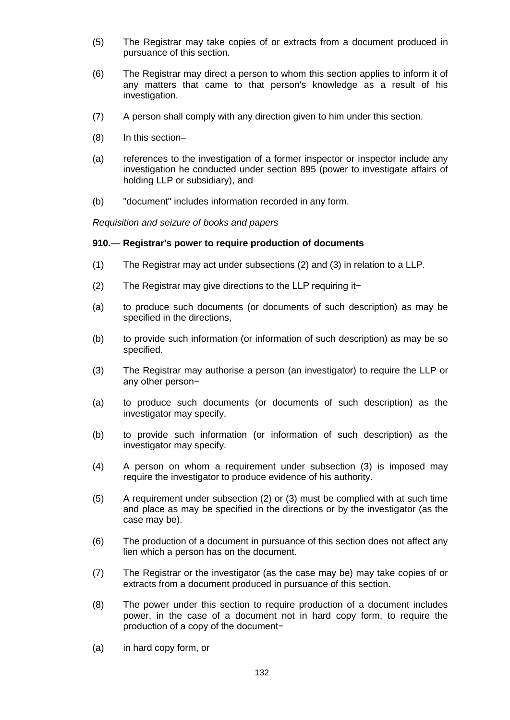- (5) The Registrar may take copies of or extracts from a document produced in pursuance of this section.
- (6) The Registrar may direct a person to whom this section applies to inform it of any matters that came to that person's knowledge as a result of his investigation.
- (7) A person shall comply with any direction given to him under this section.
- (8) In this section–
- (a) references to the investigation of a former inspector or inspector include any investigation he conducted under section 895 (power to investigate affairs of holding LLP or subsidiary), and
- (b) "document" includes information recorded in any form.

*Requisition and seizure of books and papers*

#### **910.**— **Registrar's power to require production of documents**

- (1) The Registrar may act under subsections (2) and (3) in relation to a LLP.
- (2) The Registrar may give directions to the LLP requiring it−
- (a) to produce such documents (or documents of such description) as may be specified in the directions,
- (b) to provide such information (or information of such description) as may be so specified.
- (3) The Registrar may authorise a person (an investigator) to require the LLP or any other person−
- (a) to produce such documents (or documents of such description) as the investigator may specify,
- (b) to provide such information (or information of such description) as the investigator may specify.
- (4) A person on whom a requirement under subsection (3) is imposed may require the investigator to produce evidence of his authority.
- (5) A requirement under subsection (2) or (3) must be complied with at such time and place as may be specified in the directions or by the investigator (as the case may be).
- (6) The production of a document in pursuance of this section does not affect any lien which a person has on the document.
- (7) The Registrar or the investigator (as the case may be) may take copies of or extracts from a document produced in pursuance of this section.
- (8) The power under this section to require production of a document includes power, in the case of a document not in hard copy form, to require the production of a copy of the document−
- (a) in hard copy form, or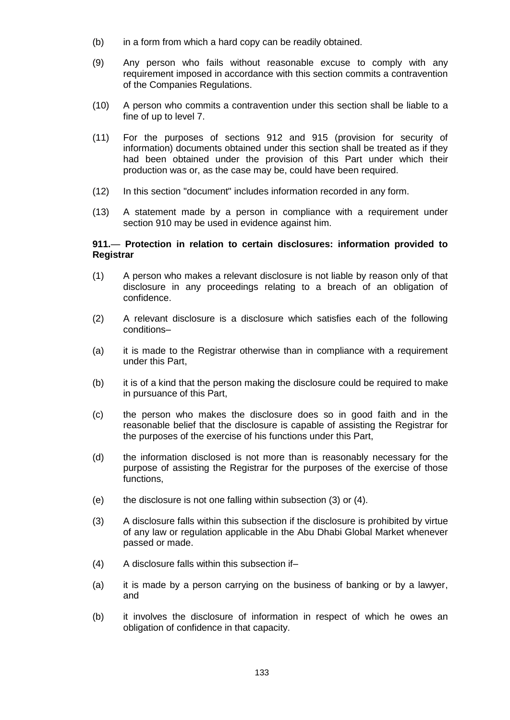- (b) in a form from which a hard copy can be readily obtained.
- (9) Any person who fails without reasonable excuse to comply with any requirement imposed in accordance with this section commits a contravention of the Companies Regulations.
- (10) A person who commits a contravention under this section shall be liable to a fine of up to level 7.
- (11) For the purposes of sections 912 and 915 (provision for security of information) documents obtained under this section shall be treated as if they had been obtained under the provision of this Part under which their production was or, as the case may be, could have been required.
- (12) In this section "document" includes information recorded in any form.
- (13) A statement made by a person in compliance with a requirement under section 910 may be used in evidence against him.

# **911.**— **Protection in relation to certain disclosures: information provided to Registrar**

- (1) A person who makes a relevant disclosure is not liable by reason only of that disclosure in any proceedings relating to a breach of an obligation of confidence.
- (2) A relevant disclosure is a disclosure which satisfies each of the following conditions–
- (a) it is made to the Registrar otherwise than in compliance with a requirement under this Part,
- (b) it is of a kind that the person making the disclosure could be required to make in pursuance of this Part,
- (c) the person who makes the disclosure does so in good faith and in the reasonable belief that the disclosure is capable of assisting the Registrar for the purposes of the exercise of his functions under this Part,
- (d) the information disclosed is not more than is reasonably necessary for the purpose of assisting the Registrar for the purposes of the exercise of those functions,
- (e) the disclosure is not one falling within subsection (3) or (4).
- (3) A disclosure falls within this subsection if the disclosure is prohibited by virtue of any law or regulation applicable in the Abu Dhabi Global Market whenever passed or made.
- (4) A disclosure falls within this subsection if–
- (a) it is made by a person carrying on the business of banking or by a lawyer, and
- (b) it involves the disclosure of information in respect of which he owes an obligation of confidence in that capacity.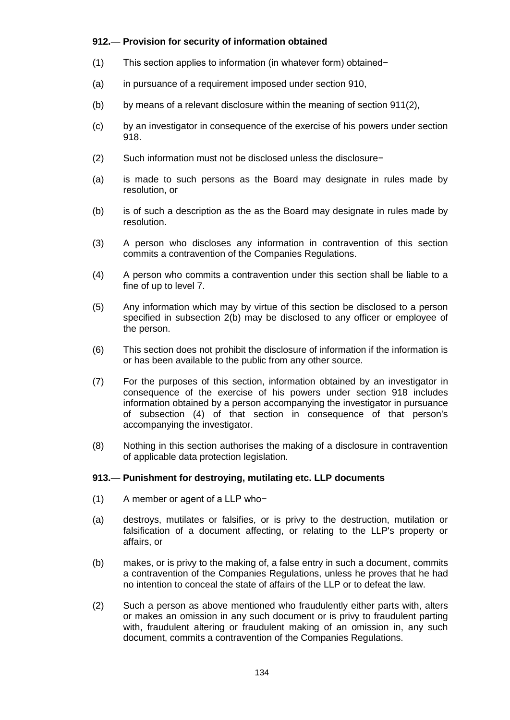# **912.**— **Provision for security of information obtained**

- (1) This section applies to information (in whatever form) obtained−
- (a) in pursuance of a requirement imposed under section 910,
- (b) by means of a relevant disclosure within the meaning of section 911(2),
- (c) by an investigator in consequence of the exercise of his powers under section 918.
- (2) Such information must not be disclosed unless the disclosure−
- (a) is made to such persons as the Board may designate in rules made by resolution, or
- (b) is of such a description as the as the Board may designate in rules made by resolution.
- (3) A person who discloses any information in contravention of this section commits a contravention of the Companies Regulations.
- (4) A person who commits a contravention under this section shall be liable to a fine of up to level 7.
- (5) Any information which may by virtue of this section be disclosed to a person specified in subsection 2(b) may be disclosed to any officer or employee of the person.
- (6) This section does not prohibit the disclosure of information if the information is or has been available to the public from any other source.
- (7) For the purposes of this section, information obtained by an investigator in consequence of the exercise of his powers under section 918 includes information obtained by a person accompanying the investigator in pursuance of subsection (4) of that section in consequence of that person's accompanying the investigator.
- (8) Nothing in this section authorises the making of a disclosure in contravention of applicable data protection legislation.

# **913.**— **Punishment for destroying, mutilating etc. LLP documents**

- (1) A member or agent of a LLP who−
- (a) destroys, mutilates or falsifies, or is privy to the destruction, mutilation or falsification of a document affecting, or relating to the LLP's property or affairs, or
- (b) makes, or is privy to the making of, a false entry in such a document, commits a contravention of the Companies Regulations, unless he proves that he had no intention to conceal the state of affairs of the LLP or to defeat the law.
- (2) Such a person as above mentioned who fraudulently either parts with, alters or makes an omission in any such document or is privy to fraudulent parting with, fraudulent altering or fraudulent making of an omission in, any such document, commits a contravention of the Companies Regulations.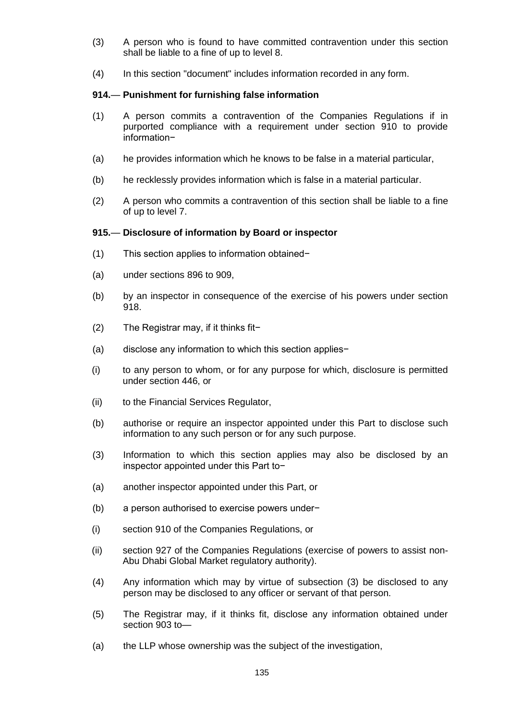- (3) A person who is found to have committed contravention under this section shall be liable to a fine of up to level 8.
- (4) In this section "document" includes information recorded in any form.

# **914.**— **Punishment for furnishing false information**

- (1) A person commits a contravention of the Companies Regulations if in purported compliance with a requirement under section 910 to provide information−
- (a) he provides information which he knows to be false in a material particular,
- (b) he recklessly provides information which is false in a material particular.
- (2) A person who commits a contravention of this section shall be liable to a fine of up to level 7.

# **915.**— **Disclosure of information by Board or inspector**

- (1) This section applies to information obtained−
- (a) under sections 896 to 909,
- (b) by an inspector in consequence of the exercise of his powers under section 918.
- (2) The Registrar may, if it thinks fit−
- (a) disclose any information to which this section applies−
- (i) to any person to whom, or for any purpose for which, disclosure is permitted under section 446, or
- (ii) to the Financial Services Regulator,
- (b) authorise or require an inspector appointed under this Part to disclose such information to any such person or for any such purpose.
- (3) Information to which this section applies may also be disclosed by an inspector appointed under this Part to−
- (a) another inspector appointed under this Part, or
- (b) a person authorised to exercise powers under−
- (i) section 910 of the Companies Regulations, or
- (ii) section 927 of the Companies Regulations (exercise of powers to assist non-Abu Dhabi Global Market regulatory authority).
- (4) Any information which may by virtue of subsection (3) be disclosed to any person may be disclosed to any officer or servant of that person.
- (5) The Registrar may, if it thinks fit, disclose any information obtained under section 903 to—
- (a) the LLP whose ownership was the subject of the investigation,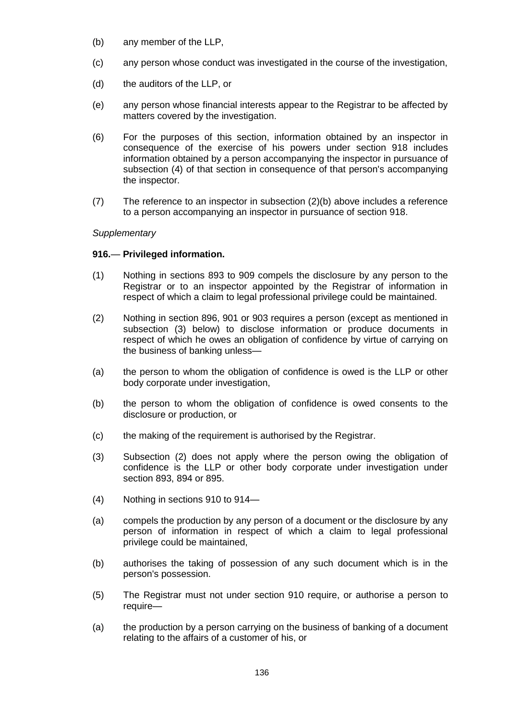- (b) any member of the LLP,
- (c) any person whose conduct was investigated in the course of the investigation,
- (d) the auditors of the LLP, or
- (e) any person whose financial interests appear to the Registrar to be affected by matters covered by the investigation.
- (6) For the purposes of this section, information obtained by an inspector in consequence of the exercise of his powers under section 918 includes information obtained by a person accompanying the inspector in pursuance of subsection (4) of that section in consequence of that person's accompanying the inspector.
- (7) The reference to an inspector in subsection (2)(b) above includes a reference to a person accompanying an inspector in pursuance of section 918.

# *Supplementary*

# **916.**— **Privileged information.**

- (1) Nothing in sections 893 to 909 compels the disclosure by any person to the Registrar or to an inspector appointed by the Registrar of information in respect of which a claim to legal professional privilege could be maintained.
- (2) Nothing in section 896, 901 or 903 requires a person (except as mentioned in subsection (3) below) to disclose information or produce documents in respect of which he owes an obligation of confidence by virtue of carrying on the business of banking unless—
- (a) the person to whom the obligation of confidence is owed is the LLP or other body corporate under investigation,
- (b) the person to whom the obligation of confidence is owed consents to the disclosure or production, or
- (c) the making of the requirement is authorised by the Registrar.
- (3) Subsection (2) does not apply where the person owing the obligation of confidence is the LLP or other body corporate under investigation under section 893, 894 or 895.
- (4) Nothing in sections 910 to 914—
- (a) compels the production by any person of a document or the disclosure by any person of information in respect of which a claim to legal professional privilege could be maintained,
- (b) authorises the taking of possession of any such document which is in the person's possession.
- (5) The Registrar must not under section 910 require, or authorise a person to require—
- (a) the production by a person carrying on the business of banking of a document relating to the affairs of a customer of his, or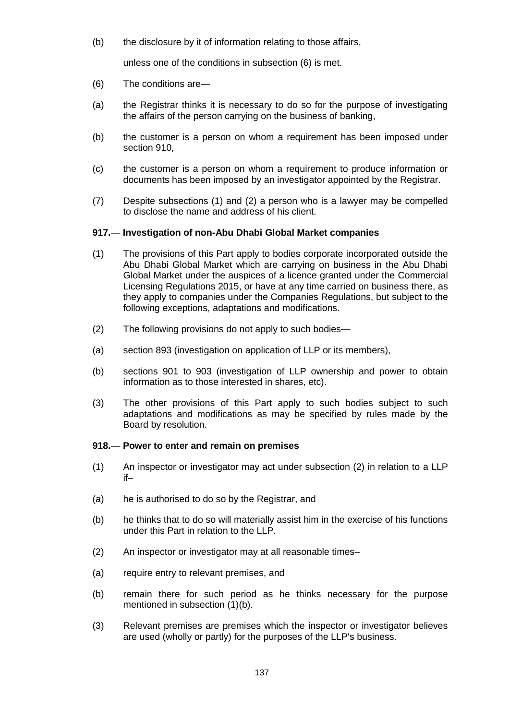(b) the disclosure by it of information relating to those affairs,

unless one of the conditions in subsection (6) is met.

- (6) The conditions are—
- (a) the Registrar thinks it is necessary to do so for the purpose of investigating the affairs of the person carrying on the business of banking,
- (b) the customer is a person on whom a requirement has been imposed under section 910,
- (c) the customer is a person on whom a requirement to produce information or documents has been imposed by an investigator appointed by the Registrar.
- (7) Despite subsections (1) and (2) a person who is a lawyer may be compelled to disclose the name and address of his client.

# **917.**— **Investigation of non-Abu Dhabi Global Market companies**

- (1) The provisions of this Part apply to bodies corporate incorporated outside the Abu Dhabi Global Market which are carrying on business in the Abu Dhabi Global Market under the auspices of a licence granted under the Commercial Licensing Regulations 2015, or have at any time carried on business there, as they apply to companies under the Companies Regulations, but subject to the following exceptions, adaptations and modifications.
- (2) The following provisions do not apply to such bodies—
- (a) section 893 (investigation on application of LLP or its members),
- (b) sections 901 to 903 (investigation of LLP ownership and power to obtain information as to those interested in shares, etc).
- (3) The other provisions of this Part apply to such bodies subject to such adaptations and modifications as may be specified by rules made by the Board by resolution.

# **918.**— **Power to enter and remain on premises**

- (1) An inspector or investigator may act under subsection (2) in relation to a LLP if–
- (a) he is authorised to do so by the Registrar, and
- (b) he thinks that to do so will materially assist him in the exercise of his functions under this Part in relation to the LLP.
- (2) An inspector or investigator may at all reasonable times–
- (a) require entry to relevant premises, and
- (b) remain there for such period as he thinks necessary for the purpose mentioned in subsection (1)(b).
- (3) Relevant premises are premises which the inspector or investigator believes are used (wholly or partly) for the purposes of the LLP's business.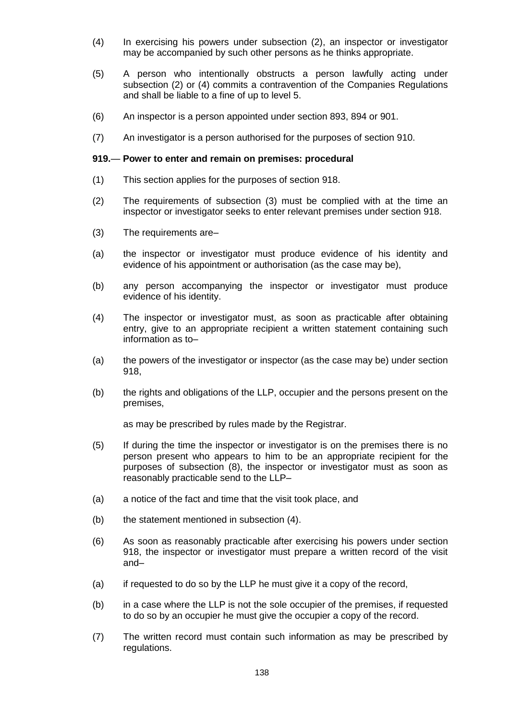- (4) In exercising his powers under subsection (2), an inspector or investigator may be accompanied by such other persons as he thinks appropriate.
- (5) A person who intentionally obstructs a person lawfully acting under subsection (2) or (4) commits a contravention of the Companies Regulations and shall be liable to a fine of up to level 5.
- (6) An inspector is a person appointed under section 893, 894 or 901.
- (7) An investigator is a person authorised for the purposes of section 910.

## **919.**— **Power to enter and remain on premises: procedural**

- (1) This section applies for the purposes of section 918.
- (2) The requirements of subsection (3) must be complied with at the time an inspector or investigator seeks to enter relevant premises under section 918.
- (3) The requirements are–
- (a) the inspector or investigator must produce evidence of his identity and evidence of his appointment or authorisation (as the case may be),
- (b) any person accompanying the inspector or investigator must produce evidence of his identity.
- (4) The inspector or investigator must, as soon as practicable after obtaining entry, give to an appropriate recipient a written statement containing such information as to–
- (a) the powers of the investigator or inspector (as the case may be) under section 918,
- (b) the rights and obligations of the LLP, occupier and the persons present on the premises,

as may be prescribed by rules made by the Registrar.

- (5) If during the time the inspector or investigator is on the premises there is no person present who appears to him to be an appropriate recipient for the purposes of subsection (8), the inspector or investigator must as soon as reasonably practicable send to the LLP–
- (a) a notice of the fact and time that the visit took place, and
- (b) the statement mentioned in subsection (4).
- (6) As soon as reasonably practicable after exercising his powers under section 918, the inspector or investigator must prepare a written record of the visit and–
- (a) if requested to do so by the LLP he must give it a copy of the record,
- (b) in a case where the LLP is not the sole occupier of the premises, if requested to do so by an occupier he must give the occupier a copy of the record.
- (7) The written record must contain such information as may be prescribed by regulations.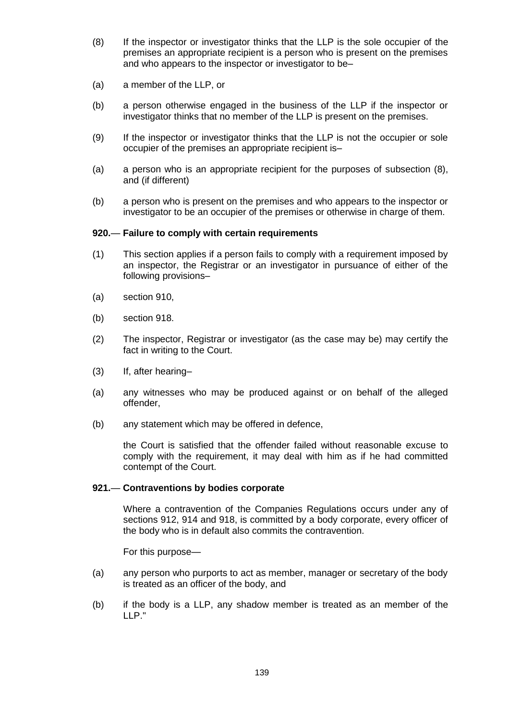- (8) If the inspector or investigator thinks that the LLP is the sole occupier of the premises an appropriate recipient is a person who is present on the premises and who appears to the inspector or investigator to be–
- (a) a member of the LLP, or
- (b) a person otherwise engaged in the business of the LLP if the inspector or investigator thinks that no member of the LLP is present on the premises.
- (9) If the inspector or investigator thinks that the LLP is not the occupier or sole occupier of the premises an appropriate recipient is–
- (a) a person who is an appropriate recipient for the purposes of subsection (8), and (if different)
- (b) a person who is present on the premises and who appears to the inspector or investigator to be an occupier of the premises or otherwise in charge of them.

### **920.**— **Failure to comply with certain requirements**

- (1) This section applies if a person fails to comply with a requirement imposed by an inspector, the Registrar or an investigator in pursuance of either of the following provisions–
- (a) section 910,
- (b) section 918.
- (2) The inspector, Registrar or investigator (as the case may be) may certify the fact in writing to the Court.
- (3) If, after hearing–
- (a) any witnesses who may be produced against or on behalf of the alleged offender,
- (b) any statement which may be offered in defence,

the Court is satisfied that the offender failed without reasonable excuse to comply with the requirement, it may deal with him as if he had committed contempt of the Court.

### **921.**— **Contraventions by bodies corporate**

Where a contravention of the Companies Regulations occurs under any of sections 912, 914 and 918, is committed by a body corporate, every officer of the body who is in default also commits the contravention.

For this purpose—

- (a) any person who purports to act as member, manager or secretary of the body is treated as an officer of the body, and
- (b) if the body is a LLP, any shadow member is treated as an member of the LLP."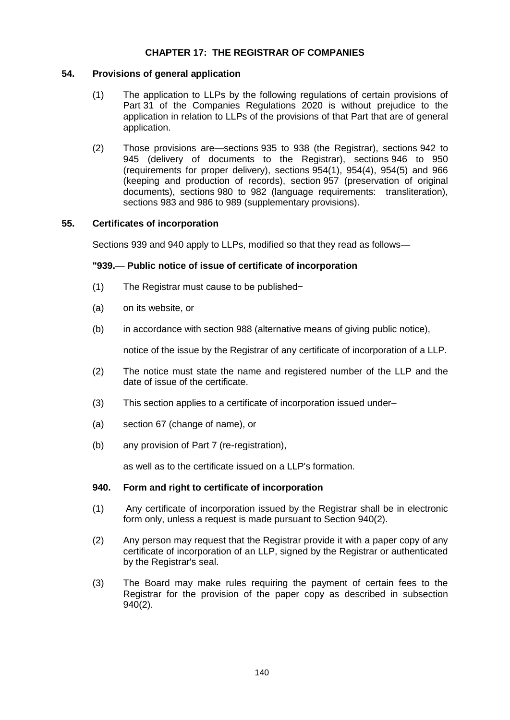# **CHAPTER 17: THE REGISTRAR OF COMPANIES**

# **54. Provisions of general application**

- (1) The application to LLPs by the following regulations of certain provisions of Part 31 of the Companies Regulations 2020 is without prejudice to the application in relation to LLPs of the provisions of that Part that are of general application.
- (2) Those provisions are—sections 935 to 938 (the Registrar), sections 942 to 945 (delivery of documents to the Registrar), sections 946 to 950 (requirements for proper delivery), sections 954(1), 954(4), 954(5) and 966 (keeping and production of records), section 957 (preservation of original documents), sections 980 to 982 (language requirements: transliteration), sections 983 and 986 to 989 (supplementary provisions).

# **55. Certificates of incorporation**

Sections 939 and 940 apply to LLPs, modified so that they read as follows—

# **"939.**— **Public notice of issue of certificate of incorporation**

- (1) The Registrar must cause to be published−
- (a) on its website, or
- (b) in accordance with section 988 (alternative means of giving public notice),

notice of the issue by the Registrar of any certificate of incorporation of a LLP.

- (2) The notice must state the name and registered number of the LLP and the date of issue of the certificate.
- (3) This section applies to a certificate of incorporation issued under–
- (a) section 67 (change of name), or
- (b) any provision of Part 7 (re-registration),

as well as to the certificate issued on a LLP's formation.

### **940. Form and right to certificate of incorporation**

- (1) Any certificate of incorporation issued by the Registrar shall be in electronic form only, unless a request is made pursuant to Section 940(2).
- (2) Any person may request that the Registrar provide it with a paper copy of any certificate of incorporation of an LLP, signed by the Registrar or authenticated by the Registrar's seal.
- (3) The Board may make rules requiring the payment of certain fees to the Registrar for the provision of the paper copy as described in subsection 940(2).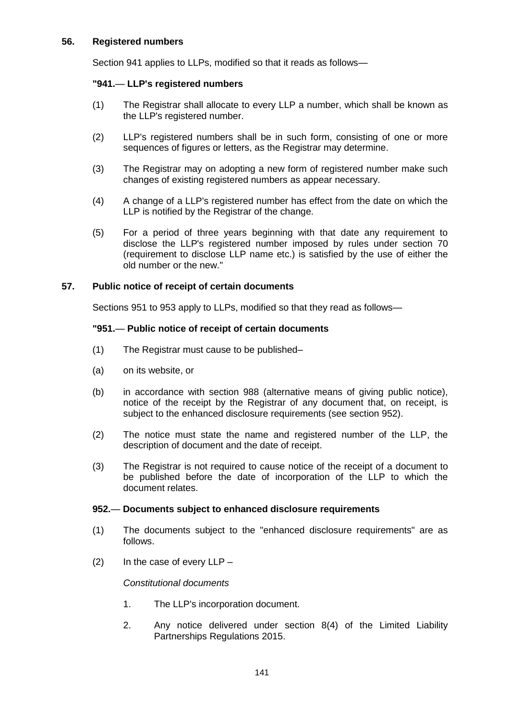# **56. Registered numbers**

Section 941 applies to LLPs, modified so that it reads as follows—

# **"941.**— **LLP's registered numbers**

- (1) The Registrar shall allocate to every LLP a number, which shall be known as the LLP's registered number.
- (2) LLP's registered numbers shall be in such form, consisting of one or more sequences of figures or letters, as the Registrar may determine.
- (3) The Registrar may on adopting a new form of registered number make such changes of existing registered numbers as appear necessary.
- (4) A change of a LLP's registered number has effect from the date on which the LLP is notified by the Registrar of the change.
- (5) For a period of three years beginning with that date any requirement to disclose the LLP's registered number imposed by rules under section 70 (requirement to disclose LLP name etc.) is satisfied by the use of either the old number or the new."

# **57. Public notice of receipt of certain documents**

Sections 951 to 953 apply to LLPs, modified so that they read as follows—

# **"951.**— **Public notice of receipt of certain documents**

- (1) The Registrar must cause to be published–
- (a) on its website, or
- (b) in accordance with section 988 (alternative means of giving public notice), notice of the receipt by the Registrar of any document that, on receipt, is subject to the enhanced disclosure requirements (see section 952).
- (2) The notice must state the name and registered number of the LLP, the description of document and the date of receipt.
- (3) The Registrar is not required to cause notice of the receipt of a document to be published before the date of incorporation of the LLP to which the document relates.

### **952.**— **Documents subject to enhanced disclosure requirements**

- (1) The documents subject to the "enhanced disclosure requirements" are as follows.
- $(2)$  In the case of every LLP –

### *Constitutional documents*

- 1. The LLP's incorporation document.
- 2. Any notice delivered under section 8(4) of the Limited Liability Partnerships Regulations 2015.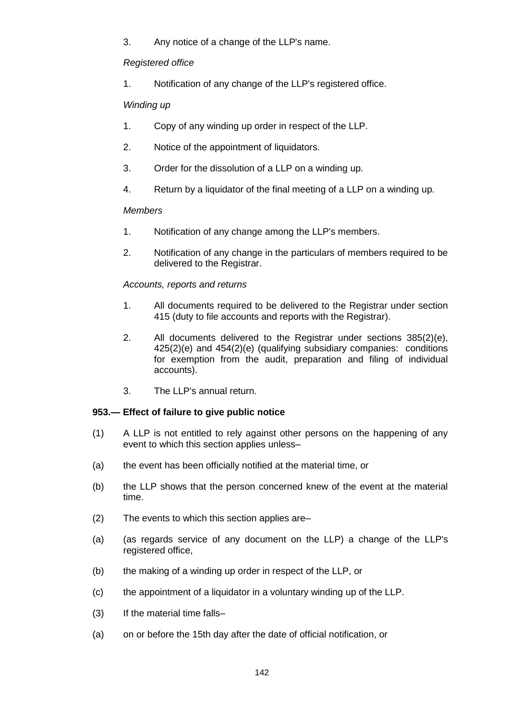3. Any notice of a change of the LLP's name.

# *Registered office*

1. Notification of any change of the LLP's registered office.

# *Winding up*

- 1. Copy of any winding up order in respect of the LLP.
- 2. Notice of the appointment of liquidators.
- 3. Order for the dissolution of a LLP on a winding up.
- 4. Return by a liquidator of the final meeting of a LLP on a winding up.

# *Members*

- 1. Notification of any change among the LLP's members.
- 2. Notification of any change in the particulars of members required to be delivered to the Registrar.

# *Accounts, reports and returns*

- 1. All documents required to be delivered to the Registrar under section 415 (duty to file accounts and reports with the Registrar).
- 2. All documents delivered to the Registrar under sections 385(2)(e), 425(2)(e) and 454(2)(e) (qualifying subsidiary companies: conditions for exemption from the audit, preparation and filing of individual accounts).
- 3. The LLP's annual return.

# **953.— Effect of failure to give public notice**

- (1) A LLP is not entitled to rely against other persons on the happening of any event to which this section applies unless–
- (a) the event has been officially notified at the material time, or
- (b) the LLP shows that the person concerned knew of the event at the material time.
- (2) The events to which this section applies are–
- (a) (as regards service of any document on the LLP) a change of the LLP's registered office,
- (b) the making of a winding up order in respect of the LLP, or
- (c) the appointment of a liquidator in a voluntary winding up of the LLP.
- (3) If the material time falls–
- (a) on or before the 15th day after the date of official notification, or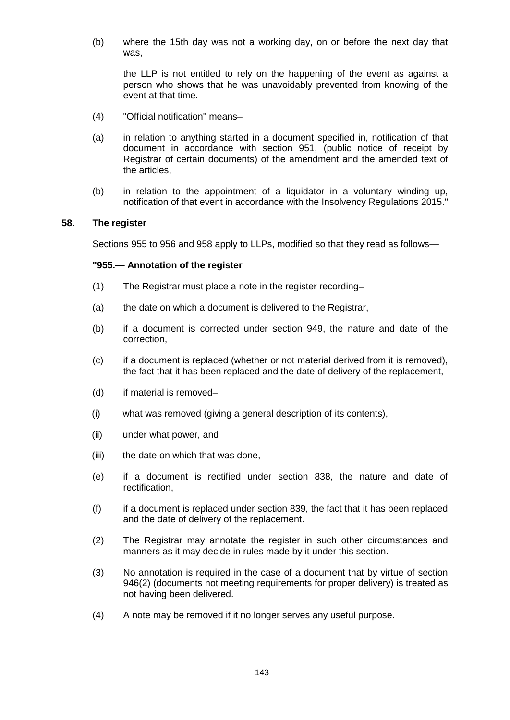(b) where the 15th day was not a working day, on or before the next day that was,

the LLP is not entitled to rely on the happening of the event as against a person who shows that he was unavoidably prevented from knowing of the event at that time.

- (4) "Official notification" means–
- (a) in relation to anything started in a document specified in, notification of that document in accordance with section 951, (public notice of receipt by Registrar of certain documents) of the amendment and the amended text of the articles,
- (b) in relation to the appointment of a liquidator in a voluntary winding up, notification of that event in accordance with the Insolvency Regulations 2015."

### **58. The register**

Sections 955 to 956 and 958 apply to LLPs, modified so that they read as follows—

# **"955.— Annotation of the register**

- (1) The Registrar must place a note in the register recording–
- (a) the date on which a document is delivered to the Registrar,
- (b) if a document is corrected under section 949, the nature and date of the correction,
- (c) if a document is replaced (whether or not material derived from it is removed), the fact that it has been replaced and the date of delivery of the replacement,
- (d) if material is removed–
- (i) what was removed (giving a general description of its contents),
- (ii) under what power, and
- (iii) the date on which that was done,
- (e) if a document is rectified under section 838, the nature and date of rectification,
- (f) if a document is replaced under section 839, the fact that it has been replaced and the date of delivery of the replacement.
- (2) The Registrar may annotate the register in such other circumstances and manners as it may decide in rules made by it under this section.
- (3) No annotation is required in the case of a document that by virtue of section 946(2) (documents not meeting requirements for proper delivery) is treated as not having been delivered.
- (4) A note may be removed if it no longer serves any useful purpose.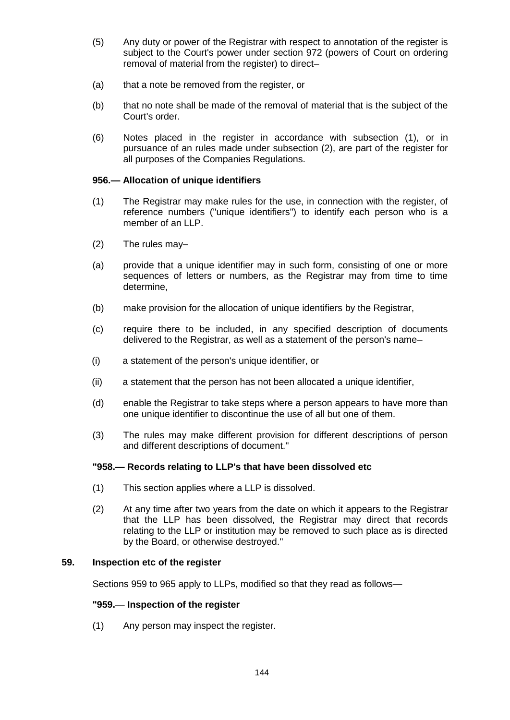- (5) Any duty or power of the Registrar with respect to annotation of the register is subject to the Court's power under section 972 (powers of Court on ordering removal of material from the register) to direct–
- (a) that a note be removed from the register, or
- (b) that no note shall be made of the removal of material that is the subject of the Court's order.
- (6) Notes placed in the register in accordance with subsection (1), or in pursuance of an rules made under subsection (2), are part of the register for all purposes of the Companies Regulations.

## **956.— Allocation of unique identifiers**

- (1) The Registrar may make rules for the use, in connection with the register, of reference numbers ("unique identifiers") to identify each person who is a member of an LLP.
- (2) The rules may–
- (a) provide that a unique identifier may in such form, consisting of one or more sequences of letters or numbers, as the Registrar may from time to time determine,
- (b) make provision for the allocation of unique identifiers by the Registrar,
- (c) require there to be included, in any specified description of documents delivered to the Registrar, as well as a statement of the person's name–
- (i) a statement of the person's unique identifier, or
- (ii) a statement that the person has not been allocated a unique identifier,
- (d) enable the Registrar to take steps where a person appears to have more than one unique identifier to discontinue the use of all but one of them.
- (3) The rules may make different provision for different descriptions of person and different descriptions of document."

# **"958.— Records relating to LLP's that have been dissolved etc**

- (1) This section applies where a LLP is dissolved.
- (2) At any time after two years from the date on which it appears to the Registrar that the LLP has been dissolved, the Registrar may direct that records relating to the LLP or institution may be removed to such place as is directed by the Board, or otherwise destroyed."

### **59. Inspection etc of the register**

Sections 959 to 965 apply to LLPs, modified so that they read as follows—

### **"959.**— **Inspection of the register**

(1) Any person may inspect the register.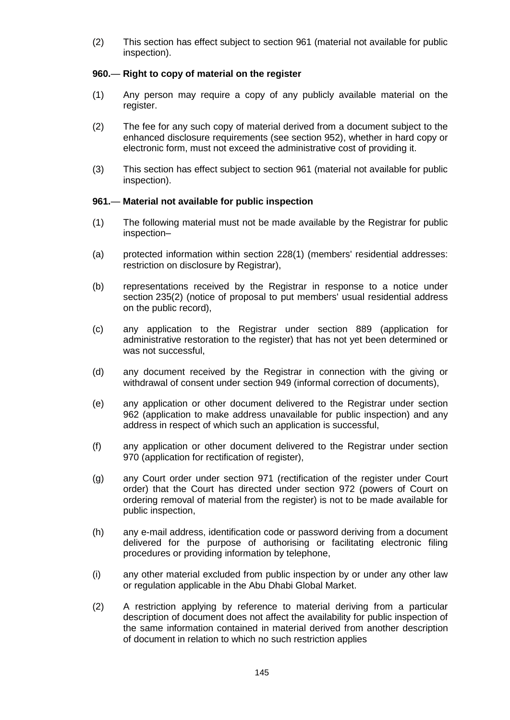(2) This section has effect subject to section 961 (material not available for public inspection).

# **960.**— **Right to copy of material on the register**

- (1) Any person may require a copy of any publicly available material on the register.
- (2) The fee for any such copy of material derived from a document subject to the enhanced disclosure requirements (see section 952), whether in hard copy or electronic form, must not exceed the administrative cost of providing it.
- (3) This section has effect subject to section 961 (material not available for public inspection).

# **961.**— **Material not available for public inspection**

- (1) The following material must not be made available by the Registrar for public inspection–
- (a) protected information within section 228(1) (members' residential addresses: restriction on disclosure by Registrar),
- (b) representations received by the Registrar in response to a notice under section 235(2) (notice of proposal to put members' usual residential address on the public record),
- (c) any application to the Registrar under section 889 (application for administrative restoration to the register) that has not yet been determined or was not successful,
- (d) any document received by the Registrar in connection with the giving or withdrawal of consent under section 949 (informal correction of documents),
- (e) any application or other document delivered to the Registrar under section 962 (application to make address unavailable for public inspection) and any address in respect of which such an application is successful,
- (f) any application or other document delivered to the Registrar under section 970 (application for rectification of register),
- (g) any Court order under section 971 (rectification of the register under Court order) that the Court has directed under section 972 (powers of Court on ordering removal of material from the register) is not to be made available for public inspection,
- (h) any e-mail address, identification code or password deriving from a document delivered for the purpose of authorising or facilitating electronic filing procedures or providing information by telephone,
- (i) any other material excluded from public inspection by or under any other law or regulation applicable in the Abu Dhabi Global Market.
- (2) A restriction applying by reference to material deriving from a particular description of document does not affect the availability for public inspection of the same information contained in material derived from another description of document in relation to which no such restriction applies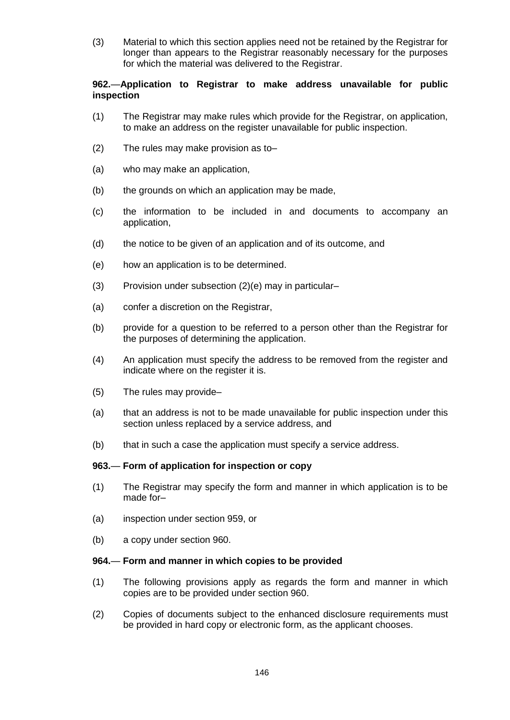(3) Material to which this section applies need not be retained by the Registrar for longer than appears to the Registrar reasonably necessary for the purposes for which the material was delivered to the Registrar.

# **962.**—**Application to Registrar to make address unavailable for public inspection**

- (1) The Registrar may make rules which provide for the Registrar, on application, to make an address on the register unavailable for public inspection.
- (2) The rules may make provision as to–
- (a) who may make an application,
- (b) the grounds on which an application may be made,
- (c) the information to be included in and documents to accompany an application,
- (d) the notice to be given of an application and of its outcome, and
- (e) how an application is to be determined.
- (3) Provision under subsection (2)(e) may in particular–
- (a) confer a discretion on the Registrar,
- (b) provide for a question to be referred to a person other than the Registrar for the purposes of determining the application.
- (4) An application must specify the address to be removed from the register and indicate where on the register it is.
- (5) The rules may provide–
- (a) that an address is not to be made unavailable for public inspection under this section unless replaced by a service address, and
- (b) that in such a case the application must specify a service address.

### **963.**— **Form of application for inspection or copy**

- (1) The Registrar may specify the form and manner in which application is to be made for-
- (a) inspection under section 959, or
- (b) a copy under section 960.

### **964.**— **Form and manner in which copies to be provided**

- (1) The following provisions apply as regards the form and manner in which copies are to be provided under section 960.
- (2) Copies of documents subject to the enhanced disclosure requirements must be provided in hard copy or electronic form, as the applicant chooses.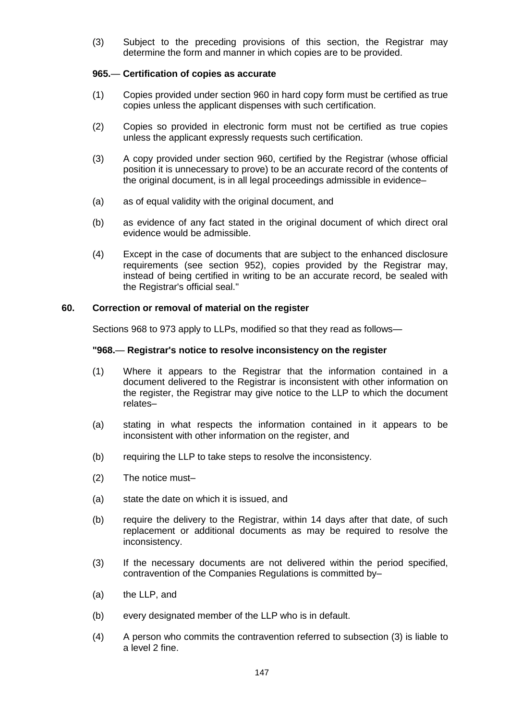(3) Subject to the preceding provisions of this section, the Registrar may determine the form and manner in which copies are to be provided.

## **965.**— **Certification of copies as accurate**

- (1) Copies provided under section 960 in hard copy form must be certified as true copies unless the applicant dispenses with such certification.
- (2) Copies so provided in electronic form must not be certified as true copies unless the applicant expressly requests such certification.
- (3) A copy provided under section 960, certified by the Registrar (whose official position it is unnecessary to prove) to be an accurate record of the contents of the original document, is in all legal proceedings admissible in evidence–
- (a) as of equal validity with the original document, and
- (b) as evidence of any fact stated in the original document of which direct oral evidence would be admissible.
- (4) Except in the case of documents that are subject to the enhanced disclosure requirements (see section 952), copies provided by the Registrar may, instead of being certified in writing to be an accurate record, be sealed with the Registrar's official seal."

## **60. Correction or removal of material on the register**

Sections 968 to 973 apply to LLPs, modified so that they read as follows—

## **"968.**— **Registrar's notice to resolve inconsistency on the register**

- (1) Where it appears to the Registrar that the information contained in a document delivered to the Registrar is inconsistent with other information on the register, the Registrar may give notice to the LLP to which the document relates–
- (a) stating in what respects the information contained in it appears to be inconsistent with other information on the register, and
- (b) requiring the LLP to take steps to resolve the inconsistency.
- (2) The notice must–
- (a) state the date on which it is issued, and
- (b) require the delivery to the Registrar, within 14 days after that date, of such replacement or additional documents as may be required to resolve the inconsistency.
- (3) If the necessary documents are not delivered within the period specified, contravention of the Companies Regulations is committed by–
- (a) the LLP, and
- (b) every designated member of the LLP who is in default.
- (4) A person who commits the contravention referred to subsection (3) is liable to a level 2 fine.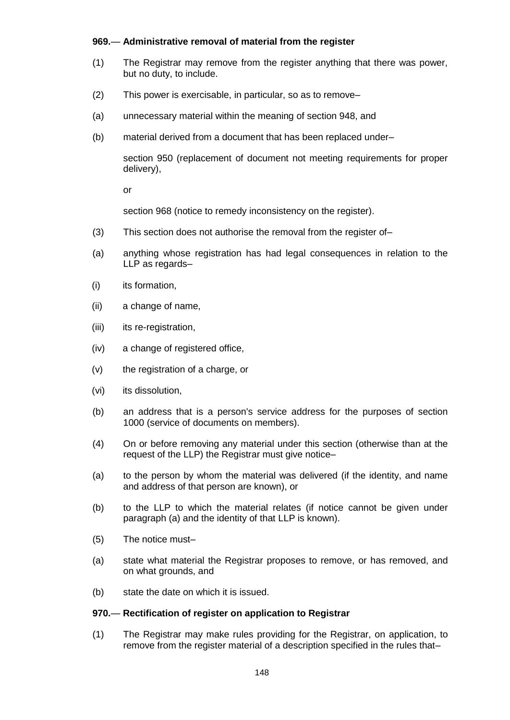# **969.**— **Administrative removal of material from the register**

- (1) The Registrar may remove from the register anything that there was power, but no duty, to include.
- (2) This power is exercisable, in particular, so as to remove–
- (a) unnecessary material within the meaning of section 948, and
- (b) material derived from a document that has been replaced under–

section 950 (replacement of document not meeting requirements for proper delivery),

or

section 968 (notice to remedy inconsistency on the register).

- (3) This section does not authorise the removal from the register of–
- (a) anything whose registration has had legal consequences in relation to the LLP as regards–
- (i) its formation,
- (ii) a change of name,
- (iii) its re-registration,
- (iv) a change of registered office,
- (v) the registration of a charge, or
- (vi) its dissolution,
- (b) an address that is a person's service address for the purposes of section 1000 (service of documents on members).
- (4) On or before removing any material under this section (otherwise than at the request of the LLP) the Registrar must give notice–
- (a) to the person by whom the material was delivered (if the identity, and name and address of that person are known), or
- (b) to the LLP to which the material relates (if notice cannot be given under paragraph (a) and the identity of that LLP is known).
- (5) The notice must–
- (a) state what material the Registrar proposes to remove, or has removed, and on what grounds, and
- (b) state the date on which it is issued.

### **970.**— **Rectification of register on application to Registrar**

(1) The Registrar may make rules providing for the Registrar, on application, to remove from the register material of a description specified in the rules that–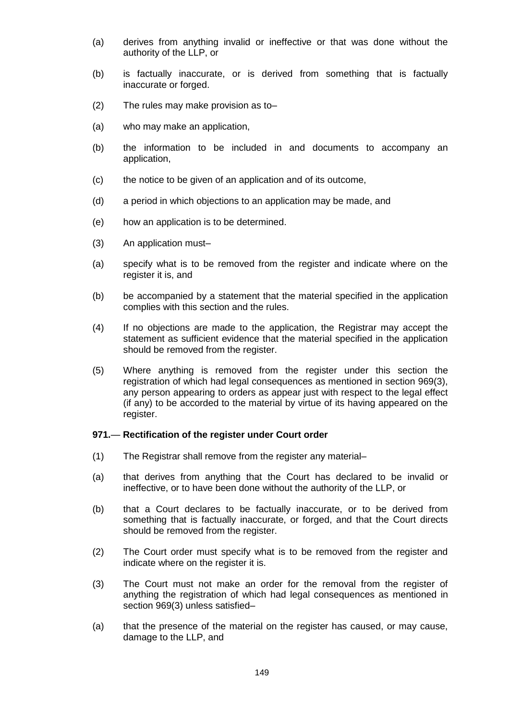- (a) derives from anything invalid or ineffective or that was done without the authority of the LLP, or
- (b) is factually inaccurate, or is derived from something that is factually inaccurate or forged.
- (2) The rules may make provision as to–
- (a) who may make an application,
- (b) the information to be included in and documents to accompany an application,
- (c) the notice to be given of an application and of its outcome,
- (d) a period in which objections to an application may be made, and
- (e) how an application is to be determined.
- (3) An application must–
- (a) specify what is to be removed from the register and indicate where on the register it is, and
- (b) be accompanied by a statement that the material specified in the application complies with this section and the rules.
- (4) If no objections are made to the application, the Registrar may accept the statement as sufficient evidence that the material specified in the application should be removed from the register.
- (5) Where anything is removed from the register under this section the registration of which had legal consequences as mentioned in section 969(3), any person appearing to orders as appear just with respect to the legal effect (if any) to be accorded to the material by virtue of its having appeared on the register.

#### **971.**— **Rectification of the register under Court order**

- (1) The Registrar shall remove from the register any material–
- (a) that derives from anything that the Court has declared to be invalid or ineffective, or to have been done without the authority of the LLP, or
- (b) that a Court declares to be factually inaccurate, or to be derived from something that is factually inaccurate, or forged, and that the Court directs should be removed from the register.
- (2) The Court order must specify what is to be removed from the register and indicate where on the register it is.
- (3) The Court must not make an order for the removal from the register of anything the registration of which had legal consequences as mentioned in section 969(3) unless satisfied–
- (a) that the presence of the material on the register has caused, or may cause, damage to the LLP, and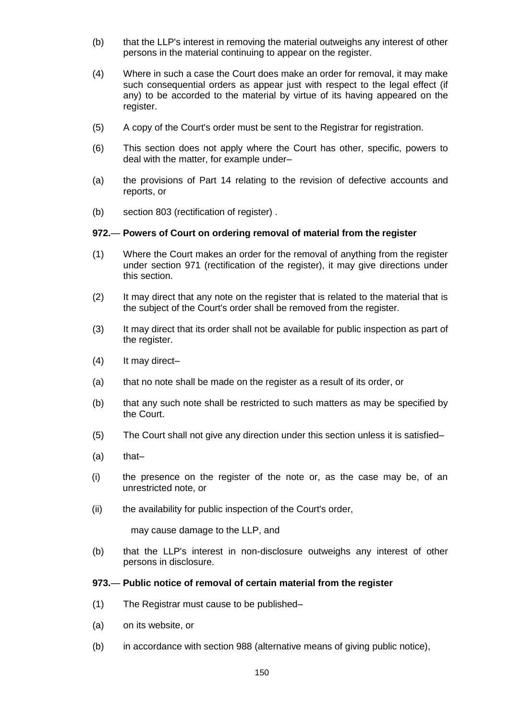- (b) that the LLP's interest in removing the material outweighs any interest of other persons in the material continuing to appear on the register.
- (4) Where in such a case the Court does make an order for removal, it may make such consequential orders as appear just with respect to the legal effect (if any) to be accorded to the material by virtue of its having appeared on the register.
- (5) A copy of the Court's order must be sent to the Registrar for registration.
- (6) This section does not apply where the Court has other, specific, powers to deal with the matter, for example under–
- (a) the provisions of Part 14 relating to the revision of defective accounts and reports, or
- (b) section 803 (rectification of register) .

### **972.**— **Powers of Court on ordering removal of material from the register**

- (1) Where the Court makes an order for the removal of anything from the register under section 971 (rectification of the register), it may give directions under this section.
- (2) It may direct that any note on the register that is related to the material that is the subject of the Court's order shall be removed from the register.
- (3) It may direct that its order shall not be available for public inspection as part of the register.
- (4) It may direct–
- (a) that no note shall be made on the register as a result of its order, or
- (b) that any such note shall be restricted to such matters as may be specified by the Court.
- (5) The Court shall not give any direction under this section unless it is satisfied–
- $(a)$  that-
- (i) the presence on the register of the note or, as the case may be, of an unrestricted note, or
- (ii) the availability for public inspection of the Court's order,

may cause damage to the LLP, and

(b) that the LLP's interest in non-disclosure outweighs any interest of other persons in disclosure.

# **973.**— **Public notice of removal of certain material from the register**

- (1) The Registrar must cause to be published–
- (a) on its website, or
- (b) in accordance with section 988 (alternative means of giving public notice),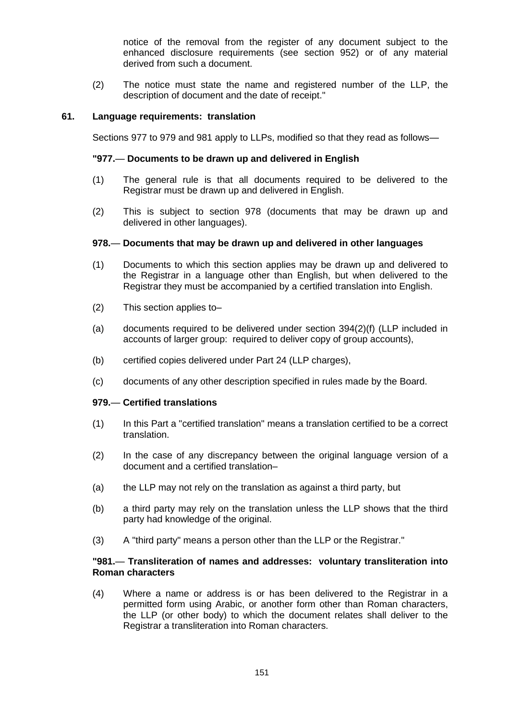notice of the removal from the register of any document subject to the enhanced disclosure requirements (see section 952) or of any material derived from such a document.

(2) The notice must state the name and registered number of the LLP, the description of document and the date of receipt."

### **61. Language requirements: translation**

Sections 977 to 979 and 981 apply to LLPs, modified so that they read as follows—

### **"977.**— **Documents to be drawn up and delivered in English**

- (1) The general rule is that all documents required to be delivered to the Registrar must be drawn up and delivered in English.
- (2) This is subject to section 978 (documents that may be drawn up and delivered in other languages).

### **978.**— **Documents that may be drawn up and delivered in other languages**

- (1) Documents to which this section applies may be drawn up and delivered to the Registrar in a language other than English, but when delivered to the Registrar they must be accompanied by a certified translation into English.
- (2) This section applies to–
- (a) documents required to be delivered under section 394(2)(f) (LLP included in accounts of larger group: required to deliver copy of group accounts),
- (b) certified copies delivered under Part 24 (LLP charges),
- (c) documents of any other description specified in rules made by the Board.

### **979.**— **Certified translations**

- (1) In this Part a "certified translation" means a translation certified to be a correct translation.
- (2) In the case of any discrepancy between the original language version of a document and a certified translation–
- (a) the LLP may not rely on the translation as against a third party, but
- (b) a third party may rely on the translation unless the LLP shows that the third party had knowledge of the original.
- (3) A "third party" means a person other than the LLP or the Registrar."

### **"981.**— **Transliteration of names and addresses: voluntary transliteration into Roman characters**

(4) Where a name or address is or has been delivered to the Registrar in a permitted form using Arabic, or another form other than Roman characters, the LLP (or other body) to which the document relates shall deliver to the Registrar a transliteration into Roman characters.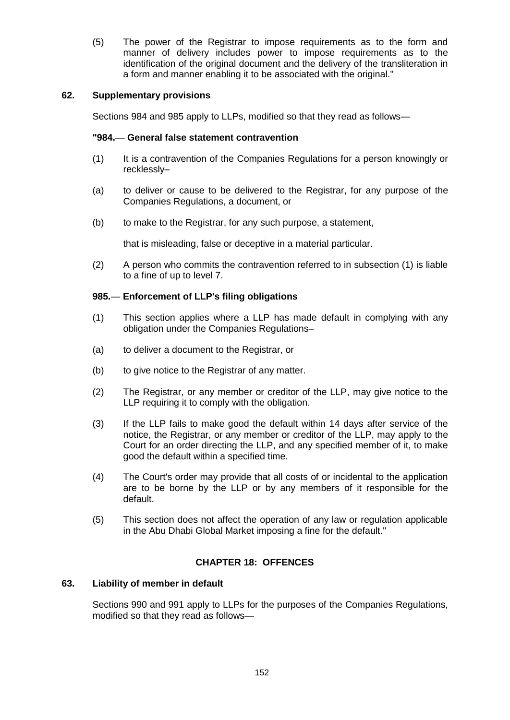(5) The power of the Registrar to impose requirements as to the form and manner of delivery includes power to impose requirements as to the identification of the original document and the delivery of the transliteration in a form and manner enabling it to be associated with the original."

# **62. Supplementary provisions**

Sections 984 and 985 apply to LLPs, modified so that they read as follows—

## **"984.**— **General false statement contravention**

- (1) It is a contravention of the Companies Regulations for a person knowingly or recklessly–
- (a) to deliver or cause to be delivered to the Registrar, for any purpose of the Companies Regulations, a document, or
- (b) to make to the Registrar, for any such purpose, a statement,

that is misleading, false or deceptive in a material particular.

(2) A person who commits the contravention referred to in subsection (1) is liable to a fine of up to level 7.

# **985.**— **Enforcement of LLP's filing obligations**

- (1) This section applies where a LLP has made default in complying with any obligation under the Companies Regulations–
- (a) to deliver a document to the Registrar, or
- (b) to give notice to the Registrar of any matter.
- (2) The Registrar, or any member or creditor of the LLP, may give notice to the LLP requiring it to comply with the obligation.
- (3) If the LLP fails to make good the default within 14 days after service of the notice, the Registrar, or any member or creditor of the LLP, may apply to the Court for an order directing the LLP, and any specified member of it, to make good the default within a specified time.
- (4) The Court's order may provide that all costs of or incidental to the application are to be borne by the LLP or by any members of it responsible for the default.
- (5) This section does not affect the operation of any law or regulation applicable in the Abu Dhabi Global Market imposing a fine for the default."

# **CHAPTER 18: OFFENCES**

### **63. Liability of member in default**

Sections 990 and 991 apply to LLPs for the purposes of the Companies Regulations, modified so that they read as follows—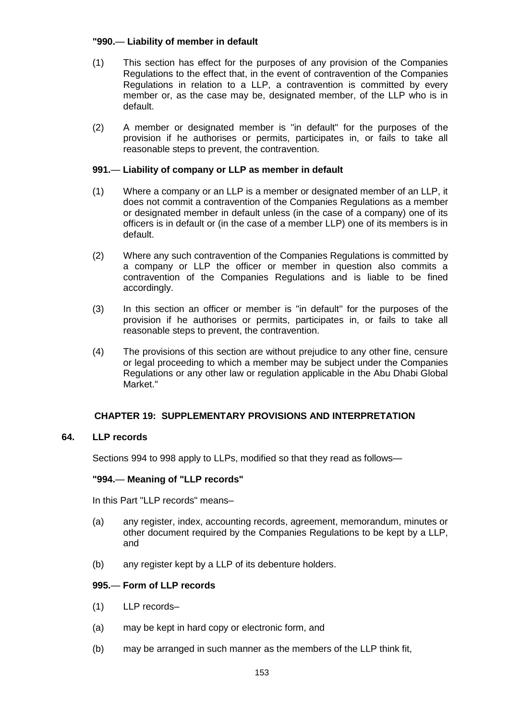# **"990.**— **Liability of member in default**

- (1) This section has effect for the purposes of any provision of the Companies Regulations to the effect that, in the event of contravention of the Companies Regulations in relation to a LLP, a contravention is committed by every member or, as the case may be, designated member, of the LLP who is in default.
- (2) A member or designated member is "in default" for the purposes of the provision if he authorises or permits, participates in, or fails to take all reasonable steps to prevent, the contravention.

# **991.**— **Liability of company or LLP as member in default**

- (1) Where a company or an LLP is a member or designated member of an LLP, it does not commit a contravention of the Companies Regulations as a member or designated member in default unless (in the case of a company) one of its officers is in default or (in the case of a member LLP) one of its members is in default.
- (2) Where any such contravention of the Companies Regulations is committed by a company or LLP the officer or member in question also commits a contravention of the Companies Regulations and is liable to be fined accordingly.
- (3) In this section an officer or member is "in default" for the purposes of the provision if he authorises or permits, participates in, or fails to take all reasonable steps to prevent, the contravention.
- (4) The provisions of this section are without prejudice to any other fine, censure or legal proceeding to which a member may be subject under the Companies Regulations or any other law or regulation applicable in the Abu Dhabi Global Market."

# **CHAPTER 19: SUPPLEMENTARY PROVISIONS AND INTERPRETATION**

# **64. LLP records**

Sections 994 to 998 apply to LLPs, modified so that they read as follows—

# **"994.**— **Meaning of "LLP records"**

In this Part "LLP records" means–

- (a) any register, index, accounting records, agreement, memorandum, minutes or other document required by the Companies Regulations to be kept by a LLP, and
- (b) any register kept by a LLP of its debenture holders.

# **995.**— **Form of LLP records**

- (1) LLP records–
- (a) may be kept in hard copy or electronic form, and
- (b) may be arranged in such manner as the members of the LLP think fit,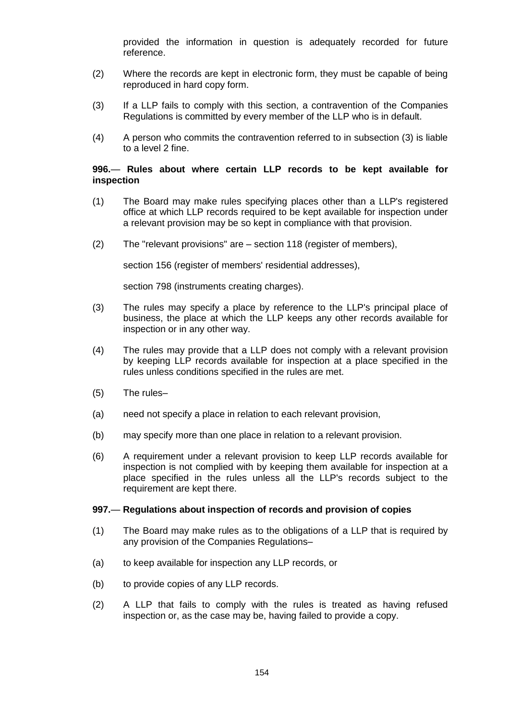provided the information in question is adequately recorded for future reference.

- (2) Where the records are kept in electronic form, they must be capable of being reproduced in hard copy form.
- (3) If a LLP fails to comply with this section, a contravention of the Companies Regulations is committed by every member of the LLP who is in default.
- (4) A person who commits the contravention referred to in subsection (3) is liable to a level 2 fine.

### **996.**— **Rules about where certain LLP records to be kept available for inspection**

- (1) The Board may make rules specifying places other than a LLP's registered office at which LLP records required to be kept available for inspection under a relevant provision may be so kept in compliance with that provision.
- (2) The "relevant provisions" are section 118 (register of members),

section 156 (register of members' residential addresses),

section 798 (instruments creating charges).

- (3) The rules may specify a place by reference to the LLP's principal place of business, the place at which the LLP keeps any other records available for inspection or in any other way.
- (4) The rules may provide that a LLP does not comply with a relevant provision by keeping LLP records available for inspection at a place specified in the rules unless conditions specified in the rules are met.
- (5) The rules–
- (a) need not specify a place in relation to each relevant provision,
- (b) may specify more than one place in relation to a relevant provision.
- (6) A requirement under a relevant provision to keep LLP records available for inspection is not complied with by keeping them available for inspection at a place specified in the rules unless all the LLP's records subject to the requirement are kept there.

#### **997.**— **Regulations about inspection of records and provision of copies**

- (1) The Board may make rules as to the obligations of a LLP that is required by any provision of the Companies Regulations–
- (a) to keep available for inspection any LLP records, or
- (b) to provide copies of any LLP records.
- (2) A LLP that fails to comply with the rules is treated as having refused inspection or, as the case may be, having failed to provide a copy.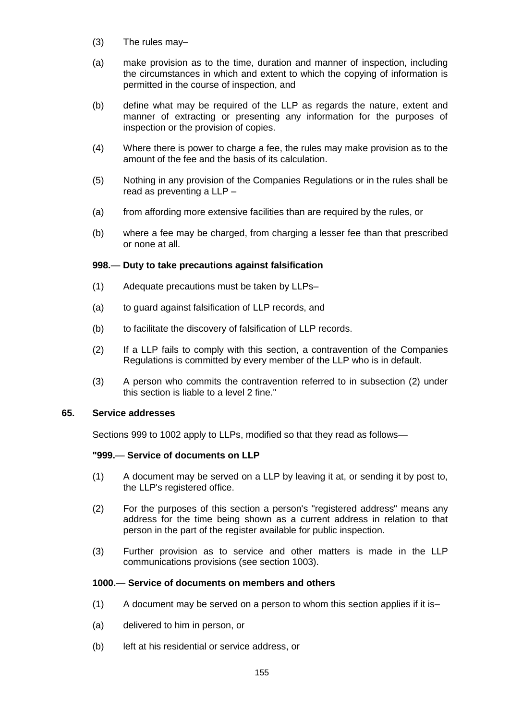- (3) The rules may–
- (a) make provision as to the time, duration and manner of inspection, including the circumstances in which and extent to which the copying of information is permitted in the course of inspection, and
- (b) define what may be required of the LLP as regards the nature, extent and manner of extracting or presenting any information for the purposes of inspection or the provision of copies.
- (4) Where there is power to charge a fee, the rules may make provision as to the amount of the fee and the basis of its calculation.
- (5) Nothing in any provision of the Companies Regulations or in the rules shall be read as preventing a LLP –
- (a) from affording more extensive facilities than are required by the rules, or
- (b) where a fee may be charged, from charging a lesser fee than that prescribed or none at all.

# **998.**— **Duty to take precautions against falsification**

- (1) Adequate precautions must be taken by LLPs–
- (a) to guard against falsification of LLP records, and
- (b) to facilitate the discovery of falsification of LLP records.
- (2) If a LLP fails to comply with this section, a contravention of the Companies Regulations is committed by every member of the LLP who is in default.
- (3) A person who commits the contravention referred to in subsection (2) under this section is liable to a level 2 fine."

### **65. Service addresses**

Sections 999 to 1002 apply to LLPs, modified so that they read as follows—

# **"999.**— **Service of documents on LLP**

- (1) A document may be served on a LLP by leaving it at, or sending it by post to, the LLP's registered office.
- (2) For the purposes of this section a person's "registered address" means any address for the time being shown as a current address in relation to that person in the part of the register available for public inspection.
- (3) Further provision as to service and other matters is made in the LLP communications provisions (see section 1003).

### **1000.**— **Service of documents on members and others**

- (1) A document may be served on a person to whom this section applies if it is–
- (a) delivered to him in person, or
- (b) left at his residential or service address, or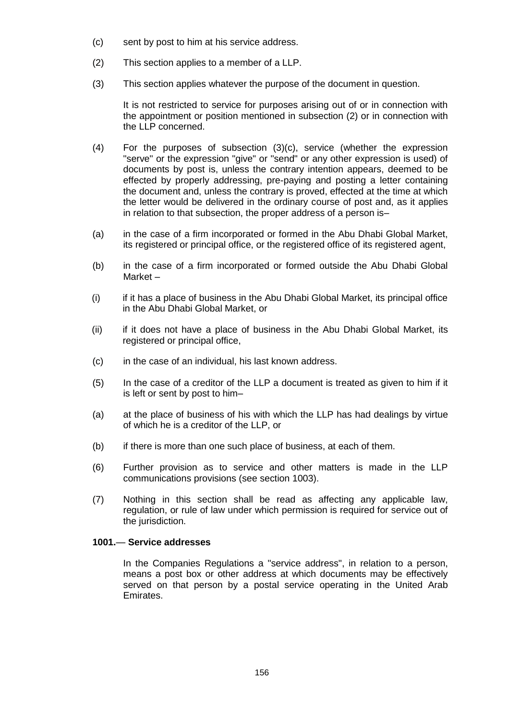- (c) sent by post to him at his service address.
- (2) This section applies to a member of a LLP.
- (3) This section applies whatever the purpose of the document in question.

It is not restricted to service for purposes arising out of or in connection with the appointment or position mentioned in subsection (2) or in connection with the LLP concerned.

- (4) For the purposes of subsection (3)(c), service (whether the expression "serve" or the expression "give" or "send" or any other expression is used) of documents by post is, unless the contrary intention appears, deemed to be effected by properly addressing, pre-paying and posting a letter containing the document and, unless the contrary is proved, effected at the time at which the letter would be delivered in the ordinary course of post and, as it applies in relation to that subsection, the proper address of a person is–
- (a) in the case of a firm incorporated or formed in the Abu Dhabi Global Market, its registered or principal office, or the registered office of its registered agent,
- (b) in the case of a firm incorporated or formed outside the Abu Dhabi Global Market –
- (i) if it has a place of business in the Abu Dhabi Global Market, its principal office in the Abu Dhabi Global Market, or
- (ii) if it does not have a place of business in the Abu Dhabi Global Market, its registered or principal office,
- (c) in the case of an individual, his last known address.
- (5) In the case of a creditor of the LLP a document is treated as given to him if it is left or sent by post to him–
- (a) at the place of business of his with which the LLP has had dealings by virtue of which he is a creditor of the LLP, or
- (b) if there is more than one such place of business, at each of them.
- (6) Further provision as to service and other matters is made in the LLP communications provisions (see section 1003).
- (7) Nothing in this section shall be read as affecting any applicable law, regulation, or rule of law under which permission is required for service out of the jurisdiction.

### **1001.**— **Service addresses**

In the Companies Regulations a "service address", in relation to a person, means a post box or other address at which documents may be effectively served on that person by a postal service operating in the United Arab Emirates.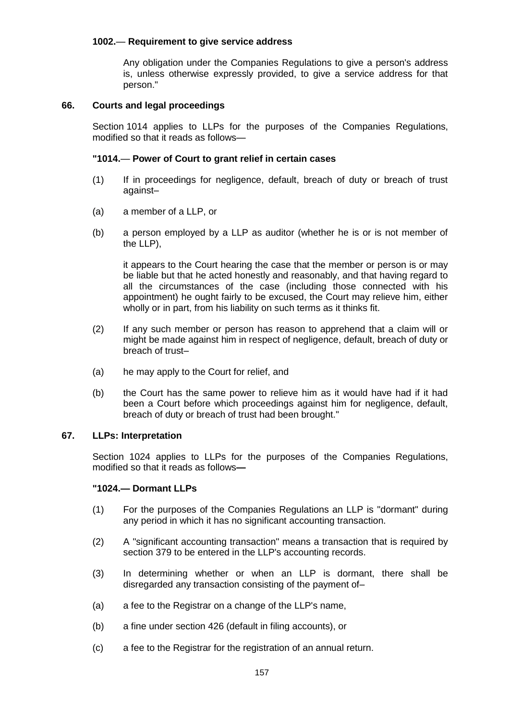## **1002.**— **Requirement to give service address**

Any obligation under the Companies Regulations to give a person's address is, unless otherwise expressly provided, to give a service address for that person."

## **66. Courts and legal proceedings**

Section 1014 applies to LLPs for the purposes of the Companies Regulations, modified so that it reads as follows—

## **"1014.**— **Power of Court to grant relief in certain cases**

- (1) If in proceedings for negligence, default, breach of duty or breach of trust against–
- (a) a member of a LLP, or
- (b) a person employed by a LLP as auditor (whether he is or is not member of the LLP),

it appears to the Court hearing the case that the member or person is or may be liable but that he acted honestly and reasonably, and that having regard to all the circumstances of the case (including those connected with his appointment) he ought fairly to be excused, the Court may relieve him, either wholly or in part, from his liability on such terms as it thinks fit.

- (2) If any such member or person has reason to apprehend that a claim will or might be made against him in respect of negligence, default, breach of duty or breach of trust–
- (a) he may apply to the Court for relief, and
- (b) the Court has the same power to relieve him as it would have had if it had been a Court before which proceedings against him for negligence, default, breach of duty or breach of trust had been brought."

# **67. LLPs: Interpretation**

Section 1024 applies to LLPs for the purposes of the Companies Regulations, modified so that it reads as follows**—**

### **"1024.— Dormant LLPs**

- (1) For the purposes of the Companies Regulations an LLP is "dormant" during any period in which it has no significant accounting transaction.
- (2) A "significant accounting transaction" means a transaction that is required by section 379 to be entered in the LLP's accounting records.
- (3) In determining whether or when an LLP is dormant, there shall be disregarded any transaction consisting of the payment of–
- (a) a fee to the Registrar on a change of the LLP's name,
- (b) a fine under section 426 (default in filing accounts), or
- (c) a fee to the Registrar for the registration of an annual return.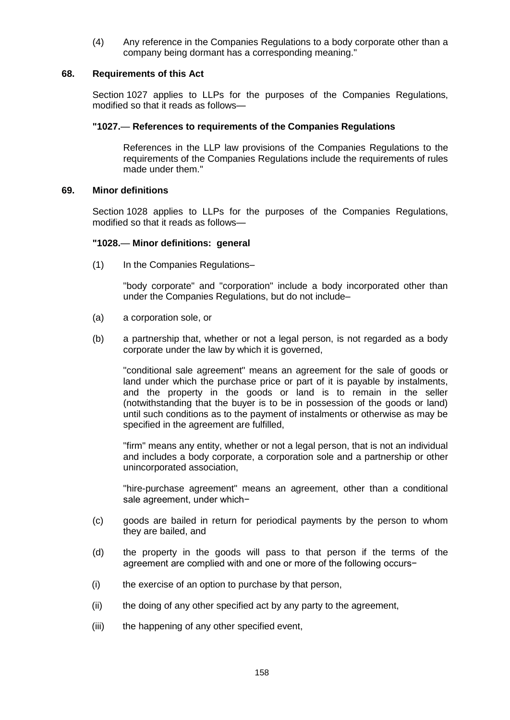(4) Any reference in the Companies Regulations to a body corporate other than a company being dormant has a corresponding meaning."

### **68. Requirements of this Act**

Section 1027 applies to LLPs for the purposes of the Companies Regulations, modified so that it reads as follows—

## **"1027.**— **References to requirements of the Companies Regulations**

References in the LLP law provisions of the Companies Regulations to the requirements of the Companies Regulations include the requirements of rules made under them."

## **69. Minor definitions**

Section 1028 applies to LLPs for the purposes of the Companies Regulations, modified so that it reads as follows—

### **"1028.**— **Minor definitions: general**

(1) In the Companies Regulations–

"body corporate" and "corporation" include a body incorporated other than under the Companies Regulations, but do not include–

- (a) a corporation sole, or
- (b) a partnership that, whether or not a legal person, is not regarded as a body corporate under the law by which it is governed,

"conditional sale agreement" means an agreement for the sale of goods or land under which the purchase price or part of it is payable by instalments, and the property in the goods or land is to remain in the seller (notwithstanding that the buyer is to be in possession of the goods or land) until such conditions as to the payment of instalments or otherwise as may be specified in the agreement are fulfilled,

"firm" means any entity, whether or not a legal person, that is not an individual and includes a body corporate, a corporation sole and a partnership or other unincorporated association,

"hire-purchase agreement" means an agreement, other than a conditional sale agreement, under which−

- (c) goods are bailed in return for periodical payments by the person to whom they are bailed, and
- (d) the property in the goods will pass to that person if the terms of the agreement are complied with and one or more of the following occurs−
- (i) the exercise of an option to purchase by that person,
- (ii) the doing of any other specified act by any party to the agreement,
- (iii) the happening of any other specified event,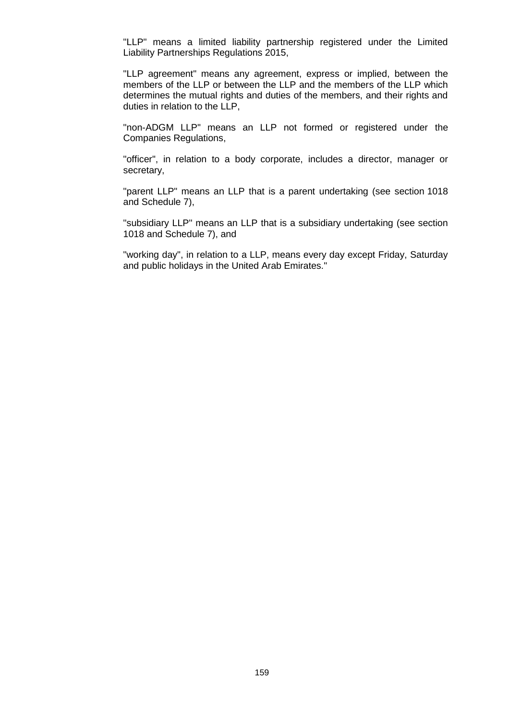"LLP" means a limited liability partnership registered under the Limited Liability Partnerships Regulations 2015,

"LLP agreement" means any agreement, express or implied, between the members of the LLP or between the LLP and the members of the LLP which determines the mutual rights and duties of the members, and their rights and duties in relation to the LLP,

"non-ADGM LLP" means an LLP not formed or registered under the Companies Regulations,

"officer", in relation to a body corporate, includes a director, manager or secretary,

"parent LLP" means an LLP that is a parent undertaking (see section 1018 and Schedule 7),

"subsidiary LLP" means an LLP that is a subsidiary undertaking (see section 1018 and Schedule 7), and

"working day", in relation to a LLP, means every day except Friday, Saturday and public holidays in the United Arab Emirates."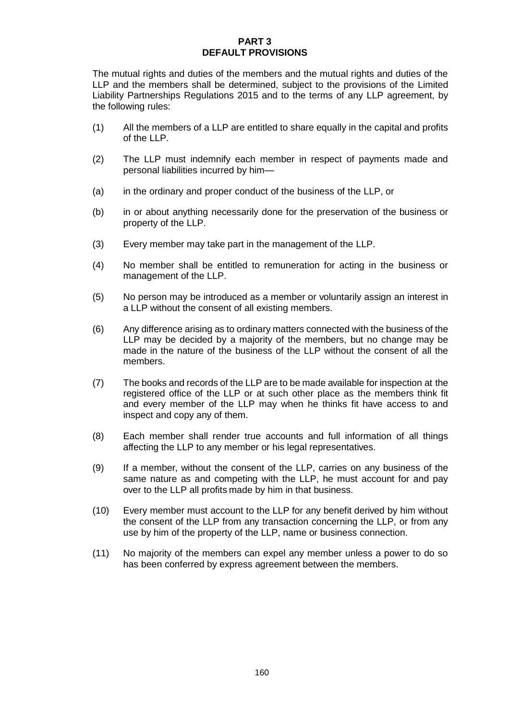## **PART 3 DEFAULT PROVISIONS**

The mutual rights and duties of the members and the mutual rights and duties of the LLP and the members shall be determined, subject to the provisions of the Limited Liability Partnerships Regulations 2015 and to the terms of any LLP agreement, by the following rules:

- (1) All the members of a LLP are entitled to share equally in the capital and profits of the LLP.
- (2) The LLP must indemnify each member in respect of payments made and personal liabilities incurred by him—
- (a) in the ordinary and proper conduct of the business of the LLP, or
- (b) in or about anything necessarily done for the preservation of the business or property of the LLP.
- (3) Every member may take part in the management of the LLP.
- (4) No member shall be entitled to remuneration for acting in the business or management of the LLP.
- (5) No person may be introduced as a member or voluntarily assign an interest in a LLP without the consent of all existing members.
- (6) Any difference arising as to ordinary matters connected with the business of the LLP may be decided by a majority of the members, but no change may be made in the nature of the business of the LLP without the consent of all the members.
- (7) The books and records of the LLP are to be made available for inspection at the registered office of the LLP or at such other place as the members think fit and every member of the LLP may when he thinks fit have access to and inspect and copy any of them.
- (8) Each member shall render true accounts and full information of all things affecting the LLP to any member or his legal representatives.
- (9) If a member, without the consent of the LLP, carries on any business of the same nature as and competing with the LLP, he must account for and pay over to the LLP all profits made by him in that business.
- (10) Every member must account to the LLP for any benefit derived by him without the consent of the LLP from any transaction concerning the LLP, or from any use by him of the property of the LLP, name or business connection.
- (11) No majority of the members can expel any member unless a power to do so has been conferred by express agreement between the members.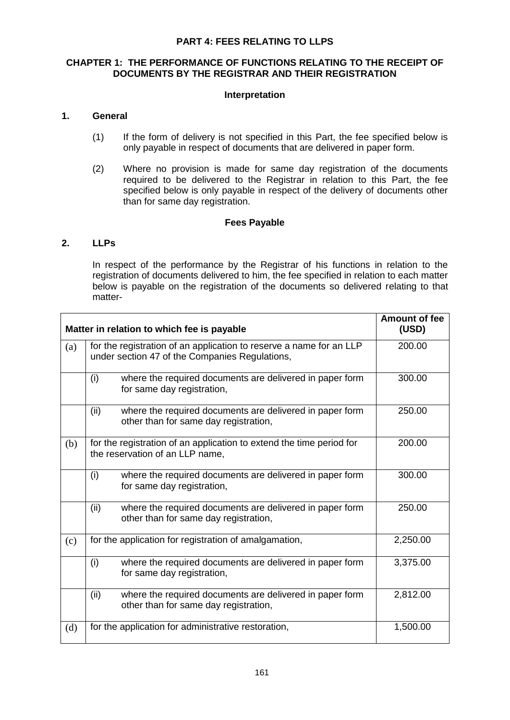## **PART 4: FEES RELATING TO LLPS**

# **CHAPTER 1: THE PERFORMANCE OF FUNCTIONS RELATING TO THE RECEIPT OF DOCUMENTS BY THE REGISTRAR AND THEIR REGISTRATION**

## **Interpretation**

## **1. General**

- (1) If the form of delivery is not specified in this Part, the fee specified below is only payable in respect of documents that are delivered in paper form.
- (2) Where no provision is made for same day registration of the documents required to be delivered to the Registrar in relation to this Part, the fee specified below is only payable in respect of the delivery of documents other than for same day registration.

## **Fees Payable**

# **2. LLPs**

In respect of the performance by the Registrar of his functions in relation to the registration of documents delivered to him, the fee specified in relation to each matter below is payable on the registration of the documents so delivered relating to that matter-

| Matter in relation to which fee is payable | <b>Amount of fee</b><br>(USD)                                                                                         |          |
|--------------------------------------------|-----------------------------------------------------------------------------------------------------------------------|----------|
| (a)                                        | for the registration of an application to reserve a name for an LLP<br>under section 47 of the Companies Regulations, | 200.00   |
|                                            | (i)<br>where the required documents are delivered in paper form<br>for same day registration,                         | 300.00   |
|                                            | (ii)<br>where the required documents are delivered in paper form<br>other than for same day registration,             | 250.00   |
| (b)                                        | for the registration of an application to extend the time period for<br>the reservation of an LLP name,               | 200.00   |
|                                            | (i)<br>where the required documents are delivered in paper form<br>for same day registration,                         | 300.00   |
|                                            | (ii)<br>where the required documents are delivered in paper form<br>other than for same day registration,             | 250.00   |
| (c)                                        | for the application for registration of amalgamation,                                                                 | 2,250.00 |
|                                            | (i)<br>where the required documents are delivered in paper form<br>for same day registration,                         | 3,375.00 |
|                                            | (ii)<br>where the required documents are delivered in paper form<br>other than for same day registration,             | 2,812.00 |
| (d)                                        | for the application for administrative restoration,                                                                   | 1,500.00 |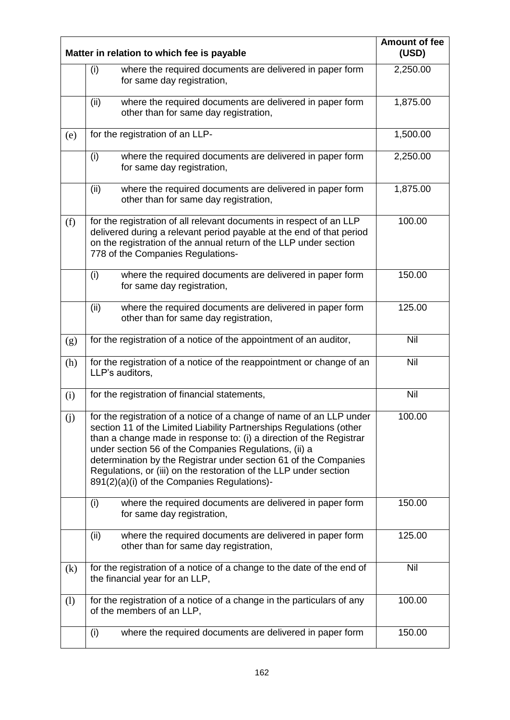| Matter in relation to which fee is payable | <b>Amount of fee</b><br>(USD)                                                                                                                                                                                                                                                                                                                                                                                                                                       |          |
|--------------------------------------------|---------------------------------------------------------------------------------------------------------------------------------------------------------------------------------------------------------------------------------------------------------------------------------------------------------------------------------------------------------------------------------------------------------------------------------------------------------------------|----------|
|                                            | (i)<br>where the required documents are delivered in paper form<br>for same day registration,                                                                                                                                                                                                                                                                                                                                                                       | 2,250.00 |
|                                            | (ii)<br>where the required documents are delivered in paper form<br>other than for same day registration,                                                                                                                                                                                                                                                                                                                                                           | 1,875.00 |
| (e)                                        | for the registration of an LLP-                                                                                                                                                                                                                                                                                                                                                                                                                                     | 1,500.00 |
|                                            | (i)<br>where the required documents are delivered in paper form<br>for same day registration,                                                                                                                                                                                                                                                                                                                                                                       | 2,250.00 |
|                                            | where the required documents are delivered in paper form<br>(ii)<br>other than for same day registration,                                                                                                                                                                                                                                                                                                                                                           | 1,875.00 |
| (f)                                        | for the registration of all relevant documents in respect of an LLP<br>delivered during a relevant period payable at the end of that period<br>on the registration of the annual return of the LLP under section<br>778 of the Companies Regulations-                                                                                                                                                                                                               | 100.00   |
|                                            | (i)<br>where the required documents are delivered in paper form<br>for same day registration,                                                                                                                                                                                                                                                                                                                                                                       | 150.00   |
|                                            | (ii)<br>where the required documents are delivered in paper form<br>other than for same day registration,                                                                                                                                                                                                                                                                                                                                                           | 125.00   |
| (g)                                        | for the registration of a notice of the appointment of an auditor,                                                                                                                                                                                                                                                                                                                                                                                                  | Nil      |
| (h)                                        | for the registration of a notice of the reappointment or change of an<br>LLP's auditors,                                                                                                                                                                                                                                                                                                                                                                            | Nil      |
| (i)                                        | for the registration of financial statements,                                                                                                                                                                                                                                                                                                                                                                                                                       | Nil      |
| (j)                                        | for the registration of a notice of a change of name of an LLP under<br>section 11 of the Limited Liability Partnerships Regulations (other<br>than a change made in response to: (i) a direction of the Registrar<br>under section 56 of the Companies Regulations, (ii) a<br>determination by the Registrar under section 61 of the Companies<br>Regulations, or (iii) on the restoration of the LLP under section<br>891(2)(a)(i) of the Companies Regulations)- | 100.00   |
|                                            | where the required documents are delivered in paper form<br>(i)<br>for same day registration,                                                                                                                                                                                                                                                                                                                                                                       | 150.00   |
|                                            | where the required documents are delivered in paper form<br>(ii)<br>other than for same day registration,                                                                                                                                                                                                                                                                                                                                                           | 125.00   |
| (k)                                        | for the registration of a notice of a change to the date of the end of<br>the financial year for an LLP,                                                                                                                                                                                                                                                                                                                                                            | Nil      |
| (1)                                        | for the registration of a notice of a change in the particulars of any<br>of the members of an LLP,                                                                                                                                                                                                                                                                                                                                                                 | 100.00   |
|                                            | where the required documents are delivered in paper form<br>(i)                                                                                                                                                                                                                                                                                                                                                                                                     | 150.00   |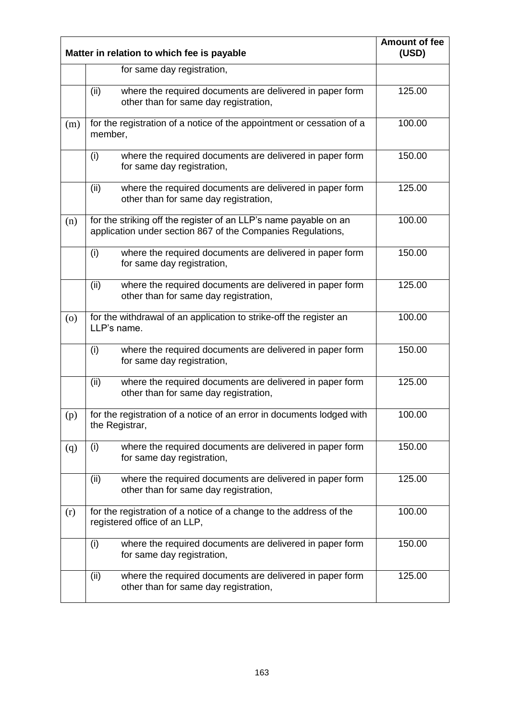| Matter in relation to which fee is payable | <b>Amount of fee</b><br>(USD)                                                                                                   |        |
|--------------------------------------------|---------------------------------------------------------------------------------------------------------------------------------|--------|
|                                            | for same day registration,                                                                                                      |        |
|                                            | where the required documents are delivered in paper form<br>(ii)<br>other than for same day registration,                       | 125.00 |
| (m)                                        | for the registration of a notice of the appointment or cessation of a<br>member,                                                | 100.00 |
|                                            | where the required documents are delivered in paper form<br>(i)<br>for same day registration,                                   | 150.00 |
|                                            | where the required documents are delivered in paper form<br>(ii)<br>other than for same day registration,                       | 125.00 |
| (n)                                        | for the striking off the register of an LLP's name payable on an<br>application under section 867 of the Companies Regulations, | 100.00 |
|                                            | where the required documents are delivered in paper form<br>(i)<br>for same day registration,                                   | 150.00 |
|                                            | where the required documents are delivered in paper form<br>(ii)<br>other than for same day registration,                       | 125.00 |
| (0)                                        | for the withdrawal of an application to strike-off the register an<br>LLP's name.                                               | 100.00 |
|                                            | where the required documents are delivered in paper form<br>(i)<br>for same day registration,                                   | 150.00 |
|                                            | where the required documents are delivered in paper form<br>(ii)<br>other than for same day registration,                       | 125.00 |
| (p)                                        | for the registration of a notice of an error in documents lodged with<br>the Registrar,                                         | 100.00 |
| (q)                                        | where the required documents are delivered in paper form<br>(i)<br>for same day registration,                                   | 150.00 |
|                                            | (ii)<br>where the required documents are delivered in paper form<br>other than for same day registration,                       | 125.00 |
| (r)                                        | for the registration of a notice of a change to the address of the<br>registered office of an LLP,                              | 100.00 |
|                                            | where the required documents are delivered in paper form<br>(i)<br>for same day registration,                                   | 150.00 |
|                                            | (ii)<br>where the required documents are delivered in paper form<br>other than for same day registration,                       | 125.00 |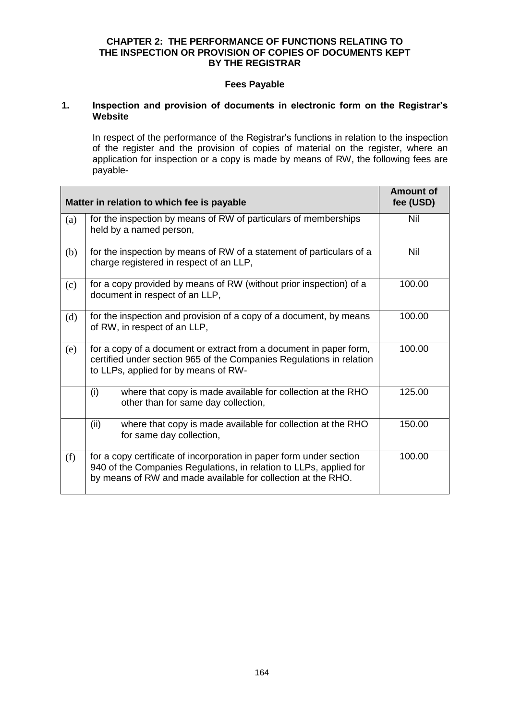## **CHAPTER 2: THE PERFORMANCE OF FUNCTIONS RELATING TO THE INSPECTION OR PROVISION OF COPIES OF DOCUMENTS KEPT BY THE REGISTRAR**

## **Fees Payable**

## **1. Inspection and provision of documents in electronic form on the Registrar's Website**

In respect of the performance of the Registrar's functions in relation to the inspection of the register and the provision of copies of material on the register, where an application for inspection or a copy is made by means of RW, the following fees are payable-

| Matter in relation to which fee is payable | <b>Amount of</b><br>fee (USD)                                                                                                                                                                             |        |
|--------------------------------------------|-----------------------------------------------------------------------------------------------------------------------------------------------------------------------------------------------------------|--------|
| (a)                                        | for the inspection by means of RW of particulars of memberships<br>held by a named person,                                                                                                                | Nil    |
| (b)                                        | for the inspection by means of RW of a statement of particulars of a<br>charge registered in respect of an LLP,                                                                                           | Nil    |
| (c)                                        | for a copy provided by means of RW (without prior inspection) of a<br>document in respect of an LLP,                                                                                                      | 100.00 |
| (d)                                        | for the inspection and provision of a copy of a document, by means<br>of RW, in respect of an LLP,                                                                                                        | 100.00 |
| (e)                                        | for a copy of a document or extract from a document in paper form,<br>certified under section 965 of the Companies Regulations in relation<br>to LLPs, applied for by means of RW-                        | 100.00 |
|                                            | (i)<br>where that copy is made available for collection at the RHO<br>other than for same day collection,                                                                                                 | 125.00 |
|                                            | (ii)<br>where that copy is made available for collection at the RHO<br>for same day collection,                                                                                                           | 150.00 |
| (f)                                        | for a copy certificate of incorporation in paper form under section<br>940 of the Companies Regulations, in relation to LLPs, applied for<br>by means of RW and made available for collection at the RHO. | 100.00 |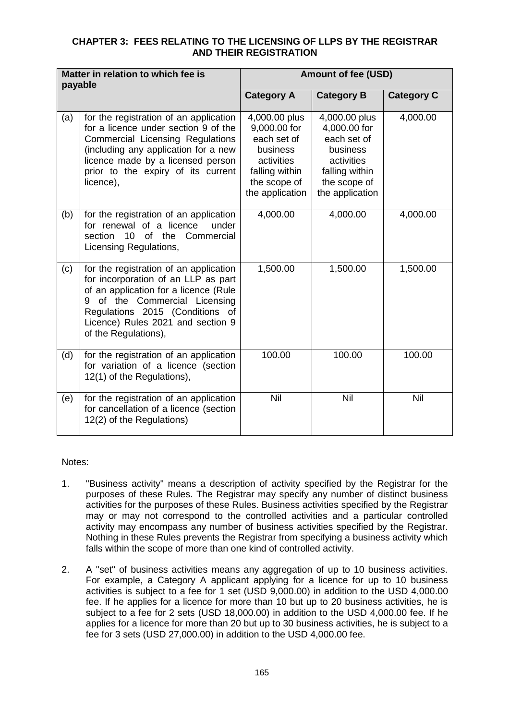# **CHAPTER 3: FEES RELATING TO THE LICENSING OF LLPS BY THE REGISTRAR AND THEIR REGISTRATION**

| Matter in relation to which fee is<br>payable |                                                                                                                                                                                                                                                         | <b>Amount of fee (USD)</b>                                                                                                  |                                                                                                                             |                   |
|-----------------------------------------------|---------------------------------------------------------------------------------------------------------------------------------------------------------------------------------------------------------------------------------------------------------|-----------------------------------------------------------------------------------------------------------------------------|-----------------------------------------------------------------------------------------------------------------------------|-------------------|
|                                               |                                                                                                                                                                                                                                                         | <b>Category A</b>                                                                                                           | <b>Category B</b>                                                                                                           | <b>Category C</b> |
| (a)                                           | for the registration of an application<br>for a licence under section 9 of the<br>Commercial Licensing Regulations<br>(including any application for a new<br>licence made by a licensed person<br>prior to the expiry of its current<br>licence),      | 4,000.00 plus<br>9,000.00 for<br>each set of<br>business<br>activities<br>falling within<br>the scope of<br>the application | 4,000.00 plus<br>4,000.00 for<br>each set of<br>business<br>activities<br>falling within<br>the scope of<br>the application | 4,000.00          |
| (b)                                           | for the registration of an application<br>for renewal of a licence<br>under<br>of the<br>section<br>10<br>Commercial<br>Licensing Regulations,                                                                                                          | 4,000.00                                                                                                                    | 4,000.00                                                                                                                    | 4,000.00          |
| (c)                                           | for the registration of an application<br>for incorporation of an LLP as part<br>of an application for a licence (Rule<br>9 of the Commercial Licensing<br>Regulations 2015 (Conditions of<br>Licence) Rules 2021 and section 9<br>of the Regulations), | 1,500.00                                                                                                                    | 1,500.00                                                                                                                    | 1,500.00          |
| (d)                                           | for the registration of an application<br>for variation of a licence (section<br>12(1) of the Regulations),                                                                                                                                             | 100.00                                                                                                                      | 100.00                                                                                                                      | 100.00            |
| (e)                                           | for the registration of an application<br>for cancellation of a licence (section<br>12(2) of the Regulations)                                                                                                                                           | Nil                                                                                                                         | Nil                                                                                                                         | Nil               |

Notes:

- 1. "Business activity" means a description of activity specified by the Registrar for the purposes of these Rules. The Registrar may specify any number of distinct business activities for the purposes of these Rules. Business activities specified by the Registrar may or may not correspond to the controlled activities and a particular controlled activity may encompass any number of business activities specified by the Registrar. Nothing in these Rules prevents the Registrar from specifying a business activity which falls within the scope of more than one kind of controlled activity.
- 2. A "set" of business activities means any aggregation of up to 10 business activities. For example, a Category A applicant applying for a licence for up to 10 business activities is subject to a fee for 1 set (USD 9,000.00) in addition to the USD 4,000.00 fee. If he applies for a licence for more than 10 but up to 20 business activities, he is subject to a fee for 2 sets (USD 18,000.00) in addition to the USD 4,000.00 fee. If he applies for a licence for more than 20 but up to 30 business activities, he is subject to a fee for 3 sets (USD 27,000.00) in addition to the USD 4,000.00 fee.